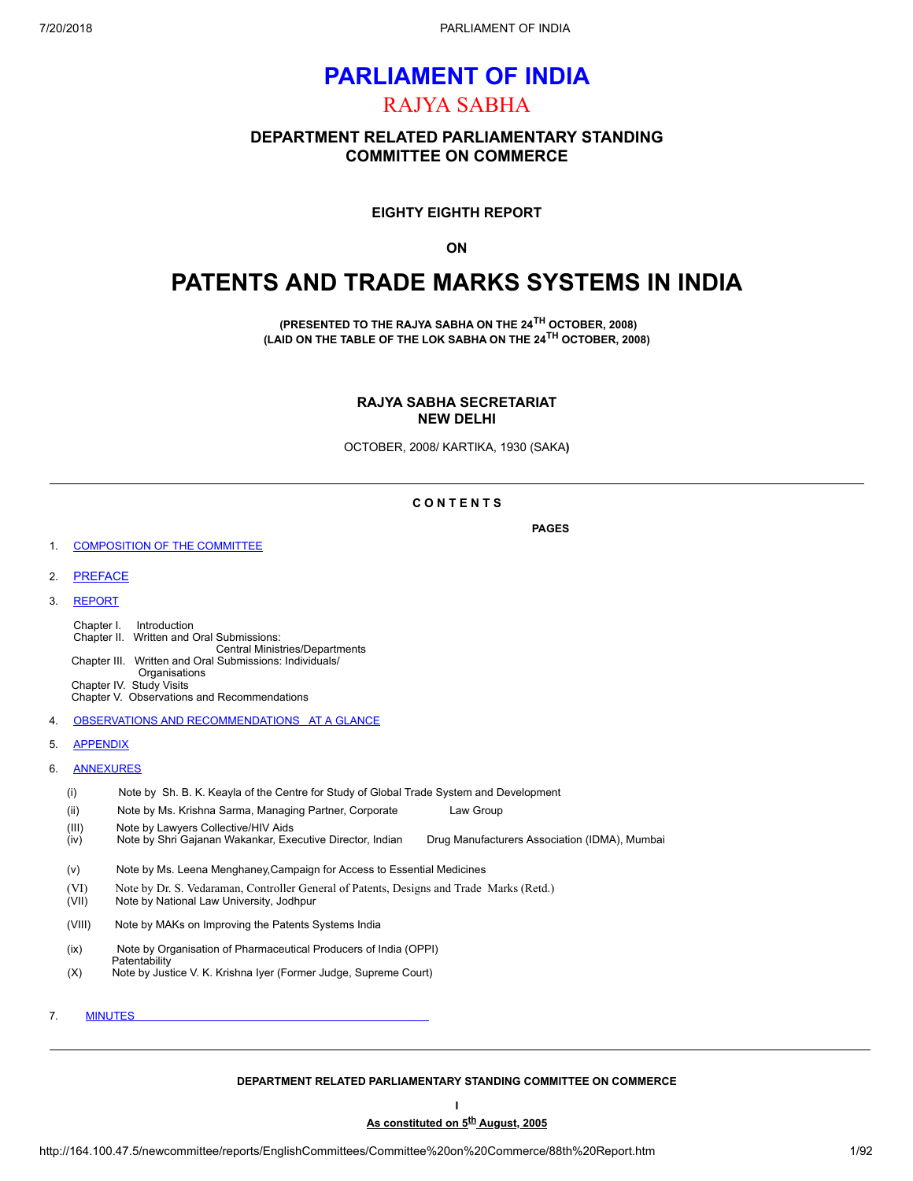# **PARLIAMENT OF INDIA** RAJYA SABHA

## **DEPARTMENT RELATED PARLIAMENTARY STANDING COMMITTEE ON COMMERCE**

**EIGHTY EIGHTH REPORT**

**ON**

# **PATENTS AND TRADE MARKS SYSTEMS IN INDIA**

**(PRESENTED TO THE RAJYA SABHA ON THE 24 TH OCTOBER, 2008) (LAID ON THE TABLE OF THE LOK SABHA ON THE 24 TH OCTOBER, 2008)**

> **RAJYA SABHA SECRETARIAT NEW DELHI**

OCTOBER, 2008/ KARTIKA, 1930 (SAKA**)**

### **C O N T E N T S**

**PAGES**

- 1. [COMPOSITION](#page-0-0) OF THE COMMITTEE
- 2. [PREFACE](#page-3-0)
- 3. [REPORT](#page-3-1)

Chapter I. Introduction Chapter II. Written and Oral Submissions: Central Ministries/Departments Chapter III. Written and Oral Submissions: Individuals/ **Organisations** Chapter IV. Study Visits Chapter V. Observations and Recommendations

- 4. OBSERVATIONS AND [RECOMMENDATIONS](#page-43-0) AT A GLANCE
- 5. [APPENDIX](#page-48-0)
- 6. [ANNEXURES](#page-48-1)
	- (i) Note by Sh. B. K. Keayla of the Centre for Study of Global Trade System and Development
	- (ii) Note by Ms. Krishna Sarma, Managing Partner, Corporate Law Group
	- (III) Note by Lawyers Collective/HIV Aids
	- (iv) Note by Shri Gajanan Wakankar, Executive Director, Indian Drug Manufacturers Association (IDMA), Mumbai
	- (v) Note by Ms. Leena Menghaney,Campaign for Access to Essential Medicines
	- (VI) Note by Dr. S. Vedaraman, Controller General of Patents, Designs and Trade Marks (Retd.)<br>(VII) Note by National Law University, Jodhpur
	- Note by National Law University, Jodhpur
	- (VIII) Note by MAKs on Improving the Patents Systems India
	- (ix) Note by Organisation of Pharmaceutical Producers of India (OPPI)
	- **Patentability** (X) Note by Justice V. K. Krishna Iyer (Former Judge, Supreme Court)
- 7. [MINUTES](#page-80-0)

### <span id="page-0-0"></span>**DEPARTMENT RELATED PARLIAMENTARY STANDING COMMITTEE ON COMMERCE I**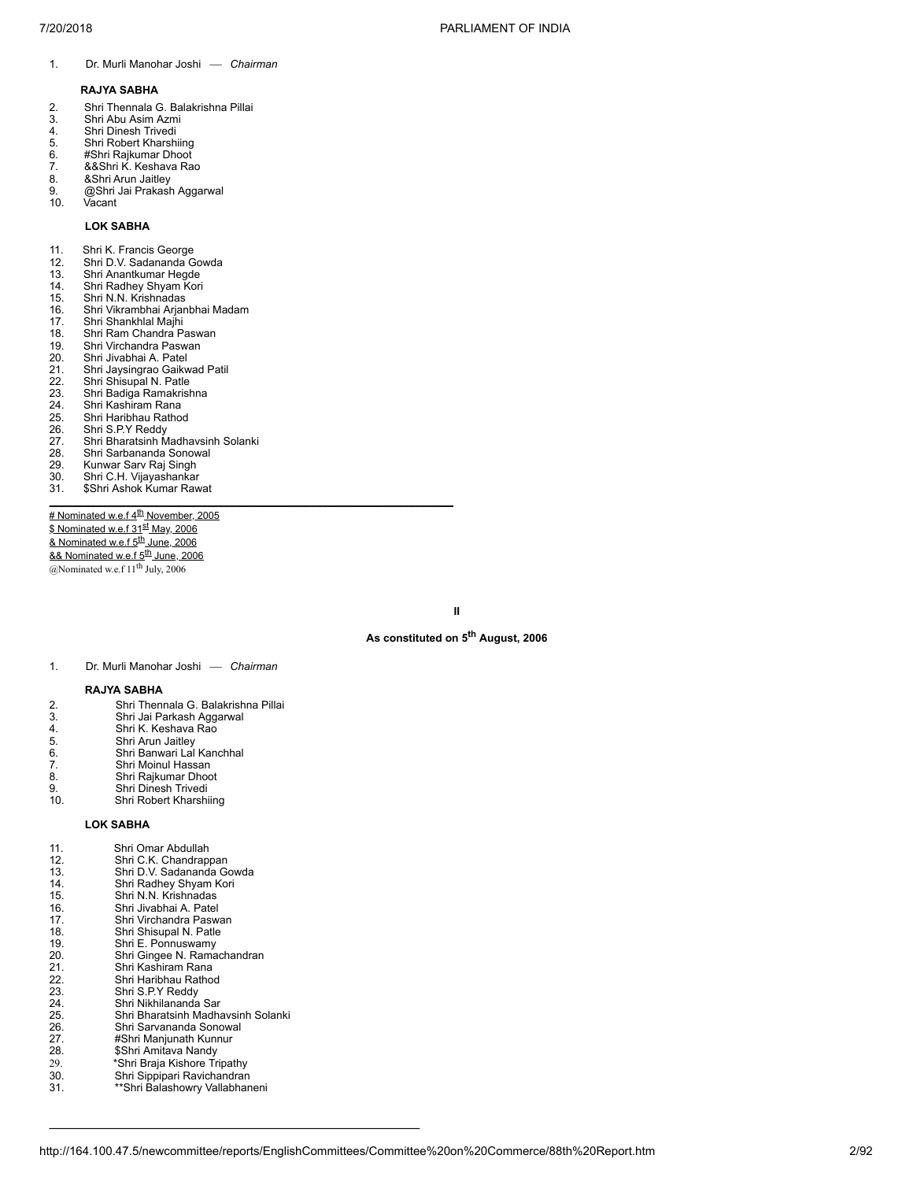1. Dr. Murli Manohar Joshi — Chairman

### **RAJYA SABHA**

- 2. Shri Thennala G. Balakrishna Pillai
- 3. Shri Abu Asim Azmi<br>4. Shri Dinesh Trivedi<br>5. Shri Robert Kharshii
- Shri Dinesh Trivedi
- 5. Shri Robert Kharshiing<br>6. #Shri Rajkumar Dhoot
- 6. #Shri Rajkumar Dhoot
- 5. *Institute press*<br>7. &&Shri K. Keshava Rao<br>8. &Shri Arun Jaitlev 8. &Shri Arun Jaitley
- 9. @Shri Jai Prakash Aggarwal
- 10. Vacant

### **LOK SABHA**

- 
- 11. Shri K. Francis George<br>12. Shri D.V. Sadananda G Shri D.V. Sadananda Gowda
- 13. Shri Anantkumar Hegde<br>14. Shri Radhey Shyam Kor
- 14. Shri Radhey Shyam Kori<br>15. Shri N.N. Krishnadas
- 15. Shri N.N. Krishnadas
- 16. Shri Vikrambhai Arjanbhai Madam<br>17. Shri Shankhlal Majhi
- 17. Shri Shankhlal Majhi<br>18. Shri Ram Chandra P
- 18. Shri Ram Chandra Paswan<br>19. Shri Virchandra Paswan
- 19. Shri Virchandra Paswan<br>20. Shri Jivabhai A. Patel
- 20. Shri Jivabhai A. Patel<br>21. Shri Jaysingrao Gaikv 21. Shri Jaysingrao Gaikwad Patil<br>22. Shri Shisupal N. Patle<br>23. Shri Badiga Ramakrishna
- Shri Shisupal N. Patle
- 23. Shri Badiga Ramakrishna<br>24. Shri Kashiram Rana
- 24. Shri Kashiram Rana<br>25. Shri Haribhau Ratho
- 25. Shri Haribhau Rathod<br>26. Shri S.P.Y Reddy
- 26. Shri S.P.Y Reddy<br>27. Shri Bharatsinh M
- 27. Shri Bharatsinh Madhavsinh Solanki<br>28. Shri Sarbananda Sonowal
- 28. Shri Sarbananda Sonowal<br>29. Kunwar Sarv Raj Singh
- 29. Kunwar Sarv Raj Singh<br>30. Shri C.H. Vijayashankar
- 30. Shri C.H. Vijayashankar
- 31. \$Shri Ashok Kumar Rawat **\_\_\_\_\_\_\_\_\_\_\_\_\_\_\_\_\_\_\_\_\_\_\_\_\_\_\_\_\_\_\_\_\_\_\_\_\_\_\_\_\_\_\_\_\_\_\_\_\_\_\_\_\_\_\_\_\_\_\_\_\_\_\_\_\_\_\_\_\_\_\_\_\_\_**

# Nominated w.e.<u>f 4<sup>th</sup> November, 2005</u> <u>\$ Nominated w.e.f 31<sup>st</sup> May, 2006</u> <u>& Nominated w.e.f 5<sup>th</sup> June, 2006</u> <u>&& Nominated w.e.f 5<sup>th</sup> June, 2006</u> @Nominated w.e.f  $11<sup>th</sup>$  July, 2006

**II**

### **As constituted on 5 th August, 2006**

1. Dr. Murli Manohar Joshi — Chairman

### **RAJYA SABHA**

| 2.  | Shri Thennala G. Balakrishna Pillai |
|-----|-------------------------------------|
| 3.  | Shri Jai Parkash Aggarwal           |
| 4.  | Shri K. Keshava Rao                 |
| 5.  | Shri Arun Jaitley                   |
| 6.  | Shri Banwari Lal Kanchhal           |
| 7.  | Shri Moinul Hassan                  |
| 8.  | Shri Rajkumar Dhoot                 |
| 9.  | Shri Dinesh Trivedi                 |
| 10. | Shri Robert Kharshiing              |

### **LOK SABHA**

11. Shri Omar Abdullah<br>12. Shri C.K. Chandrap<br>13. Shri D.V. Sadanand 12. Shri C.K. Chandrappan 13. Shri D.V. Sadananda Gowda 14. Shri Radhey Shyam Kori 15. Shri N.N. Krishnadas 16. Shri Jivabhai A. Patel<br>17. Shri Virchandra Pasw 17. Shri Virchandra Paswan<br>18. Shri Shisupal N. Patle 18. Shri Shisupal N. Patle<br>19. Shri E. Ponnuswamy 19. Shri E. Ponnuswamy<br>20. Shri Gingee N. Rama 20. Shri Gingee N. Ramachandran<br>21. Shri Kashiram Rana<br>22. Shri Haribhau Rathod Shri Kashiram Rana 22. Shri Haribhau Rathod<br>23. Shri S.P.Y Reddy 23. Shri S.P.Y Reddy<br>24. Shri Nikhilananda<br>25. Shri Bharatsinh M Shri Nikhilananda Sar 25. Shri Bharatsinh Madhavsinh Solanki 26. Shri Sarvananda Sonowal<br>27. #Shri Manjunath Kunnur<br>28. \$Shri Amitava Nandy #Shri Manjunath Kunnur 28. \$Shri Amitava Nandy<br>29. \*Shri Braja Kishore Tr 29. \* \*Shri Braja Kishore Tripathy<br>30. \* \*Shri Sippipari Ravichandran 30. Shri Sippipari Ravichandran<br>31. **1988: Shri Balashowry Vallabhan** 31. \*\*Shri Balashowry Vallabhaneni

 $\mathcal{L}_\text{max} = \mathcal{L}_\text{max} = \mathcal{L}_\text{max} = \mathcal{L}_\text{max} = \mathcal{L}_\text{max} = \mathcal{L}_\text{max} = \mathcal{L}_\text{max} = \mathcal{L}_\text{max} = \mathcal{L}_\text{max} = \mathcal{L}_\text{max} = \mathcal{L}_\text{max} = \mathcal{L}_\text{max} = \mathcal{L}_\text{max} = \mathcal{L}_\text{max} = \mathcal{L}_\text{max} = \mathcal{L}_\text{max} = \mathcal{L}_\text{max} = \mathcal{L}_\text{max} = \mathcal{$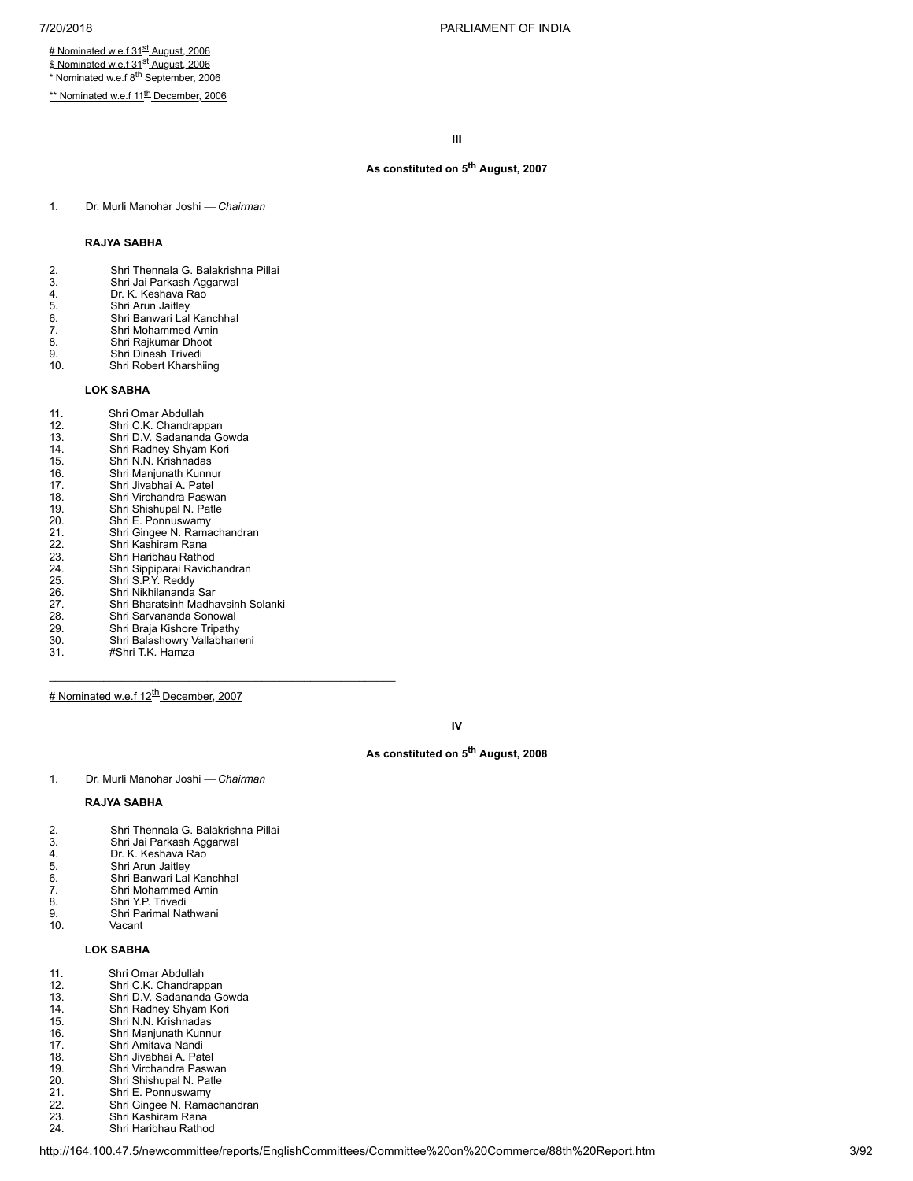# Nominated w.e.f 31<sup>st</sup> August, 2006 <u>\$ Nominated w.e.f 31<sup>st</sup> August, 2006</u>

\* Nominated w.e.f 8<sup>th</sup> September, 2006

<u>\*\* Nominated w.e.f 11<sup>th</sup> December, 2006</u>

**III**

### **As constituted on 5 th August, 2007**

1. Dr. Murli Manohar Joshi ¾ *Chairman*

### **RAJYA SABHA**

- 2. Shri Thennala G. Balakrishna Pillai
- 3. Shri Jai Parkash Aggarwal<br>4. Dr. K. Keshava Rao<br>5. Shri Arun Jaitley
- Dr. K. Keshava Rao
- Shri Banwari Lal Kanchhal
- 5. Shri Arun Jaitley<br>6. Shri Banwari Lal<br>7. Shri Rajkumar Di<br>8. Shri Rajkumar Di 7. Shri Mohammed Amin
- 8. Shri Rajkumar Dhoot<br>9. Shri Dinesh Trivedi
- 9. Shri Dinesh Trivedi<br>10. Shri Robert Kharshi Shri Robert Kharshiing
	-

### **LOK SABHA**

11. Shri Omar Abdullah<br>12. Shri C.K. Chandrap 12. Shri C.K. Chandrappan<br>13. Shri D.V. Sadananda Go 13. Shri D.V. Sadananda Gowda<br>14. Shri Radhey Shyam Kori 14. Shri Radhey Shyam Kori<br>15. Shri N.N. Krishnadas 15. Shri N.N. Krishnadas<br>16. Shri Manjunath Kunni<br>17. Shri Jivabhai A. Patel Shri Manjunath Kunnur 17. Shri Jivabhai A. Patel<br>18. Shri Virchandra Paswa<br>19. Shri Shishupal N. Patl<br>20. Shri E. Ponnuswamy<br>21. Shri Ginge N. Rama<br>23. Shri Haribhau Rathod 18. Shri Virchandra Paswan Shri Shishupal N. Patle 20. Shri E. Ponnuswamy 21. Shri Gingee N. Ramachandran 22. Shri Kashiram Rana 23. Shri Haribhau Rathod<br>24. Shri Sippiparai Ravich<br>25. Shri S.P.Y. Reddy<br>26. Shri Nikhilananda Sar 24. Shri Sippiparai Ravichandran 25. Shri S.P.Y. Reddy 26. Shri Nikhilananda Sar 27. Shri Bharatsinh Madhavsinh Solanki 28. Shri Sarvananda Sonowal<br>29. Shri Braja Kishore Tripathy 29. Shri Braja Kishore Tripathy<br>
29. Shri Balashowry Vallabhane Shri Balashowry Vallabhaneni 31. #Shri T.K. Hamza

# Nominated w.e.f 12<sup>th</sup> December, 2007

 $\mathcal{L}_\text{max} = \mathcal{L}_\text{max} = \mathcal{L}_\text{max} = \mathcal{L}_\text{max} = \mathcal{L}_\text{max} = \mathcal{L}_\text{max} = \mathcal{L}_\text{max} = \mathcal{L}_\text{max} = \mathcal{L}_\text{max} = \mathcal{L}_\text{max} = \mathcal{L}_\text{max} = \mathcal{L}_\text{max} = \mathcal{L}_\text{max} = \mathcal{L}_\text{max} = \mathcal{L}_\text{max} = \mathcal{L}_\text{max} = \mathcal{L}_\text{max} = \mathcal{L}_\text{max} = \mathcal{$ 

**IV**

### **As constituted on 5 th August, 2008**

1. Dr. Murli Manohar Joshi ¾ *Chairman*

### **RAJYA SABHA**

- 2. Shri Thennala G. Balakrishna Pillai<br>3. Shri Jai Parkash Aggarwal<br>4. Dr. K. Keshava Rao
- 3. Shri Jai Parkash Aggarwal
- 4. Dr. K. Keshava Rao<br>5. Shri Arun Jaitley
- 5. Shri Arun Jaitley<br>6. Shri Banwari Lal<br>7. Shri Mohammed
- Shri Banwari Lal Kanchhal
- 7. Shri Mohammed Amin<br>8. Shri Y.P. Trivedi
- 8. Shri Y.P. Trivedi
- 9. Shri Parimal Nathwani<br>10. Vacant Vacant

## **LOK SABHA**

- 
- 12. Shri C.K. Chandrappan
- 11. Shri Omar Abdullah<br>12. Shri C.K. Chandrap<br>13. Shri D.V. Sadanand 13. Shri D.V. Sadananda Gowda
- 14. Shri Radhey Shyam Kori 15. Shri Radhey Shyam Ko<br>16. Shri N.N. Krishnadas<br>16. Shri Manjunath Kunnur<br>17. Shri Amitava Nandi
- 15. Shri N.N. Krishnadas
- 
- 18. Shri Jivabhai A. Patel
- 17. Shri Amitava Nandi<br>18. Shri Jivabhai A. Pat<br>19. Shri Virchandra Pas 19. Shri Virchandra Paswan
- 20. Shri Shishupal N. Patle<br>21. Shri E. Ponnuswamy
- 21. Shri E. Ponnuswamy<br>22. Shri Gingee N. Rama
- 22. Shri Gingee N. Ramachandran<br>23. Shri Kashiram Rana
- 23. Shri Kashiram Rana<br>24. Shri Haribhau Ratho Shri Haribhau Rathod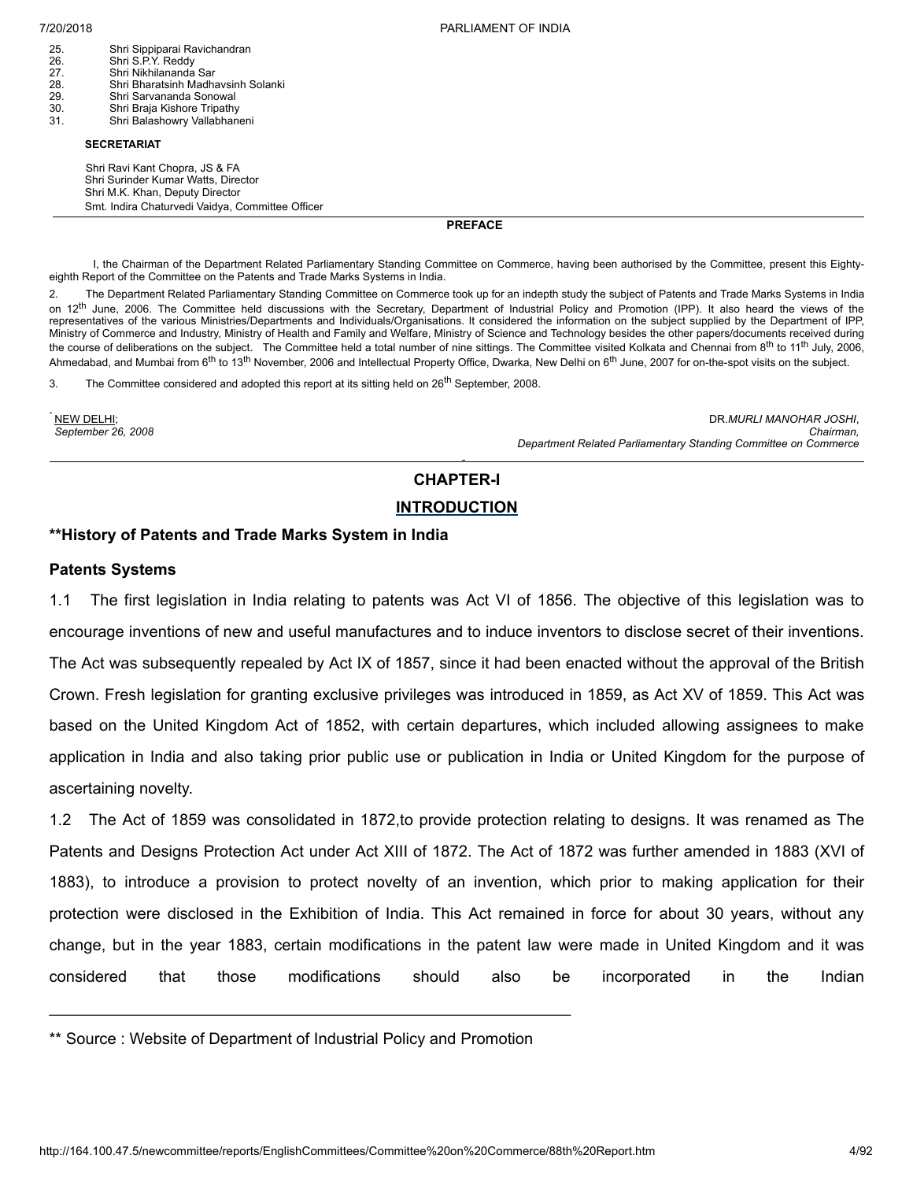25. Shri Sippiparai Ravichandran 26. Shri S.P.Y. Reddy 27. Shri Nikhilananda Sar<br>28. Shri Bharatsinh Madh 28. Shri Bharatsinh Madhavsinh Solanki Shri Sarvananda Sonowal 30. Shri Braja Kishore Tripathy Shri Balashowry Vallabhaneni

### **SECRETARIAT**

Shri Ravi Kant Chopra, JS & FA Shri Surinder Kumar Watts, Director Shri M.K. Khan, Deputy Director Smt. Indira Chaturvedi Vaidya, Committee Officer

<span id="page-3-0"></span>**PREFACE**

I, the Chairman of the Department Related Parliamentary Standing Committee on Commerce, having been authorised by the Committee, present this Eightyeighth Report of the Committee on the Patents and Trade Marks Systems in India.

2. The Department Related Parliamentary Standing Committee on Commerce took up for an indepth study the subject of Patents and Trade Marks Systems in India on 12<sup>th</sup> June, 2006. The Committee held discussions with the Secretary, Department of Industrial Policy and Promotion (IPP). It also heard the views of the representatives of the various Ministries/Departments and Individuals/Organisations. It considered the information on the subject supplied by the Department of IPP, Ministry of Commerce and Industry, Ministry of Health and Family and Welfare, Ministry of Science and Technology besides the other papers/documents received during the course of deliberations on the subject. The Committee held a total number of nine sittings. The Committee visited Kolkata and Chennai from 8<sup>th</sup> to 11<sup>th</sup> July, 2006, Ahmedabad, and Mumbai from 6<sup>th</sup> to 13<sup>th</sup> November, 2006 and Intellectual Property Office, Dwarka, New Delhi on 6<sup>th</sup> June, 2007 for on-the-spot visits on the subject.

3. The Committee considered and adopted this report at its sitting held on 26<sup>th</sup> September, 2008.

NEW DELHI; *September 26, 2008*

DR.*MURLI MANOHAR JOSHI*, *Chairman, Department Related Parliamentary Standing Committee on Commerce*

# <span id="page-3-1"></span>**CHAPTER-I**

## **INTRODUCTION**

## **\*\*History of Patents and Trade Marks System in India**

### **Patents Systems**

1.1 The first legislation in India relating to patents was Act VI of 1856. The objective of this legislation was to encourage inventions of new and useful manufactures and to induce inventors to disclose secret of their inventions. The Act was subsequently repealed by Act IX of 1857, since it had been enacted without the approval of the British Crown. Fresh legislation for granting exclusive privileges was introduced in 1859, as Act XV of 1859. This Act was based on the United Kingdom Act of 1852, with certain departures, which included allowing assignees to make application in India and also taking prior public use or publication in India or United Kingdom for the purpose of ascertaining novelty.

1.2 The Act of 1859 was consolidated in 1872,to provide protection relating to designs. It was renamed as The Patents and Designs Protection Act under Act XIII of 1872. The Act of 1872 was further amended in 1883 (XVI of 1883), to introduce a provision to protect novelty of an invention, which prior to making application for their protection were disclosed in the Exhibition of India. This Act remained in force for about 30 years, without any change, but in the year 1883, certain modifications in the patent law were made in United Kingdom and it was considered that those modifications should also be incorporated in the Indian

 $\mathcal{L}_\text{max} = \mathcal{L}_\text{max} = \mathcal{L}_\text{max} = \mathcal{L}_\text{max} = \mathcal{L}_\text{max} = \mathcal{L}_\text{max} = \mathcal{L}_\text{max} = \mathcal{L}_\text{max} = \mathcal{L}_\text{max} = \mathcal{L}_\text{max} = \mathcal{L}_\text{max} = \mathcal{L}_\text{max} = \mathcal{L}_\text{max} = \mathcal{L}_\text{max} = \mathcal{L}_\text{max} = \mathcal{L}_\text{max} = \mathcal{L}_\text{max} = \mathcal{L}_\text{max} = \mathcal{$ 

<sup>\*\*</sup> Source : Website of Department of Industrial Policy and Promotion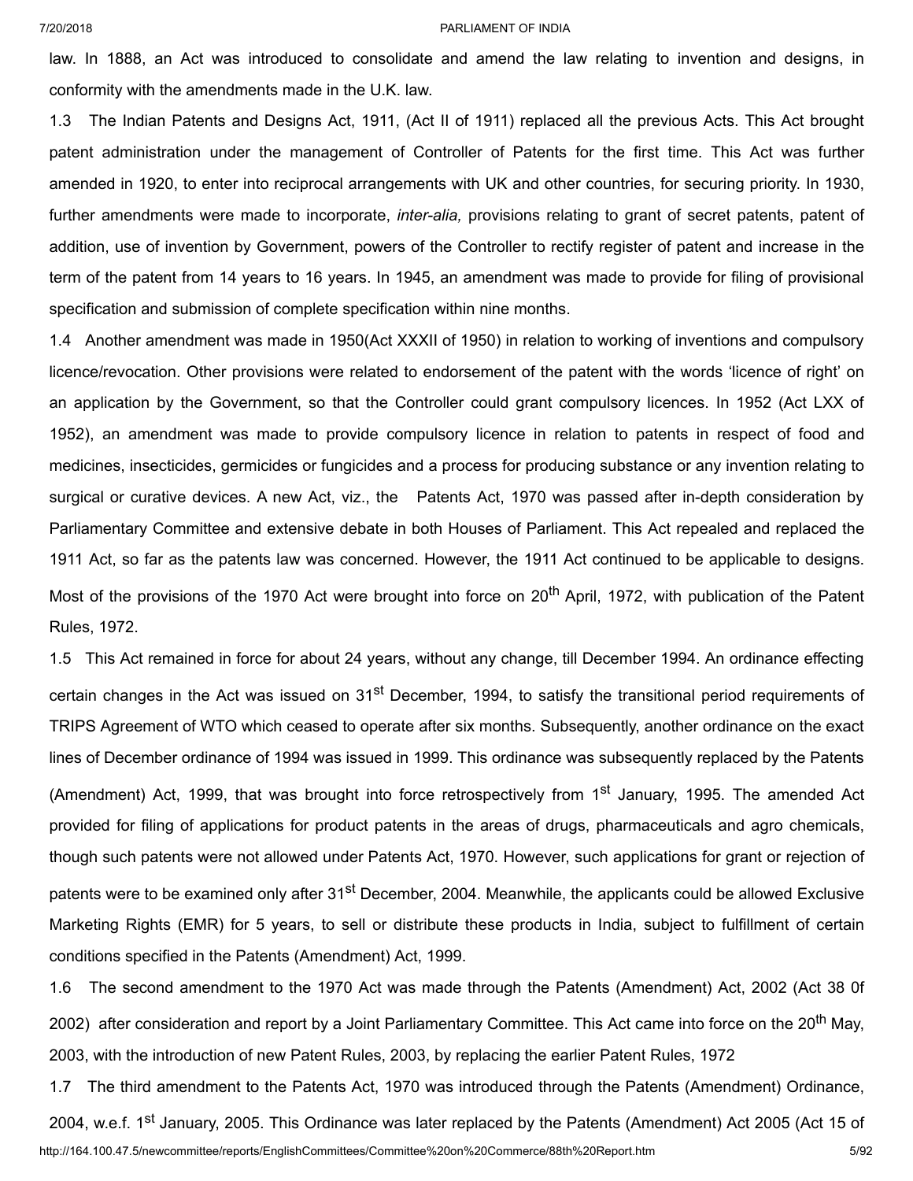law. In 1888, an Act was introduced to consolidate and amend the law relating to invention and designs, in conformity with the amendments made in the U.K. law.

1.3 The Indian Patents and Designs Act, 1911, (Act II of 1911) replaced all the previous Acts. This Act brought patent administration under the management of Controller of Patents for the first time. This Act was further amended in 1920, to enter into reciprocal arrangements with UK and other countries, for securing priority. In 1930, further amendments were made to incorporate, *inter-alia,* provisions relating to grant of secret patents, patent of addition, use of invention by Government, powers of the Controller to rectify register of patent and increase in the term of the patent from 14 years to 16 years. In 1945, an amendment was made to provide for filing of provisional specification and submission of complete specification within nine months.

1.4 Another amendment was made in 1950(Act XXXII of 1950) in relation to working of inventions and compulsory licence/revocation. Other provisions were related to endorsement of the patent with the words 'licence of right' on an application by the Government, so that the Controller could grant compulsory licences. In 1952 (Act LXX of 1952), an amendment was made to provide compulsory licence in relation to patents in respect of food and medicines, insecticides, germicides or fungicides and a process for producing substance or any invention relating to surgical or curative devices. A new Act, viz., the Patents Act, 1970 was passed after in-depth consideration by Parliamentary Committee and extensive debate in both Houses of Parliament. This Act repealed and replaced the 1911 Act, so far as the patents law was concerned. However, the 1911 Act continued to be applicable to designs. Most of the provisions of the 1970 Act were brought into force on 20<sup>th</sup> April, 1972, with publication of the Patent Rules, 1972.

1.5 This Act remained in force for about 24 years, without any change, till December 1994. An ordinance effecting certain changes in the Act was issued on 31<sup>st</sup> December, 1994, to satisfy the transitional period requirements of TRIPS Agreement of WTO which ceased to operate after six months. Subsequently, another ordinance on the exact lines of December ordinance of 1994 was issued in 1999. This ordinance was subsequently replaced by the Patents (Amendment) Act, 1999, that was brought into force retrospectively from 1<sup>st</sup> January, 1995. The amended Act provided for filing of applications for product patents in the areas of drugs, pharmaceuticals and agro chemicals, though such patents were not allowed under Patents Act, 1970. However, such applications for grant or rejection of patents were to be examined only after 31<sup>st</sup> December, 2004. Meanwhile, the applicants could be allowed Exclusive Marketing Rights (EMR) for 5 years, to sell or distribute these products in India, subject to fulfillment of certain conditions specified in the Patents (Amendment) Act, 1999.

1.6 The second amendment to the 1970 Act was made through the Patents (Amendment) Act, 2002 (Act 38 0f 2002) after consideration and report by a Joint Parliamentary Committee. This Act came into force on the 20<sup>th</sup> May, 2003, with the introduction of new Patent Rules, 2003, by replacing the earlier Patent Rules, 1972

http://164.100.47.5/newcommittee/reports/EnglishCommittees/Committee%20on%20Commerce/88th%20Report.htm 5/92 1.7 The third amendment to the Patents Act, 1970 was introduced through the Patents (Amendment) Ordinance, 2004, w.e.f. 1<sup>st</sup> January, 2005. This Ordinance was later replaced by the Patents (Amendment) Act 2005 (Act 15 of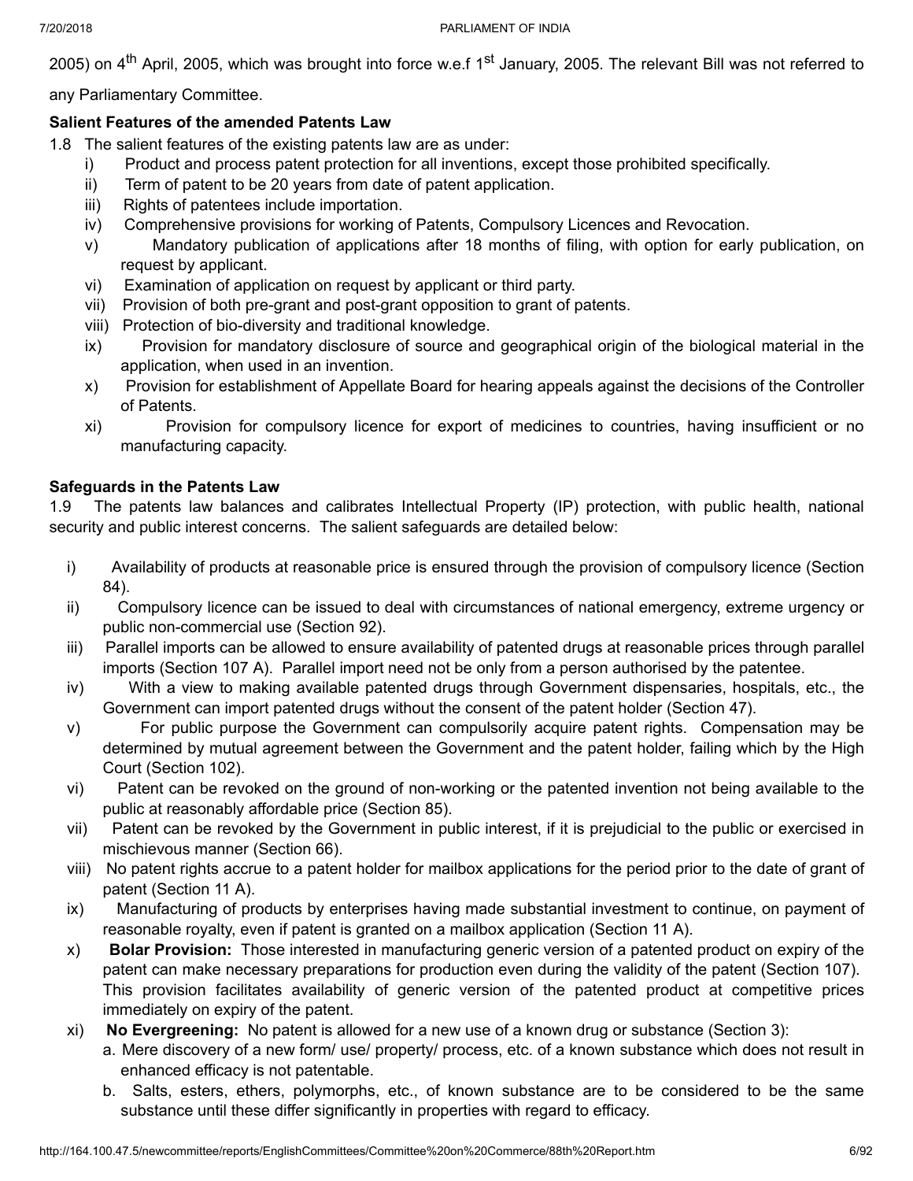2005) on 4<sup>th</sup> April, 2005, which was brought into force w.e.f 1<sup>st</sup> January, 2005. The relevant Bill was not referred to

any Parliamentary Committee.

## **Salient Features of the amended Patents Law**

- 1.8 The salient features of the existing patents law are as under:
	- i) Product and process patent protection for all inventions, except those prohibited specifically.
	- ii) Term of patent to be 20 years from date of patent application.
	- iii) Rights of patentees include importation.
	- iv) Comprehensive provisions for working of Patents, Compulsory Licences and Revocation.
	- v) Mandatory publication of applications after 18 months of filing, with option for early publication, on request by applicant.
	- vi) Examination of application on request by applicant or third party.
	- vii) Provision of both pre-grant and post-grant opposition to grant of patents.
	- viii) Protection of bio-diversity and traditional knowledge.
	- ix) Provision for mandatory disclosure of source and geographical origin of the biological material in the application, when used in an invention.
	- x) Provision for establishment of Appellate Board for hearing appeals against the decisions of the Controller of Patents.
	- xi) Provision for compulsory licence for export of medicines to countries, having insufficient or no manufacturing capacity.

## **Safeguards in the Patents Law**

1.9 The patents law balances and calibrates Intellectual Property (IP) protection, with public health, national security and public interest concerns. The salient safeguards are detailed below:

- i) Availability of products at reasonable price is ensured through the provision of compulsory licence (Section 84).
- ii) Compulsory licence can be issued to deal with circumstances of national emergency, extreme urgency or public non-commercial use (Section 92).
- iii) Parallel imports can be allowed to ensure availability of patented drugs at reasonable prices through parallel imports (Section 107 A). Parallel import need not be only from a person authorised by the patentee.
- iv) With a view to making available patented drugs through Government dispensaries, hospitals, etc., the Government can import patented drugs without the consent of the patent holder (Section 47).
- v) For public purpose the Government can compulsorily acquire patent rights. Compensation may be determined by mutual agreement between the Government and the patent holder, failing which by the High Court (Section 102).
- vi) Patent can be revoked on the ground of non-working or the patented invention not being available to the public at reasonably affordable price (Section 85).
- vii) Patent can be revoked by the Government in public interest, if it is prejudicial to the public or exercised in mischievous manner (Section 66).
- viii) No patent rights accrue to a patent holder for mailbox applications for the period prior to the date of grant of patent (Section 11 A).
- ix) Manufacturing of products by enterprises having made substantial investment to continue, on payment of reasonable royalty, even if patent is granted on a mailbox application (Section 11 A).
- x) **Bolar Provision:** Those interested in manufacturing generic version of a patented product on expiry of the patent can make necessary preparations for production even during the validity of the patent (Section 107). This provision facilitates availability of generic version of the patented product at competitive prices immediately on expiry of the patent.
- xi) **No Evergreening:** No patent is allowed for a new use of a known drug or substance (Section 3):
	- a. Mere discovery of a new form/ use/ property/ process, etc. of a known substance which does not result in enhanced efficacy is not patentable.
		- b. Salts, esters, ethers, polymorphs, etc., of known substance are to be considered to be the same substance until these differ significantly in properties with regard to efficacy.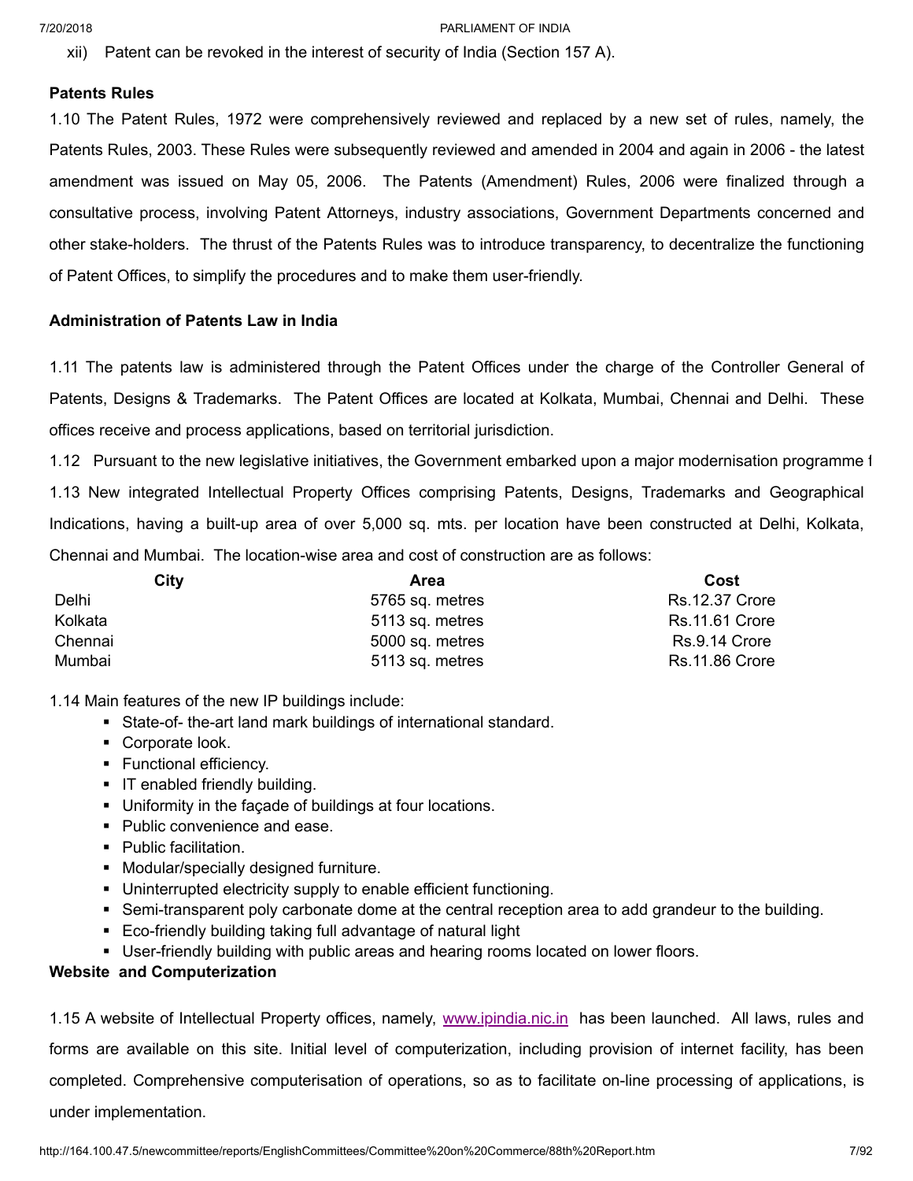xii) Patent can be revoked in the interest of security of India (Section 157 A).

## **Patents Rules**

1.10 The Patent Rules, 1972 were comprehensively reviewed and replaced by a new set of rules, namely, the Patents Rules, 2003. These Rules were subsequently reviewed and amended in 2004 and again in 2006 - the latest amendment was issued on May 05, 2006. The Patents (Amendment) Rules, 2006 were finalized through a consultative process, involving Patent Attorneys, industry associations, Government Departments concerned and other stake-holders. The thrust of the Patents Rules was to introduce transparency, to decentralize the functioning of Patent Offices, to simplify the procedures and to make them user-friendly.

## **Administration of Patents Law in India**

1.11 The patents law is administered through the Patent Offices under the charge of the Controller General of Patents, Designs & Trademarks. The Patent Offices are located at Kolkata, Mumbai, Chennai and Delhi. These offices receive and process applications, based on territorial jurisdiction.

1.12 Pursuant to the new legislative initiatives, the Government embarked upon a major modernisation programme f 1.13 New integrated Intellectual Property Offices comprising Patents, Designs, Trademarks and Geographical Indications, having a built-up area of over 5,000 sq. mts. per location have been constructed at Delhi, Kolkata, Chennai and Mumbai. The location-wise area and cost of construction are as follows:

| City    | Area            | Cost                  |
|---------|-----------------|-----------------------|
| Delhi   | 5765 sq. metres | <b>Rs.12.37 Crore</b> |
| Kolkata | 5113 sq. metres | <b>Rs.11.61 Crore</b> |
| Chennai | 5000 sq. metres | Rs.9.14 Crore         |
| Mumbai  | 5113 sq. metres | <b>Rs.11.86 Crore</b> |

1.14 Main features of the new IP buildings include:

- State-of- the-art land mark buildings of international standard.
- Corporate look.
- **•** Functional efficiency.
- IT enabled friendly building.
- Uniformity in the facade of buildings at four locations.
- Public convenience and ease.
- Public facilitation.
- Modular/specially designed furniture.
- Uninterrupted electricity supply to enable efficient functioning.
- § Semi-transparent poly carbonate dome at the central reception area to add grandeur to the building.
- Eco-friendly building taking full advantage of natural light
- **User-friendly building with public areas and hearing rooms located on lower floors.**

## **Website and Computerization**

1.15 A website of Intellectual Property offices, namely, [www.ipindia.nic.in](http://www.ipindia.nic.in/) has been launched. All laws, rules and forms are available on this site. Initial level of computerization, including provision of internet facility, has been completed. Comprehensive computerisation of operations, so as to facilitate on-line processing of applications, is under implementation.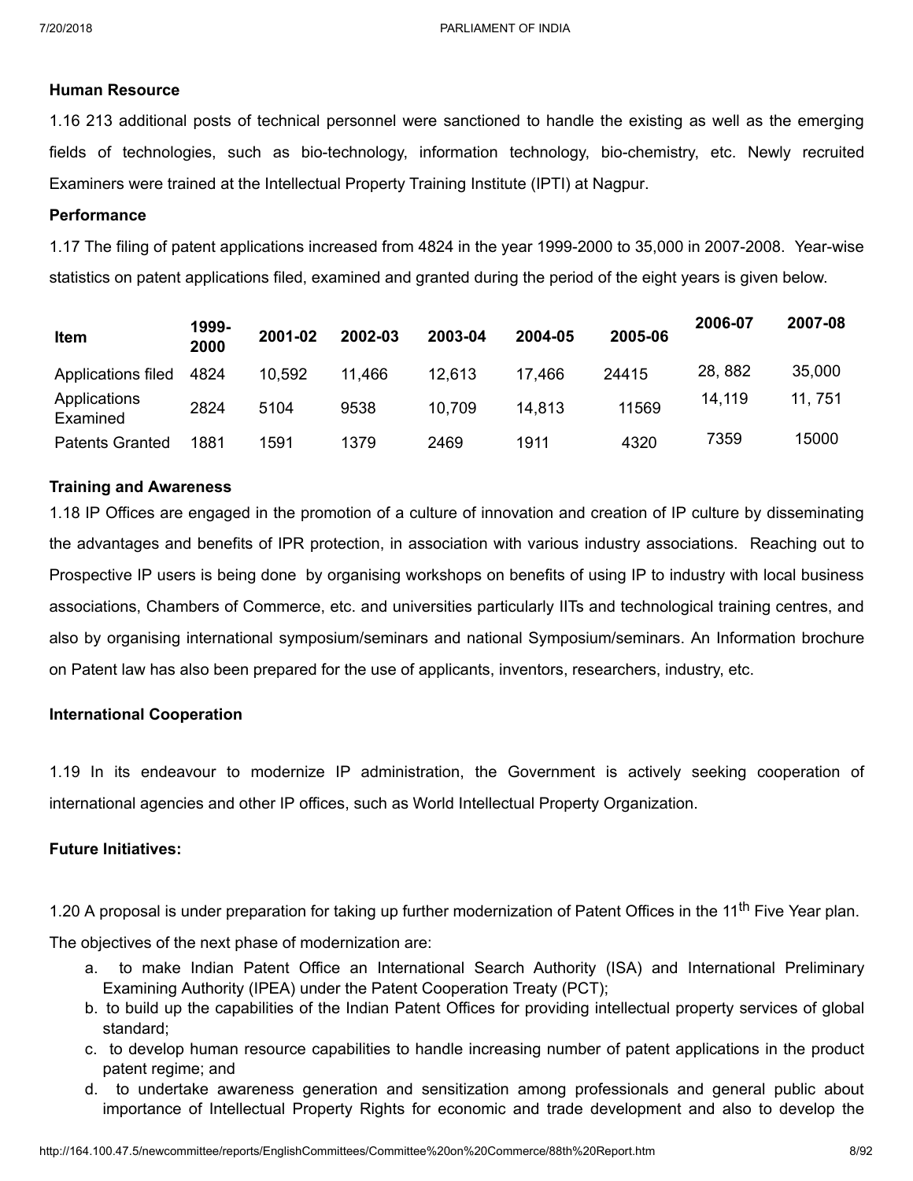## **Human Resource**

1.16 213 additional posts of technical personnel were sanctioned to handle the existing as well as the emerging fields of technologies, such as bio-technology, information technology, bio-chemistry, etc. Newly recruited Examiners were trained at the Intellectual Property Training Institute (IPTI) at Nagpur.

## **Performance**

1.17 The filing of patent applications increased from 4824 in the year 1999-2000 to 35,000 in 2007-2008. Year-wise statistics on patent applications filed, examined and granted during the period of the eight years is given below.

| <b>Item</b>              | 1999-<br>2000 | 2001-02 | 2002-03 | 2003-04 | 2004-05 | 2005-06 | 2006-07 | 2007-08 |
|--------------------------|---------------|---------|---------|---------|---------|---------|---------|---------|
| Applications filed       | 4824          | 10,592  | 11,466  | 12.613  | 17.466  | 24415   | 28, 882 | 35,000  |
| Applications<br>Examined | 2824          | 5104    | 9538    | 10.709  | 14,813  | 11569   | 14,119  | 11, 751 |
| <b>Patents Granted</b>   | 1881          | 1591    | 1379    | 2469    | 1911    | 4320    | 7359    | 15000   |

## **Training and Awareness**

1.18 IP Offices are engaged in the promotion of a culture of innovation and creation of IP culture by disseminating the advantages and benefits of IPR protection, in association with various industry associations. Reaching out to Prospective IP users is being done by organising workshops on benefits of using IP to industry with local business associations, Chambers of Commerce, etc. and universities particularly IITs and technological training centres, and also by organising international symposium/seminars and national Symposium/seminars. An Information brochure on Patent law has also been prepared for the use of applicants, inventors, researchers, industry, etc.

## **International Cooperation**

1.19 In its endeavour to modernize IP administration, the Government is actively seeking cooperation of international agencies and other IP offices, such as World Intellectual Property Organization.

## **Future Initiatives:**

1.20 A proposal is under preparation for taking up further modernization of Patent Offices in the 11<sup>th</sup> Five Year plan.

The objectives of the next phase of modernization are:

- a. to make Indian Patent Office an International Search Authority (ISA) and International Preliminary Examining Authority (IPEA) under the Patent Cooperation Treaty (PCT);
- b. to build up the capabilities of the Indian Patent Offices for providing intellectual property services of global standard;
- c. to develop human resource capabilities to handle increasing number of patent applications in the product patent regime; and
- d. to undertake awareness generation and sensitization among professionals and general public about importance of Intellectual Property Rights for economic and trade development and also to develop the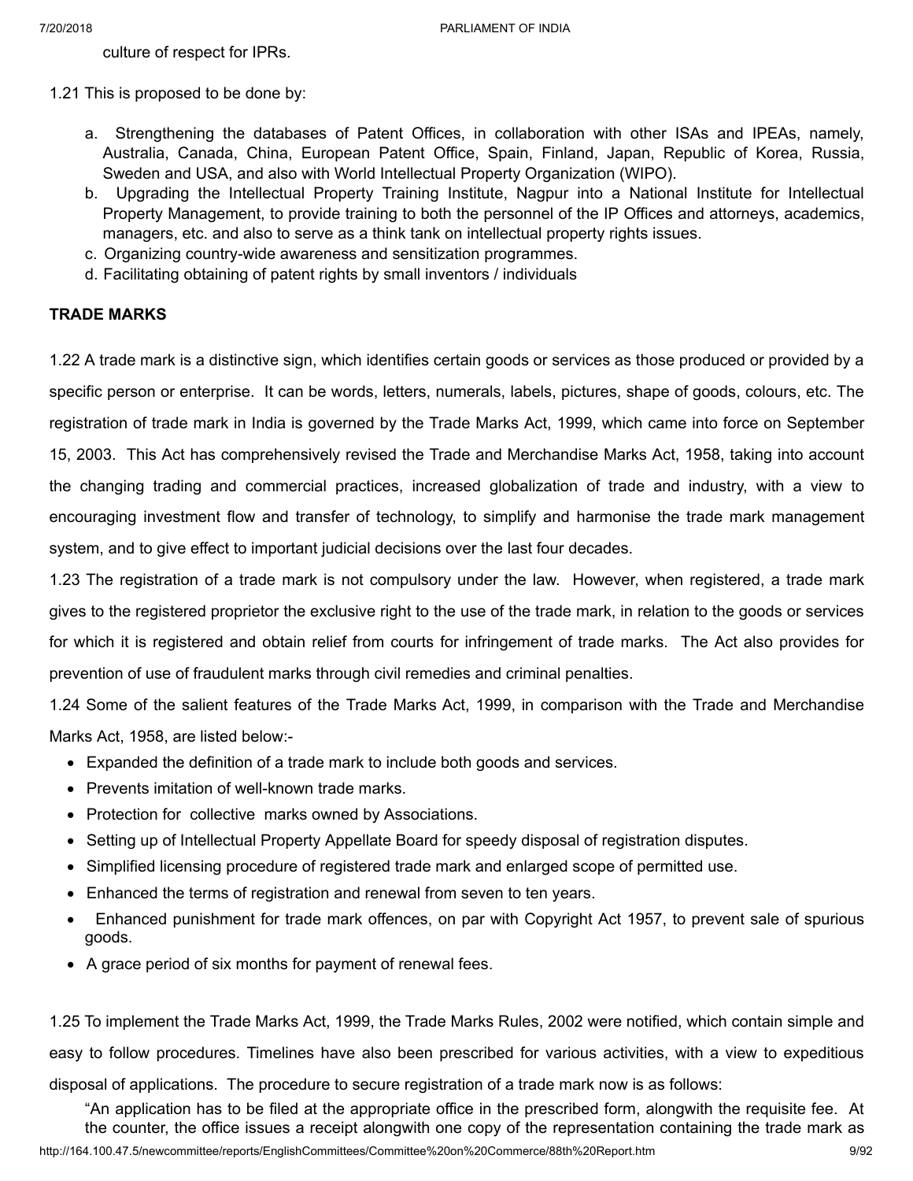culture of respect for IPRs.

1.21 This is proposed to be done by:

- a. Strengthening the databases of Patent Offices, in collaboration with other ISAs and IPEAs, namely, Australia, Canada, China, European Patent Office, Spain, Finland, Japan, Republic of Korea, Russia, Sweden and USA, and also with World Intellectual Property Organization (WIPO).
- b. Upgrading the Intellectual Property Training Institute, Nagpur into a National Institute for Intellectual Property Management, to provide training to both the personnel of the IP Offices and attorneys, academics, managers, etc. and also to serve as a think tank on intellectual property rights issues.
- c. Organizing country-wide awareness and sensitization programmes.
- d. Facilitating obtaining of patent rights by small inventors / individuals

## **TRADE MARKS**

1.22 A trade mark is a distinctive sign, which identifies certain goods or services as those produced or provided by a specific person or enterprise. It can be words, letters, numerals, labels, pictures, shape of goods, colours, etc. The registration of trade mark in India is governed by the Trade Marks Act, 1999, which came into force on September 15, 2003. This Act has comprehensively revised the Trade and Merchandise Marks Act, 1958, taking into account the changing trading and commercial practices, increased globalization of trade and industry, with a view to encouraging investment flow and transfer of technology, to simplify and harmonise the trade mark management system, and to give effect to important judicial decisions over the last four decades.

1.23 The registration of a trade mark is not compulsory under the law. However, when registered, a trade mark gives to the registered proprietor the exclusive right to the use of the trade mark, in relation to the goods or services for which it is registered and obtain relief from courts for infringement of trade marks. The Act also provides for prevention of use of fraudulent marks through civil remedies and criminal penalties.

1.24 Some of the salient features of the Trade Marks Act, 1999, in comparison with the Trade and Merchandise Marks Act, 1958, are listed below:-

- · Expanded the definition of a trade mark to include both goods and services.
- · Prevents imitation of well-known trade marks.
- · Protection for collective marks owned by Associations.
- · Setting up of Intellectual Property Appellate Board for speedy disposal of registration disputes.
- · Simplified licensing procedure of registered trade mark and enlarged scope of permitted use.
- · Enhanced the terms of registration and renewal from seven to ten years.
- · Enhanced punishment for trade mark offences, on par with Copyright Act 1957, to prevent sale of spurious goods.
- · A grace period of six months for payment of renewal fees.

1.25 To implement the Trade Marks Act, 1999, the Trade Marks Rules, 2002 were notified, which contain simple and

easy to follow procedures. Timelines have also been prescribed for various activities, with a view to expeditious

disposal of applications. The procedure to secure registration of a trade mark now is as follows:

"An application has to be filed at the appropriate office in the prescribed form, alongwith the requisite fee. At the counter, the office issues a receipt alongwith one copy of the representation containing the trade mark as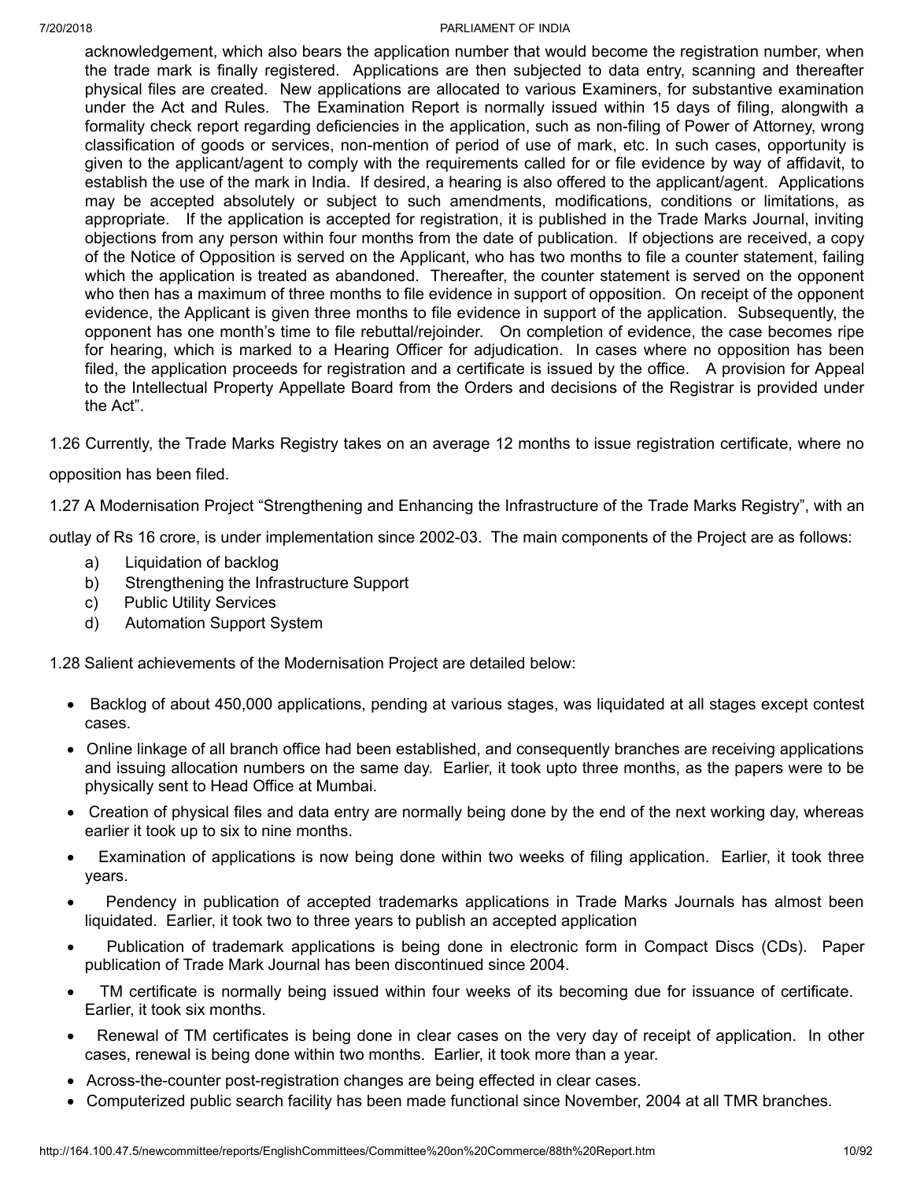acknowledgement, which also bears the application number that would become the registration number, when the trade mark is finally registered. Applications are then subjected to data entry, scanning and thereafter physical files are created. New applications are allocated to various Examiners, for substantive examination under the Act and Rules. The Examination Report is normally issued within 15 days of filing, alongwith a formality check report regarding deficiencies in the application, such as non-filing of Power of Attorney, wrong classification of goods or services, non-mention of period of use of mark, etc. In such cases, opportunity is given to the applicant/agent to comply with the requirements called for or file evidence by way of affidavit, to establish the use of the mark in India. If desired, a hearing is also offered to the applicant/agent. Applications may be accepted absolutely or subject to such amendments, modifications, conditions or limitations, as appropriate. If the application is accepted for registration, it is published in the Trade Marks Journal, inviting objections from any person within four months from the date of publication. If objections are received, a copy of the Notice of Opposition is served on the Applicant, who has two months to file a counter statement, failing which the application is treated as abandoned. Thereafter, the counter statement is served on the opponent who then has a maximum of three months to file evidence in support of opposition. On receipt of the opponent evidence, the Applicant is given three months to file evidence in support of the application. Subsequently, the opponent has one month's time to file rebuttal/rejoinder. On completion of evidence, the case becomes ripe for hearing, which is marked to a Hearing Officer for adjudication. In cases where no opposition has been filed, the application proceeds for registration and a certificate is issued by the office. A provision for Appeal to the Intellectual Property Appellate Board from the Orders and decisions of the Registrar is provided under the Act".

1.26 Currently, the Trade Marks Registry takes on an average 12 months to issue registration certificate, where no

## opposition has been filed.

1.27 A Modernisation Project "Strengthening and Enhancing the Infrastructure of the Trade Marks Registry", with an

outlay of Rs 16 crore, is under implementation since 2002-03. The main components of the Project are as follows:

- a) Liquidation of backlog
- b) Strengthening the Infrastructure Support
- c) Public Utility Services
- d) Automation Support System

1.28 Salient achievements of the Modernisation Project are detailed below:

- · Backlog of about 450,000 applications, pending at various stages, was liquidated at all stages except contest cases.
- · Online linkage of all branch office had been established, and consequently branches are receiving applications and issuing allocation numbers on the same day. Earlier, it took upto three months, as the papers were to be physically sent to Head Office at Mumbai.
- · Creation of physical files and data entry are normally being done by the end of the next working day, whereas earlier it took up to six to nine months.
- Examination of applications is now being done within two weeks of filing application. Earlier, it took three years.
- Pendency in publication of accepted trademarks applications in Trade Marks Journals has almost been liquidated. Earlier, it took two to three years to publish an accepted application
- Publication of trademark applications is being done in electronic form in Compact Discs (CDs). Paper publication of Trade Mark Journal has been discontinued since 2004.
- · TM certificate is normally being issued within four weeks of its becoming due for issuance of certificate. Earlier, it took six months.
- Renewal of TM certificates is being done in clear cases on the very day of receipt of application. In other cases, renewal is being done within two months. Earlier, it took more than a year.
- · Across-the-counter post-registration changes are being effected in clear cases.
- · Computerized public search facility has been made functional since November, 2004 at all TMR branches.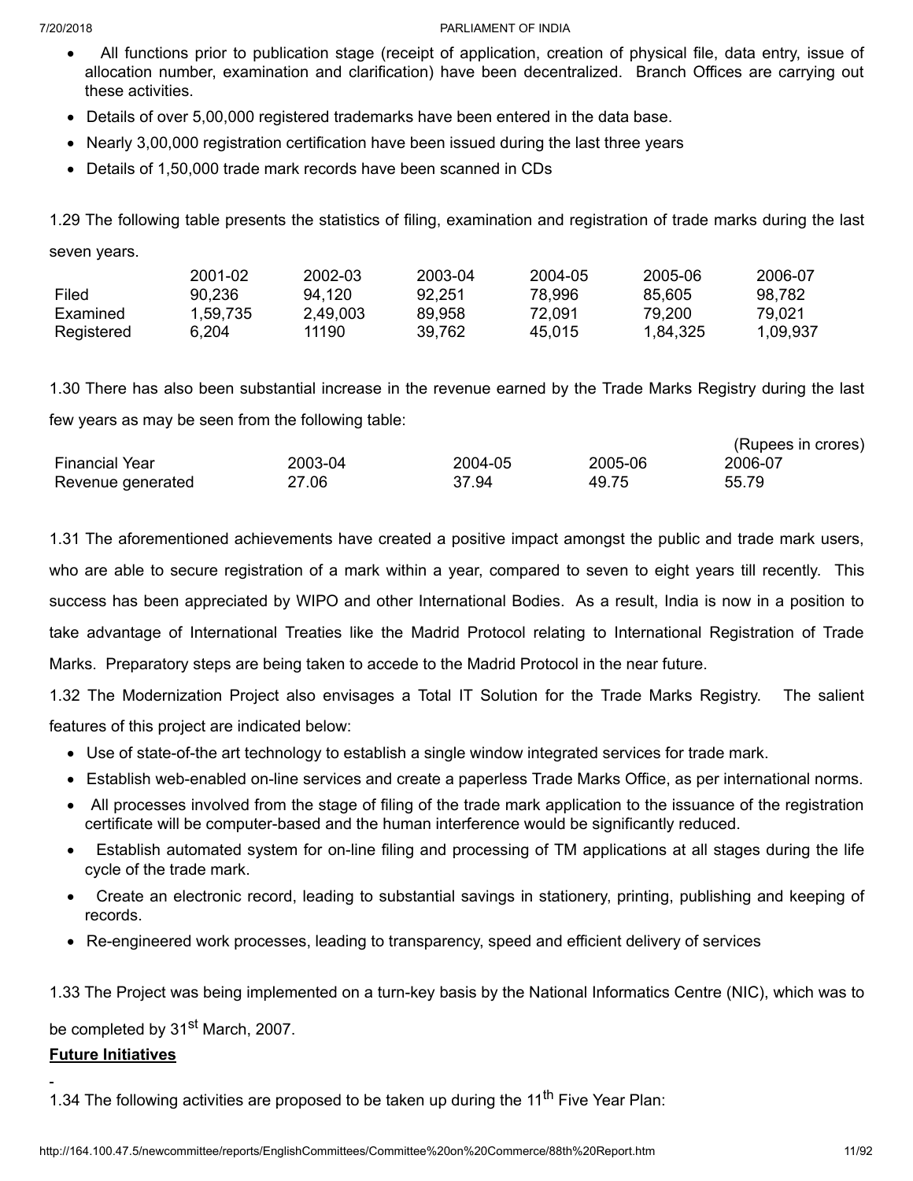- · All functions prior to publication stage (receipt of application, creation of physical file, data entry, issue of allocation number, examination and clarification) have been decentralized. Branch Offices are carrying out these activities.
- · Details of over 5,00,000 registered trademarks have been entered in the data base.
- · Nearly 3,00,000 registration certification have been issued during the last three years
- · Details of 1,50,000 trade mark records have been scanned in CDs

1.29 The following table presents the statistics of filing, examination and registration of trade marks during the last seven years.

|            | 2001-02  | 2002-03  | 2003-04 | 2004-05 | 2005-06  | 2006-07  |
|------------|----------|----------|---------|---------|----------|----------|
| Filed      | 90.236   | 94.120   | 92.251  | 78.996  | 85.605   | 98.782   |
| Examined   | 1.59.735 | 2.49.003 | 89.958  | 72.091  | 79.200   | 79.021   |
| Registered | 6.204    | 11190    | 39.762  | 45.015  | 1.84.325 | 1.09.937 |

1.30 There has also been substantial increase in the revenue earned by the Trade Marks Registry during the last few years as may be seen from the following table:

|                       |         |         |         | $(1 \text{Mpc})$ in Groups) |
|-----------------------|---------|---------|---------|-----------------------------|
| <b>Financial Year</b> | 2003-04 | 2004-05 | 2005-06 | 2006-07                     |
| Revenue generated     | 27.06   | 37.94   | 49.75   | 55.79                       |

1.31 The aforementioned achievements have created a positive impact amongst the public and trade mark users, who are able to secure registration of a mark within a year, compared to seven to eight years till recently. This success has been appreciated by WIPO and other International Bodies. As a result, India is now in a position to take advantage of International Treaties like the Madrid Protocol relating to International Registration of Trade Marks. Preparatory steps are being taken to accede to the Madrid Protocol in the near future.

1.32 The Modernization Project also envisages a Total IT Solution for the Trade Marks Registry. The salient features of this project are indicated below:

- · Use of state-of-the art technology to establish a single window integrated services for trade mark.
- · Establish web-enabled on-line services and create a paperless Trade Marks Office, as per international norms.
- · All processes involved from the stage of filing of the trade mark application to the issuance of the registration certificate will be computer-based and the human interference would be significantly reduced.
- Establish automated system for on-line filing and processing of TM applications at all stages during the life cycle of the trade mark.
- · Create an electronic record, leading to substantial savings in stationery, printing, publishing and keeping of records.
- · Re-engineered work processes, leading to transparency, speed and efficient delivery of services

1.33 The Project was being implemented on a turn-key basis by the National Informatics Centre (NIC), which was to

be completed by 31<sup>st</sup> March, 2007.

## **Future Initiatives**

1.34 The following activities are proposed to be taken up during the 11<sup>th</sup> Five Year Plan:

(Rupees in crores)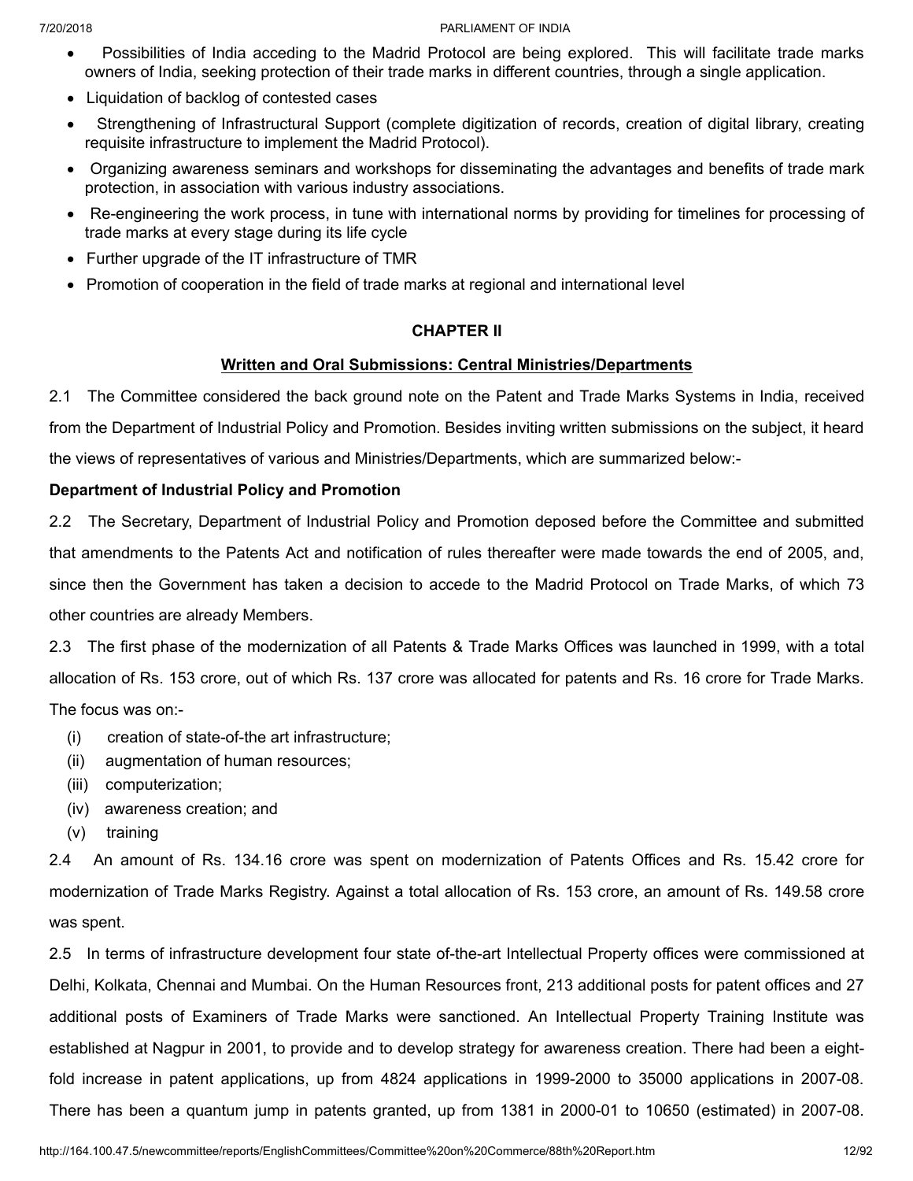- · Possibilities of India acceding to the Madrid Protocol are being explored. This will facilitate trade marks owners of India, seeking protection of their trade marks in different countries, through a single application.
- · Liquidation of backlog of contested cases
- · Strengthening of Infrastructural Support (complete digitization of records, creation of digital library, creating requisite infrastructure to implement the Madrid Protocol).
- · Organizing awareness seminars and workshops for disseminating the advantages and benefits of trade mark protection, in association with various industry associations.
- · Re-engineering the work process, in tune with international norms by providing for timelines for processing of trade marks at every stage during its life cycle
- · Further upgrade of the IT infrastructure of TMR
- · Promotion of cooperation in the field of trade marks at regional and international level

## **CHAPTER II**

## **Written and Oral Submissions: Central Ministries/Departments**

2.1 The Committee considered the back ground note on the Patent and Trade Marks Systems in India, received from the Department of Industrial Policy and Promotion. Besides inviting written submissions on the subject, it heard the views of representatives of various and Ministries/Departments, which are summarized below:-

## **Department of Industrial Policy and Promotion**

2.2 The Secretary, Department of Industrial Policy and Promotion deposed before the Committee and submitted that amendments to the Patents Act and notification of rules thereafter were made towards the end of 2005, and, since then the Government has taken a decision to accede to the Madrid Protocol on Trade Marks, of which 73 other countries are already Members.

2.3 The first phase of the modernization of all Patents & Trade Marks Offices was launched in 1999, with a total allocation of Rs. 153 crore, out of which Rs. 137 crore was allocated for patents and Rs. 16 crore for Trade Marks. The focus was on:-

- (i) creation of state-of-the art infrastructure;
- (ii) augmentation of human resources;
- (iii) computerization;
- (iv) awareness creation; and
- (v) training

2.4 An amount of Rs. 134.16 crore was spent on modernization of Patents Offices and Rs. 15.42 crore for modernization of Trade Marks Registry. Against a total allocation of Rs. 153 crore, an amount of Rs. 149.58 crore was spent.

2.5 In terms of infrastructure development four state of-the-art Intellectual Property offices were commissioned at Delhi, Kolkata, Chennai and Mumbai. On the Human Resources front, 213 additional posts for patent offices and 27 additional posts of Examiners of Trade Marks were sanctioned. An Intellectual Property Training Institute was established at Nagpur in 2001, to provide and to develop strategy for awareness creation. There had been a eightfold increase in patent applications, up from 4824 applications in 1999-2000 to 35000 applications in 2007-08. There has been a quantum jump in patents granted, up from 1381 in 2000-01 to 10650 (estimated) in 2007-08.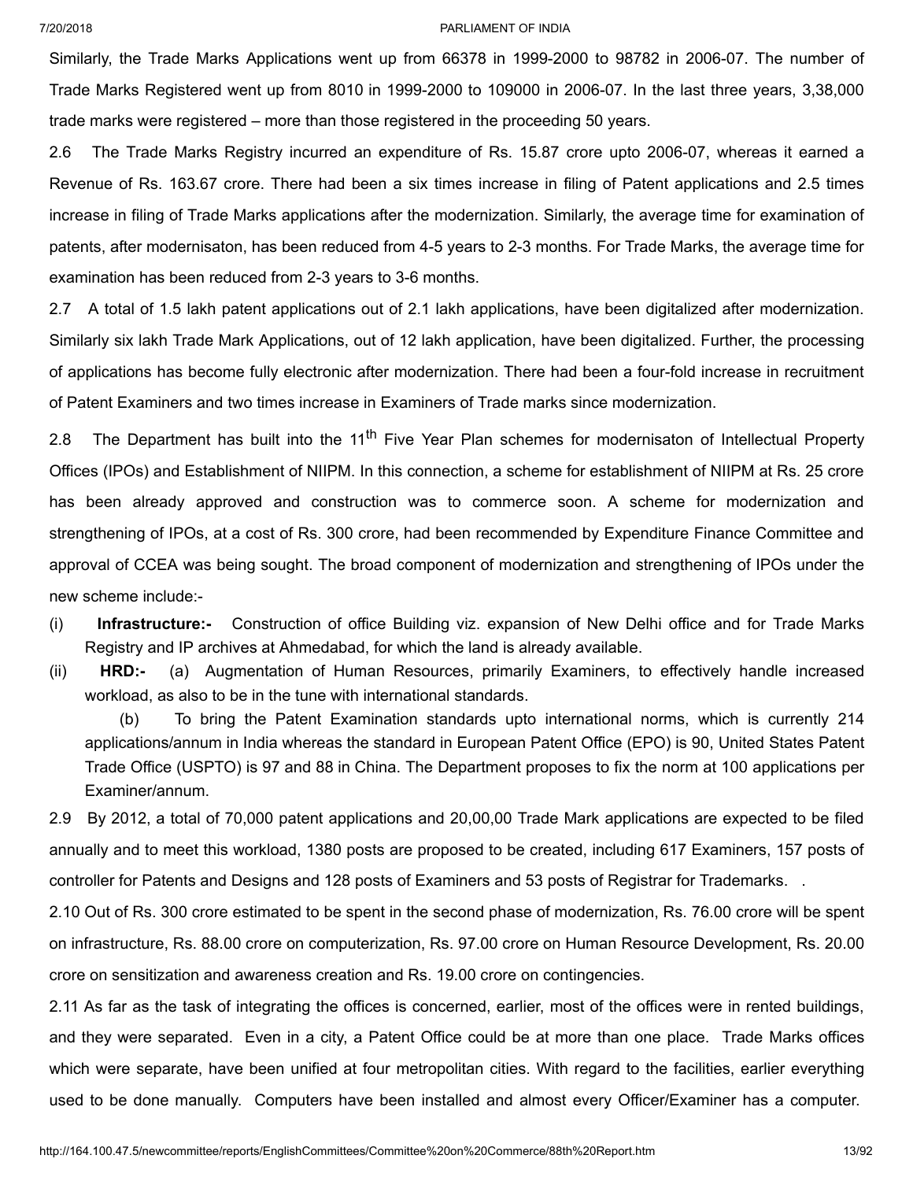Similarly, the Trade Marks Applications went up from 66378 in 1999-2000 to 98782 in 2006-07. The number of Trade Marks Registered went up from 8010 in 1999-2000 to 109000 in 2006-07. In the last three years, 3,38,000 trade marks were registered – more than those registered in the proceeding 50 years.

2.6 The Trade Marks Registry incurred an expenditure of Rs. 15.87 crore upto 2006-07, whereas it earned a Revenue of Rs. 163.67 crore. There had been a six times increase in filing of Patent applications and 2.5 times increase in filing of Trade Marks applications after the modernization. Similarly, the average time for examination of patents, after modernisaton, has been reduced from 4-5 years to 2-3 months. For Trade Marks, the average time for examination has been reduced from 2-3 years to 3-6 months.

2.7 A total of 1.5 lakh patent applications out of 2.1 lakh applications, have been digitalized after modernization. Similarly six lakh Trade Mark Applications, out of 12 lakh application, have been digitalized. Further, the processing of applications has become fully electronic after modernization. There had been a four-fold increase in recruitment of Patent Examiners and two times increase in Examiners of Trade marks since modernization.

2.8 The Department has built into the 11<sup>th</sup> Five Year Plan schemes for modernisaton of Intellectual Property Offices (IPOs) and Establishment of NIIPM. In this connection, a scheme for establishment of NIIPM at Rs. 25 crore has been already approved and construction was to commerce soon. A scheme for modernization and strengthening of IPOs, at a cost of Rs. 300 crore, had been recommended by Expenditure Finance Committee and approval of CCEA was being sought. The broad component of modernization and strengthening of IPOs under the new scheme include:-

(i) **Infrastructure:-** Construction of office Building viz. expansion of New Delhi office and for Trade Marks Registry and IP archives at Ahmedabad, for which the land is already available.

(ii) **HRD:-** (a) Augmentation of Human Resources, primarily Examiners, to effectively handle increased workload, as also to be in the tune with international standards.

(b) To bring the Patent Examination standards upto international norms, which is currently 214 applications/annum in India whereas the standard in European Patent Office (EPO) is 90, United States Patent Trade Office (USPTO) is 97 and 88 in China. The Department proposes to fix the norm at 100 applications per Examiner/annum.

2.9 By 2012, a total of 70,000 patent applications and 20,00,00 Trade Mark applications are expected to be filed annually and to meet this workload, 1380 posts are proposed to be created, including 617 Examiners, 157 posts of controller for Patents and Designs and 128 posts of Examiners and 53 posts of Registrar for Trademarks. .

2.10 Out of Rs. 300 crore estimated to be spent in the second phase of modernization, Rs. 76.00 crore will be spent on infrastructure, Rs. 88.00 crore on computerization, Rs. 97.00 crore on Human Resource Development, Rs. 20.00 crore on sensitization and awareness creation and Rs. 19.00 crore on contingencies.

2.11 As far as the task of integrating the offices is concerned, earlier, most of the offices were in rented buildings, and they were separated. Even in a city, a Patent Office could be at more than one place. Trade Marks offices which were separate, have been unified at four metropolitan cities. With regard to the facilities, earlier everything used to be done manually. Computers have been installed and almost every Officer/Examiner has a computer.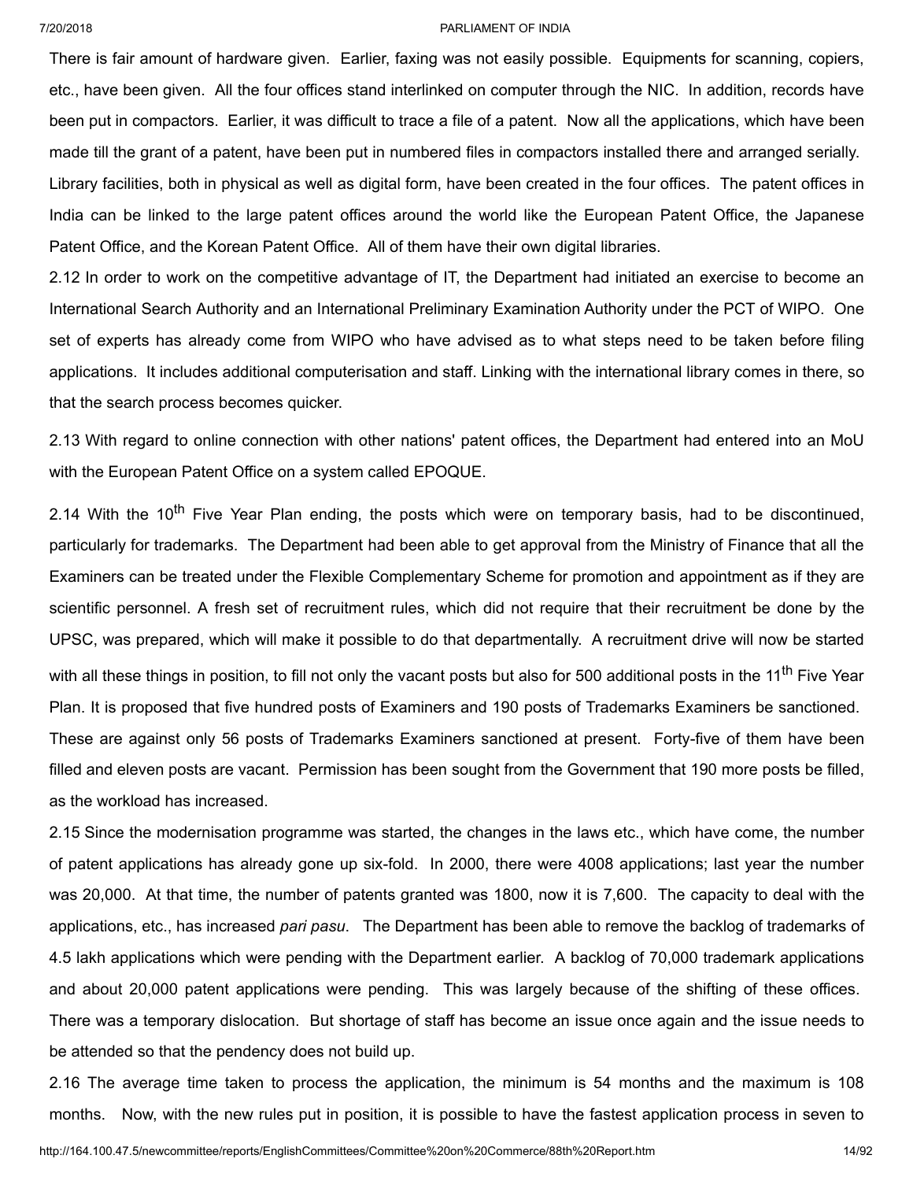There is fair amount of hardware given. Earlier, faxing was not easily possible. Equipments for scanning, copiers, etc., have been given. All the four offices stand interlinked on computer through the NIC. In addition, records have been put in compactors. Earlier, it was difficult to trace a file of a patent. Now all the applications, which have been made till the grant of a patent, have been put in numbered files in compactors installed there and arranged serially. Library facilities, both in physical as well as digital form, have been created in the four offices. The patent offices in India can be linked to the large patent offices around the world like the European Patent Office, the Japanese Patent Office, and the Korean Patent Office. All of them have their own digital libraries.

2.12 In order to work on the competitive advantage of IT, the Department had initiated an exercise to become an International Search Authority and an International Preliminary Examination Authority under the PCT of WIPO. One set of experts has already come from WIPO who have advised as to what steps need to be taken before filing applications. It includes additional computerisation and staff. Linking with the international library comes in there, so that the search process becomes quicker.

2.13 With regard to online connection with other nations' patent offices, the Department had entered into an MoU with the European Patent Office on a system called EPOQUE.

2.14 With the 10<sup>th</sup> Five Year Plan ending, the posts which were on temporary basis, had to be discontinued, particularly for trademarks. The Department had been able to get approval from the Ministry of Finance that all the Examiners can be treated under the Flexible Complementary Scheme for promotion and appointment as if they are scientific personnel. A fresh set of recruitment rules, which did not require that their recruitment be done by the UPSC, was prepared, which will make it possible to do that departmentally. A recruitment drive will now be started with all these things in position, to fill not only the vacant posts but also for 500 additional posts in the 11<sup>th</sup> Five Year Plan. It is proposed that five hundred posts of Examiners and 190 posts of Trademarks Examiners be sanctioned. These are against only 56 posts of Trademarks Examiners sanctioned at present. Forty-five of them have been filled and eleven posts are vacant. Permission has been sought from the Government that 190 more posts be filled, as the workload has increased.

2.15 Since the modernisation programme was started, the changes in the laws etc., which have come, the number of patent applications has already gone up six-fold. In 2000, there were 4008 applications; last year the number was 20,000. At that time, the number of patents granted was 1800, now it is 7,600. The capacity to deal with the applications, etc., has increased *pari pasu*. The Department has been able to remove the backlog of trademarks of 4.5 lakh applications which were pending with the Department earlier. A backlog of 70,000 trademark applications and about 20,000 patent applications were pending. This was largely because of the shifting of these offices. There was a temporary dislocation. But shortage of staff has become an issue once again and the issue needs to be attended so that the pendency does not build up.

2.16 The average time taken to process the application, the minimum is 54 months and the maximum is 108 months. Now, with the new rules put in position, it is possible to have the fastest application process in seven to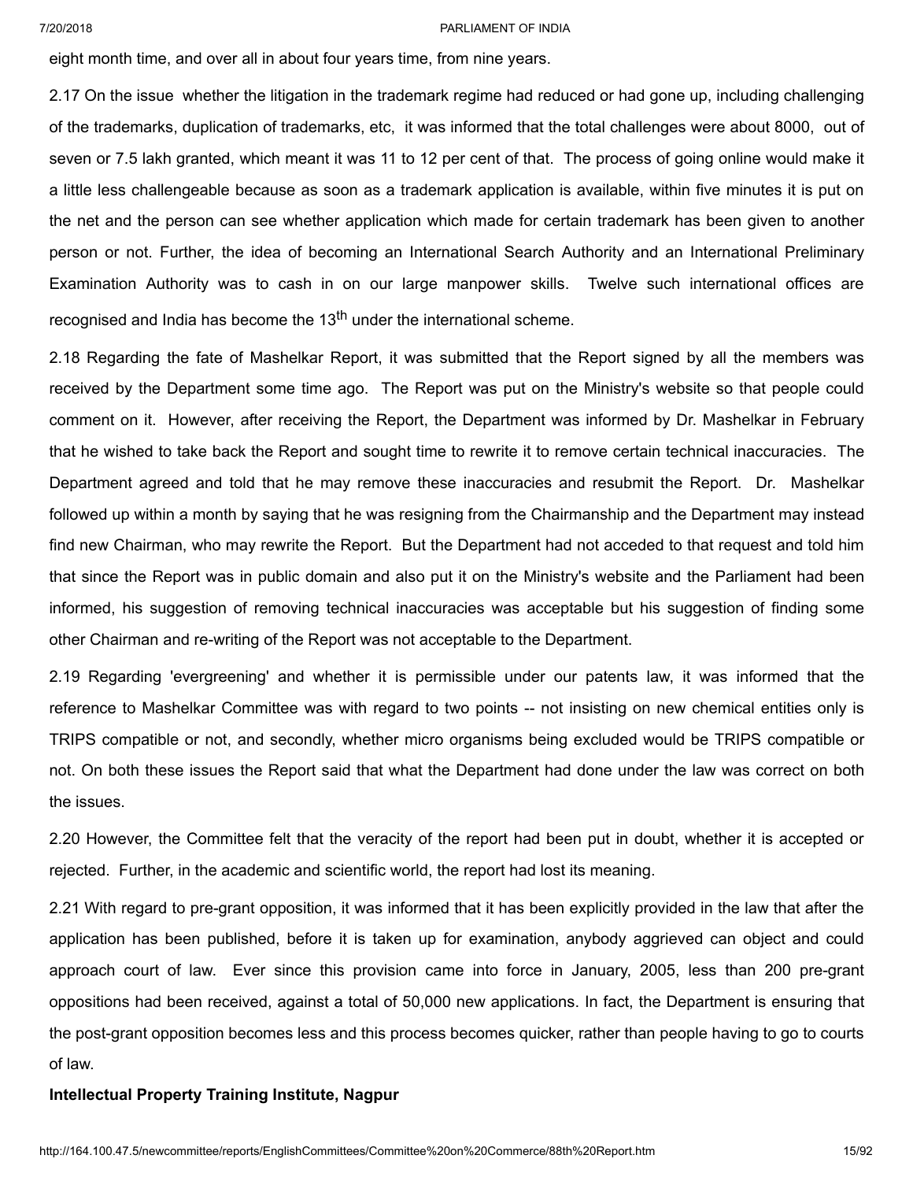eight month time, and over all in about four years time, from nine years.

2.17 On the issue whether the litigation in the trademark regime had reduced or had gone up, including challenging of the trademarks, duplication of trademarks, etc, it was informed that the total challenges were about 8000, out of seven or 7.5 lakh granted, which meant it was 11 to 12 per cent of that. The process of going online would make it a little less challengeable because as soon as a trademark application is available, within five minutes it is put on the net and the person can see whether application which made for certain trademark has been given to another person or not. Further, the idea of becoming an International Search Authority and an International Preliminary Examination Authority was to cash in on our large manpower skills. Twelve such international offices are recognised and India has become the 13<sup>th</sup> under the international scheme.

2.18 Regarding the fate of Mashelkar Report, it was submitted that the Report signed by all the members was received by the Department some time ago. The Report was put on the Ministry's website so that people could comment on it. However, after receiving the Report, the Department was informed by Dr. Mashelkar in February that he wished to take back the Report and sought time to rewrite it to remove certain technical inaccuracies. The Department agreed and told that he may remove these inaccuracies and resubmit the Report. Dr. Mashelkar followed up within a month by saying that he was resigning from the Chairmanship and the Department may instead find new Chairman, who may rewrite the Report. But the Department had not acceded to that request and told him that since the Report was in public domain and also put it on the Ministry's website and the Parliament had been informed, his suggestion of removing technical inaccuracies was acceptable but his suggestion of finding some other Chairman and re-writing of the Report was not acceptable to the Department.

2.19 Regarding 'evergreening' and whether it is permissible under our patents law, it was informed that the reference to Mashelkar Committee was with regard to two points -- not insisting on new chemical entities only is TRIPS compatible or not, and secondly, whether micro organisms being excluded would be TRIPS compatible or not. On both these issues the Report said that what the Department had done under the law was correct on both the issues.

2.20 However, the Committee felt that the veracity of the report had been put in doubt, whether it is accepted or rejected. Further, in the academic and scientific world, the report had lost its meaning.

2.21 With regard to pre-grant opposition, it was informed that it has been explicitly provided in the law that after the application has been published, before it is taken up for examination, anybody aggrieved can object and could approach court of law. Ever since this provision came into force in January, 2005, less than 200 pre-grant oppositions had been received, against a total of 50,000 new applications. In fact, the Department is ensuring that the post-grant opposition becomes less and this process becomes quicker, rather than people having to go to courts of law.

### **Intellectual Property Training Institute, Nagpur**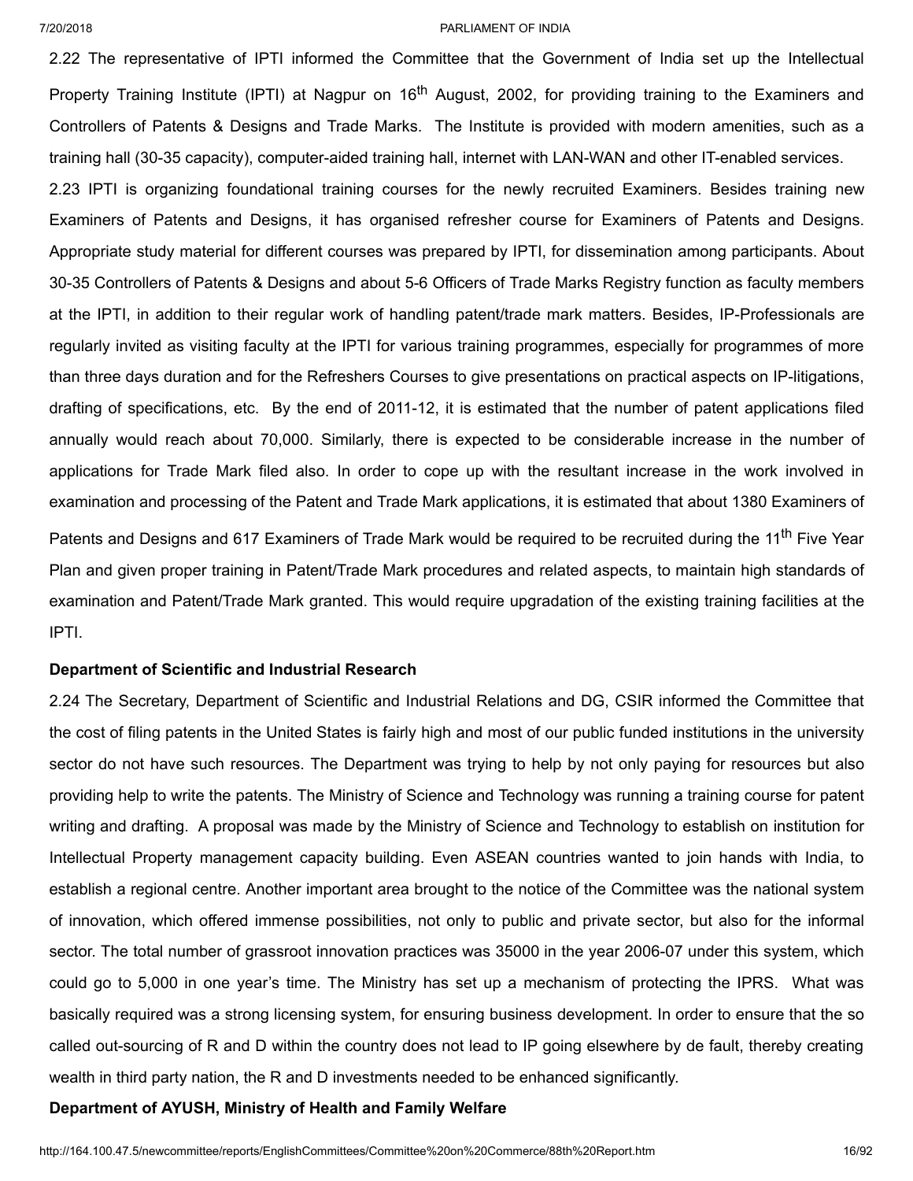2.22 The representative of IPTI informed the Committee that the Government of India set up the Intellectual Property Training Institute (IPTI) at Nagpur on 16<sup>th</sup> August, 2002, for providing training to the Examiners and Controllers of Patents & Designs and Trade Marks. The Institute is provided with modern amenities, such as a training hall (30-35 capacity), computer-aided training hall, internet with LAN-WAN and other IT-enabled services.

2.23 IPTI is organizing foundational training courses for the newly recruited Examiners. Besides training new Examiners of Patents and Designs, it has organised refresher course for Examiners of Patents and Designs. Appropriate study material for different courses was prepared by IPTI, for dissemination among participants. About 30-35 Controllers of Patents & Designs and about 5-6 Officers of Trade Marks Registry function as faculty members at the IPTI, in addition to their regular work of handling patent/trade mark matters. Besides, IP-Professionals are regularly invited as visiting faculty at the IPTI for various training programmes, especially for programmes of more than three days duration and for the Refreshers Courses to give presentations on practical aspects on IP-litigations, drafting of specifications, etc. By the end of 2011-12, it is estimated that the number of patent applications filed annually would reach about 70,000. Similarly, there is expected to be considerable increase in the number of applications for Trade Mark filed also. In order to cope up with the resultant increase in the work involved in examination and processing of the Patent and Trade Mark applications, it is estimated that about 1380 Examiners of Patents and Designs and 617 Examiners of Trade Mark would be required to be recruited during the 11<sup>th</sup> Five Year Plan and given proper training in Patent/Trade Mark procedures and related aspects, to maintain high standards of examination and Patent/Trade Mark granted. This would require upgradation of the existing training facilities at the IPTI.

## **Department of Scientific and Industrial Research**

2.24 The Secretary, Department of Scientific and Industrial Relations and DG, CSIR informed the Committee that the cost of filing patents in the United States is fairly high and most of our public funded institutions in the university sector do not have such resources. The Department was trying to help by not only paying for resources but also providing help to write the patents. The Ministry of Science and Technology was running a training course for patent writing and drafting. A proposal was made by the Ministry of Science and Technology to establish on institution for Intellectual Property management capacity building. Even ASEAN countries wanted to join hands with India, to establish a regional centre. Another important area brought to the notice of the Committee was the national system of innovation, which offered immense possibilities, not only to public and private sector, but also for the informal sector. The total number of grassroot innovation practices was 35000 in the year 2006-07 under this system, which could go to 5,000 in one year's time. The Ministry has set up a mechanism of protecting the IPRS. What was basically required was a strong licensing system, for ensuring business development. In order to ensure that the so called out-sourcing of R and D within the country does not lead to IP going elsewhere by de fault, thereby creating wealth in third party nation, the R and D investments needed to be enhanced significantly.

## **Department of AYUSH, Ministry of Health and Family Welfare**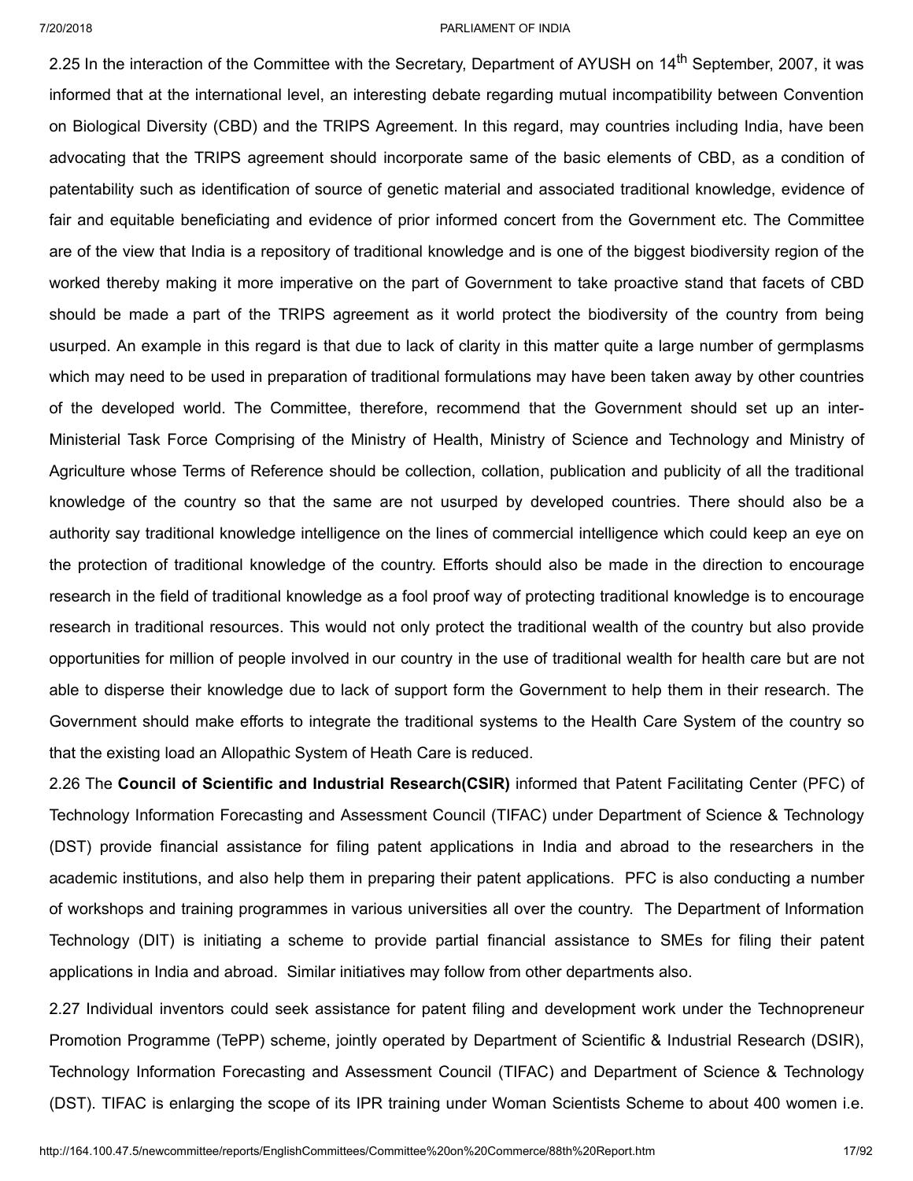2.25 In the interaction of the Committee with the Secretary, Department of AYUSH on 14<sup>th</sup> September, 2007, it was informed that at the international level, an interesting debate regarding mutual incompatibility between Convention on Biological Diversity (CBD) and the TRIPS Agreement. In this regard, may countries including India, have been advocating that the TRIPS agreement should incorporate same of the basic elements of CBD, as a condition of patentability such as identification of source of genetic material and associated traditional knowledge, evidence of fair and equitable beneficiating and evidence of prior informed concert from the Government etc. The Committee are of the view that India is a repository of traditional knowledge and is one of the biggest biodiversity region of the worked thereby making it more imperative on the part of Government to take proactive stand that facets of CBD should be made a part of the TRIPS agreement as it world protect the biodiversity of the country from being usurped. An example in this regard is that due to lack of clarity in this matter quite a large number of germplasms which may need to be used in preparation of traditional formulations may have been taken away by other countries of the developed world. The Committee, therefore, recommend that the Government should set up an inter-Ministerial Task Force Comprising of the Ministry of Health, Ministry of Science and Technology and Ministry of Agriculture whose Terms of Reference should be collection, collation, publication and publicity of all the traditional knowledge of the country so that the same are not usurped by developed countries. There should also be a authority say traditional knowledge intelligence on the lines of commercial intelligence which could keep an eye on the protection of traditional knowledge of the country. Efforts should also be made in the direction to encourage research in the field of traditional knowledge as a fool proof way of protecting traditional knowledge is to encourage research in traditional resources. This would not only protect the traditional wealth of the country but also provide opportunities for million of people involved in our country in the use of traditional wealth for health care but are not able to disperse their knowledge due to lack of support form the Government to help them in their research. The Government should make efforts to integrate the traditional systems to the Health Care System of the country so that the existing load an Allopathic System of Heath Care is reduced.

2.26 The **Council of Scientific and Industrial Research(CSIR)** informed that Patent Facilitating Center (PFC) of Technology Information Forecasting and Assessment Council (TIFAC) under Department of Science & Technology (DST) provide financial assistance for filing patent applications in India and abroad to the researchers in the academic institutions, and also help them in preparing their patent applications. PFC is also conducting a number of workshops and training programmes in various universities all over the country. The Department of Information Technology (DIT) is initiating a scheme to provide partial financial assistance to SMEs for filing their patent applications in India and abroad. Similar initiatives may follow from other departments also.

2.27 Individual inventors could seek assistance for patent filing and development work under the Technopreneur Promotion Programme (TePP) scheme, jointly operated by Department of Scientific & Industrial Research (DSIR), Technology Information Forecasting and Assessment Council (TIFAC) and Department of Science & Technology (DST). TIFAC is enlarging the scope of its IPR training under Woman Scientists Scheme to about 400 women i.e.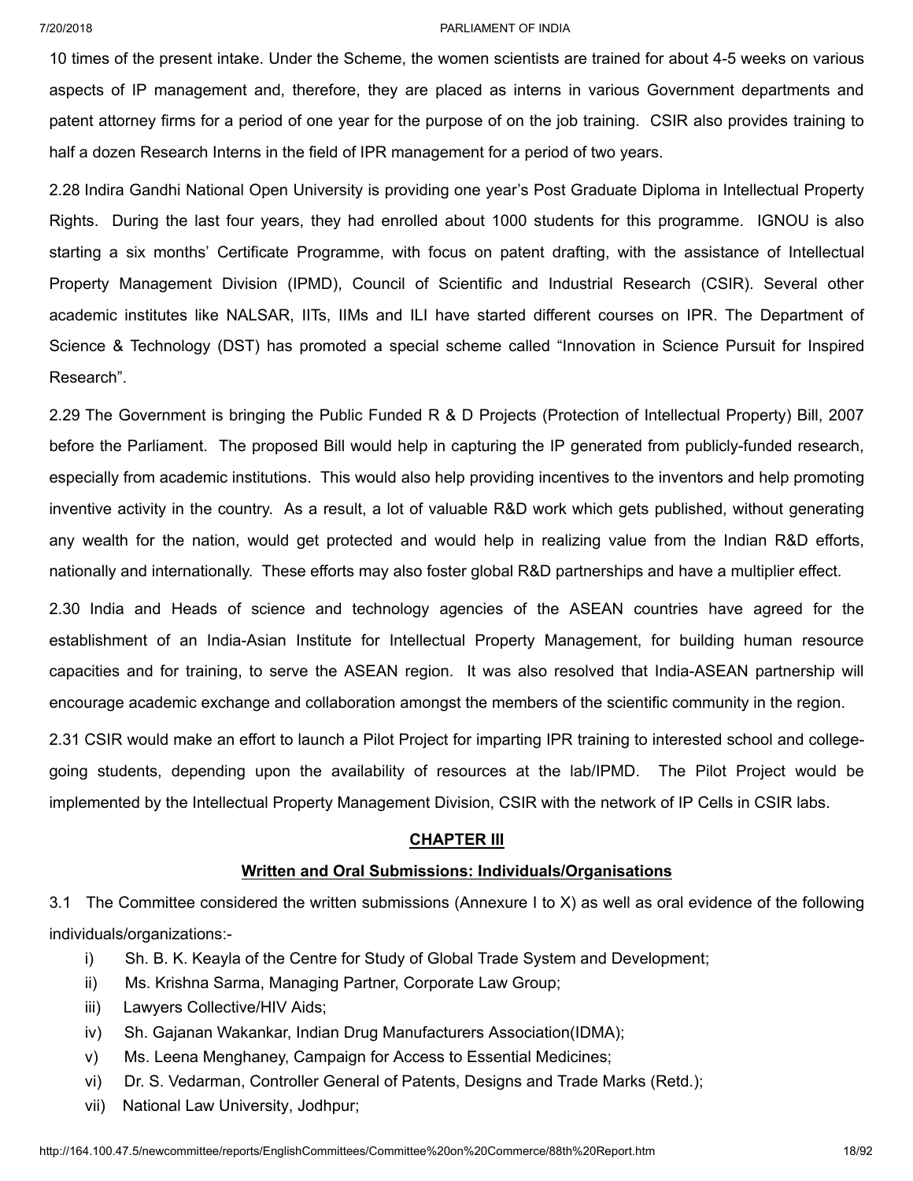10 times of the present intake. Under the Scheme, the women scientists are trained for about 4-5 weeks on various aspects of IP management and, therefore, they are placed as interns in various Government departments and patent attorney firms for a period of one year for the purpose of on the job training. CSIR also provides training to half a dozen Research Interns in the field of IPR management for a period of two years.

2.28 Indira Gandhi National Open University is providing one year's Post Graduate Diploma in Intellectual Property Rights. During the last four years, they had enrolled about 1000 students for this programme. IGNOU is also starting a six months' Certificate Programme, with focus on patent drafting, with the assistance of Intellectual Property Management Division (IPMD), Council of Scientific and Industrial Research (CSIR). Several other academic institutes like NALSAR, IITs, IIMs and ILI have started different courses on IPR. The Department of Science & Technology (DST) has promoted a special scheme called "Innovation in Science Pursuit for Inspired Research".

2.29 The Government is bringing the Public Funded R & D Projects (Protection of Intellectual Property) Bill, 2007 before the Parliament. The proposed Bill would help in capturing the IP generated from publicly-funded research, especially from academic institutions. This would also help providing incentives to the inventors and help promoting inventive activity in the country. As a result, a lot of valuable R&D work which gets published, without generating any wealth for the nation, would get protected and would help in realizing value from the Indian R&D efforts, nationally and internationally. These efforts may also foster global R&D partnerships and have a multiplier effect.

2.30 India and Heads of science and technology agencies of the ASEAN countries have agreed for the establishment of an India-Asian Institute for Intellectual Property Management, for building human resource capacities and for training, to serve the ASEAN region. It was also resolved that India-ASEAN partnership will encourage academic exchange and collaboration amongst the members of the scientific community in the region.

2.31 CSIR would make an effort to launch a Pilot Project for imparting IPR training to interested school and collegegoing students, depending upon the availability of resources at the lab/IPMD. The Pilot Project would be implemented by the Intellectual Property Management Division, CSIR with the network of IP Cells in CSIR labs.

## **CHAPTER III**

## **Written and Oral Submissions: Individuals/Organisations**

3.1 The Committee considered the written submissions (Annexure I to X) as well as oral evidence of the following individuals/organizations:-

- i) Sh. B. K. Keayla of the Centre for Study of Global Trade System and Development;
- ii) Ms. Krishna Sarma, Managing Partner, Corporate Law Group;
- iii) Lawyers Collective/HIV Aids;
- iv) Sh. Gajanan Wakankar, Indian Drug Manufacturers Association(IDMA);
- v) Ms. Leena Menghaney, Campaign for Access to Essential Medicines;
- vi) Dr. S. Vedarman, Controller General of Patents, Designs and Trade Marks (Retd.);
- vii) National Law University, Jodhpur;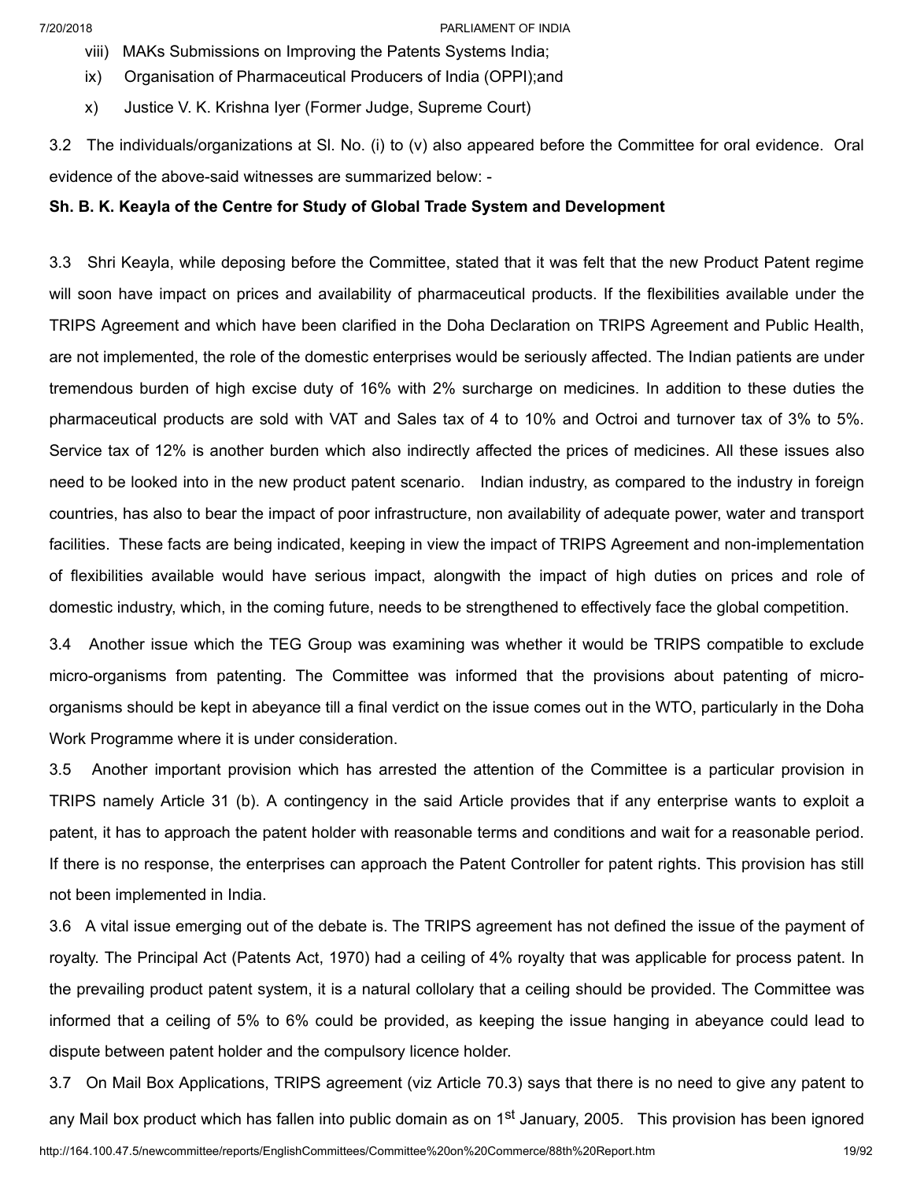viii) MAKs Submissions on Improving the Patents Systems India;

- ix) Organisation of Pharmaceutical Producers of India (OPPI);and
- x) Justice V. K. Krishna Iyer (Former Judge, Supreme Court)

3.2 The individuals/organizations at Sl. No. (i) to (v) also appeared before the Committee for oral evidence. Oral evidence of the above-said witnesses are summarized below: -

## **Sh. B. K. Keayla of the Centre for Study of Global Trade System and Development**

3.3 Shri Keayla, while deposing before the Committee, stated that it was felt that the new Product Patent regime will soon have impact on prices and availability of pharmaceutical products. If the flexibilities available under the TRIPS Agreement and which have been clarified in the Doha Declaration on TRIPS Agreement and Public Health, are not implemented, the role of the domestic enterprises would be seriously affected. The Indian patients are under tremendous burden of high excise duty of 16% with 2% surcharge on medicines. In addition to these duties the pharmaceutical products are sold with VAT and Sales tax of 4 to 10% and Octroi and turnover tax of 3% to 5%. Service tax of 12% is another burden which also indirectly affected the prices of medicines. All these issues also need to be looked into in the new product patent scenario. Indian industry, as compared to the industry in foreign countries, has also to bear the impact of poor infrastructure, non availability of adequate power, water and transport facilities. These facts are being indicated, keeping in view the impact of TRIPS Agreement and non-implementation of flexibilities available would have serious impact, alongwith the impact of high duties on prices and role of domestic industry, which, in the coming future, needs to be strengthened to effectively face the global competition.

3.4 Another issue which the TEG Group was examining was whether it would be TRIPS compatible to exclude micro-organisms from patenting. The Committee was informed that the provisions about patenting of microorganisms should be kept in abeyance till a final verdict on the issue comes out in the WTO, particularly in the Doha Work Programme where it is under consideration.

3.5 Another important provision which has arrested the attention of the Committee is a particular provision in TRIPS namely Article 31 (b). A contingency in the said Article provides that if any enterprise wants to exploit a patent, it has to approach the patent holder with reasonable terms and conditions and wait for a reasonable period. If there is no response, the enterprises can approach the Patent Controller for patent rights. This provision has still not been implemented in India.

3.6 A vital issue emerging out of the debate is. The TRIPS agreement has not defined the issue of the payment of royalty. The Principal Act (Patents Act, 1970) had a ceiling of 4% royalty that was applicable for process patent. In the prevailing product patent system, it is a natural collolary that a ceiling should be provided. The Committee was informed that a ceiling of 5% to 6% could be provided, as keeping the issue hanging in abeyance could lead to dispute between patent holder and the compulsory licence holder.

http://164.100.47.5/newcommittee/reports/EnglishCommittees/Committee%20on%20Commerce/88th%20Report.htm 19/92 3.7 On Mail Box Applications, TRIPS agreement (viz Article 70.3) says that there is no need to give any patent to any Mail box product which has fallen into public domain as on 1<sup>st</sup> January, 2005. This provision has been ignored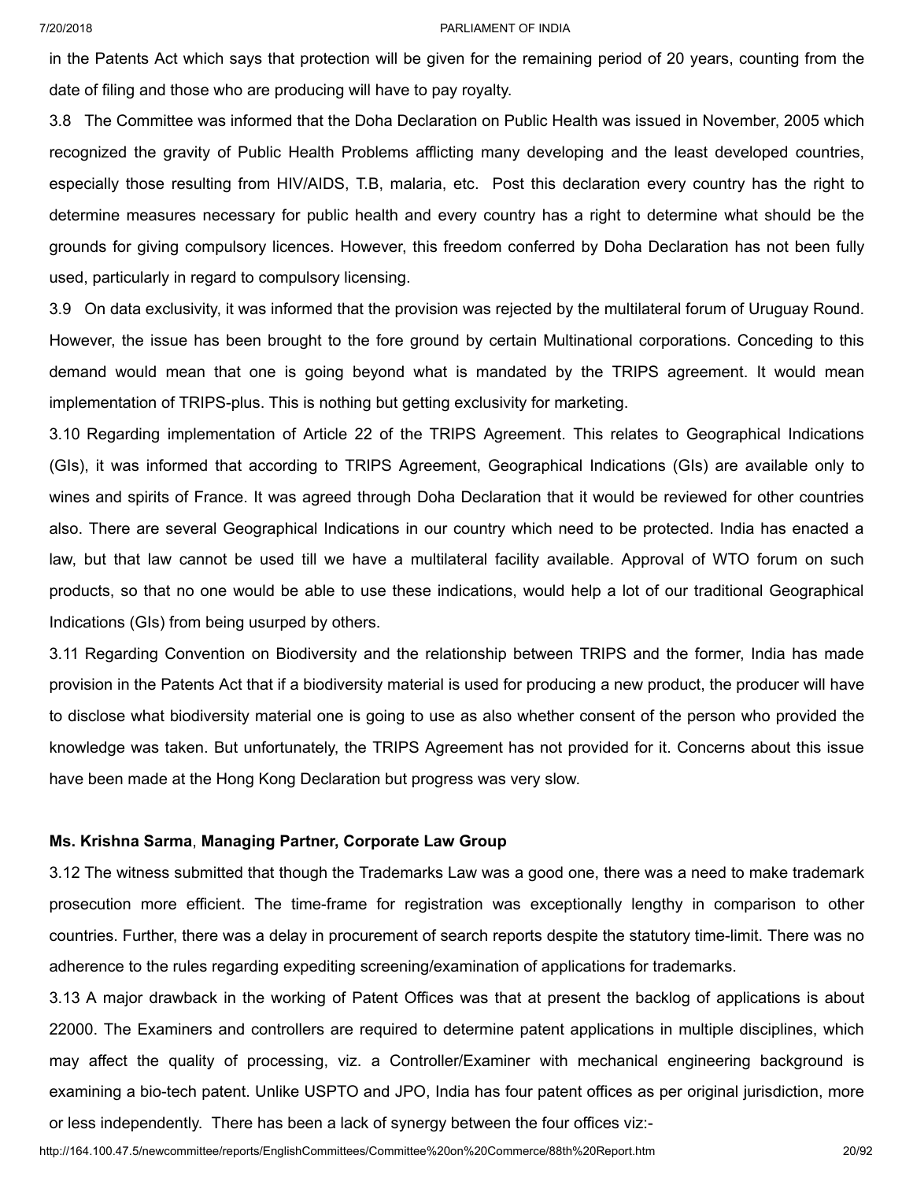in the Patents Act which says that protection will be given for the remaining period of 20 years, counting from the date of filing and those who are producing will have to pay royalty.

3.8 The Committee was informed that the Doha Declaration on Public Health was issued in November, 2005 which recognized the gravity of Public Health Problems afflicting many developing and the least developed countries, especially those resulting from HIV/AIDS, T.B, malaria, etc. Post this declaration every country has the right to determine measures necessary for public health and every country has a right to determine what should be the grounds for giving compulsory licences. However, this freedom conferred by Doha Declaration has not been fully used, particularly in regard to compulsory licensing.

3.9 On data exclusivity, it was informed that the provision was rejected by the multilateral forum of Uruguay Round. However, the issue has been brought to the fore ground by certain Multinational corporations. Conceding to this demand would mean that one is going beyond what is mandated by the TRIPS agreement. It would mean implementation of TRIPS-plus. This is nothing but getting exclusivity for marketing.

3.10 Regarding implementation of Article 22 of the TRIPS Agreement. This relates to Geographical Indications (GIs), it was informed that according to TRIPS Agreement, Geographical Indications (GIs) are available only to wines and spirits of France. It was agreed through Doha Declaration that it would be reviewed for other countries also. There are several Geographical Indications in our country which need to be protected. India has enacted a law, but that law cannot be used till we have a multilateral facility available. Approval of WTO forum on such products, so that no one would be able to use these indications, would help a lot of our traditional Geographical Indications (GIs) from being usurped by others.

3.11 Regarding Convention on Biodiversity and the relationship between TRIPS and the former, India has made provision in the Patents Act that if a biodiversity material is used for producing a new product, the producer will have to disclose what biodiversity material one is going to use as also whether consent of the person who provided the knowledge was taken. But unfortunately, the TRIPS Agreement has not provided for it. Concerns about this issue have been made at the Hong Kong Declaration but progress was very slow.

### **Ms. Krishna Sarma**, **Managing Partner, Corporate Law Group**

3.12 The witness submitted that though the Trademarks Law was a good one, there was a need to make trademark prosecution more efficient. The time-frame for registration was exceptionally lengthy in comparison to other countries. Further, there was a delay in procurement of search reports despite the statutory time-limit. There was no adherence to the rules regarding expediting screening/examination of applications for trademarks.

3.13 A major drawback in the working of Patent Offices was that at present the backlog of applications is about 22000. The Examiners and controllers are required to determine patent applications in multiple disciplines, which may affect the quality of processing, viz. a Controller/Examiner with mechanical engineering background is examining a bio-tech patent. Unlike USPTO and JPO, India has four patent offices as per original jurisdiction, more or less independently. There has been a lack of synergy between the four offices viz:-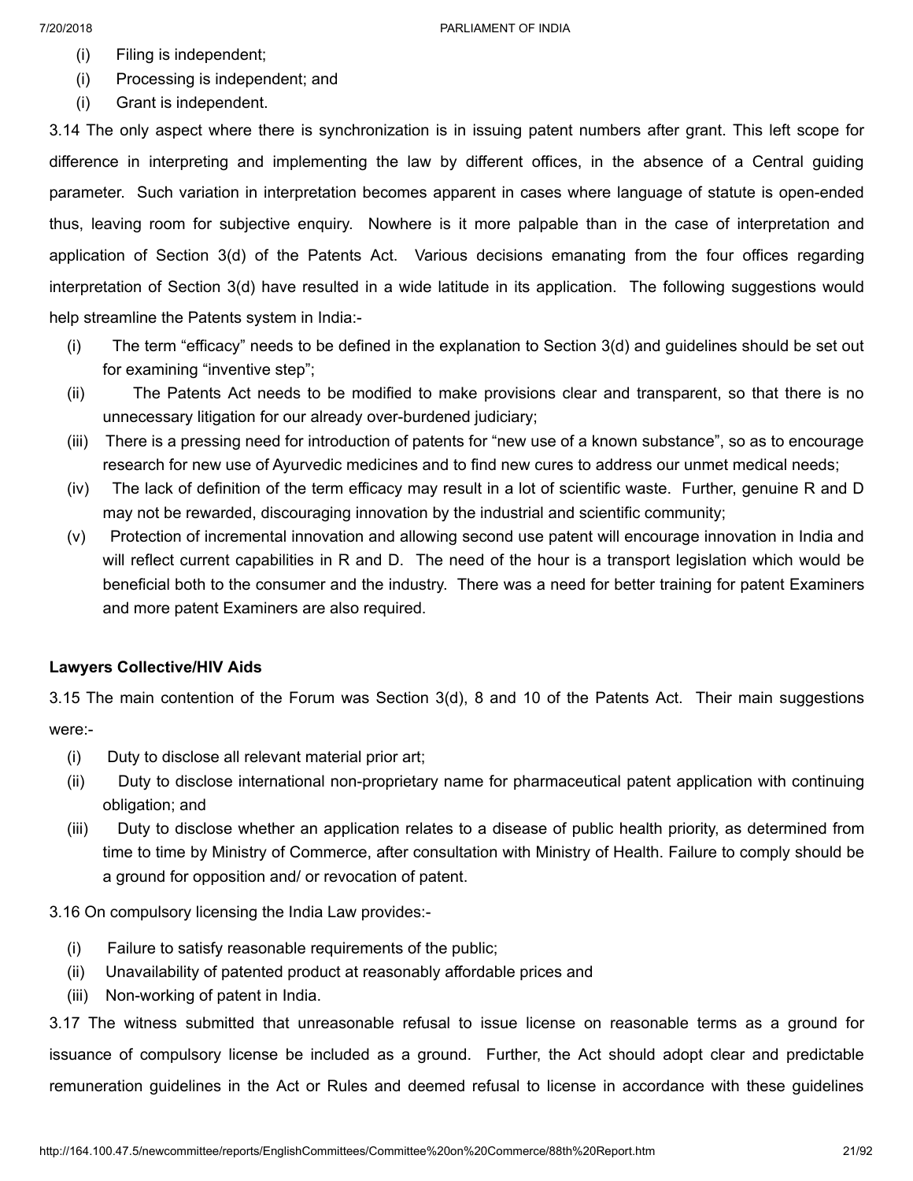- (i) Filing is independent;
- (i) Processing is independent; and
- (i) Grant is independent.

3.14 The only aspect where there is synchronization is in issuing patent numbers after grant. This left scope for difference in interpreting and implementing the law by different offices, in the absence of a Central guiding parameter. Such variation in interpretation becomes apparent in cases where language of statute is open-ended thus, leaving room for subjective enquiry. Nowhere is it more palpable than in the case of interpretation and application of Section 3(d) of the Patents Act. Various decisions emanating from the four offices regarding interpretation of Section 3(d) have resulted in a wide latitude in its application. The following suggestions would help streamline the Patents system in India:-

- (i) The term "efficacy" needs to be defined in the explanation to Section 3(d) and guidelines should be set out for examining "inventive step";
- (ii) The Patents Act needs to be modified to make provisions clear and transparent, so that there is no unnecessary litigation for our already over-burdened judiciary;
- (iii) There is a pressing need for introduction of patents for "new use of a known substance", so as to encourage research for new use of Ayurvedic medicines and to find new cures to address our unmet medical needs;
- (iv) The lack of definition of the term efficacy may result in a lot of scientific waste. Further, genuine R and D may not be rewarded, discouraging innovation by the industrial and scientific community;
- (v) Protection of incremental innovation and allowing second use patent will encourage innovation in India and will reflect current capabilities in R and D. The need of the hour is a transport legislation which would be beneficial both to the consumer and the industry. There was a need for better training for patent Examiners and more patent Examiners are also required.

## **Lawyers Collective/HIV Aids**

3.15 The main contention of the Forum was Section 3(d), 8 and 10 of the Patents Act. Their main suggestions were:-

- (i) Duty to disclose all relevant material prior art;
- (ii) Duty to disclose international non-proprietary name for pharmaceutical patent application with continuing obligation; and
- (iii) Duty to disclose whether an application relates to a disease of public health priority, as determined from time to time by Ministry of Commerce, after consultation with Ministry of Health. Failure to comply should be a ground for opposition and/ or revocation of patent.

3.16 On compulsory licensing the India Law provides:-

- (i) Failure to satisfy reasonable requirements of the public;
- (ii) Unavailability of patented product at reasonably affordable prices and
- (iii) Non-working of patent in India.

3.17 The witness submitted that unreasonable refusal to issue license on reasonable terms as a ground for issuance of compulsory license be included as a ground. Further, the Act should adopt clear and predictable remuneration guidelines in the Act or Rules and deemed refusal to license in accordance with these guidelines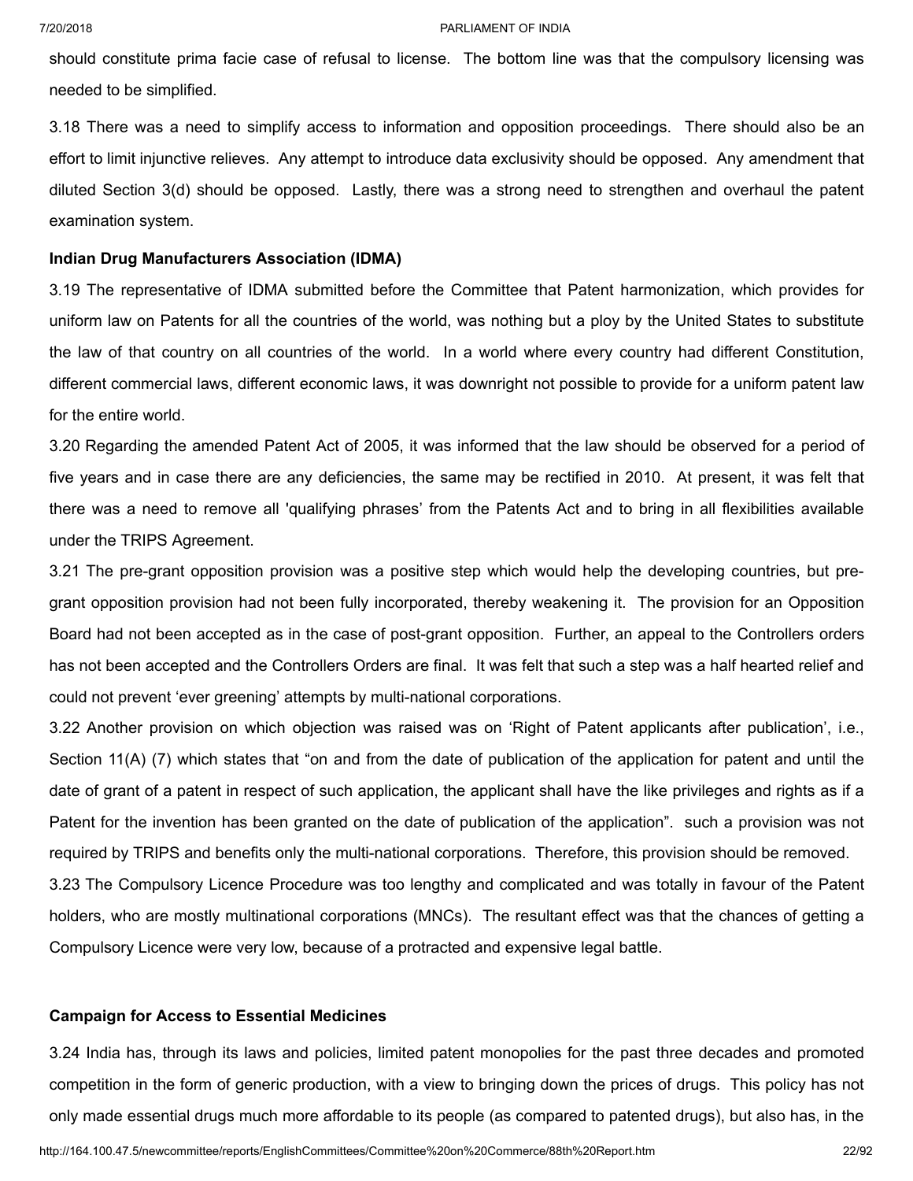should constitute prima facie case of refusal to license. The bottom line was that the compulsory licensing was needed to be simplified.

3.18 There was a need to simplify access to information and opposition proceedings. There should also be an effort to limit injunctive relieves. Any attempt to introduce data exclusivity should be opposed. Any amendment that diluted Section 3(d) should be opposed. Lastly, there was a strong need to strengthen and overhaul the patent examination system.

### **Indian Drug Manufacturers Association (IDMA)**

3.19 The representative of IDMA submitted before the Committee that Patent harmonization, which provides for uniform law on Patents for all the countries of the world, was nothing but a ploy by the United States to substitute the law of that country on all countries of the world. In a world where every country had different Constitution, different commercial laws, different economic laws, it was downright not possible to provide for a uniform patent law for the entire world.

3.20 Regarding the amended Patent Act of 2005, it was informed that the law should be observed for a period of five years and in case there are any deficiencies, the same may be rectified in 2010. At present, it was felt that there was a need to remove all 'qualifying phrases' from the Patents Act and to bring in all flexibilities available under the TRIPS Agreement.

3.21 The pre-grant opposition provision was a positive step which would help the developing countries, but pregrant opposition provision had not been fully incorporated, thereby weakening it. The provision for an Opposition Board had not been accepted as in the case of post-grant opposition. Further, an appeal to the Controllers orders has not been accepted and the Controllers Orders are final. It was felt that such a step was a half hearted relief and could not prevent 'ever greening' attempts by multi-national corporations.

3.22 Another provision on which objection was raised was on 'Right of Patent applicants after publication', i.e., Section 11(A) (7) which states that "on and from the date of publication of the application for patent and until the date of grant of a patent in respect of such application, the applicant shall have the like privileges and rights as if a Patent for the invention has been granted on the date of publication of the application". such a provision was not required by TRIPS and benefits only the multi-national corporations. Therefore, this provision should be removed.

3.23 The Compulsory Licence Procedure was too lengthy and complicated and was totally in favour of the Patent holders, who are mostly multinational corporations (MNCs). The resultant effect was that the chances of getting a Compulsory Licence were very low, because of a protracted and expensive legal battle.

## **Campaign for Access to Essential Medicines**

3.24 India has, through its laws and policies, limited patent monopolies for the past three decades and promoted competition in the form of generic production, with a view to bringing down the prices of drugs. This policy has not only made essential drugs much more affordable to its people (as compared to patented drugs), but also has, in the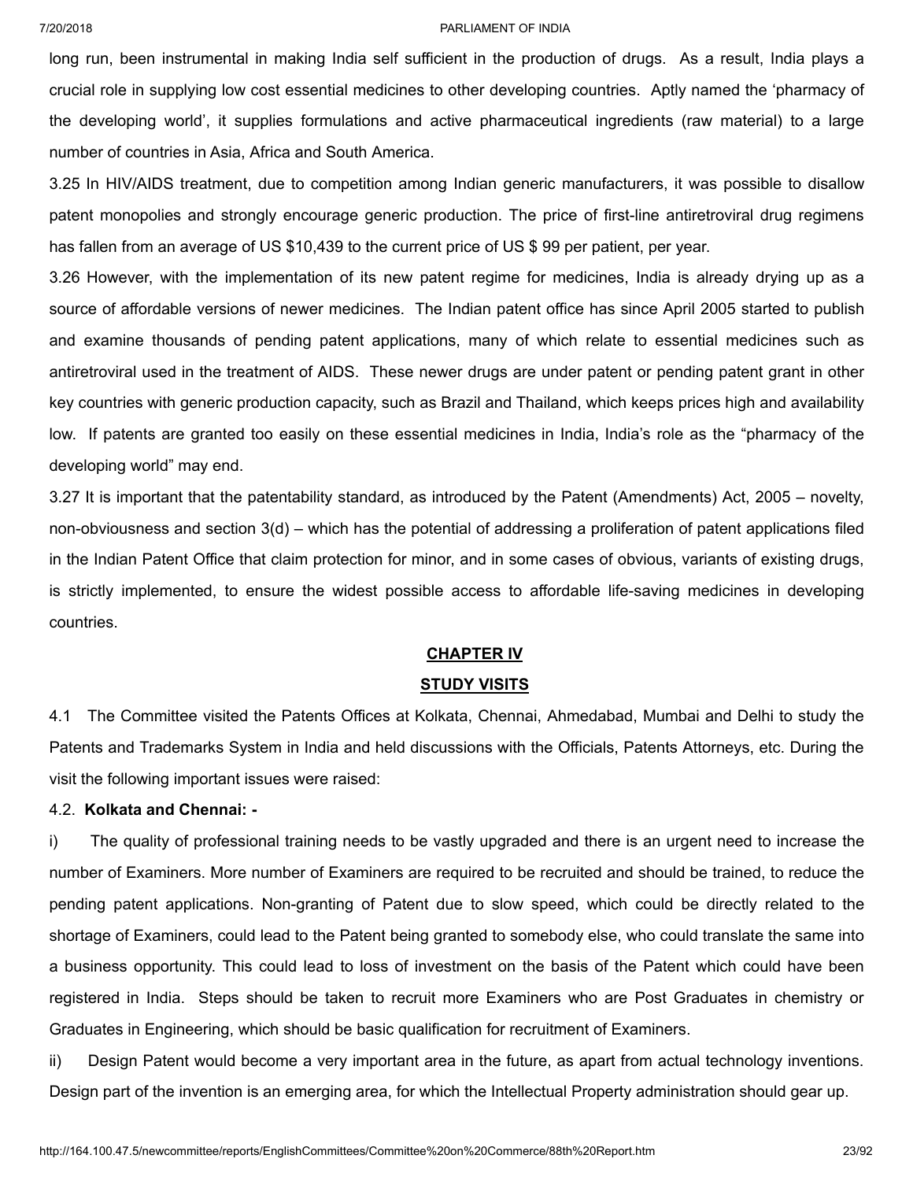long run, been instrumental in making India self sufficient in the production of drugs. As a result, India plays a crucial role in supplying low cost essential medicines to other developing countries. Aptly named the 'pharmacy of the developing world', it supplies formulations and active pharmaceutical ingredients (raw material) to a large number of countries in Asia, Africa and South America.

3.25 In HIV/AIDS treatment, due to competition among Indian generic manufacturers, it was possible to disallow patent monopolies and strongly encourage generic production. The price of first-line antiretroviral drug regimens has fallen from an average of US \$10,439 to the current price of US \$ 99 per patient, per year.

3.26 However, with the implementation of its new patent regime for medicines, India is already drying up as a source of affordable versions of newer medicines. The Indian patent office has since April 2005 started to publish and examine thousands of pending patent applications, many of which relate to essential medicines such as antiretroviral used in the treatment of AIDS. These newer drugs are under patent or pending patent grant in other key countries with generic production capacity, such as Brazil and Thailand, which keeps prices high and availability low. If patents are granted too easily on these essential medicines in India, India's role as the "pharmacy of the developing world" may end.

3.27 It is important that the patentability standard, as introduced by the Patent (Amendments) Act, 2005 – novelty, non-obviousness and section 3(d) – which has the potential of addressing a proliferation of patent applications filed in the Indian Patent Office that claim protection for minor, and in some cases of obvious, variants of existing drugs, is strictly implemented, to ensure the widest possible access to affordable life-saving medicines in developing countries.

## **CHAPTER IV**

### **STUDY VISITS**

4.1 The Committee visited the Patents Offices at Kolkata, Chennai, Ahmedabad, Mumbai and Delhi to study the Patents and Trademarks System in India and held discussions with the Officials, Patents Attorneys, etc. During the visit the following important issues were raised:

## 4.2. **Kolkata and Chennai: -**

i) The quality of professional training needs to be vastly upgraded and there is an urgent need to increase the number of Examiners. More number of Examiners are required to be recruited and should be trained, to reduce the pending patent applications. Non-granting of Patent due to slow speed, which could be directly related to the shortage of Examiners, could lead to the Patent being granted to somebody else, who could translate the same into a business opportunity. This could lead to loss of investment on the basis of the Patent which could have been registered in India. Steps should be taken to recruit more Examiners who are Post Graduates in chemistry or Graduates in Engineering, which should be basic qualification for recruitment of Examiners.

ii) Design Patent would become a very important area in the future, as apart from actual technology inventions. Design part of the invention is an emerging area, for which the Intellectual Property administration should gear up.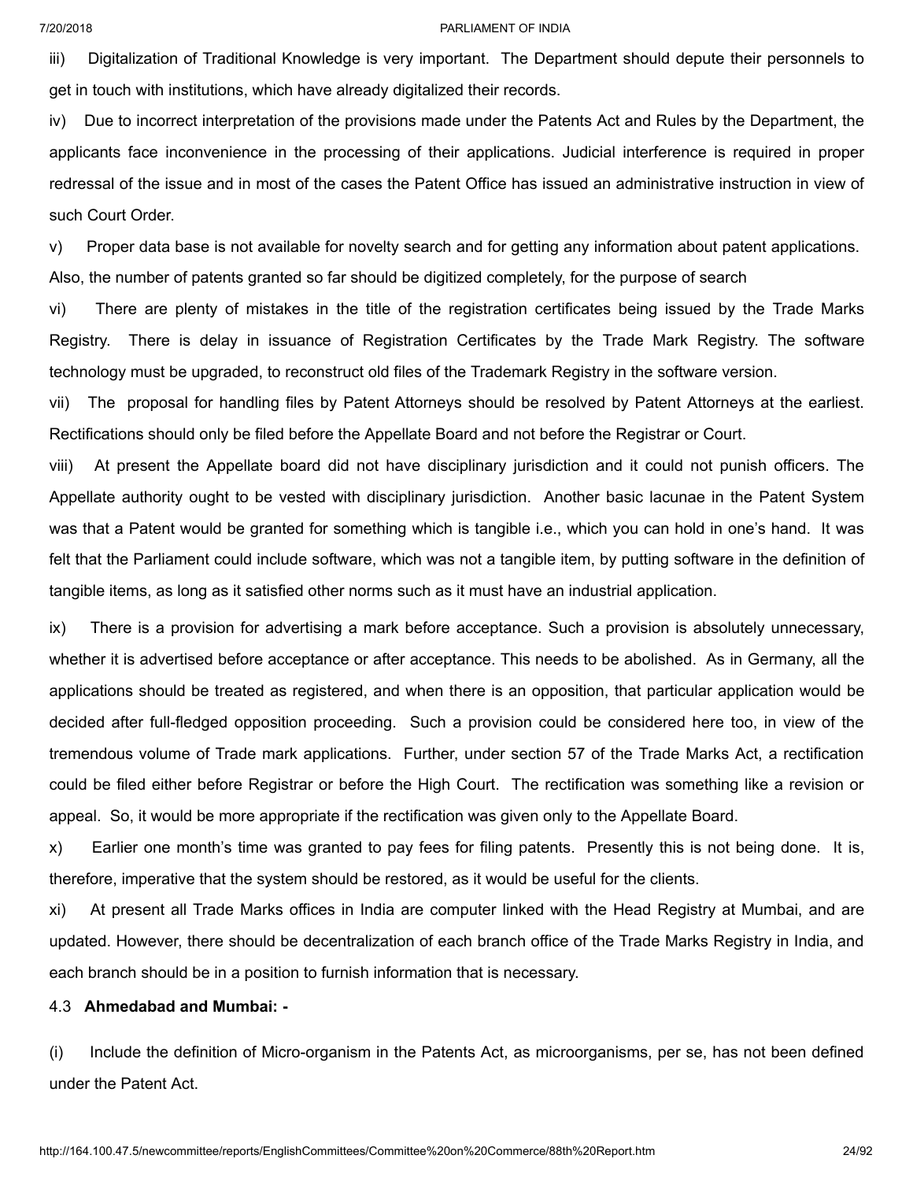iii) Digitalization of Traditional Knowledge is very important. The Department should depute their personnels to get in touch with institutions, which have already digitalized their records.

iv) Due to incorrect interpretation of the provisions made under the Patents Act and Rules by the Department, the applicants face inconvenience in the processing of their applications. Judicial interference is required in proper redressal of the issue and in most of the cases the Patent Office has issued an administrative instruction in view of such Court Order.

v) Proper data base is not available for novelty search and for getting any information about patent applications. Also, the number of patents granted so far should be digitized completely, for the purpose of search

vi) There are plenty of mistakes in the title of the registration certificates being issued by the Trade Marks Registry. There is delay in issuance of Registration Certificates by the Trade Mark Registry. The software technology must be upgraded, to reconstruct old files of the Trademark Registry in the software version.

vii) The proposal for handling files by Patent Attorneys should be resolved by Patent Attorneys at the earliest. Rectifications should only be filed before the Appellate Board and not before the Registrar or Court.

viii) At present the Appellate board did not have disciplinary jurisdiction and it could not punish officers. The Appellate authority ought to be vested with disciplinary jurisdiction. Another basic lacunae in the Patent System was that a Patent would be granted for something which is tangible i.e., which you can hold in one's hand. It was felt that the Parliament could include software, which was not a tangible item, by putting software in the definition of tangible items, as long as it satisfied other norms such as it must have an industrial application.

ix) There is a provision for advertising a mark before acceptance. Such a provision is absolutely unnecessary, whether it is advertised before acceptance or after acceptance. This needs to be abolished. As in Germany, all the applications should be treated as registered, and when there is an opposition, that particular application would be decided after full-fledged opposition proceeding. Such a provision could be considered here too, in view of the tremendous volume of Trade mark applications. Further, under section 57 of the Trade Marks Act, a rectification could be filed either before Registrar or before the High Court. The rectification was something like a revision or appeal. So, it would be more appropriate if the rectification was given only to the Appellate Board.

x) Earlier one month's time was granted to pay fees for filing patents. Presently this is not being done. It is, therefore, imperative that the system should be restored, as it would be useful for the clients.

xi) At present all Trade Marks offices in India are computer linked with the Head Registry at Mumbai, and are updated. However, there should be decentralization of each branch office of the Trade Marks Registry in India, and each branch should be in a position to furnish information that is necessary.

### 4.3 **Ahmedabad and Mumbai: -**

(i) Include the definition of Micro-organism in the Patents Act, as microorganisms, per se, has not been defined under the Patent Act.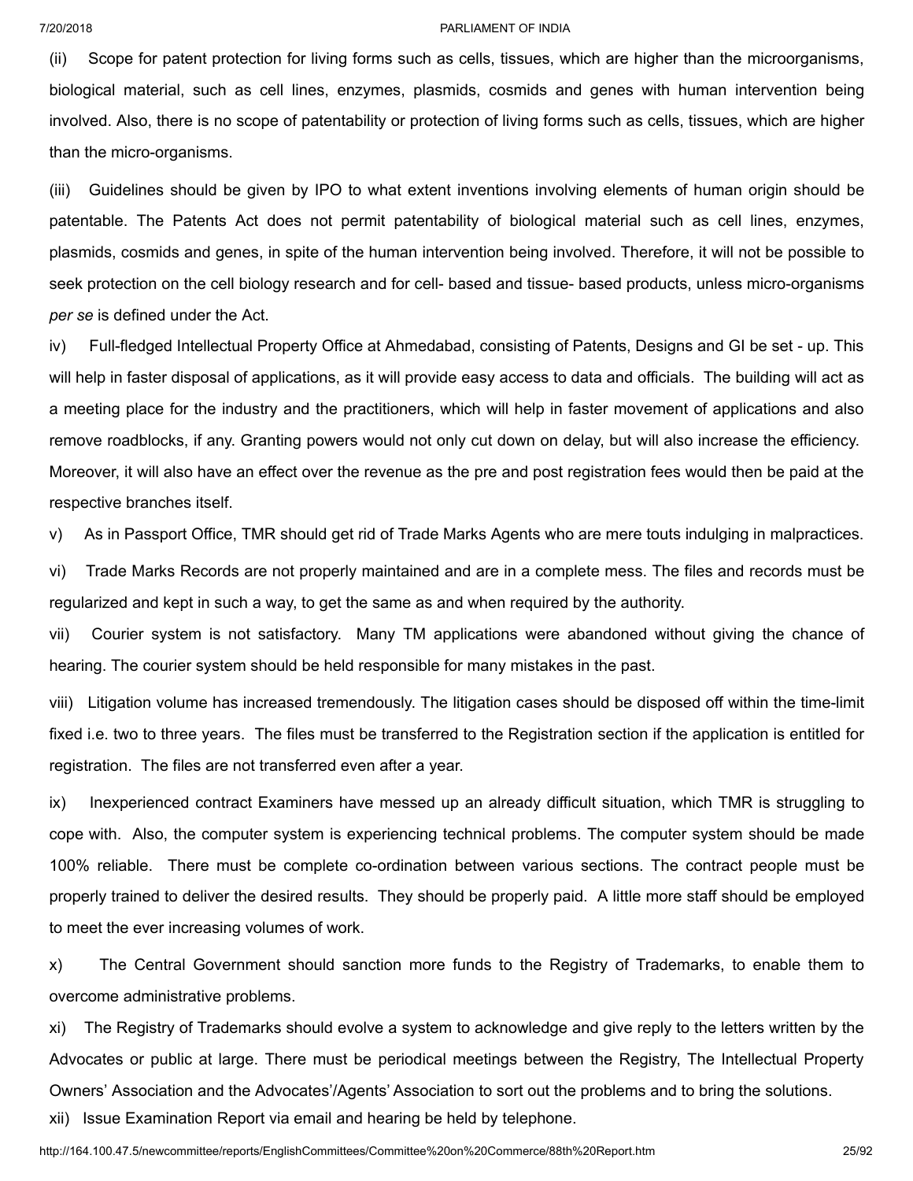(ii) Scope for patent protection for living forms such as cells, tissues, which are higher than the microorganisms, biological material, such as cell lines, enzymes, plasmids, cosmids and genes with human intervention being involved. Also, there is no scope of patentability or protection of living forms such as cells, tissues, which are higher than the micro-organisms.

(iii) Guidelines should be given by IPO to what extent inventions involving elements of human origin should be patentable. The Patents Act does not permit patentability of biological material such as cell lines, enzymes, plasmids, cosmids and genes, in spite of the human intervention being involved. Therefore, it will not be possible to seek protection on the cell biology research and for cell- based and tissue- based products, unless micro-organisms *per se* is defined under the Act.

iv) Full-fledged Intellectual Property Office at Ahmedabad, consisting of Patents, Designs and GI be set - up. This will help in faster disposal of applications, as it will provide easy access to data and officials. The building will act as a meeting place for the industry and the practitioners, which will help in faster movement of applications and also remove roadblocks, if any. Granting powers would not only cut down on delay, but will also increase the efficiency. Moreover, it will also have an effect over the revenue as the pre and post registration fees would then be paid at the respective branches itself.

v) As in Passport Office, TMR should get rid of Trade Marks Agents who are mere touts indulging in malpractices.

vi) Trade Marks Records are not properly maintained and are in a complete mess. The files and records must be regularized and kept in such a way, to get the same as and when required by the authority.

vii) Courier system is not satisfactory. Many TM applications were abandoned without giving the chance of hearing. The courier system should be held responsible for many mistakes in the past.

viii) Litigation volume has increased tremendously. The litigation cases should be disposed off within the time-limit fixed i.e. two to three years. The files must be transferred to the Registration section if the application is entitled for registration. The files are not transferred even after a year.

ix) Inexperienced contract Examiners have messed up an already difficult situation, which TMR is struggling to cope with. Also, the computer system is experiencing technical problems. The computer system should be made 100% reliable. There must be complete co-ordination between various sections. The contract people must be properly trained to deliver the desired results. They should be properly paid. A little more staff should be employed to meet the ever increasing volumes of work.

x) The Central Government should sanction more funds to the Registry of Trademarks, to enable them to overcome administrative problems.

xi) The Registry of Trademarks should evolve a system to acknowledge and give reply to the letters written by the Advocates or public at large. There must be periodical meetings between the Registry, The Intellectual Property Owners' Association and the Advocates'/Agents' Association to sort out the problems and to bring the solutions.

xii) Issue Examination Report via email and hearing be held by telephone.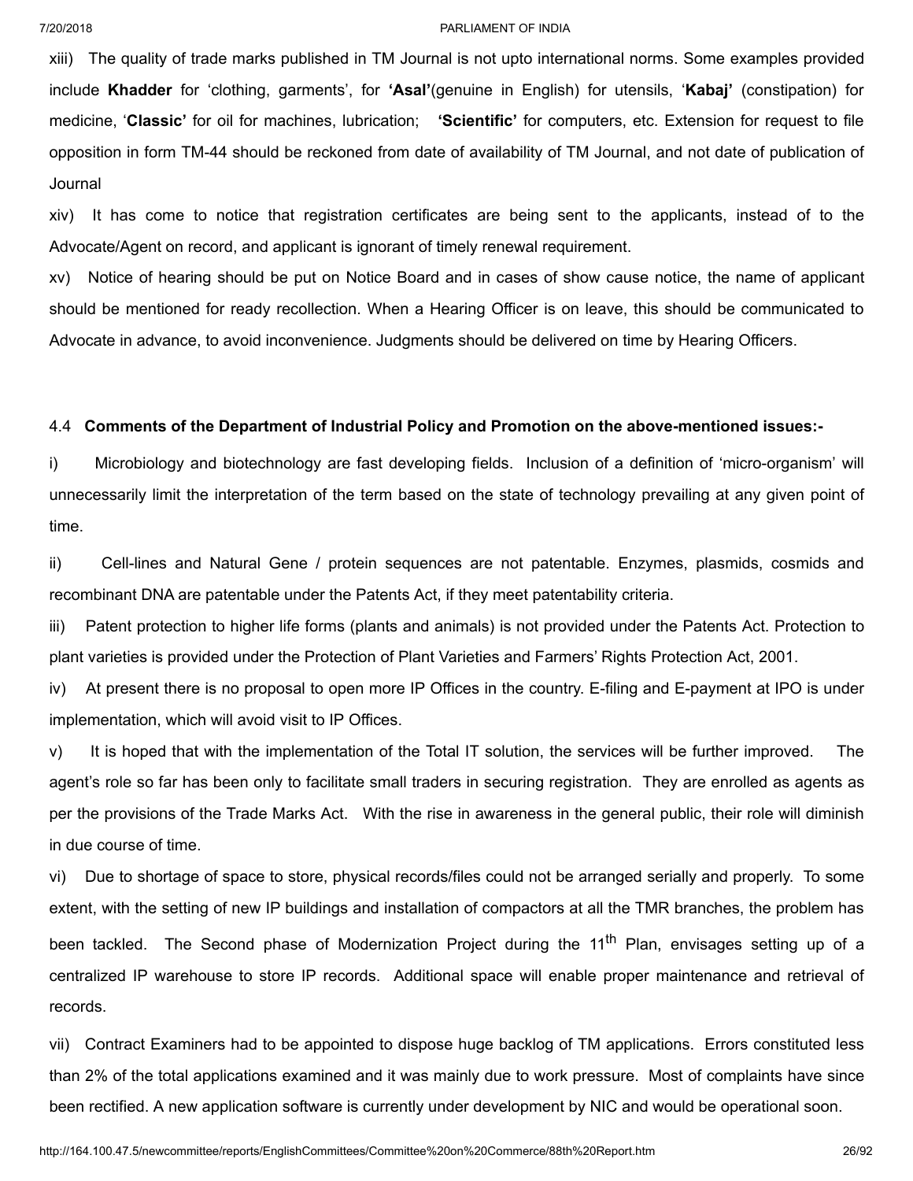xiii) The quality of trade marks published in TM Journal is not upto international norms. Some examples provided include **Khadder** for 'clothing, garments', for **'Asal'**(genuine in English) for utensils, '**Kabaj'** (constipation) for medicine, '**Classic'** for oil for machines, lubrication; **'Scientific'** for computers, etc. Extension for request to file opposition in form TM-44 should be reckoned from date of availability of TM Journal, and not date of publication of Journal

xiv) It has come to notice that registration certificates are being sent to the applicants, instead of to the Advocate/Agent on record, and applicant is ignorant of timely renewal requirement.

xv) Notice of hearing should be put on Notice Board and in cases of show cause notice, the name of applicant should be mentioned for ready recollection. When a Hearing Officer is on leave, this should be communicated to Advocate in advance, to avoid inconvenience. Judgments should be delivered on time by Hearing Officers.

## 4.4 **Comments of the Department of Industrial Policy and Promotion on the above-mentioned issues:-**

i) Microbiology and biotechnology are fast developing fields. Inclusion of a definition of 'micro-organism' will unnecessarily limit the interpretation of the term based on the state of technology prevailing at any given point of time.

ii) Cell-lines and Natural Gene / protein sequences are not patentable. Enzymes, plasmids, cosmids and recombinant DNA are patentable under the Patents Act, if they meet patentability criteria.

iii) Patent protection to higher life forms (plants and animals) is not provided under the Patents Act. Protection to plant varieties is provided under the Protection of Plant Varieties and Farmers' Rights Protection Act, 2001.

iv) At present there is no proposal to open more IP Offices in the country. E-filing and E-payment at IPO is under implementation, which will avoid visit to IP Offices.

v) It is hoped that with the implementation of the Total IT solution, the services will be further improved. The agent's role so far has been only to facilitate small traders in securing registration. They are enrolled as agents as per the provisions of the Trade Marks Act. With the rise in awareness in the general public, their role will diminish in due course of time.

vi) Due to shortage of space to store, physical records/files could not be arranged serially and properly. To some extent, with the setting of new IP buildings and installation of compactors at all the TMR branches, the problem has been tackled. The Second phase of Modernization Project during the 11<sup>th</sup> Plan, envisages setting up of a centralized IP warehouse to store IP records. Additional space will enable proper maintenance and retrieval of records.

vii) Contract Examiners had to be appointed to dispose huge backlog of TM applications. Errors constituted less than 2% of the total applications examined and it was mainly due to work pressure. Most of complaints have since been rectified. A new application software is currently under development by NIC and would be operational soon.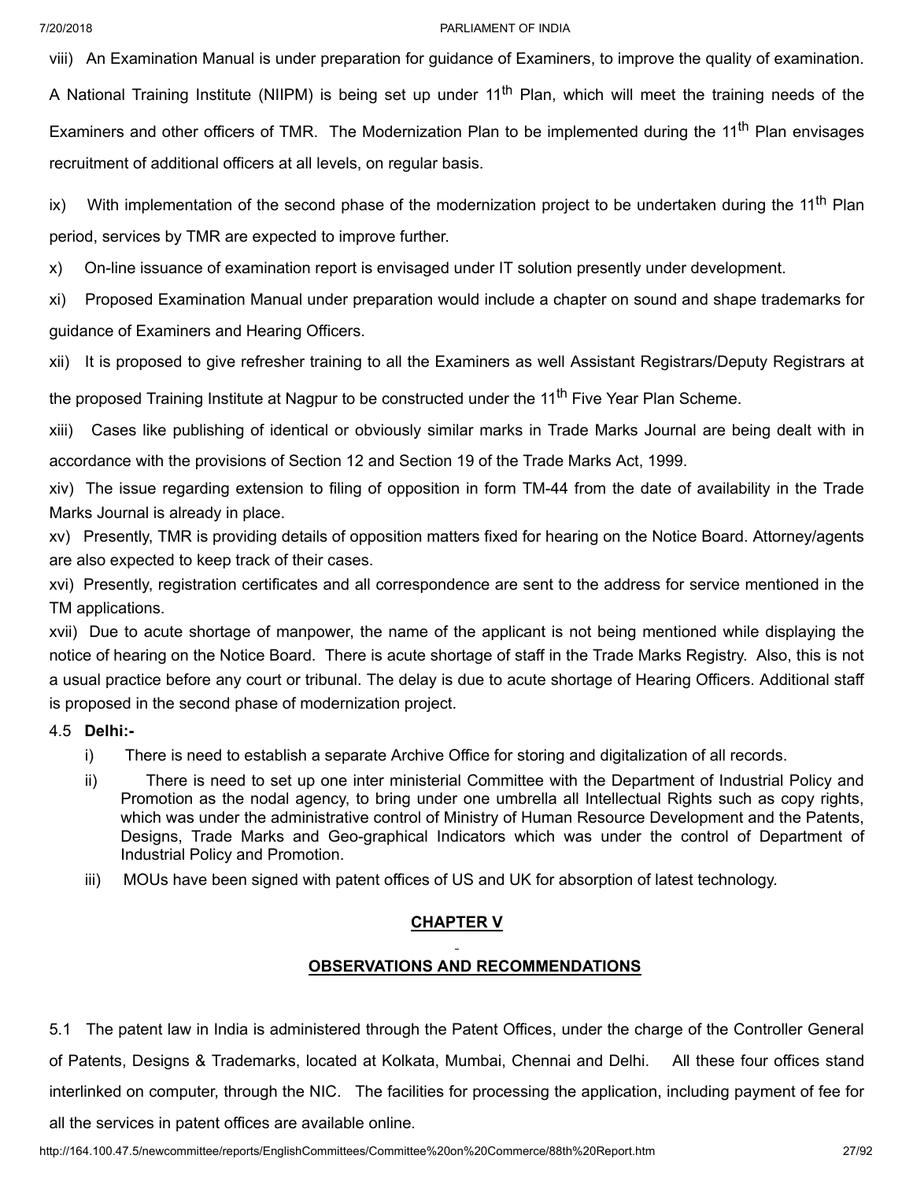viii) An Examination Manual is under preparation for guidance of Examiners, to improve the quality of examination. A National Training Institute (NIIPM) is being set up under 11<sup>th</sup> Plan, which will meet the training needs of the Examiners and other officers of TMR. The Modernization Plan to be implemented during the 11<sup>th</sup> Plan envisages recruitment of additional officers at all levels, on regular basis.

ix) With implementation of the second phase of the modernization project to be undertaken during the 11<sup>th</sup> Plan period, services by TMR are expected to improve further.

x) On-line issuance of examination report is envisaged under IT solution presently under development.

xi) Proposed Examination Manual under preparation would include a chapter on sound and shape trademarks for guidance of Examiners and Hearing Officers.

xii) It is proposed to give refresher training to all the Examiners as well Assistant Registrars/Deputy Registrars at

the proposed Training Institute at Nagpur to be constructed under the 11<sup>th</sup> Five Year Plan Scheme.

xiii) Cases like publishing of identical or obviously similar marks in Trade Marks Journal are being dealt with in accordance with the provisions of Section 12 and Section 19 of the Trade Marks Act, 1999.

xiv) The issue regarding extension to filing of opposition in form TM-44 from the date of availability in the Trade Marks Journal is already in place.

xv) Presently, TMR is providing details of opposition matters fixed for hearing on the Notice Board. Attorney/agents are also expected to keep track of their cases.

xvi) Presently, registration certificates and all correspondence are sent to the address for service mentioned in the TM applications.

xvii) Due to acute shortage of manpower, the name of the applicant is not being mentioned while displaying the notice of hearing on the Notice Board. There is acute shortage of staff in the Trade Marks Registry. Also, this is not a usual practice before any court or tribunal. The delay is due to acute shortage of Hearing Officers. Additional staff is proposed in the second phase of modernization project.

## 4.5 **Delhi:-**

- i) There is need to establish a separate Archive Office for storing and digitalization of all records.
- ii) There is need to set up one inter ministerial Committee with the Department of Industrial Policy and Promotion as the nodal agency, to bring under one umbrella all Intellectual Rights such as copy rights, which was under the administrative control of Ministry of Human Resource Development and the Patents, Designs, Trade Marks and Geo-graphical Indicators which was under the control of Department of Industrial Policy and Promotion.
- iii) MOUs have been signed with patent offices of US and UK for absorption of latest technology.

## **CHAPTER V**

## **OBSERVATIONS AND RECOMMENDATIONS**

5.1 The patent law in India is administered through the Patent Offices, under the charge of the Controller General of Patents, Designs & Trademarks, located at Kolkata, Mumbai, Chennai and Delhi. All these four offices stand interlinked on computer, through the NIC. The facilities for processing the application, including payment of fee for

all the services in patent offices are available online.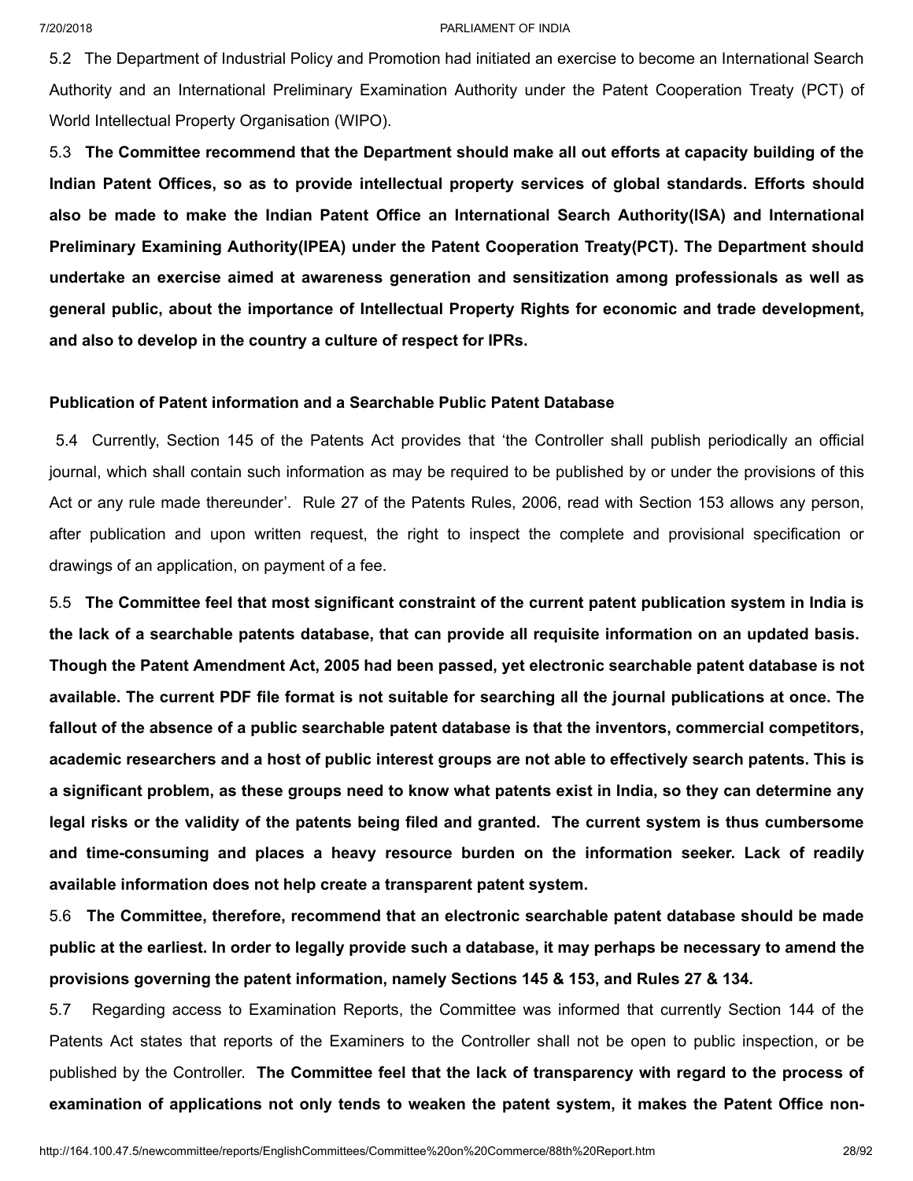5.2 The Department of Industrial Policy and Promotion had initiated an exercise to become an International Search Authority and an International Preliminary Examination Authority under the Patent Cooperation Treaty (PCT) of World Intellectual Property Organisation (WIPO).

5.3 **The Committee recommend that the Department should make all out efforts at capacity building of the Indian Patent Offices, so as to provide intellectual property services of global standards. Efforts should also be made to make the Indian Patent Office an International Search Authority(ISA) and International Preliminary Examining Authority(IPEA) under the Patent Cooperation Treaty(PCT). The Department should undertake an exercise aimed at awareness generation and sensitization among professionals as well as general public, about the importance of Intellectual Property Rights for economic and trade development, and also to develop in the country a culture of respect for IPRs.**

## **Publication of Patent information and a Searchable Public Patent Database**

5.4 Currently, Section 145 of the Patents Act provides that 'the Controller shall publish periodically an official journal, which shall contain such information as may be required to be published by or under the provisions of this Act or any rule made thereunder'. Rule 27 of the Patents Rules, 2006, read with Section 153 allows any person, after publication and upon written request, the right to inspect the complete and provisional specification or drawings of an application, on payment of a fee.

5.5 **The Committee feel that most significant constraint of the current patent publication system in India is** the lack of a searchable patents database, that can provide all requisite information on an updated basis. **Though the Patent Amendment Act, 2005 had been passed, yet electronic searchable patent database is not** available. The current PDF file format is not suitable for searching all the journal publications at once. The **fallout of the absence of a public searchable patent database is that the inventors, commercial competitors,** academic researchers and a host of public interest groups are not able to effectively search patents. This is a significant problem, as these groups need to know what patents exist in India, so they can determine any legal risks or the validity of the patents being filed and granted. The current system is thus cumbersome **and time-consuming and places a heavy resource burden on the information seeker. Lack of readily available information does not help create a transparent patent system.**

5.6 **The Committee, therefore, recommend that an electronic searchable patent database should be made** public at the earliest. In order to legally provide such a database, it may perhaps be necessary to amend the **provisions governing the patent information, namely Sections 145 & 153, and Rules 27 & 134.**

5.7 Regarding access to Examination Reports, the Committee was informed that currently Section 144 of the Patents Act states that reports of the Examiners to the Controller shall not be open to public inspection, or be published by the Controller. **The Committee feel that the lack of transparency with regard to the process of examination of applications not only tends to weaken the patent system, it makes the Patent Office non-**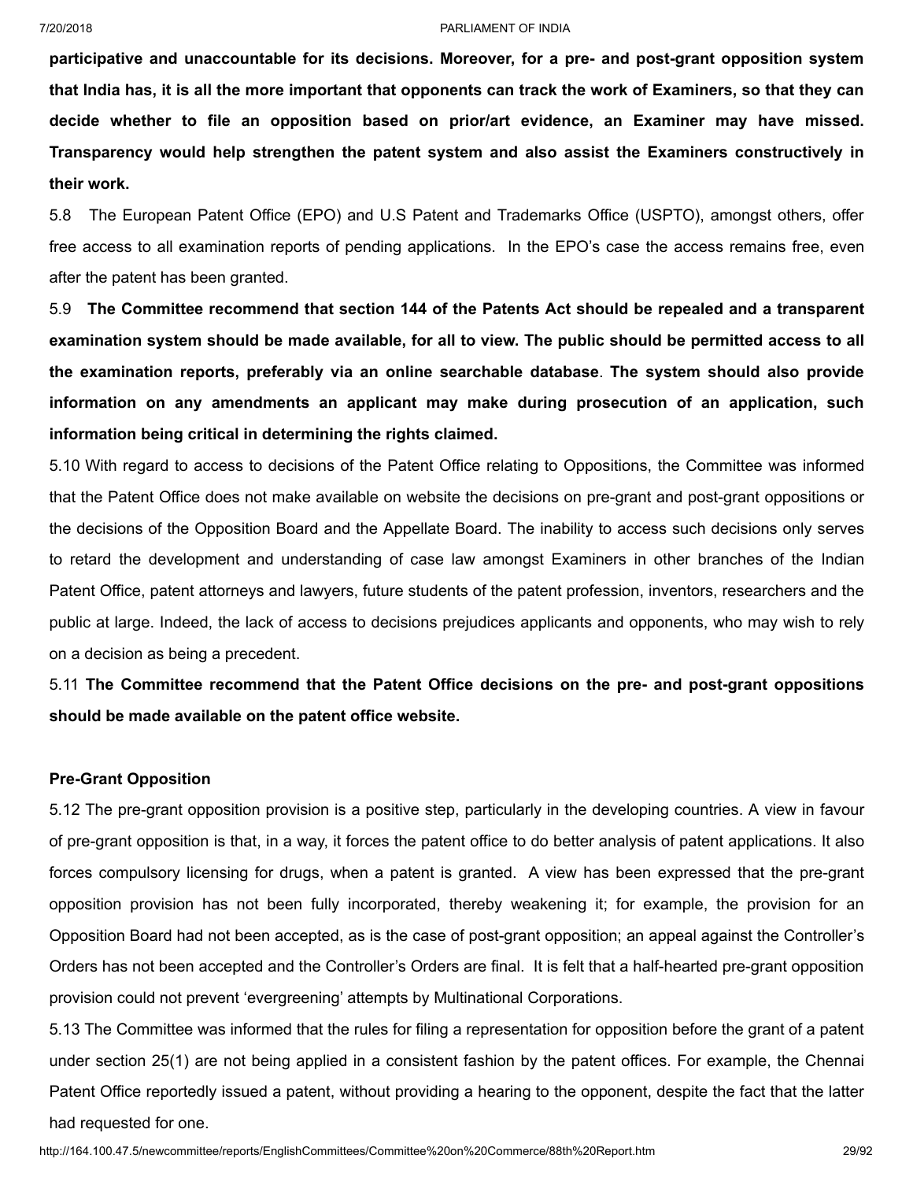**participative and unaccountable for its decisions. Moreover, for a pre- and post-grant opposition system** that India has, it is all the more important that opponents can track the work of Examiners, so that they can **decide whether to file an opposition based on prior/art evidence, an Examiner may have missed. Transparency would help strengthen the patent system and also assist the Examiners constructively in their work.**

5.8 The European Patent Office (EPO) and U.S Patent and Trademarks Office (USPTO), amongst others, offer free access to all examination reports of pending applications. In the EPO's case the access remains free, even after the patent has been granted.

5.9 **The Committee recommend that section 144 of the Patents Act should be repealed and a transparent** examination system should be made available, for all to view. The public should be permitted access to all **the examination reports, preferably via an online searchable database**. **The system should also provide information on any amendments an applicant may make during prosecution of an application, such information being critical in determining the rights claimed.**

5.10 With regard to access to decisions of the Patent Office relating to Oppositions, the Committee was informed that the Patent Office does not make available on website the decisions on pre-grant and post-grant oppositions or the decisions of the Opposition Board and the Appellate Board. The inability to access such decisions only serves to retard the development and understanding of case law amongst Examiners in other branches of the Indian Patent Office, patent attorneys and lawyers, future students of the patent profession, inventors, researchers and the public at large. Indeed, the lack of access to decisions prejudices applicants and opponents, who may wish to rely on a decision as being a precedent.

5.11 **The Committee recommend that the Patent Office decisions on the pre- and post-grant oppositions should be made available on the patent office website.**

## **Pre-Grant Opposition**

5.12 The pre-grant opposition provision is a positive step, particularly in the developing countries. A view in favour of pre-grant opposition is that, in a way, it forces the patent office to do better analysis of patent applications. It also forces compulsory licensing for drugs, when a patent is granted. A view has been expressed that the pre-grant opposition provision has not been fully incorporated, thereby weakening it; for example, the provision for an Opposition Board had not been accepted, as is the case of post-grant opposition; an appeal against the Controller's Orders has not been accepted and the Controller's Orders are final. It is felt that a half-hearted pre-grant opposition provision could not prevent 'evergreening' attempts by Multinational Corporations.

5.13 The Committee was informed that the rules for filing a representation for opposition before the grant of a patent under section 25(1) are not being applied in a consistent fashion by the patent offices. For example, the Chennai Patent Office reportedly issued a patent, without providing a hearing to the opponent, despite the fact that the latter had requested for one.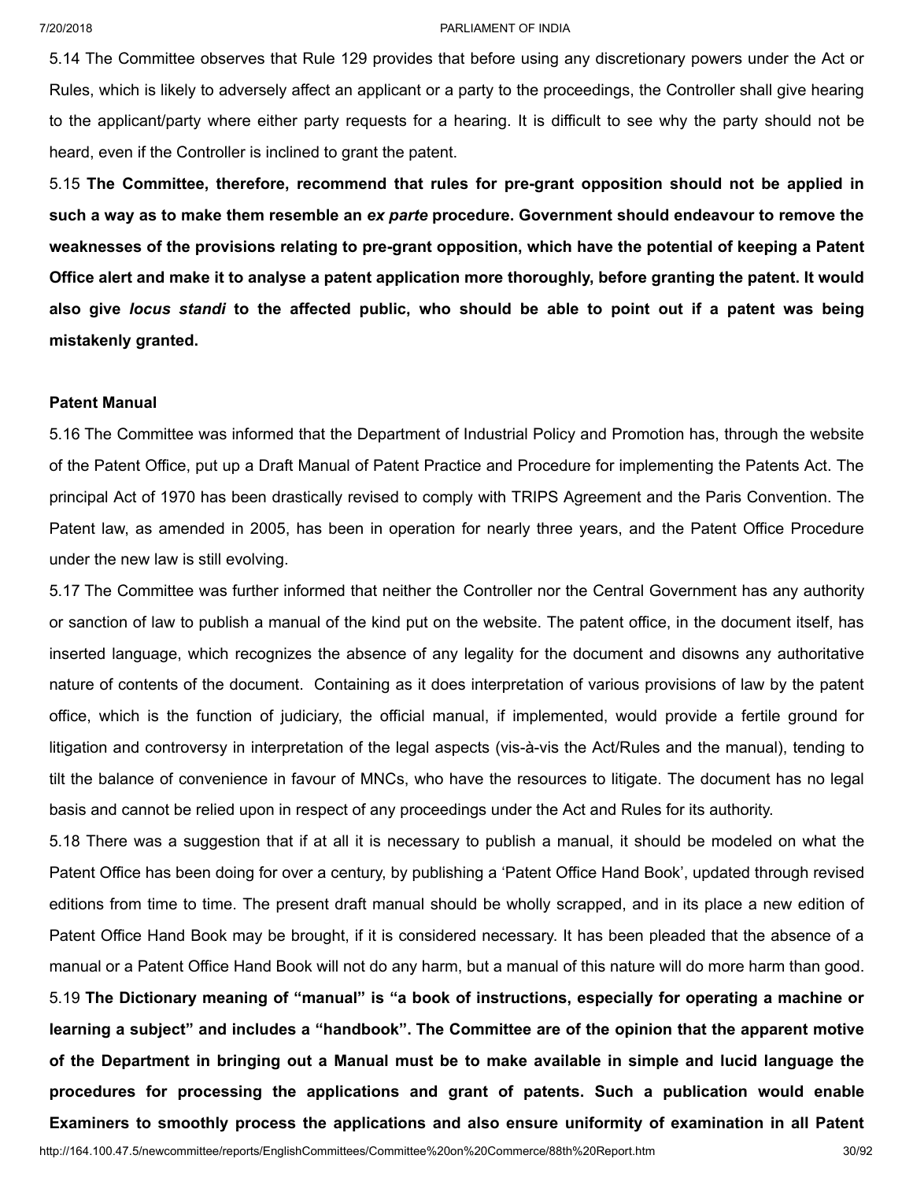5.14 The Committee observes that Rule 129 provides that before using any discretionary powers under the Act or Rules, which is likely to adversely affect an applicant or a party to the proceedings, the Controller shall give hearing to the applicant/party where either party requests for a hearing. It is difficult to see why the party should not be heard, even if the Controller is inclined to grant the patent.

5.15 **The Committee, therefore, recommend that rules for pre-grant opposition should not be applied in** such a way as to make them resemble an ex parte procedure. Government should endeavour to remove the **weaknesses of the provisions relating to pre-grant opposition, which have the potential of keeping a Patent** Office alert and make it to analyse a patent application more thoroughly, before granting the patent. It would also give locus standi to the affected public, who should be able to point out if a patent was being **mistakenly granted.**

## **Patent Manual**

5.16 The Committee was informed that the Department of Industrial Policy and Promotion has, through the website of the Patent Office, put up a Draft Manual of Patent Practice and Procedure for implementing the Patents Act. The principal Act of 1970 has been drastically revised to comply with TRIPS Agreement and the Paris Convention. The Patent law, as amended in 2005, has been in operation for nearly three years, and the Patent Office Procedure under the new law is still evolving.

5.17 The Committee was further informed that neither the Controller nor the Central Government has any authority or sanction of law to publish a manual of the kind put on the website. The patent office, in the document itself, has inserted language, which recognizes the absence of any legality for the document and disowns any authoritative nature of contents of the document. Containing as it does interpretation of various provisions of law by the patent office, which is the function of judiciary, the official manual, if implemented, would provide a fertile ground for litigation and controversy in interpretation of the legal aspects (vis-à-vis the Act/Rules and the manual), tending to tilt the balance of convenience in favour of MNCs, who have the resources to litigate. The document has no legal basis and cannot be relied upon in respect of any proceedings under the Act and Rules for its authority.

5.18 There was a suggestion that if at all it is necessary to publish a manual, it should be modeled on what the Patent Office has been doing for over a century, by publishing a 'Patent Office Hand Book', updated through revised editions from time to time. The present draft manual should be wholly scrapped, and in its place a new edition of Patent Office Hand Book may be brought, if it is considered necessary. It has been pleaded that the absence of a manual or a Patent Office Hand Book will not do any harm, but a manual of this nature will do more harm than good. 5.19 **The Dictionary meaning of "manual" is "a book of instructions, especially for operating a machine or learning a subject" and includes a "handbook". The Committee are of the opinion that the apparent motive** of the Department in bringing out a Manual must be to make available in simple and lucid language the **procedures for processing the applications and grant of patents. Such a publication would enable Examiners to smoothly process the applications and also ensure uniformity of examination in all Patent**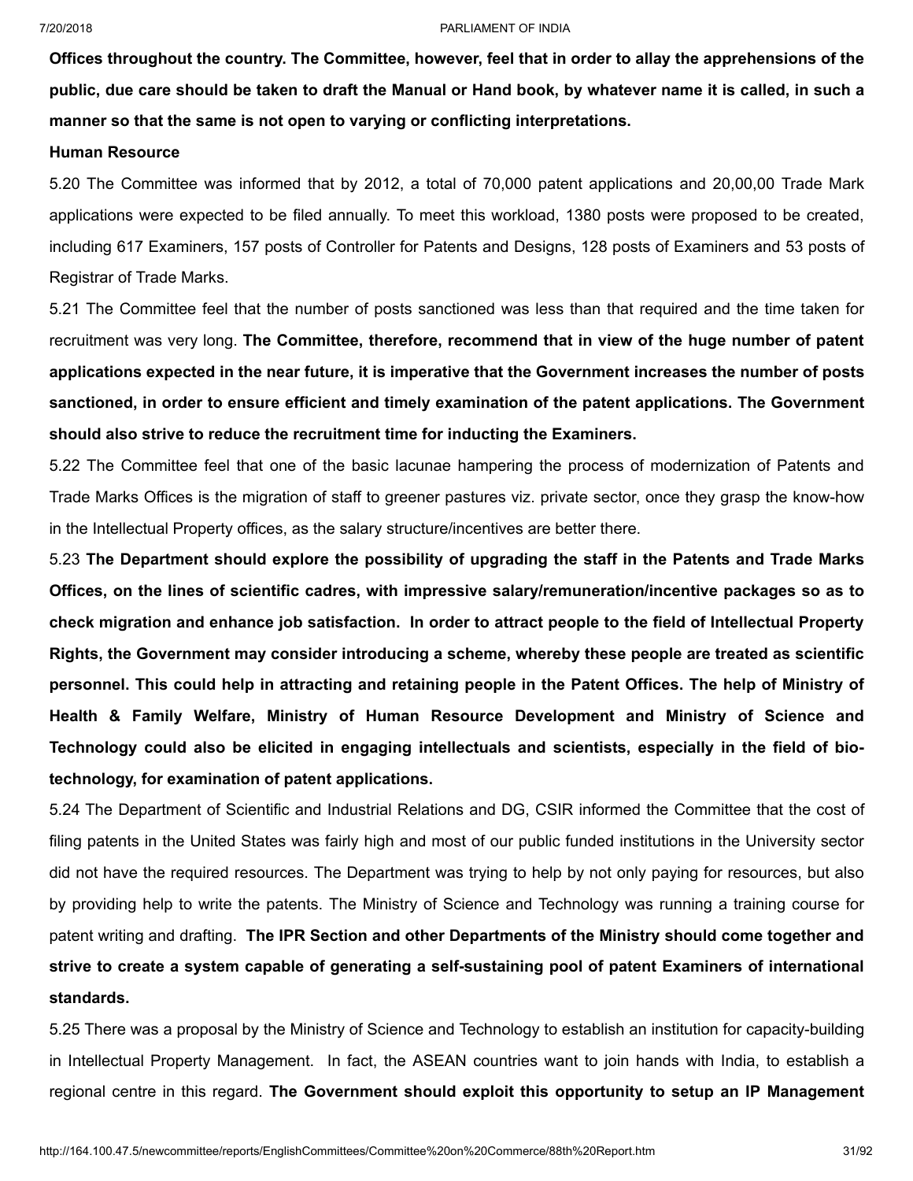Offices throughout the country. The Committee, however, feel that in order to allay the apprehensions of the public, due care should be taken to draft the Manual or Hand book, by whatever name it is called, in such a **manner so that the same is not open to varying or conflicting interpretations.**

## **Human Resource**

5.20 The Committee was informed that by 2012, a total of 70,000 patent applications and 20,00,00 Trade Mark applications were expected to be filed annually. To meet this workload, 1380 posts were proposed to be created, including 617 Examiners, 157 posts of Controller for Patents and Designs, 128 posts of Examiners and 53 posts of Registrar of Trade Marks.

5.21 The Committee feel that the number of posts sanctioned was less than that required and the time taken for recruitment was very long. **The Committee, therefore, recommend that in view of the huge number of patent** applications expected in the near future, it is imperative that the Government increases the number of posts **sanctioned, in order to ensure efficient and timely examination of the patent applications. The Government should also strive to reduce the recruitment time for inducting the Examiners.**

5.22 The Committee feel that one of the basic lacunae hampering the process of modernization of Patents and Trade Marks Offices is the migration of staff to greener pastures viz. private sector, once they grasp the know-how in the Intellectual Property offices, as the salary structure/incentives are better there.

5.23 **The Department should explore the possibility of upgrading the staff in the Patents and Trade Marks Offices, on the lines of scientific cadres, with impressive salary/remuneration/incentive packages so as to** check migration and enhance job satisfaction. In order to attract people to the field of Intellectual Property **Rights, the Government may consider introducing a scheme, whereby these people are treated as scientific** personnel. This could help in attracting and retaining people in the Patent Offices. The help of Ministry of **Health & Family Welfare, Ministry of Human Resource Development and Ministry of Science and Technology could also be elicited in engaging intellectuals and scientists, especially in the field of biotechnology, for examination of patent applications.**

5.24 The Department of Scientific and Industrial Relations and DG, CSIR informed the Committee that the cost of filing patents in the United States was fairly high and most of our public funded institutions in the University sector did not have the required resources. The Department was trying to help by not only paying for resources, but also by providing help to write the patents. The Ministry of Science and Technology was running a training course for patent writing and drafting. **The IPR Section and other Departments of the Ministry should come together and strive to create a system capable of generating a self-sustaining pool of patent Examiners of international standards.**

5.25 There was a proposal by the Ministry of Science and Technology to establish an institution for capacity-building in Intellectual Property Management. In fact, the ASEAN countries want to join hands with India, to establish a regional centre in this regard. **The Government should exploit this opportunity to setup an IP Management**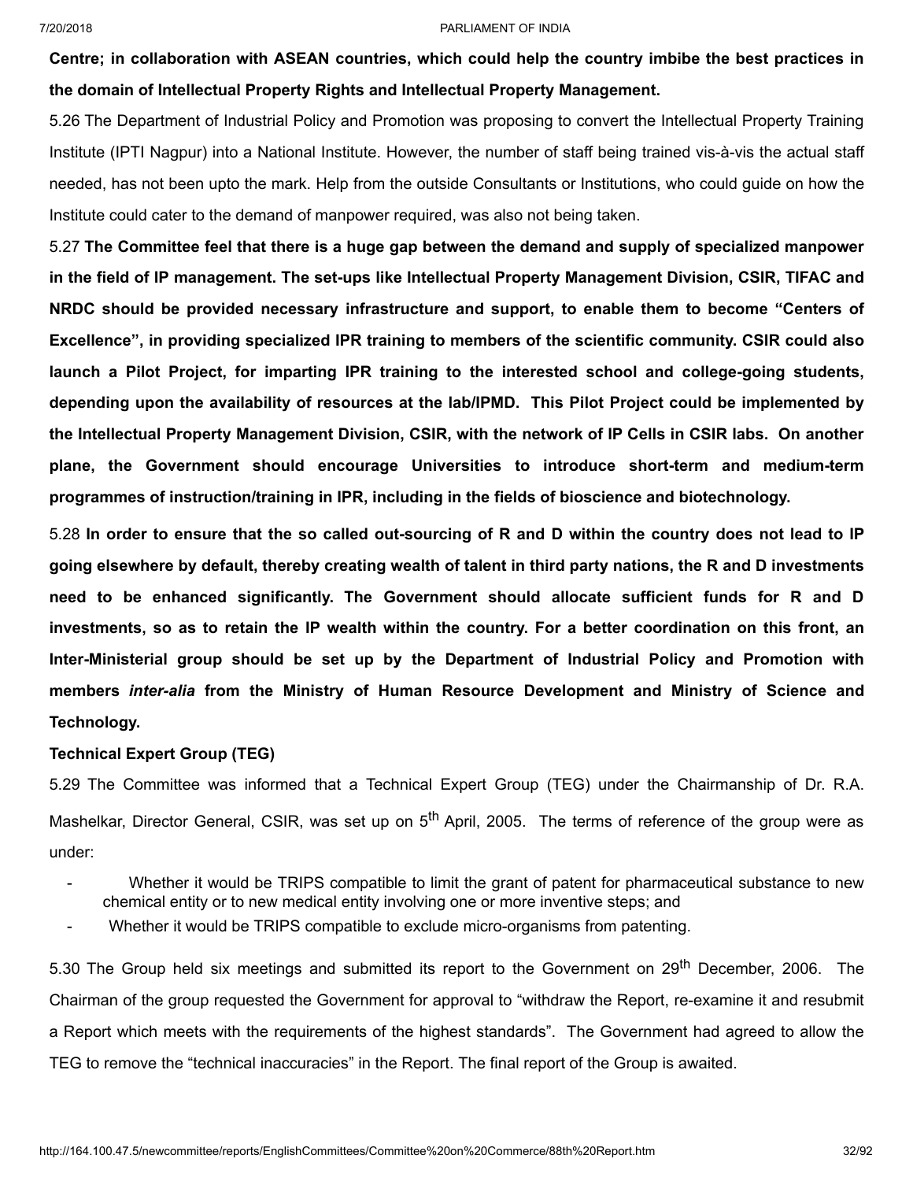**Centre; in collaboration with ASEAN countries, which could help the country imbibe the best practices in the domain of Intellectual Property Rights and Intellectual Property Management.**

5.26 The Department of Industrial Policy and Promotion was proposing to convert the Intellectual Property Training Institute (IPTI Nagpur) into a National Institute. However, the number of staff being trained vis-à-vis the actual staff needed, has not been upto the mark. Help from the outside Consultants or Institutions, who could guide on how the Institute could cater to the demand of manpower required, was also not being taken.

5.27 **The Committee feel that there is a huge gap between the demand and supply of specialized manpower in the field of IP management. The set-ups like Intellectual Property Management Division, CSIR, TIFAC and NRDC should be provided necessary infrastructure and support, to enable them to become "Centers of Excellence", in providing specialized IPR training to members of the scientific community. CSIR could also launch a Pilot Project, for imparting IPR training to the interested school and college-going students, depending upon the availability of resources at the lab/IPMD. This Pilot Project could be implemented by** the Intellectual Property Management Division, CSIR, with the network of IP Cells in CSIR labs. On another **plane, the Government should encourage Universities to introduce short-term and medium-term programmes of instruction/training in IPR, including in the fields of bioscience and biotechnology.**

5.28 In order to ensure that the so called out-sourcing of R and D within the country does not lead to IP going elsewhere by default, thereby creating wealth of talent in third party nations, the R and D investments **need to be enhanced significantly. The Government should allocate sufficient funds for R and D** investments, so as to retain the IP wealth within the country. For a better coordination on this front, an **Inter-Ministerial group should be set up by the Department of Industrial Policy and Promotion with members** *inter-alia* **from the Ministry of Human Resource Development and Ministry of Science and Technology.**

## **Technical Expert Group (TEG)**

5.29 The Committee was informed that a Technical Expert Group (TEG) under the Chairmanship of Dr. R.A. Mashelkar, Director General, CSIR, was set up on 5<sup>th</sup> April, 2005. The terms of reference of the group were as under:

- Whether it would be TRIPS compatible to limit the grant of patent for pharmaceutical substance to new chemical entity or to new medical entity involving one or more inventive steps; and
- Whether it would be TRIPS compatible to exclude micro-organisms from patenting.

5.30 The Group held six meetings and submitted its report to the Government on 29<sup>th</sup> December, 2006. The Chairman of the group requested the Government for approval to "withdraw the Report, re-examine it and resubmit a Report which meets with the requirements of the highest standards". The Government had agreed to allow the TEG to remove the "technical inaccuracies" in the Report. The final report of the Group is awaited.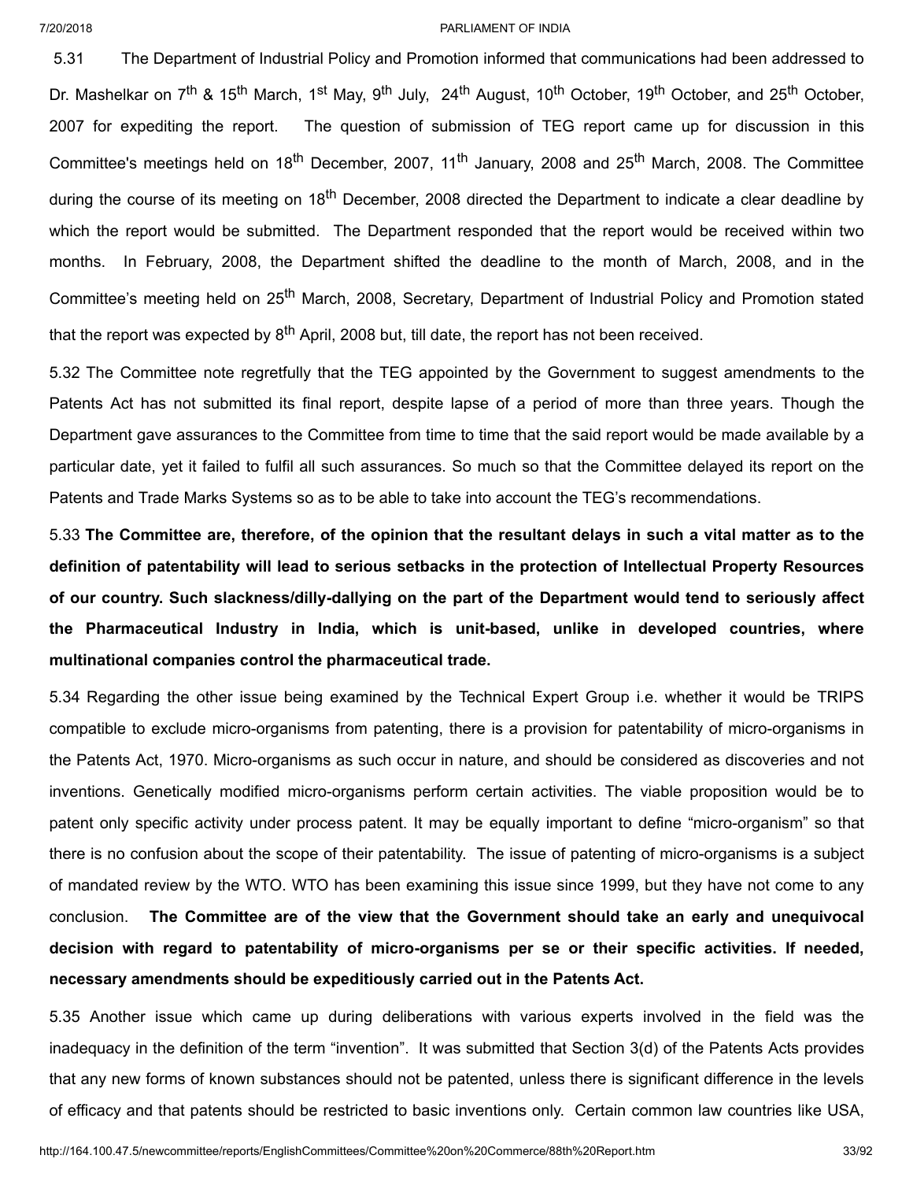5.31 The Department of Industrial Policy and Promotion informed that communications had been addressed to Dr. Mashelkar on 7<sup>th</sup> & 15<sup>th</sup> March, 1<sup>st</sup> May, 9<sup>th</sup> July, 24<sup>th</sup> August, 10<sup>th</sup> October, 19<sup>th</sup> October, and 25<sup>th</sup> October, 2007 for expediting the report. The question of submission of TEG report came up for discussion in this Committee's meetings held on 18<sup>th</sup> December, 2007, 11<sup>th</sup> January, 2008 and 25<sup>th</sup> March, 2008. The Committee during the course of its meeting on 18<sup>th</sup> December, 2008 directed the Department to indicate a clear deadline by which the report would be submitted. The Department responded that the report would be received within two months. In February, 2008, the Department shifted the deadline to the month of March, 2008, and in the Committee's meeting held on 25<sup>th</sup> March, 2008, Secretary, Department of Industrial Policy and Promotion stated that the report was expected by 8<sup>th</sup> April, 2008 but, till date, the report has not been received.

5.32 The Committee note regretfully that the TEG appointed by the Government to suggest amendments to the Patents Act has not submitted its final report, despite lapse of a period of more than three years. Though the Department gave assurances to the Committee from time to time that the said report would be made available by a particular date, yet it failed to fulfil all such assurances. So much so that the Committee delayed its report on the Patents and Trade Marks Systems so as to be able to take into account the TEG's recommendations.

5.33 The Committee are, therefore, of the opinion that the resultant delays in such a vital matter as to the **definition of patentability will lead to serious setbacks in the protection of Intellectual Property Resources of our country. Such slackness/dilly-dallying on the part of the Department would tend to seriously affect the Pharmaceutical Industry in India, which is unit-based, unlike in developed countries, where multinational companies control the pharmaceutical trade.**

5.34 Regarding the other issue being examined by the Technical Expert Group i.e. whether it would be TRIPS compatible to exclude micro-organisms from patenting, there is a provision for patentability of micro-organisms in the Patents Act, 1970. Micro-organisms as such occur in nature, and should be considered as discoveries and not inventions. Genetically modified micro-organisms perform certain activities. The viable proposition would be to patent only specific activity under process patent. It may be equally important to define "micro-organism" so that there is no confusion about the scope of their patentability. The issue of patenting of micro-organisms is a subject of mandated review by the WTO. WTO has been examining this issue since 1999, but they have not come to any conclusion. **The Committee are of the view that the Government should take an early and unequivocal decision with regard to patentability of micro-organisms per se or their specific activities. If needed, necessary amendments should be expeditiously carried out in the Patents Act.**

5.35 Another issue which came up during deliberations with various experts involved in the field was the inadequacy in the definition of the term "invention". It was submitted that Section 3(d) of the Patents Acts provides that any new forms of known substances should not be patented, unless there is significant difference in the levels of efficacy and that patents should be restricted to basic inventions only. Certain common law countries like USA,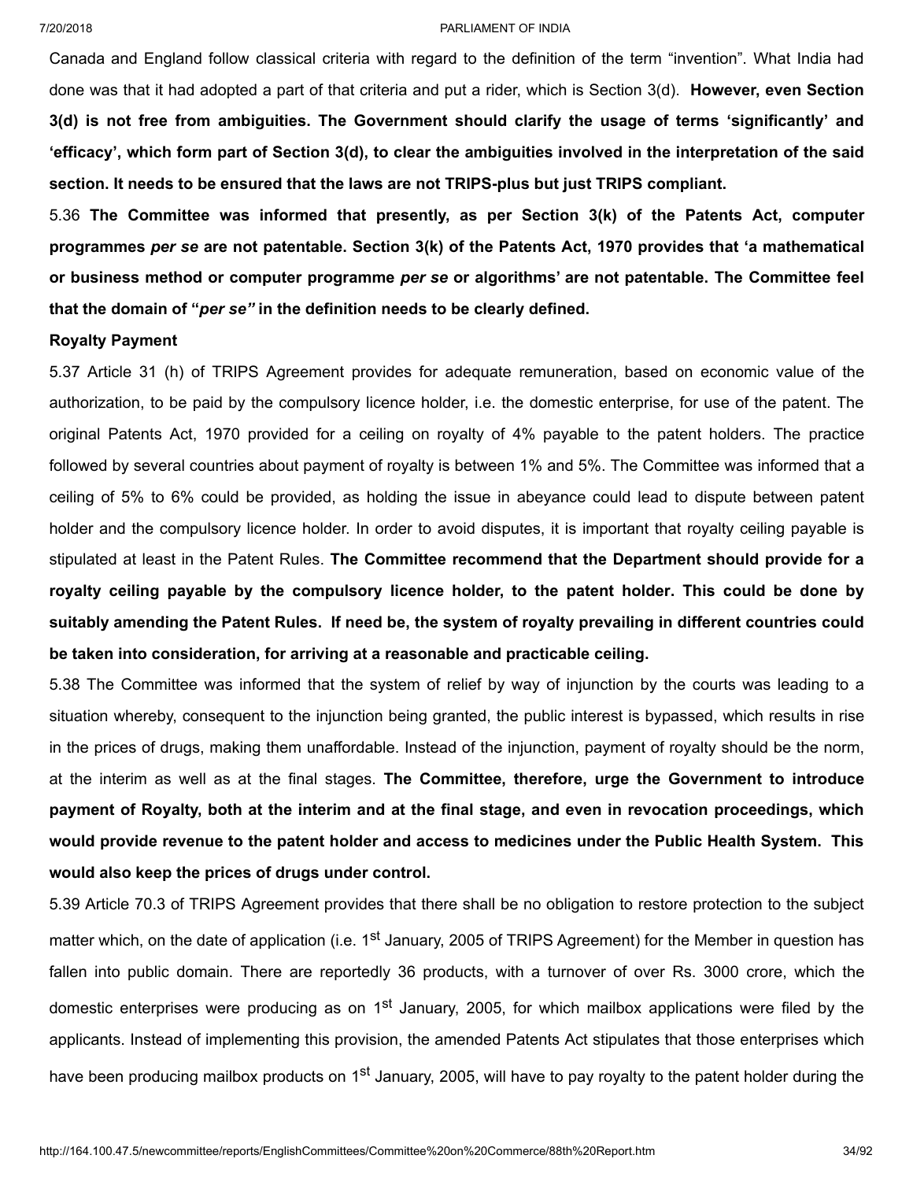Canada and England follow classical criteria with regard to the definition of the term "invention". What India had done was that it had adopted a part of that criteria and put a rider, which is Section 3(d). **However, even Section 3(d) is not free from ambiguities. The Government should clarify the usage of terms 'significantly' and** 'efficacy', which form part of Section 3(d), to clear the ambiguities involved in the interpretation of the said **section. It needs to be ensured that the laws are not TRIPS-plus but just TRIPS compliant.**

5.36 **The Committee was informed that presently, as per Section 3(k) of the Patents Act, computer programmes** *per se* **are not patentable. Section 3(k) of the Patents Act, 1970 provides that 'a mathematical or business method or computer programme** *per se* **or algorithms' are not patentable. The Committee feel that the domain of "***per se"* **in the definition needs to be clearly defined.**

## **Royalty Payment**

5.37 Article 31 (h) of TRIPS Agreement provides for adequate remuneration, based on economic value of the authorization, to be paid by the compulsory licence holder, i.e. the domestic enterprise, for use of the patent. The original Patents Act, 1970 provided for a ceiling on royalty of 4% payable to the patent holders. The practice followed by several countries about payment of royalty is between 1% and 5%. The Committee was informed that a ceiling of 5% to 6% could be provided, as holding the issue in abeyance could lead to dispute between patent holder and the compulsory licence holder. In order to avoid disputes, it is important that royalty ceiling payable is stipulated at least in the Patent Rules. **The Committee recommend that the Department should provide for a royalty ceiling payable by the compulsory licence holder, to the patent holder. This could be done by** suitably amending the Patent Rules. If need be, the system of royalty prevailing in different countries could **be taken into consideration, for arriving at a reasonable and practicable ceiling.**

5.38 The Committee was informed that the system of relief by way of injunction by the courts was leading to a situation whereby, consequent to the injunction being granted, the public interest is bypassed, which results in rise in the prices of drugs, making them unaffordable. Instead of the injunction, payment of royalty should be the norm, at the interim as well as at the final stages. **The Committee, therefore, urge the Government to introduce** payment of Royalty, both at the interim and at the final stage, and even in revocation proceedings, which **would provide revenue to the patent holder and access to medicines under the Public Health System. This would also keep the prices of drugs under control.**

5.39 Article 70.3 of TRIPS Agreement provides that there shall be no obligation to restore protection to the subject matter which, on the date of application (i.e. 1<sup>st</sup> January, 2005 of TRIPS Agreement) for the Member in question has fallen into public domain. There are reportedly 36 products, with a turnover of over Rs. 3000 crore, which the domestic enterprises were producing as on 1<sup>st</sup> January, 2005, for which mailbox applications were filed by the applicants. Instead of implementing this provision, the amended Patents Act stipulates that those enterprises which have been producing mailbox products on 1<sup>st</sup> January, 2005, will have to pay royalty to the patent holder during the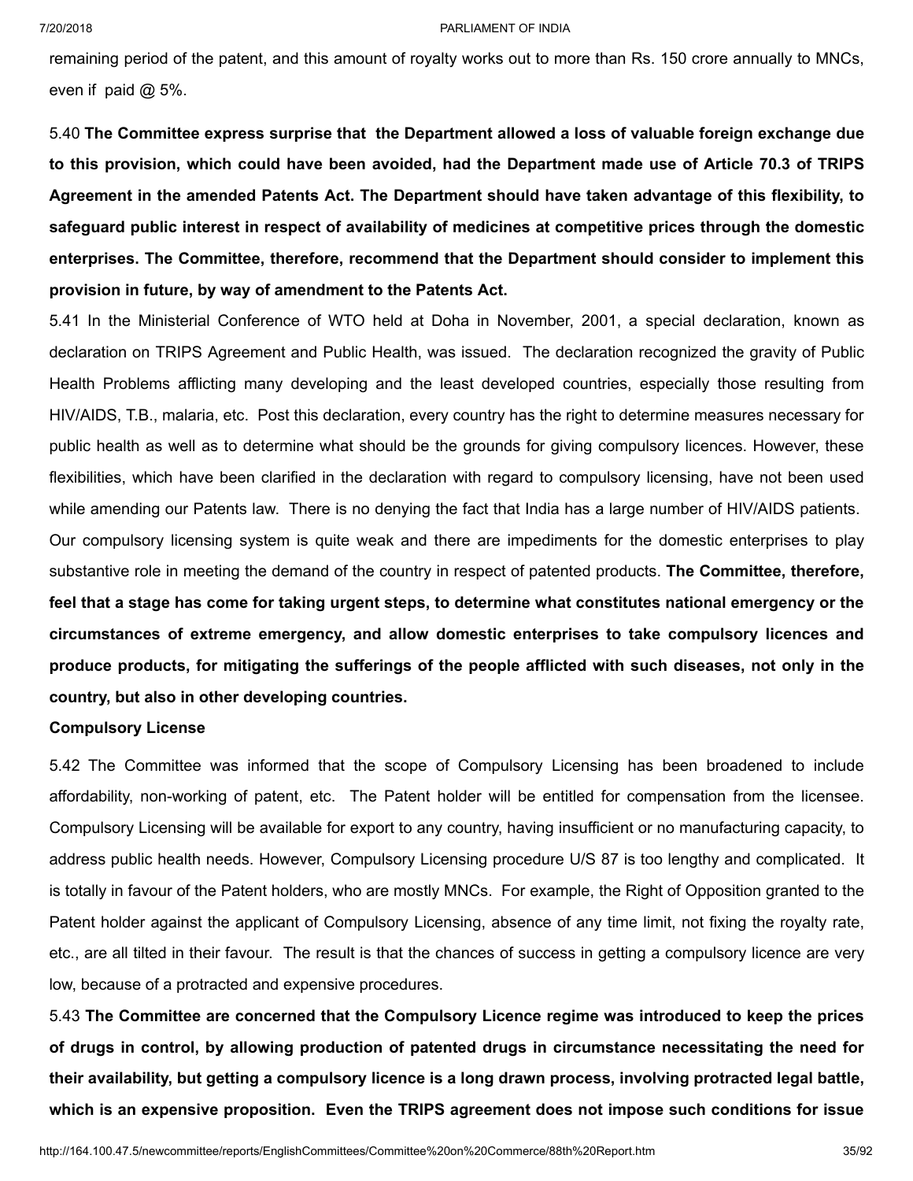remaining period of the patent, and this amount of royalty works out to more than Rs. 150 crore annually to MNCs, even if paid @ 5%.

5.40 **The Committee express surprise that the Department allowed a loss of valuable foreign exchange due** to this provision, which could have been avoided, had the Department made use of Article 70.3 of TRIPS **Agreement in the amended Patents Act. The Department should have taken advantage of this flexibility, to safeguard public interest in respect of availability of medicines at competitive prices through the domestic enterprises. The Committee, therefore, recommend that the Department should consider to implement this provision in future, by way of amendment to the Patents Act.**

5.41 In the Ministerial Conference of WTO held at Doha in November, 2001, a special declaration, known as declaration on TRIPS Agreement and Public Health, was issued. The declaration recognized the gravity of Public Health Problems afflicting many developing and the least developed countries, especially those resulting from HIV/AIDS, T.B., malaria, etc. Post this declaration, every country has the right to determine measures necessary for public health as well as to determine what should be the grounds for giving compulsory licences. However, these flexibilities, which have been clarified in the declaration with regard to compulsory licensing, have not been used while amending our Patents law. There is no denying the fact that India has a large number of HIV/AIDS patients. Our compulsory licensing system is quite weak and there are impediments for the domestic enterprises to play

substantive role in meeting the demand of the country in respect of patented products. **The Committee, therefore,** feel that a stage has come for taking urgent steps, to determine what constitutes national emergency or the **circumstances of extreme emergency, and allow domestic enterprises to take compulsory licences and** produce products, for mitigating the sufferings of the people afflicted with such diseases, not only in the **country, but also in other developing countries.**

## **Compulsory License**

5.42 The Committee was informed that the scope of Compulsory Licensing has been broadened to include affordability, non-working of patent, etc. The Patent holder will be entitled for compensation from the licensee. Compulsory Licensing will be available for export to any country, having insufficient or no manufacturing capacity, to address public health needs. However, Compulsory Licensing procedure U/S 87 is too lengthy and complicated. It is totally in favour of the Patent holders, who are mostly MNCs. For example, the Right of Opposition granted to the Patent holder against the applicant of Compulsory Licensing, absence of any time limit, not fixing the royalty rate, etc., are all tilted in their favour. The result is that the chances of success in getting a compulsory licence are very low, because of a protracted and expensive procedures.

5.43 **The Committee are concerned that the Compulsory Licence regime was introduced to keep the prices of drugs in control, by allowing production of patented drugs in circumstance necessitating the need for their availability, but getting a compulsory licence is a long drawn process, involving protracted legal battle, which is an expensive proposition. Even the TRIPS agreement does not impose such conditions for issue**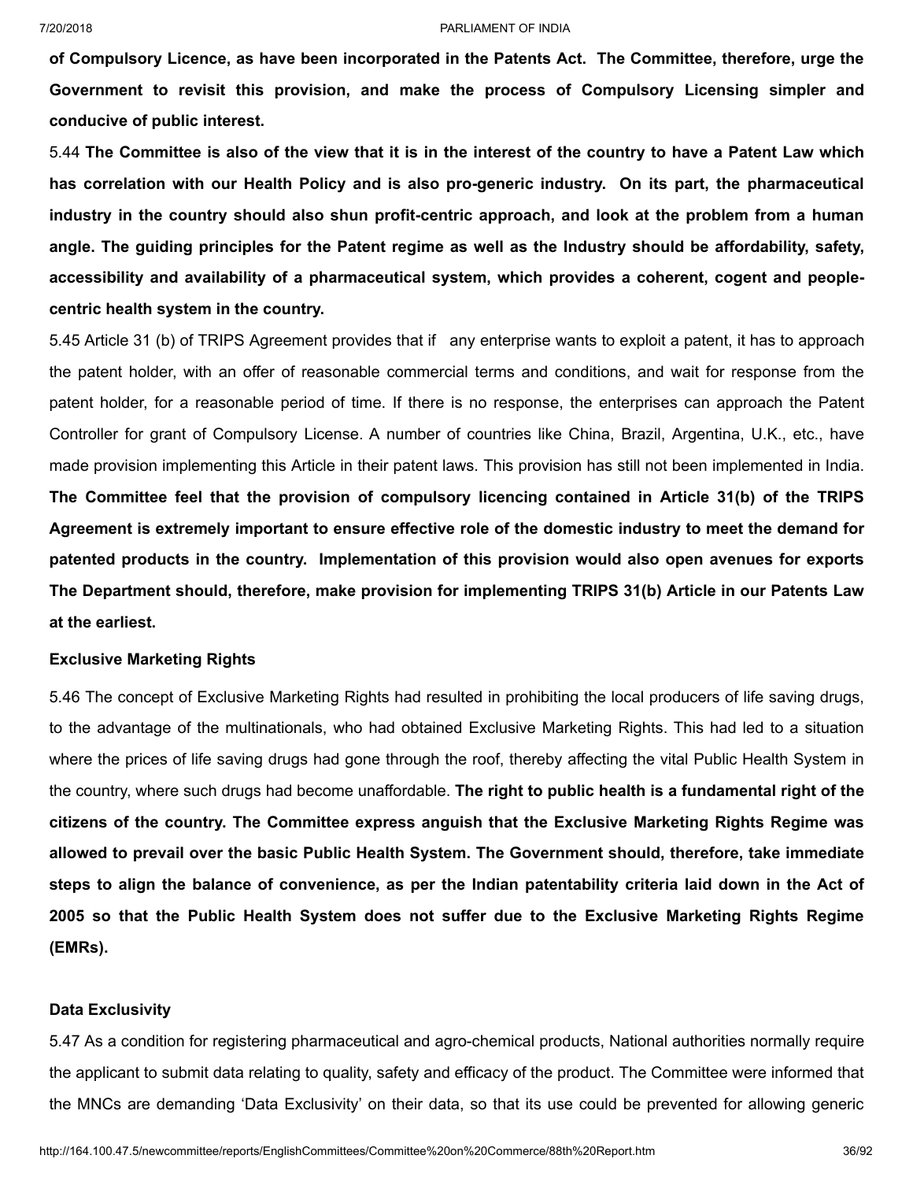**of Compulsory Licence, as have been incorporated in the Patents Act. The Committee, therefore, urge the Government to revisit this provision, and make the process of Compulsory Licensing simpler and conducive of public interest.**

5.44 The Committee is also of the view that it is in the interest of the country to have a Patent Law which **has correlation with our Health Policy and is also pro-generic industry. On its part, the pharmaceutical industry in the country should also shun profit-centric approach, and look at the problem from a human** angle. The guiding principles for the Patent regime as well as the Industry should be affordability, safety, **accessibility and availability of a pharmaceutical system, which provides a coherent, cogent and peoplecentric health system in the country.**

5.45 Article 31 (b) of TRIPS Agreement provides that if any enterprise wants to exploit a patent, it has to approach the patent holder, with an offer of reasonable commercial terms and conditions, and wait for response from the patent holder, for a reasonable period of time. If there is no response, the enterprises can approach the Patent Controller for grant of Compulsory License. A number of countries like China, Brazil, Argentina, U.K., etc., have made provision implementing this Article in their patent laws. This provision has still not been implemented in India. **The Committee feel that the provision of compulsory licencing contained in Article 31(b) of the TRIPS Agreement is extremely important to ensure effective role of the domestic industry to meet the demand for patented products in the country. Implementation of this provision would also open avenues for exports The Department should, therefore, make provision for implementing TRIPS 31(b) Article in our Patents Law at the earliest.**

## **Exclusive Marketing Rights**

5.46 The concept of Exclusive Marketing Rights had resulted in prohibiting the local producers of life saving drugs, to the advantage of the multinationals, who had obtained Exclusive Marketing Rights. This had led to a situation where the prices of life saving drugs had gone through the roof, thereby affecting the vital Public Health System in the country, where such drugs had become unaffordable. **The right to public health is a fundamental right of the citizens of the country. The Committee express anguish that the Exclusive Marketing Rights Regime was allowed to prevail over the basic Public Health System. The Government should, therefore, take immediate** steps to align the balance of convenience, as per the Indian patentability criteria laid down in the Act of **2005 so that the Public Health System does not suffer due to the Exclusive Marketing Rights Regime (EMRs).**

### **Data Exclusivity**

5.47 As a condition for registering pharmaceutical and agro-chemical products, National authorities normally require the applicant to submit data relating to quality, safety and efficacy of the product. The Committee were informed that the MNCs are demanding 'Data Exclusivity' on their data, so that its use could be prevented for allowing generic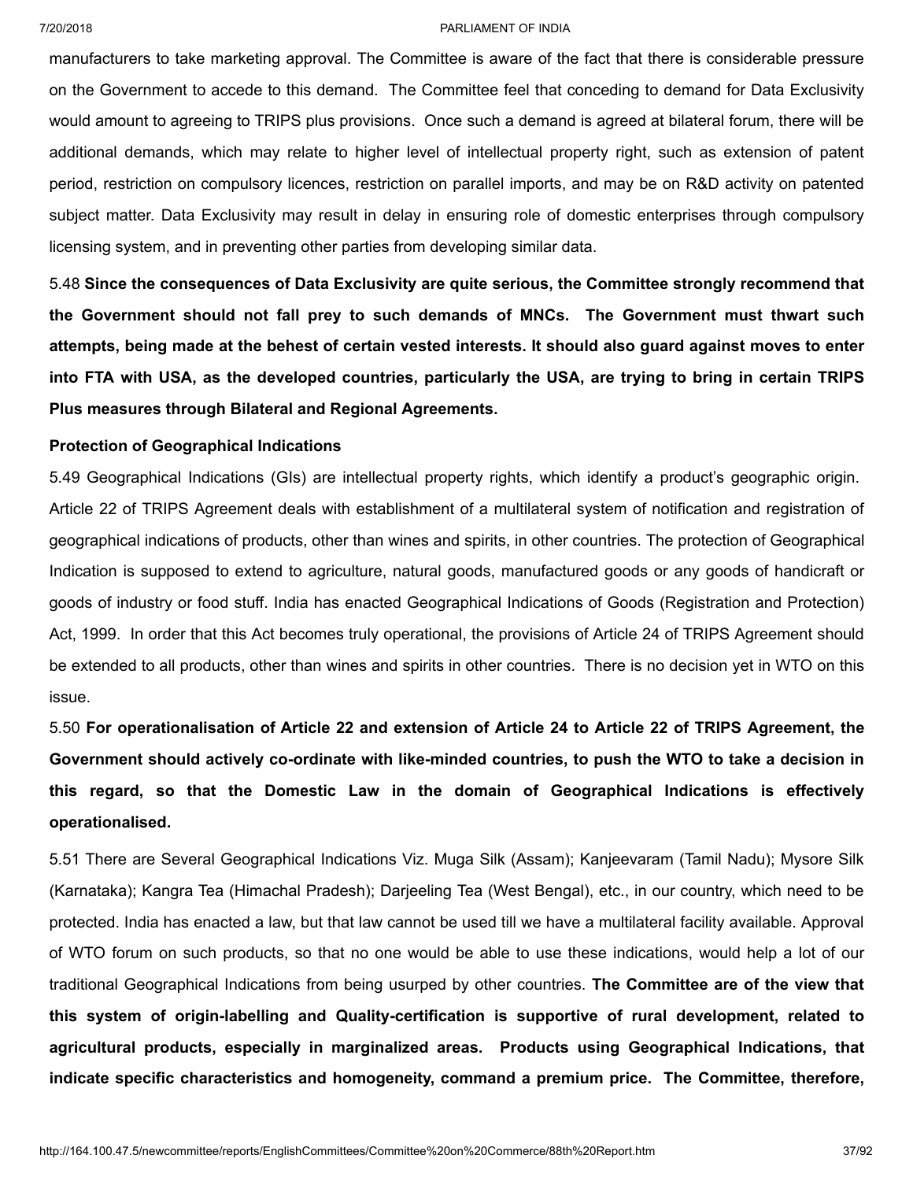manufacturers to take marketing approval. The Committee is aware of the fact that there is considerable pressure on the Government to accede to this demand. The Committee feel that conceding to demand for Data Exclusivity would amount to agreeing to TRIPS plus provisions. Once such a demand is agreed at bilateral forum, there will be additional demands, which may relate to higher level of intellectual property right, such as extension of patent period, restriction on compulsory licences, restriction on parallel imports, and may be on R&D activity on patented subject matter. Data Exclusivity may result in delay in ensuring role of domestic enterprises through compulsory licensing system, and in preventing other parties from developing similar data.

5.48 **Since the consequences of Data Exclusivity are quite serious, the Committee strongly recommend that the Government should not fall prey to such demands of MNCs. The Government must thwart such** attempts, being made at the behest of certain vested interests. It should also guard against moves to enter into FTA with USA, as the developed countries, particularly the USA, are trying to bring in certain TRIPS **Plus measures through Bilateral and Regional Agreements.**

# **Protection of Geographical Indications**

5.49 Geographical Indications (GIs) are intellectual property rights, which identify a product's geographic origin. Article 22 of TRIPS Agreement deals with establishment of a multilateral system of notification and registration of geographical indications of products, other than wines and spirits, in other countries. The protection of Geographical Indication is supposed to extend to agriculture, natural goods, manufactured goods or any goods of handicraft or goods of industry or food stuff. India has enacted Geographical Indications of Goods (Registration and Protection) Act, 1999. In order that this Act becomes truly operational, the provisions of Article 24 of TRIPS Agreement should be extended to all products, other than wines and spirits in other countries. There is no decision yet in WTO on this issue.

5.50 For operationalisation of Article 22 and extension of Article 24 to Article 22 of TRIPS Agreement, the **Government should actively co-ordinate with like-minded countries, to push the WTO to take a decision in this regard, so that the Domestic Law in the domain of Geographical Indications is effectively operationalised.**

5.51 There are Several Geographical Indications Viz. Muga Silk (Assam); Kanjeevaram (Tamil Nadu); Mysore Silk (Karnataka); Kangra Tea (Himachal Pradesh); Darjeeling Tea (West Bengal), etc., in our country, which need to be protected. India has enacted a law, but that law cannot be used till we have a multilateral facility available. Approval of WTO forum on such products, so that no one would be able to use these indications, would help a lot of our traditional Geographical Indications from being usurped by other countries. **The Committee are of the view that this system of origin-labelling and Quality-certification is supportive of rural development, related to agricultural products, especially in marginalized areas. Products using Geographical Indications, that indicate specific characteristics and homogeneity, command a premium price. The Committee, therefore,**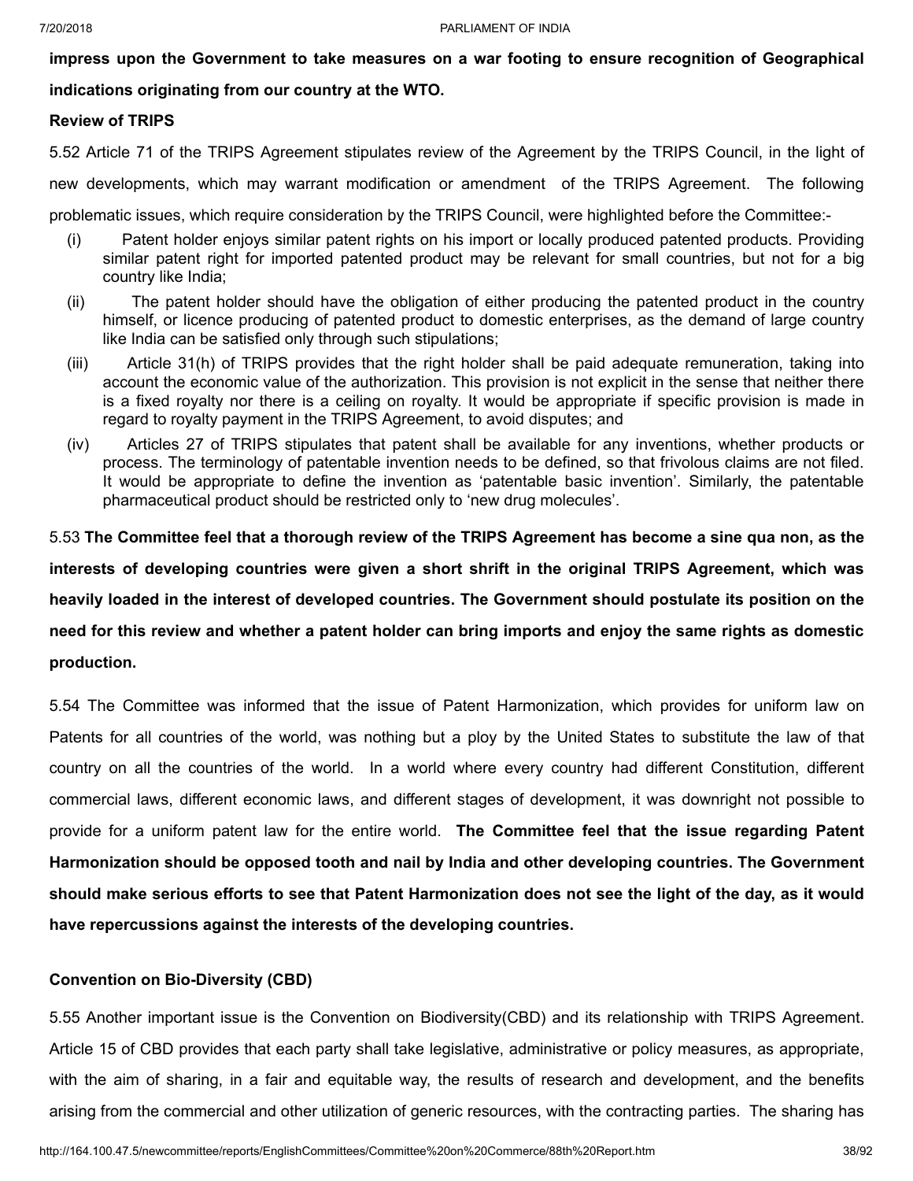**impress upon the Government to take measures on a war footing to ensure recognition of Geographical**

# **indications originating from our country at the WTO.**

# **Review of TRIPS**

5.52 Article 71 of the TRIPS Agreement stipulates review of the Agreement by the TRIPS Council, in the light of

new developments, which may warrant modification or amendment of the TRIPS Agreement. The following

problematic issues, which require consideration by the TRIPS Council, were highlighted before the Committee:-

- (i) Patent holder enjoys similar patent rights on his import or locally produced patented products. Providing similar patent right for imported patented product may be relevant for small countries, but not for a big country like India;
- (ii) The patent holder should have the obligation of either producing the patented product in the country himself, or licence producing of patented product to domestic enterprises, as the demand of large country like India can be satisfied only through such stipulations;
- (iii) Article 31(h) of TRIPS provides that the right holder shall be paid adequate remuneration, taking into account the economic value of the authorization. This provision is not explicit in the sense that neither there is a fixed royalty nor there is a ceiling on royalty. It would be appropriate if specific provision is made in regard to royalty payment in the TRIPS Agreement, to avoid disputes; and
- (iv) Articles 27 of TRIPS stipulates that patent shall be available for any inventions, whether products or process. The terminology of patentable invention needs to be defined, so that frivolous claims are not filed. It would be appropriate to define the invention as 'patentable basic invention'. Similarly, the patentable pharmaceutical product should be restricted only to 'new drug molecules'.

5.53 The Committee feel that a thorough review of the TRIPS Agreement has become a sine qua non, as the **interests of developing countries were given a short shrift in the original TRIPS Agreement, which was heavily loaded in the interest of developed countries. The Government should postulate its position on the** need for this review and whether a patent holder can bring imports and enjoy the same rights as domestic **production.**

5.54 The Committee was informed that the issue of Patent Harmonization, which provides for uniform law on Patents for all countries of the world, was nothing but a ploy by the United States to substitute the law of that country on all the countries of the world. In a world where every country had different Constitution, different commercial laws, different economic laws, and different stages of development, it was downright not possible to provide for a uniform patent law for the entire world. **The Committee feel that the issue regarding Patent Harmonization should be opposed tooth and nail by India and other developing countries. The Government** should make serious efforts to see that Patent Harmonization does not see the light of the day, as it would **have repercussions against the interests of the developing countries.**

# **Convention on Bio-Diversity (CBD)**

5.55 Another important issue is the Convention on Biodiversity(CBD) and its relationship with TRIPS Agreement. Article 15 of CBD provides that each party shall take legislative, administrative or policy measures, as appropriate, with the aim of sharing, in a fair and equitable way, the results of research and development, and the benefits arising from the commercial and other utilization of generic resources, with the contracting parties. The sharing has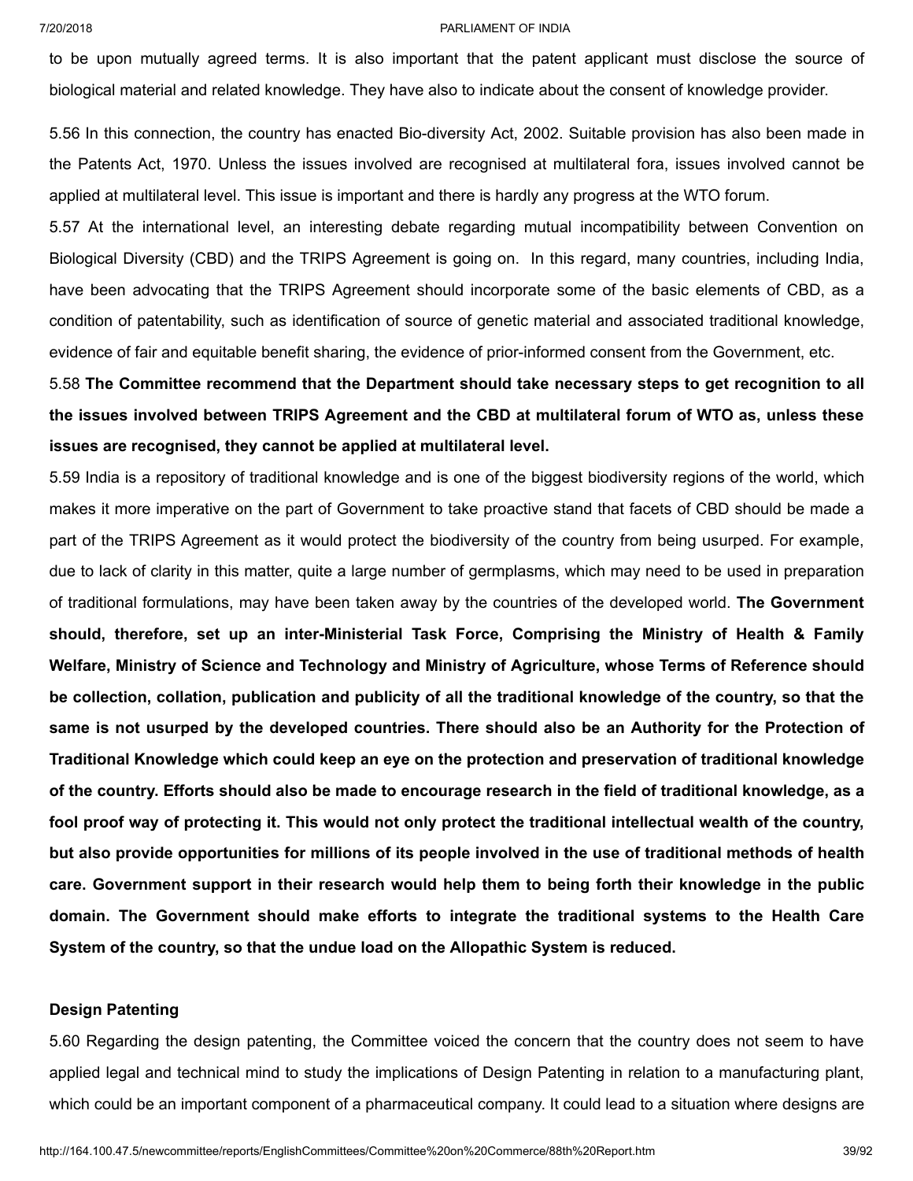to be upon mutually agreed terms. It is also important that the patent applicant must disclose the source of biological material and related knowledge. They have also to indicate about the consent of knowledge provider.

5.56 In this connection, the country has enacted Bio-diversity Act, 2002. Suitable provision has also been made in the Patents Act, 1970. Unless the issues involved are recognised at multilateral fora, issues involved cannot be applied at multilateral level. This issue is important and there is hardly any progress at the WTO forum.

5.57 At the international level, an interesting debate regarding mutual incompatibility between Convention on Biological Diversity (CBD) and the TRIPS Agreement is going on. In this regard, many countries, including India, have been advocating that the TRIPS Agreement should incorporate some of the basic elements of CBD, as a condition of patentability, such as identification of source of genetic material and associated traditional knowledge, evidence of fair and equitable benefit sharing, the evidence of prior-informed consent from the Government, etc.

5.58 **The Committee recommend that the Department should take necessary steps to get recognition to all the issues involved between TRIPS Agreement and the CBD at multilateral forum of WTO as, unless these issues are recognised, they cannot be applied at multilateral level.**

5.59 India is a repository of traditional knowledge and is one of the biggest biodiversity regions of the world, which makes it more imperative on the part of Government to take proactive stand that facets of CBD should be made a part of the TRIPS Agreement as it would protect the biodiversity of the country from being usurped. For example, due to lack of clarity in this matter, quite a large number of germplasms, which may need to be used in preparation of traditional formulations, may have been taken away by the countries of the developed world. **The Government should, therefore, set up an inter-Ministerial Task Force, Comprising the Ministry of Health & Family Welfare, Ministry of Science and Technology and Ministry of Agriculture, whose Terms of Reference should** be collection, collation, publication and publicity of all the traditional knowledge of the country, so that the same is not usurped by the developed countries. There should also be an Authority for the Protection of **Traditional Knowledge which could keep an eye on the protection and preservation of traditional knowledge** of the country. Efforts should also be made to encourage research in the field of traditional knowledge, as a fool proof way of protecting it. This would not only protect the traditional intellectual wealth of the country, but also provide opportunities for millions of its people involved in the use of traditional methods of health **care. Government support in their research would help them to being forth their knowledge in the public domain. The Government should make efforts to integrate the traditional systems to the Health Care System of the country, so that the undue load on the Allopathic System is reduced.**

# **Design Patenting**

5.60 Regarding the design patenting, the Committee voiced the concern that the country does not seem to have applied legal and technical mind to study the implications of Design Patenting in relation to a manufacturing plant, which could be an important component of a pharmaceutical company. It could lead to a situation where designs are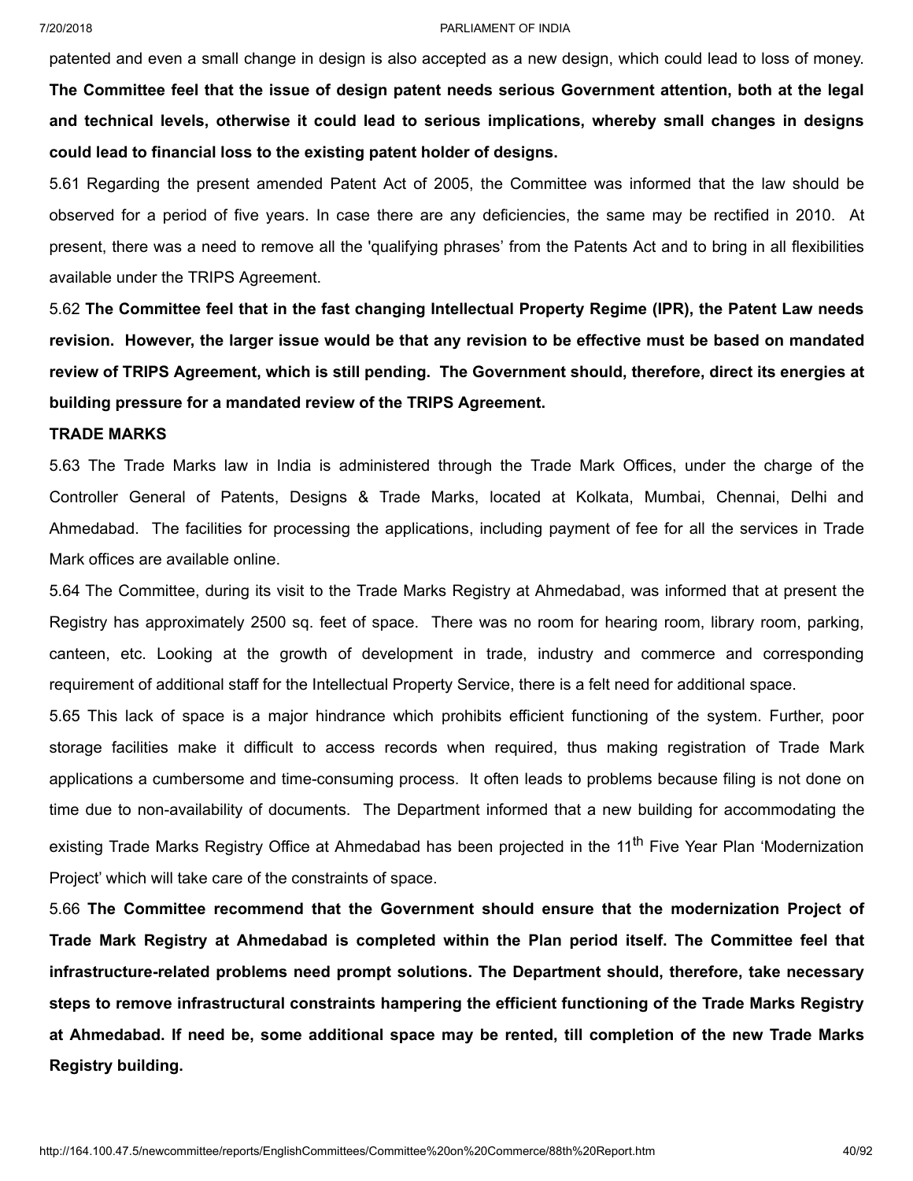patented and even a small change in design is also accepted as a new design, which could lead to loss of money. **The Committee feel that the issue of design patent needs serious Government attention, both at the legal and technical levels, otherwise it could lead to serious implications, whereby small changes in designs could lead to financial loss to the existing patent holder of designs.**

5.61 Regarding the present amended Patent Act of 2005, the Committee was informed that the law should be observed for a period of five years. In case there are any deficiencies, the same may be rectified in 2010. At present, there was a need to remove all the 'qualifying phrases' from the Patents Act and to bring in all flexibilities available under the TRIPS Agreement.

5.62 **The Committee feel that in the fast changing Intellectual Property Regime (IPR), the Patent Law needs** revision. However, the larger issue would be that any revision to be effective must be based on mandated **review of TRIPS Agreement, which is still pending. The Government should, therefore, direct its energies at building pressure for a mandated review of the TRIPS Agreement.**

## **TRADE MARKS**

5.63 The Trade Marks law in India is administered through the Trade Mark Offices, under the charge of the Controller General of Patents, Designs & Trade Marks, located at Kolkata, Mumbai, Chennai, Delhi and Ahmedabad. The facilities for processing the applications, including payment of fee for all the services in Trade Mark offices are available online.

5.64 The Committee, during its visit to the Trade Marks Registry at Ahmedabad, was informed that at present the Registry has approximately 2500 sq. feet of space. There was no room for hearing room, library room, parking, canteen, etc. Looking at the growth of development in trade, industry and commerce and corresponding requirement of additional staff for the Intellectual Property Service, there is a felt need for additional space.

5.65 This lack of space is a major hindrance which prohibits efficient functioning of the system. Further, poor storage facilities make it difficult to access records when required, thus making registration of Trade Mark applications a cumbersome and time-consuming process. It often leads to problems because filing is not done on time due to non-availability of documents. The Department informed that a new building for accommodating the existing Trade Marks Registry Office at Ahmedabad has been projected in the 11<sup>th</sup> Five Year Plan 'Modernization Project' which will take care of the constraints of space.

5.66 **The Committee recommend that the Government should ensure that the modernization Project of Trade Mark Registry at Ahmedabad is completed within the Plan period itself. The Committee feel that infrastructure-related problems need prompt solutions. The Department should, therefore, take necessary steps to remove infrastructural constraints hampering the efficient functioning of the Trade Marks Registry** at Ahmedabad. If need be, some additional space may be rented, till completion of the new Trade Marks **Registry building.**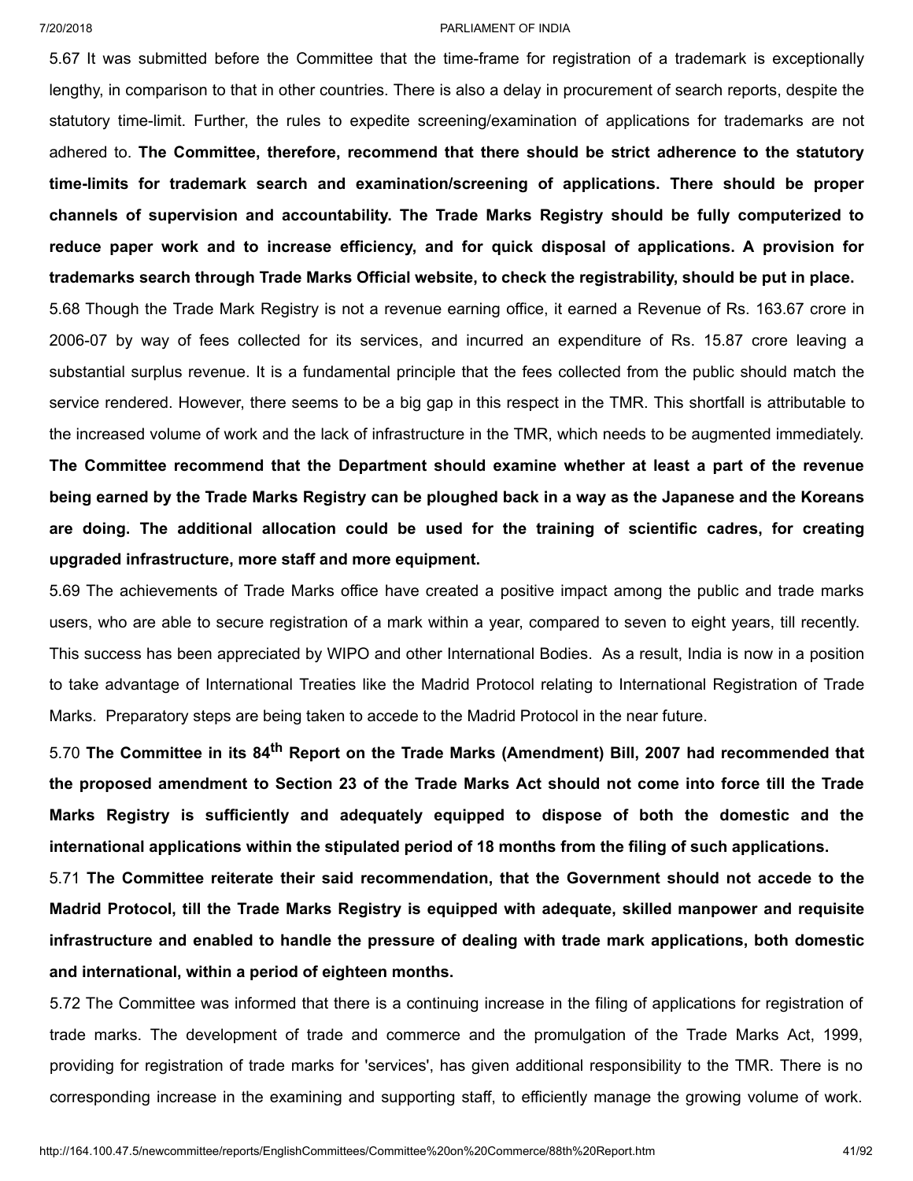5.67 It was submitted before the Committee that the time-frame for registration of a trademark is exceptionally lengthy, in comparison to that in other countries. There is also a delay in procurement of search reports, despite the statutory time-limit. Further, the rules to expedite screening/examination of applications for trademarks are not adhered to. **The Committee, therefore, recommend that there should be strict adherence to the statutory time-limits for trademark search and examination/screening of applications. There should be proper channels of supervision and accountability. The Trade Marks Registry should be fully computerized to reduce paper work and to increase efficiency, and for quick disposal of applications. A provision for trademarks search through Trade Marks Official website, to check the registrability, should be put in place.**

5.68 Though the Trade Mark Registry is not a revenue earning office, it earned a Revenue of Rs. 163.67 crore in 2006-07 by way of fees collected for its services, and incurred an expenditure of Rs. 15.87 crore leaving a substantial surplus revenue. It is a fundamental principle that the fees collected from the public should match the service rendered. However, there seems to be a big gap in this respect in the TMR. This shortfall is attributable to the increased volume of work and the lack of infrastructure in the TMR, which needs to be augmented immediately. **The Committee recommend that the Department should examine whether at least a part of the revenue** being earned by the Trade Marks Registry can be ploughed back in a way as the Japanese and the Koreans **are doing. The additional allocation could be used for the training of scientific cadres, for creating upgraded infrastructure, more staff and more equipment.**

5.69 The achievements of Trade Marks office have created a positive impact among the public and trade marks users, who are able to secure registration of a mark within a year, compared to seven to eight years, till recently. This success has been appreciated by WIPO and other International Bodies. As a result, India is now in a position to take advantage of International Treaties like the Madrid Protocol relating to International Registration of Trade Marks. Preparatory steps are being taken to accede to the Madrid Protocol in the near future.

5.70 **The Committee in its 84 th Report on the Trade Marks (Amendment) Bill, 2007 had recommended that** the proposed amendment to Section 23 of the Trade Marks Act should not come into force till the Trade **Marks Registry is sufficiently and adequately equipped to dispose of both the domestic and the international applications within the stipulated period of 18 months from the filing of such applications.**

5.71 **The Committee reiterate their said recommendation, that the Government should not accede to the Madrid Protocol, till the Trade Marks Registry is equipped with adequate, skilled manpower and requisite infrastructure and enabled to handle the pressure of dealing with trade mark applications, both domestic and international, within a period of eighteen months.**

5.72 The Committee was informed that there is a continuing increase in the filing of applications for registration of trade marks. The development of trade and commerce and the promulgation of the Trade Marks Act, 1999, providing for registration of trade marks for 'services', has given additional responsibility to the TMR. There is no corresponding increase in the examining and supporting staff, to efficiently manage the growing volume of work.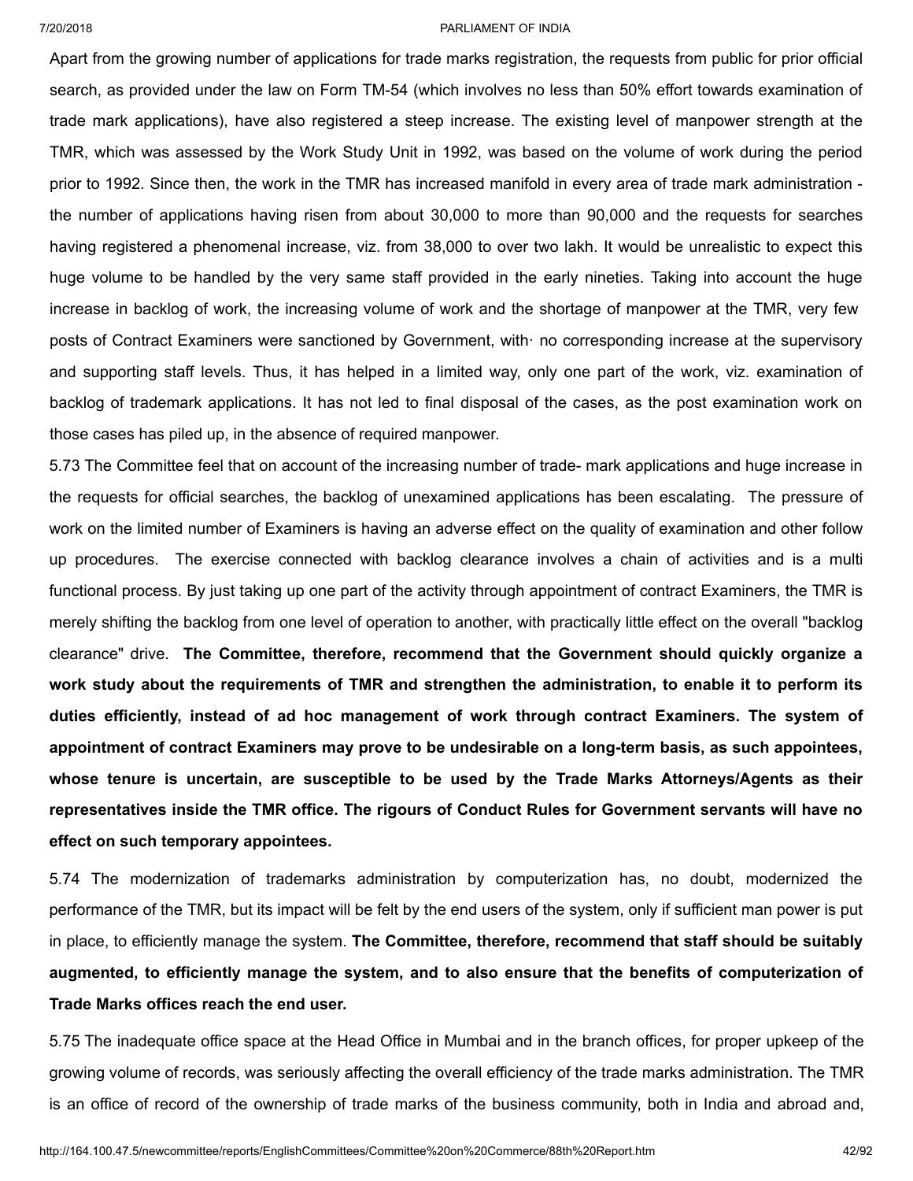Apart from the growing number of applications for trade marks registration, the requests from public for prior official search, as provided under the law on Form TM-54 (which involves no less than 50% effort towards examination of trade mark applications), have also registered a steep increase. The existing level of manpower strength at the TMR, which was assessed by the Work Study Unit in 1992, was based on the volume of work during the period prior to 1992. Since then, the work in the TMR has increased manifold in every area of trade mark administration the number of applications having risen from about 30,000 to more than 90,000 and the requests for searches having registered a phenomenal increase, viz. from 38,000 to over two lakh. It would be unrealistic to expect this huge volume to be handled by the very same staff provided in the early nineties. Taking into account the huge increase in backlog of work, the increasing volume of work and the shortage of manpower at the TMR, very few posts of Contract Examiners were sanctioned by Government, with· no corresponding increase at the supervisory and supporting staff levels. Thus, it has helped in a limited way, only one part of the work, viz. examination of backlog of trademark applications. It has not led to final disposal of the cases, as the post examination work on those cases has piled up, in the absence of required manpower.

5.73 The Committee feel that on account of the increasing number of trade- mark applications and huge increase in the requests for official searches, the backlog of unexamined applications has been escalating. The pressure of work on the limited number of Examiners is having an adverse effect on the quality of examination and other follow up procedures. The exercise connected with backlog clearance involves a chain of activities and is a multi functional process. By just taking up one part of the activity through appointment of contract Examiners, the TMR is merely shifting the backlog from one level of operation to another, with practically little effect on the overall "backlog clearance" drive. **The Committee, therefore, recommend that the Government should quickly organize a work study about the requirements of TMR and strengthen the administration, to enable it to perform its duties efficiently, instead of ad hoc management of work through contract Examiners. The system of appointment of contract Examiners may prove to be undesirable on a long-term basis, as such appointees, whose tenure is uncertain, are susceptible to be used by the Trade Marks Attorneys/Agents as their representatives inside the TMR office. The rigours of Conduct Rules for Government servants will have no effect on such temporary appointees.**

5.74 The modernization of trademarks administration by computerization has, no doubt, modernized the performance of the TMR, but its impact will be felt by the end users of the system, only if sufficient man power is put in place, to efficiently manage the system. **The Committee, therefore, recommend that staff should be suitably augmented, to efficiently manage the system, and to also ensure that the benefits of computerization of Trade Marks offices reach the end user.**

5.75 The inadequate office space at the Head Office in Mumbai and in the branch offices, for proper upkeep of the growing volume of records, was seriously affecting the overall efficiency of the trade marks administration. The TMR is an office of record of the ownership of trade marks of the business community, both in India and abroad and,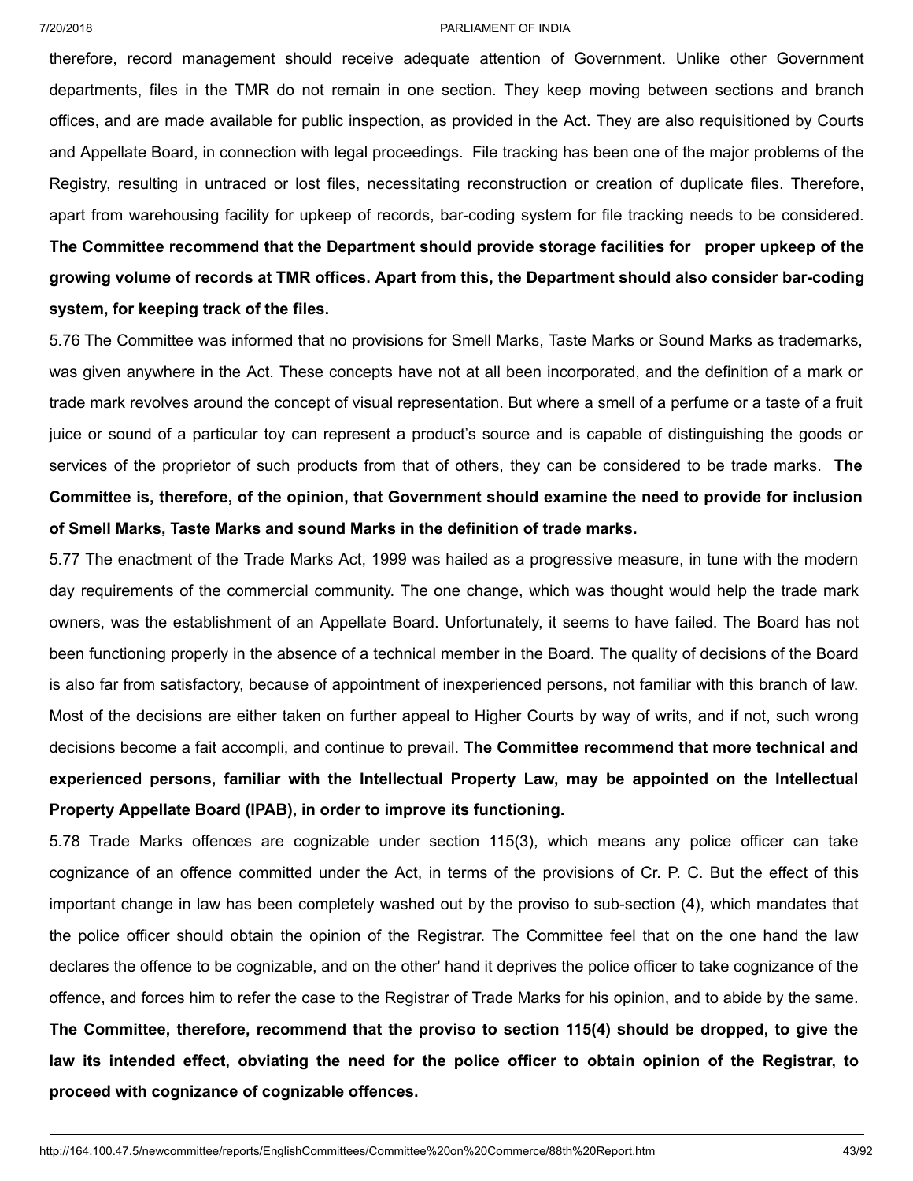therefore, record management should receive adequate attention of Government. Unlike other Government departments, files in the TMR do not remain in one section. They keep moving between sections and branch offices, and are made available for public inspection, as provided in the Act. They are also requisitioned by Courts and Appellate Board, in connection with legal proceedings. File tracking has been one of the major problems of the Registry, resulting in untraced or lost files, necessitating reconstruction or creation of duplicate files. Therefore, apart from warehousing facility for upkeep of records, bar-coding system for file tracking needs to be considered. **The Committee recommend that the Department should provide storage facilities for proper upkeep of the growing volume of records at TMR offices. Apart from this, the Department should also consider bar-coding system, for keeping track of the files.**

5.76 The Committee was informed that no provisions for Smell Marks, Taste Marks or Sound Marks as trademarks, was given anywhere in the Act. These concepts have not at all been incorporated, and the definition of a mark or trade mark revolves around the concept of visual representation. But where a smell of a perfume or a taste of a fruit juice or sound of a particular toy can represent a product's source and is capable of distinguishing the goods or services of the proprietor of such products from that of others, they can be considered to be trade marks. **The Committee is, therefore, of the opinion, that Government should examine the need to provide for inclusion of Smell Marks, Taste Marks and sound Marks in the definition of trade marks.**

5.77 The enactment of the Trade Marks Act, 1999 was hailed as a progressive measure, in tune with the modern day requirements of the commercial community. The one change, which was thought would help the trade mark owners, was the establishment of an Appellate Board. Unfortunately, it seems to have failed. The Board has not been functioning properly in the absence of a technical member in the Board. The quality of decisions of the Board is also far from satisfactory, because of appointment of inexperienced persons, not familiar with this branch of law. Most of the decisions are either taken on further appeal to Higher Courts by way of writs, and if not, such wrong decisions become a fait accompli, and continue to prevail. **The Committee recommend that more technical and experienced persons, familiar with the Intellectual Property Law, may be appointed on the Intellectual Property Appellate Board (IPAB), in order to improve its functioning.**

5.78 Trade Marks offences are cognizable under section 115(3), which means any police officer can take cognizance of an offence committed under the Act, in terms of the provisions of Cr. P. C. But the effect of this important change in law has been completely washed out by the proviso to sub-section (4), which mandates that the police officer should obtain the opinion of the Registrar. The Committee feel that on the one hand the law declares the offence to be cognizable, and on the other' hand it deprives the police officer to take cognizance of the offence, and forces him to refer the case to the Registrar of Trade Marks for his opinion, and to abide by the same. **The Committee, therefore, recommend that the proviso to section 115(4) should be dropped, to give the** law its intended effect, obviating the need for the police officer to obtain opinion of the Registrar, to **proceed with cognizance of cognizable offences.**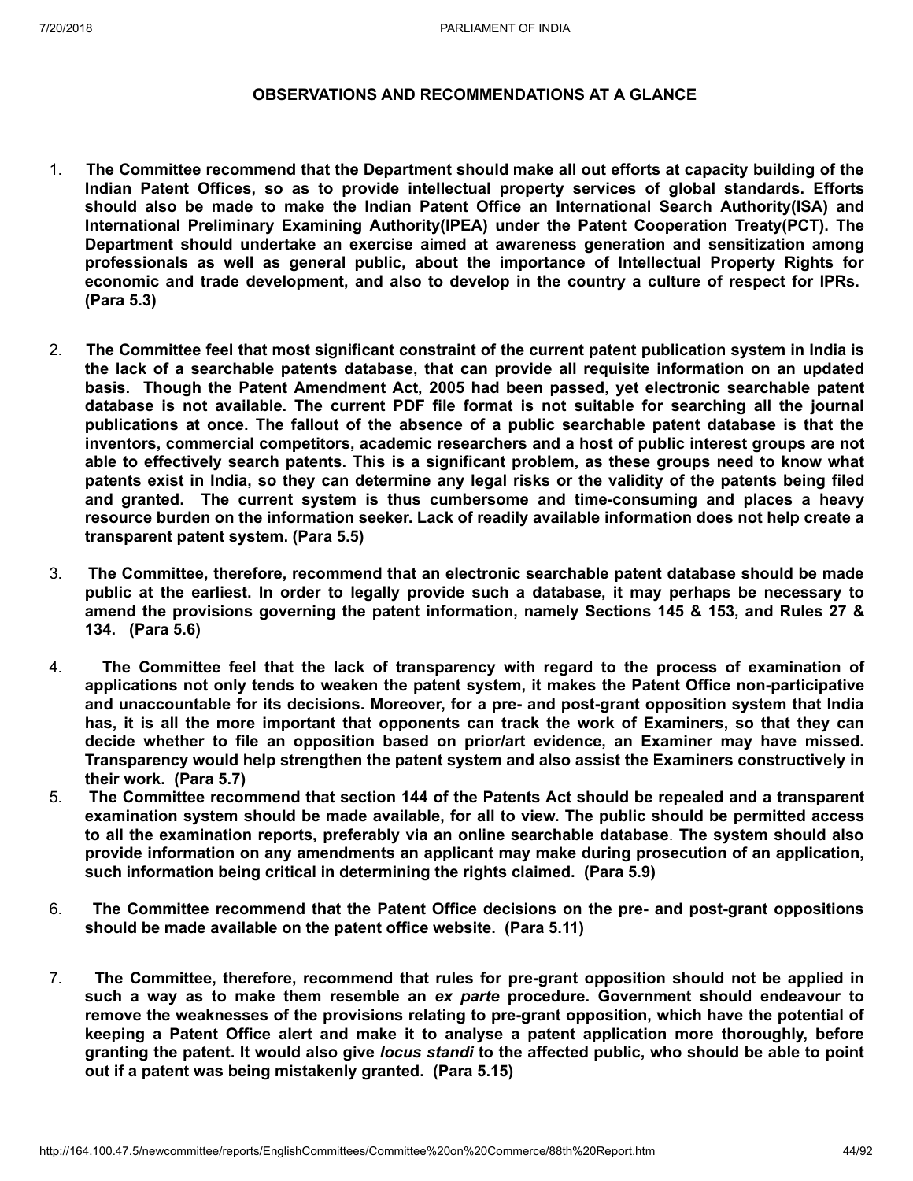# **OBSERVATIONS AND RECOMMENDATIONS AT A GLANCE**

- 1. **The Committee recommend that the Department should make all out efforts at capacity building of the Indian Patent Offices, so as to provide intellectual property services of global standards. Efforts should also be made to make the Indian Patent Office an International Search Authority(ISA) and International Preliminary Examining Authority(IPEA) under the Patent Cooperation Treaty(PCT). The Department should undertake an exercise aimed at awareness generation and sensitization among professionals as well as general public, about the importance of Intellectual Property Rights for economic and trade development, and also to develop in the country a culture of respect for IPRs. (Para 5.3)**
- 2. **The Committee feel that most significant constraint of the current patent publication system in India is the lack of a searchable patents database, that can provide all requisite information on an updated basis. Though the Patent Amendment Act, 2005 had been passed, yet electronic searchable patent database is not available. The current PDF file format is not suitable for searching all the journal publications at once. The fallout of the absence of a public searchable patent database is that the inventors, commercial competitors, academic researchers and a host of public interest groups are not able to effectively search patents. This is a significant problem, as these groups need to know what** patents exist in India, so they can determine any legal risks or the validity of the patents being filed **and granted. The current system is thus cumbersome and time-consuming and places a heavy resource burden on the information seeker. Lack of readily available information does not help create a transparent patent system. (Para 5.5)**
- 3. **The Committee, therefore, recommend that an electronic searchable patent database should be made** public at the earliest. In order to legally provide such a database, it may perhaps be necessary to **amend the provisions governing the patent information, namely Sections 145 & 153, and Rules 27 & 134. (Para 5.6)**
- 4. **The Committee feel that the lack of transparency with regard to the process of examination of applications not only tends to weaken the patent system, it makes the Patent Office non-participative and unaccountable for its decisions. Moreover, for a pre- and post-grant opposition system that India** has, it is all the more important that opponents can track the work of Examiners, so that they can **decide whether to file an opposition based on prior/art evidence, an Examiner may have missed. Transparency would help strengthen the patent system and also assist the Examiners constructively in their work. (Para 5.7)**
- 5. **The Committee recommend that section 144 of the Patents Act should be repealed and a transparent examination system should be made available, for all to view. The public should be permitted access to all the examination reports, preferably via an online searchable database**. **The system should also provide information on any amendments an applicant may make during prosecution of an application, such information being critical in determining the rights claimed. (Para 5.9)**
- 6. **The Committee recommend that the Patent Office decisions on the pre- and post-grant oppositions should be made available on the patent office website. (Para 5.11)**
- 7. **The Committee, therefore, recommend that rules for pre-grant opposition should not be applied in such a way as to make them resemble an** *ex parte* **procedure. Government should endeavour to remove the weaknesses of the provisions relating to pre-grant opposition, which have the potential of keeping a Patent Office alert and make it to analyse a patent application more thoroughly, before** granting the patent. It would also give locus standi to the affected public, who should be able to point **out if a patent was being mistakenly granted. (Para 5.15)**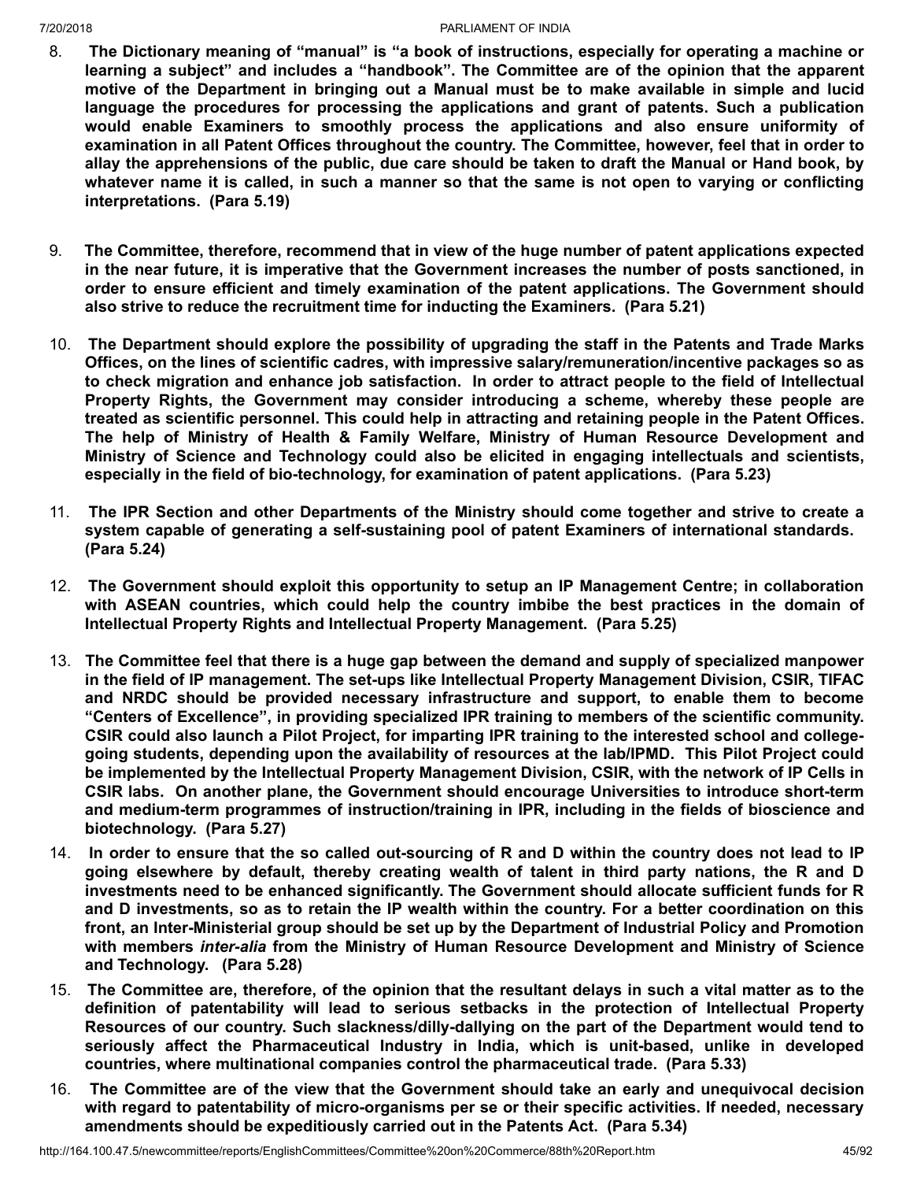- 8. **The Dictionary meaning of "manual" is "a book of instructions, especially for operating a machine or learning a subject" and includes a "handbook". The Committee are of the opinion that the apparent motive of the Department in bringing out a Manual must be to make available in simple and lucid language the procedures for processing the applications and grant of patents. Such a publication would enable Examiners to smoothly process the applications and also ensure uniformity of examination in all Patent Offices throughout the country. The Committee, however, feel that in order to** allay the apprehensions of the public, due care should be taken to draft the Manual or Hand book, by whatever name it is called, in such a manner so that the same is not open to varying or conflicting **interpretations. (Para 5.19)**
- 9. **The Committee, therefore, recommend that in view of the huge number of patent applications expected in the near future, it is imperative that the Government increases the number of posts sanctioned, in order to ensure efficient and timely examination of the patent applications. The Government should also strive to reduce the recruitment time for inducting the Examiners. (Para 5.21)**
- 10. **The Department should explore the possibility of upgrading the staff in the Patents and Trade Marks Offices, on the lines of scientific cadres, with impressive salary/remuneration/incentive packages so as to check migration and enhance job satisfaction. In order to attract people to the field of Intellectual Property Rights, the Government may consider introducing a scheme, whereby these people are treated as scientific personnel. This could help in attracting and retaining people in the Patent Offices. The help of Ministry of Health & Family Welfare, Ministry of Human Resource Development and Ministry of Science and Technology could also be elicited in engaging intellectuals and scientists, especially in the field of bio-technology, for examination of patent applications. (Para 5.23)**
- 11. **The IPR Section and other Departments of the Ministry should come together and strive to create a system capable of generating a self-sustaining pool of patent Examiners of international standards. (Para 5.24)**
- 12. **The Government should exploit this opportunity to setup an IP Management Centre; in collaboration with ASEAN countries, which could help the country imbibe the best practices in the domain of Intellectual Property Rights and Intellectual Property Management. (Para 5.25)**
- 13. **The Committee feel that there is a huge gap between the demand and supply of specialized manpower in the field of IP management. The set-ups like Intellectual Property Management Division, CSIR, TIFAC and NRDC should be provided necessary infrastructure and support, to enable them to become "Centers of Excellence", in providing specialized IPR training to members of the scientific community. CSIR could also launch a Pilot Project, for imparting IPR training to the interested school and collegegoing students, depending upon the availability of resources at the lab/IPMD. This Pilot Project could be implemented by the Intellectual Property Management Division, CSIR, with the network of IP Cells in CSIR labs. On another plane, the Government should encourage Universities to introduce short-term and medium-term programmes of instruction/training in IPR, including in the fields of bioscience and biotechnology. (Para 5.27)**
- 14. In order to ensure that the so called out-sourcing of R and D within the country does not lead to IP **going elsewhere by default, thereby creating wealth of talent in third party nations, the R and D investments need to be enhanced significantly. The Government should allocate sufficient funds for R** and D investments, so as to retain the IP wealth within the country. For a better coordination on this **front, an Inter-Ministerial group should be set up by the Department of Industrial Policy and Promotion with members** *inter-alia* **from the Ministry of Human Resource Development and Ministry of Science and Technology. (Para 5.28)**
- 15. The Committee are, therefore, of the opinion that the resultant delays in such a vital matter as to the **definition of patentability will lead to serious setbacks in the protection of Intellectual Property Resources of our country. Such slackness/dilly-dallying on the part of the Department would tend to seriously affect the Pharmaceutical Industry in India, which is unit-based, unlike in developed countries, where multinational companies control the pharmaceutical trade. (Para 5.33)**
- 16. **The Committee are of the view that the Government should take an early and unequivocal decision with regard to patentability of micro-organisms per se or their specific activities. If needed, necessary amendments should be expeditiously carried out in the Patents Act. (Para 5.34)**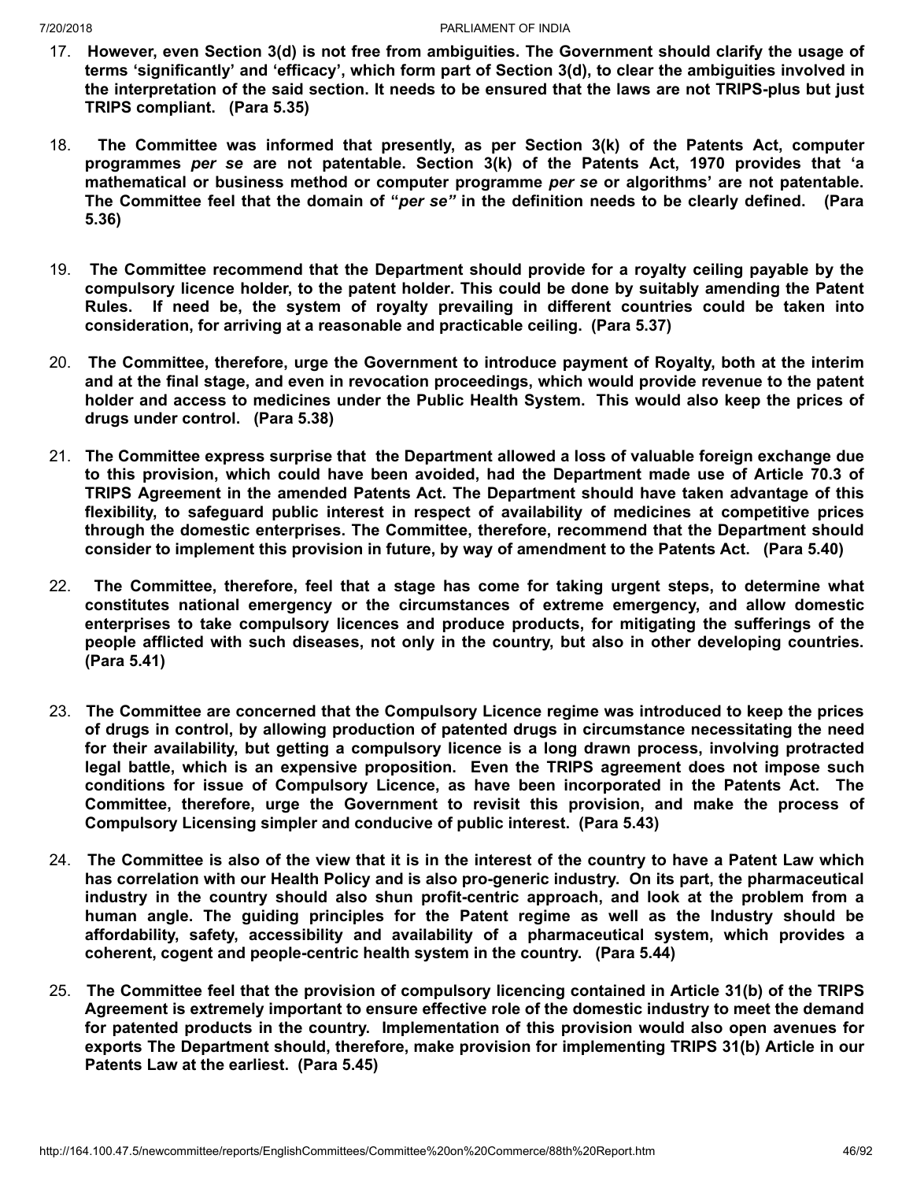- 17. **However, even Section 3(d) is not free from ambiguities. The Government should clarify the usage of terms 'significantly' and 'efficacy', which form part of Section 3(d), to clear the ambiguities involved in** the interpretation of the said section. It needs to be ensured that the laws are not TRIPS-plus but just **TRIPS compliant. (Para 5.35)**
- 18. **The Committee was informed that presently, as per Section 3(k) of the Patents Act, computer programmes** *per se* **are not patentable. Section 3(k) of the Patents Act, 1970 provides that 'a mathematical or business method or computer programme** *per se* **or algorithms' are not patentable.** The Committee feel that the domain of "per se" in the definition needs to be clearly defined. (Para **5.36)**
- 19. **The Committee recommend that the Department should provide for a royalty ceiling payable by the compulsory licence holder, to the patent holder. This could be done by suitably amending the Patent Rules. If need be, the system of royalty prevailing in different countries could be taken into consideration, for arriving at a reasonable and practicable ceiling. (Para 5.37)**
- 20. **The Committee, therefore, urge the Government to introduce payment of Royalty, both at the interim and at the final stage, and even in revocation proceedings, which would provide revenue to the patent holder and access to medicines under the Public Health System. This would also keep the prices of drugs under control. (Para 5.38)**
- 21. **The Committee express surprise that the Department allowed a loss of valuable foreign exchange due to this provision, which could have been avoided, had the Department made use of Article 70.3 of TRIPS Agreement in the amended Patents Act. The Department should have taken advantage of this flexibility, to safeguard public interest in respect of availability of medicines at competitive prices through the domestic enterprises. The Committee, therefore, recommend that the Department should consider to implement this provision in future, by way of amendment to the Patents Act. (Para 5.40)**
- 22. **The Committee, therefore, feel that a stage has come for taking urgent steps, to determine what constitutes national emergency or the circumstances of extreme emergency, and allow domestic enterprises to take compulsory licences and produce products, for mitigating the sufferings of the people afflicted with such diseases, not only in the country, but also in other developing countries. (Para 5.41)**
- 23. **The Committee are concerned that the Compulsory Licence regime was introduced to keep the prices of drugs in control, by allowing production of patented drugs in circumstance necessitating the need for their availability, but getting a compulsory licence is a long drawn process, involving protracted legal battle, which is an expensive proposition. Even the TRIPS agreement does not impose such conditions for issue of Compulsory Licence, as have been incorporated in the Patents Act. The Committee, therefore, urge the Government to revisit this provision, and make the process of Compulsory Licensing simpler and conducive of public interest. (Para 5.43)**
- 24. The Committee is also of the view that it is in the interest of the country to have a Patent Law which **has correlation with our Health Policy and is also pro-generic industry. On its part, the pharmaceutical industry in the country should also shun profit-centric approach, and look at the problem from a human angle. The guiding principles for the Patent regime as well as the Industry should be affordability, safety, accessibility and availability of a pharmaceutical system, which provides a coherent, cogent and people-centric health system in the country. (Para 5.44)**
- 25. **The Committee feel that the provision of compulsory licencing contained in Article 31(b) of the TRIPS Agreement is extremely important to ensure effective role of the domestic industry to meet the demand for patented products in the country. Implementation of this provision would also open avenues for exports The Department should, therefore, make provision for implementing TRIPS 31(b) Article in our Patents Law at the earliest. (Para 5.45)**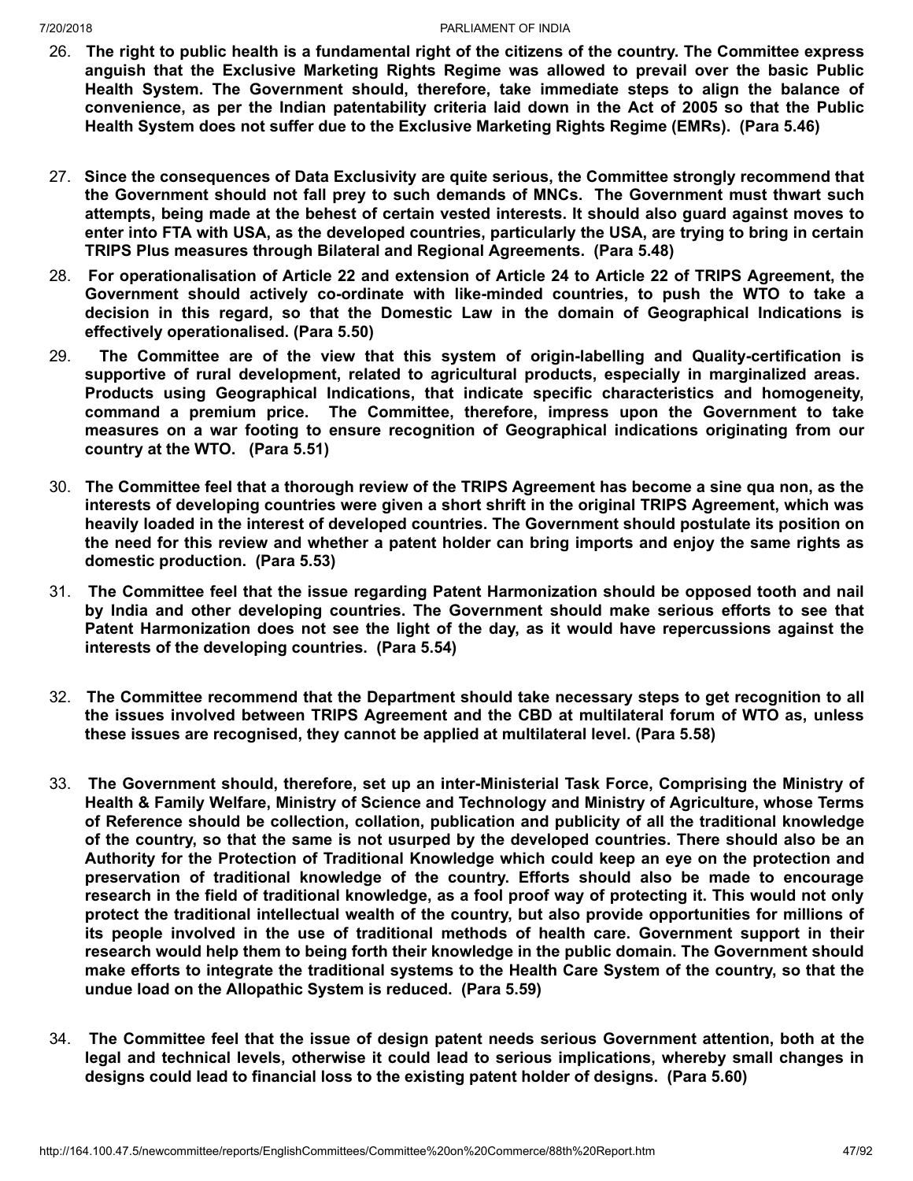- 26. The right to public health is a fundamental right of the citizens of the country. The Committee express **anguish that the Exclusive Marketing Rights Regime was allowed to prevail over the basic Public Health System. The Government should, therefore, take immediate steps to align the balance of** convenience, as per the Indian patentability criteria laid down in the Act of 2005 so that the Public **Health System does not suffer due to the Exclusive Marketing Rights Regime (EMRs). (Para 5.46)**
- 27. **Since the consequences of Data Exclusivity are quite serious, the Committee strongly recommend that the Government should not fall prey to such demands of MNCs. The Government must thwart such attempts, being made at the behest of certain vested interests. It should also guard against moves to** enter into FTA with USA, as the developed countries, particularly the USA, are trying to bring in certain **TRIPS Plus measures through Bilateral and Regional Agreements. (Para 5.48)**
- 28. For operationalisation of Article 22 and extension of Article 24 to Article 22 of TRIPS Agreement. the **Government should actively co-ordinate with like-minded countries, to push the WTO to take a decision in this regard, so that the Domestic Law in the domain of Geographical Indications is effectively operationalised. (Para 5.50)**
- 29. **The Committee are of the view that this system of origin-labelling and Quality-certification is supportive of rural development, related to agricultural products, especially in marginalized areas. Products using Geographical Indications, that indicate specific characteristics and homogeneity, command a premium price. The Committee, therefore, impress upon the Government to take measures on a war footing to ensure recognition of Geographical indications originating from our country at the WTO. (Para 5.51)**
- 30. The Committee feel that a thorough review of the TRIPS Agreement has become a sine qua non, as the **interests of developing countries were given a short shrift in the original TRIPS Agreement, which was heavily loaded in the interest of developed countries. The Government should postulate its position on** the need for this review and whether a patent holder can bring imports and enjoy the same rights as **domestic production. (Para 5.53)**
- 31. **The Committee feel that the issue regarding Patent Harmonization should be opposed tooth and nail by India and other developing countries. The Government should make serious efforts to see that Patent Harmonization does not see the light of the day, as it would have repercussions against the interests of the developing countries. (Para 5.54)**
- 32. **The Committee recommend that the Department should take necessary steps to get recognition to all the issues involved between TRIPS Agreement and the CBD at multilateral forum of WTO as, unless these issues are recognised, they cannot be applied at multilateral level. (Para 5.58)**
- 33. **The Government should, therefore, set up an inter-Ministerial Task Force, Comprising the Ministry of Health & Family Welfare, Ministry of Science and Technology and Ministry of Agriculture, whose Terms of Reference should be collection, collation, publication and publicity of all the traditional knowledge** of the country, so that the same is not usurped by the developed countries. There should also be an **Authority for the Protection of Traditional Knowledge which could keep an eye on the protection and preservation of traditional knowledge of the country. Efforts should also be made to encourage** research in the field of traditional knowledge, as a fool proof way of protecting it. This would not only **protect the traditional intellectual wealth of the country, but also provide opportunities for millions of its people involved in the use of traditional methods of health care. Government support in their research would help them to being forth their knowledge in the public domain. The Government should** make efforts to integrate the traditional systems to the Health Care System of the country, so that the **undue load on the Allopathic System is reduced. (Para 5.59)**
- 34. **The Committee feel that the issue of design patent needs serious Government attention, both at the legal and technical levels, otherwise it could lead to serious implications, whereby small changes in designs could lead to financial loss to the existing patent holder of designs. (Para 5.60)**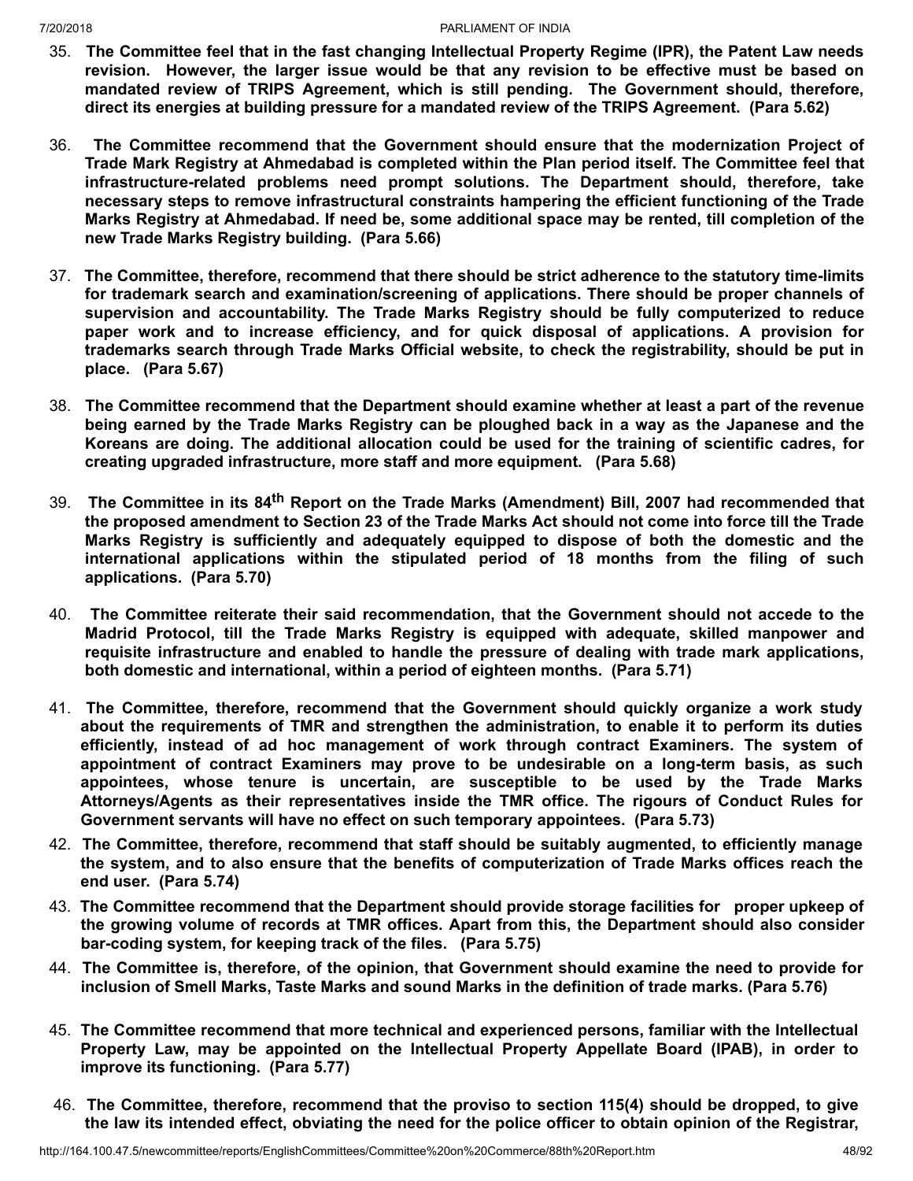- 35. **The Committee feel that in the fast changing Intellectual Property Regime (IPR), the Patent Law needs revision. However, the larger issue would be that any revision to be effective must be based on mandated review of TRIPS Agreement, which is still pending. The Government should, therefore, direct its energies at building pressure for a mandated review of the TRIPS Agreement. (Para 5.62)**
- 36. **The Committee recommend that the Government should ensure that the modernization Project of Trade Mark Registry at Ahmedabad is completed within the Plan period itself. The Committee feel that infrastructure-related problems need prompt solutions. The Department should, therefore, take necessary steps to remove infrastructural constraints hampering the efficient functioning of the Trade Marks Registry at Ahmedabad. If need be, some additional space may be rented, till completion of the new Trade Marks Registry building. (Para 5.66)**
- 37. **The Committee, therefore, recommend that there should be strict adherence to the statutory time-limits for trademark search and examination/screening of applications. There should be proper channels of supervision and accountability. The Trade Marks Registry should be fully computerized to reduce paper work and to increase efficiency, and for quick disposal of applications. A provision for trademarks search through Trade Marks Official website, to check the registrability, should be put in place. (Para 5.67)**
- 38. **The Committee recommend that the Department should examine whether at least a part of the revenue** being earned by the Trade Marks Registry can be ploughed back in a way as the Japanese and the **Koreans are doing. The additional allocation could be used for the training of scientific cadres, for creating upgraded infrastructure, more staff and more equipment. (Para 5.68)**
- 39. **The Committee in its 84 th Report on the Trade Marks (Amendment) Bill, 2007 had recommended that** the proposed amendment to Section 23 of the Trade Marks Act should not come into force till the Trade **Marks Registry is sufficiently and adequately equipped to dispose of both the domestic and the international applications within the stipulated period of 18 months from the filing of such applications. (Para 5.70)**
- 40. **The Committee reiterate their said recommendation, that the Government should not accede to the Madrid Protocol, till the Trade Marks Registry is equipped with adequate, skilled manpower and requisite infrastructure and enabled to handle the pressure of dealing with trade mark applications, both domestic and international, within a period of eighteen months. (Para 5.71)**
- 41. **The Committee, therefore, recommend that the Government should quickly organize a work study about the requirements of TMR and strengthen the administration, to enable it to perform its duties efficiently, instead of ad hoc management of work through contract Examiners. The system of appointment of contract Examiners may prove to be undesirable on a long-term basis, as such appointees, whose tenure is uncertain, are susceptible to be used by the Trade Marks Attorneys/Agents as their representatives inside the TMR office. The rigours of Conduct Rules for Government servants will have no effect on such temporary appointees. (Para 5.73)**
- 42. **The Committee, therefore, recommend that staff should be suitably augmented, to efficiently manage the system, and to also ensure that the benefits of computerization of Trade Marks offices reach the end user. (Para 5.74)**
- 43. **The Committee recommend that the Department should provide storage facilities for proper upkeep of the growing volume of records at TMR offices. Apart from this, the Department should also consider bar-coding system, for keeping track of the files. (Para 5.75)**
- 44. **The Committee is, therefore, of the opinion, that Government should examine the need to provide for inclusion of Smell Marks, Taste Marks and sound Marks in the definition of trade marks. (Para 5.76)**
- 45. **The Committee recommend that more technical and experienced persons, familiar with the Intellectual Property Law, may be appointed on the Intellectual Property Appellate Board (IPAB), in order to improve its functioning. (Para 5.77)**
- 46. **The Committee, therefore, recommend that the proviso to section 115(4) should be dropped, to give** the law its intended effect, obviating the need for the police officer to obtain opinion of the Registrar,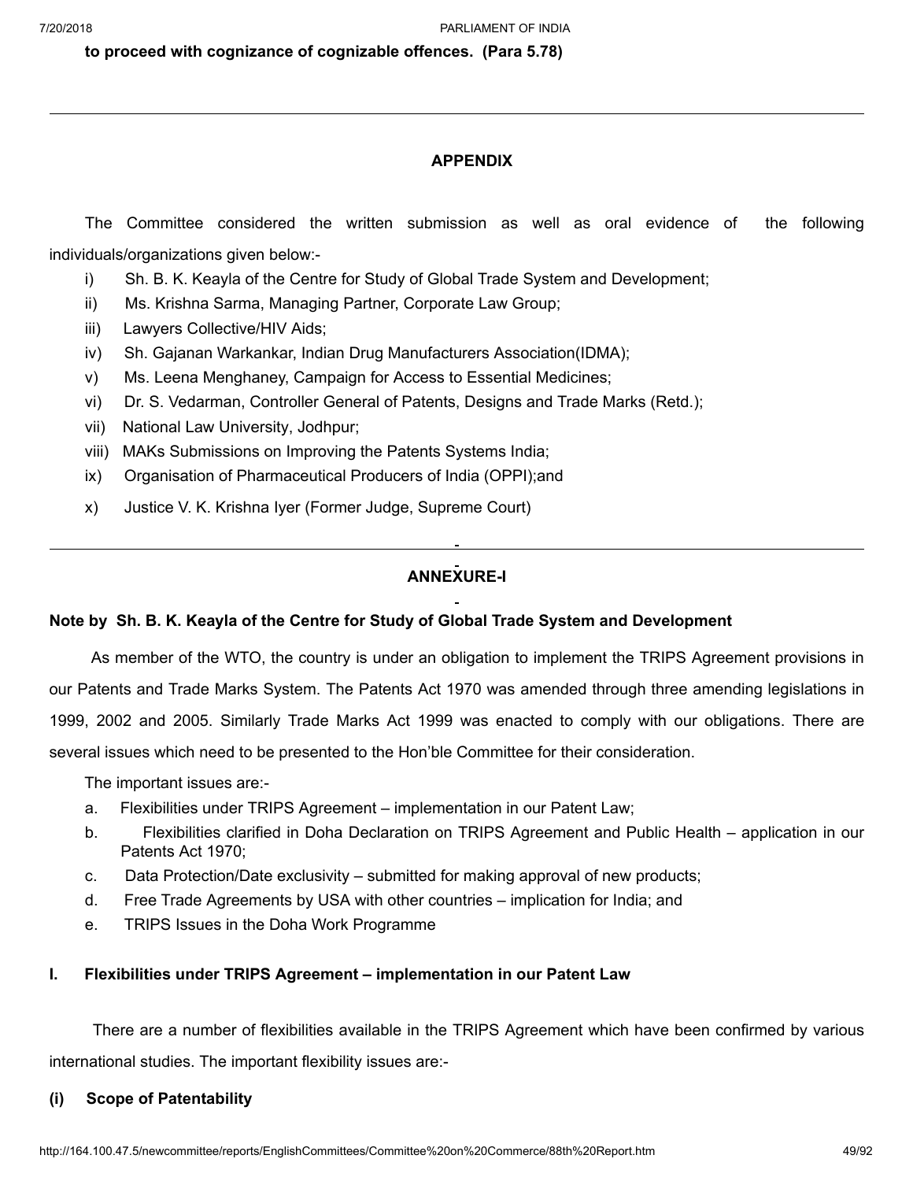**to proceed with cognizance of cognizable offences. (Para 5.78)**

# **APPENDIX**

The Committee considered the written submission as well as oral evidence of the following individuals/organizations given below:-

- i) Sh. B. K. Keayla of the Centre for Study of Global Trade System and Development;
- ii) Ms. Krishna Sarma, Managing Partner, Corporate Law Group;
- iii) Lawyers Collective/HIV Aids;
- iv) Sh. Gajanan Warkankar, Indian Drug Manufacturers Association(IDMA);
- v) Ms. Leena Menghaney, Campaign for Access to Essential Medicines;
- vi) Dr. S. Vedarman, Controller General of Patents, Designs and Trade Marks (Retd.);
- vii) National Law University, Jodhpur;
- viii) MAKs Submissions on Improving the Patents Systems India;
- ix) Organisation of Pharmaceutical Producers of India (OPPI);and
- x) Justice V. K. Krishna Iyer (Former Judge, Supreme Court)

# **ANNEXURE-I**

# **Note by Sh. B. K. Keayla of the Centre for Study of Global Trade System and Development**

As member of the WTO, the country is under an obligation to implement the TRIPS Agreement provisions in our Patents and Trade Marks System. The Patents Act 1970 was amended through three amending legislations in 1999, 2002 and 2005. Similarly Trade Marks Act 1999 was enacted to comply with our obligations. There are several issues which need to be presented to the Hon'ble Committee for their consideration.

The important issues are:-

- a. Flexibilities under TRIPS Agreement implementation in our Patent Law;
- b. Flexibilities clarified in Doha Declaration on TRIPS Agreement and Public Health application in our Patents Act 1970;
- c. Data Protection/Date exclusivity submitted for making approval of new products;
- d. Free Trade Agreements by USA with other countries implication for India; and
- e. TRIPS Issues in the Doha Work Programme

# **I. Flexibilities under TRIPS Agreement – implementation in our Patent Law**

There are a number of flexibilities available in the TRIPS Agreement which have been confirmed by various international studies. The important flexibility issues are:-

# **(i) Scope of Patentability**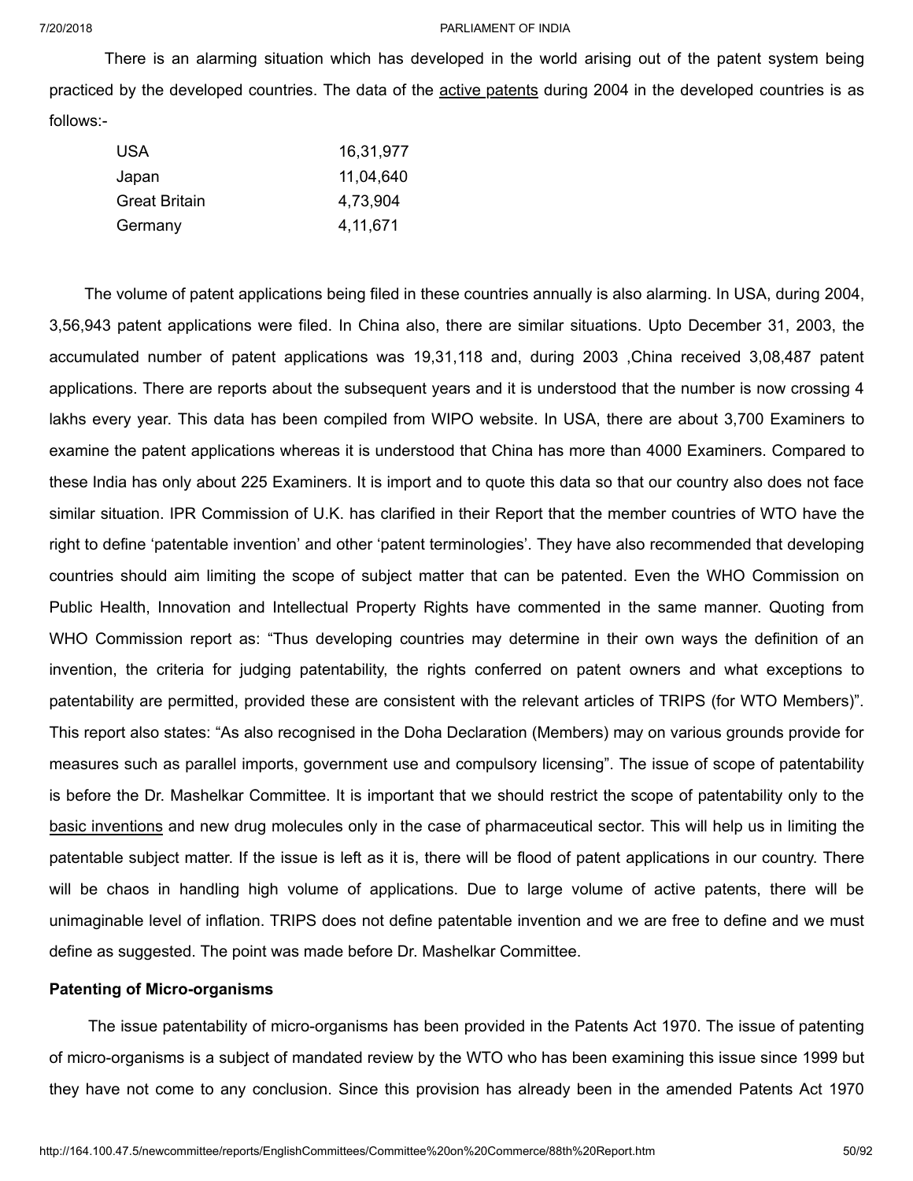There is an alarming situation which has developed in the world arising out of the patent system being practiced by the developed countries. The data of the active patents during 2004 in the developed countries is as follows:-

| USA           | 16,31,977  |
|---------------|------------|
| Japan         | 11,04,640  |
| Great Britain | 4,73,904   |
| Germany       | 4, 11, 671 |

The volume of patent applications being filed in these countries annually is also alarming. In USA, during 2004, 3,56,943 patent applications were filed. In China also, there are similar situations. Upto December 31, 2003, the accumulated number of patent applications was 19,31,118 and, during 2003 ,China received 3,08,487 patent applications. There are reports about the subsequent years and it is understood that the number is now crossing 4 lakhs every year. This data has been compiled from WIPO website. In USA, there are about 3,700 Examiners to examine the patent applications whereas it is understood that China has more than 4000 Examiners. Compared to these India has only about 225 Examiners. It is import and to quote this data so that our country also does not face similar situation. IPR Commission of U.K. has clarified in their Report that the member countries of WTO have the right to define 'patentable invention' and other 'patent terminologies'. They have also recommended that developing countries should aim limiting the scope of subject matter that can be patented. Even the WHO Commission on Public Health, Innovation and Intellectual Property Rights have commented in the same manner. Quoting from WHO Commission report as: "Thus developing countries may determine in their own ways the definition of an invention, the criteria for judging patentability, the rights conferred on patent owners and what exceptions to patentability are permitted, provided these are consistent with the relevant articles of TRIPS (for WTO Members)". This report also states: "As also recognised in the Doha Declaration (Members) may on various grounds provide for measures such as parallel imports, government use and compulsory licensing". The issue of scope of patentability is before the Dr. Mashelkar Committee. It is important that we should restrict the scope of patentability only to the basic inventions and new drug molecules only in the case of pharmaceutical sector. This will help us in limiting the patentable subject matter. If the issue is left as it is, there will be flood of patent applications in our country. There will be chaos in handling high volume of applications. Due to large volume of active patents, there will be unimaginable level of inflation. TRIPS does not define patentable invention and we are free to define and we must define as suggested. The point was made before Dr. Mashelkar Committee.

# **Patenting of Micro-organisms**

The issue patentability of micro-organisms has been provided in the Patents Act 1970. The issue of patenting of micro-organisms is a subject of mandated review by the WTO who has been examining this issue since 1999 but they have not come to any conclusion. Since this provision has already been in the amended Patents Act 1970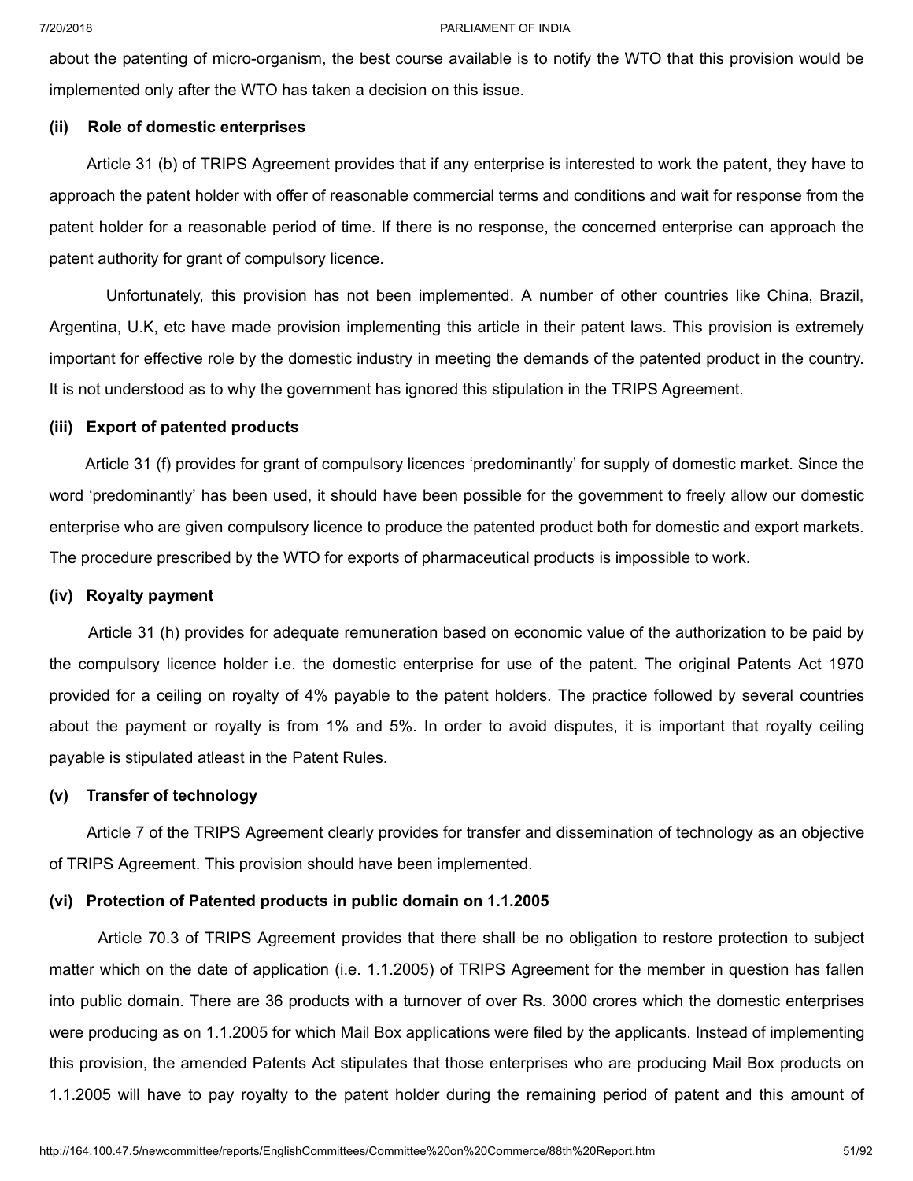about the patenting of micro-organism, the best course available is to notify the WTO that this provision would be implemented only after the WTO has taken a decision on this issue.

# **(ii) Role of domestic enterprises**

Article 31 (b) of TRIPS Agreement provides that if any enterprise is interested to work the patent, they have to approach the patent holder with offer of reasonable commercial terms and conditions and wait for response from the patent holder for a reasonable period of time. If there is no response, the concerned enterprise can approach the patent authority for grant of compulsory licence.

Unfortunately, this provision has not been implemented. A number of other countries like China, Brazil, Argentina, U.K, etc have made provision implementing this article in their patent laws. This provision is extremely important for effective role by the domestic industry in meeting the demands of the patented product in the country. It is not understood as to why the government has ignored this stipulation in the TRIPS Agreement.

# **(iii) Export of patented products**

Article 31 (f) provides for grant of compulsory licences 'predominantly' for supply of domestic market. Since the word 'predominantly' has been used, it should have been possible for the government to freely allow our domestic enterprise who are given compulsory licence to produce the patented product both for domestic and export markets. The procedure prescribed by the WTO for exports of pharmaceutical products is impossible to work.

# **(iv) Royalty payment**

Article 31 (h) provides for adequate remuneration based on economic value of the authorization to be paid by the compulsory licence holder i.e. the domestic enterprise for use of the patent. The original Patents Act 1970 provided for a ceiling on royalty of 4% payable to the patent holders. The practice followed by several countries about the payment or royalty is from 1% and 5%. In order to avoid disputes, it is important that royalty ceiling payable is stipulated atleast in the Patent Rules.

# **(v) Transfer of technology**

Article 7 of the TRIPS Agreement clearly provides for transfer and dissemination of technology as an objective of TRIPS Agreement. This provision should have been implemented.

# **(vi) Protection of Patented products in public domain on 1.1.2005**

Article 70.3 of TRIPS Agreement provides that there shall be no obligation to restore protection to subject matter which on the date of application (i.e. 1.1.2005) of TRIPS Agreement for the member in question has fallen into public domain. There are 36 products with a turnover of over Rs. 3000 crores which the domestic enterprises were producing as on 1.1.2005 for which Mail Box applications were filed by the applicants. Instead of implementing this provision, the amended Patents Act stipulates that those enterprises who are producing Mail Box products on 1.1.2005 will have to pay royalty to the patent holder during the remaining period of patent and this amount of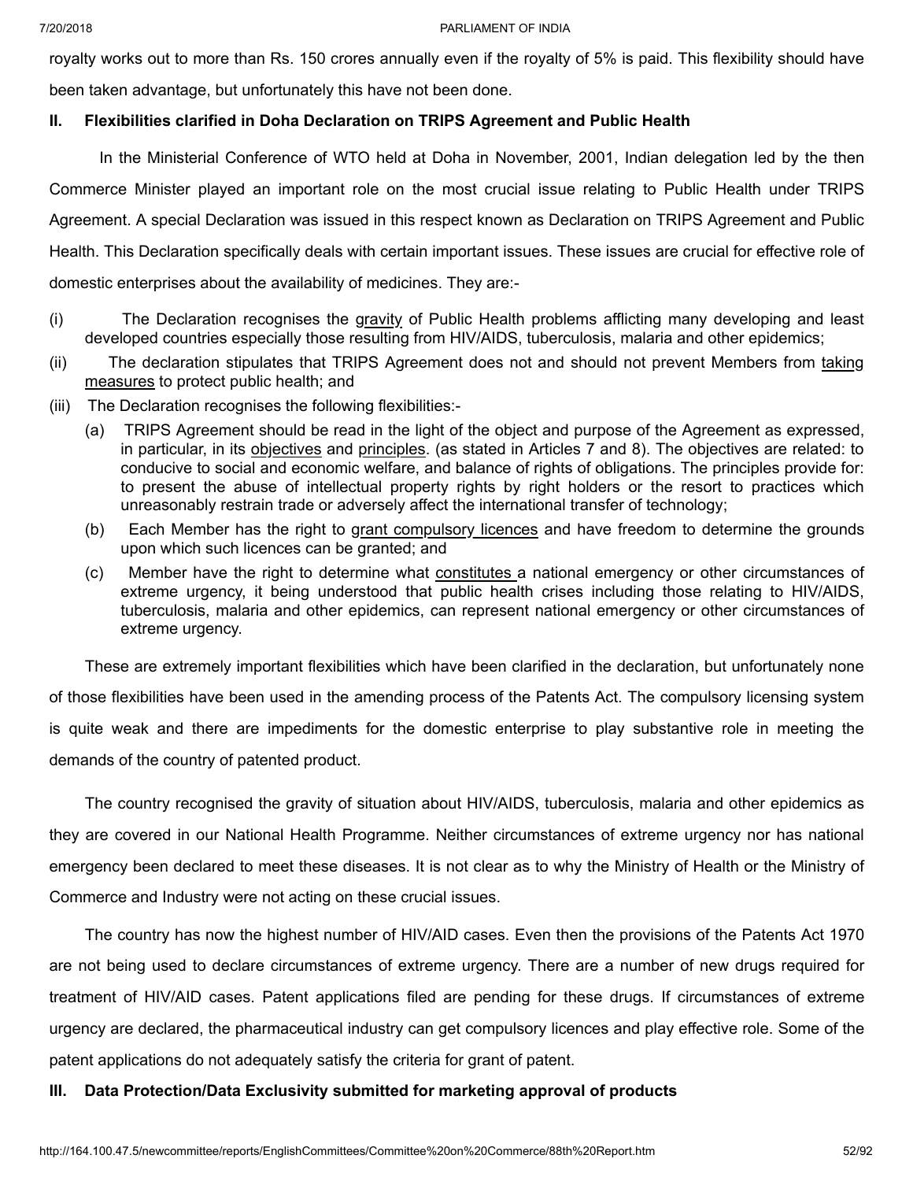royalty works out to more than Rs. 150 crores annually even if the royalty of 5% is paid. This flexibility should have been taken advantage, but unfortunately this have not been done.

# **II. Flexibilities clarified in Doha Declaration on TRIPS Agreement and Public Health**

In the Ministerial Conference of WTO held at Doha in November, 2001, Indian delegation led by the then Commerce Minister played an important role on the most crucial issue relating to Public Health under TRIPS Agreement. A special Declaration was issued in this respect known as Declaration on TRIPS Agreement and Public Health. This Declaration specifically deals with certain important issues. These issues are crucial for effective role of domestic enterprises about the availability of medicines. They are:-

- (i) The Declaration recognises the gravity of Public Health problems afflicting many developing and least developed countries especially those resulting from HIV/AIDS, tuberculosis, malaria and other epidemics;
- (ii) The declaration stipulates that TRIPS Agreement does not and should not prevent Members from taking measures to protect public health; and
- (iii) The Declaration recognises the following flexibilities:-
	- (a) TRIPS Agreement should be read in the light of the object and purpose of the Agreement as expressed, in particular, in its **objectives** and principles. (as stated in Articles 7 and 8). The objectives are related: to conducive to social and economic welfare, and balance of rights of obligations. The principles provide for: to present the abuse of intellectual property rights by right holders or the resort to practices which unreasonably restrain trade or adversely affect the international transfer of technology;
	- (b) Each Member has the right to grant compulsory licences and have freedom to determine the grounds upon which such licences can be granted; and
	- (c) Member have the right to determine what constitutes a national emergency or other circumstances of extreme urgency, it being understood that public health crises including those relating to HIV/AIDS, tuberculosis, malaria and other epidemics, can represent national emergency or other circumstances of extreme urgency.

These are extremely important flexibilities which have been clarified in the declaration, but unfortunately none of those flexibilities have been used in the amending process of the Patents Act. The compulsory licensing system is quite weak and there are impediments for the domestic enterprise to play substantive role in meeting the demands of the country of patented product.

The country recognised the gravity of situation about HIV/AIDS, tuberculosis, malaria and other epidemics as they are covered in our National Health Programme. Neither circumstances of extreme urgency nor has national emergency been declared to meet these diseases. It is not clear as to why the Ministry of Health or the Ministry of Commerce and Industry were not acting on these crucial issues.

The country has now the highest number of HIV/AID cases. Even then the provisions of the Patents Act 1970 are not being used to declare circumstances of extreme urgency. There are a number of new drugs required for treatment of HIV/AID cases. Patent applications filed are pending for these drugs. If circumstances of extreme urgency are declared, the pharmaceutical industry can get compulsory licences and play effective role. Some of the patent applications do not adequately satisfy the criteria for grant of patent.

# **III. Data Protection/Data Exclusivity submitted for marketing approval of products**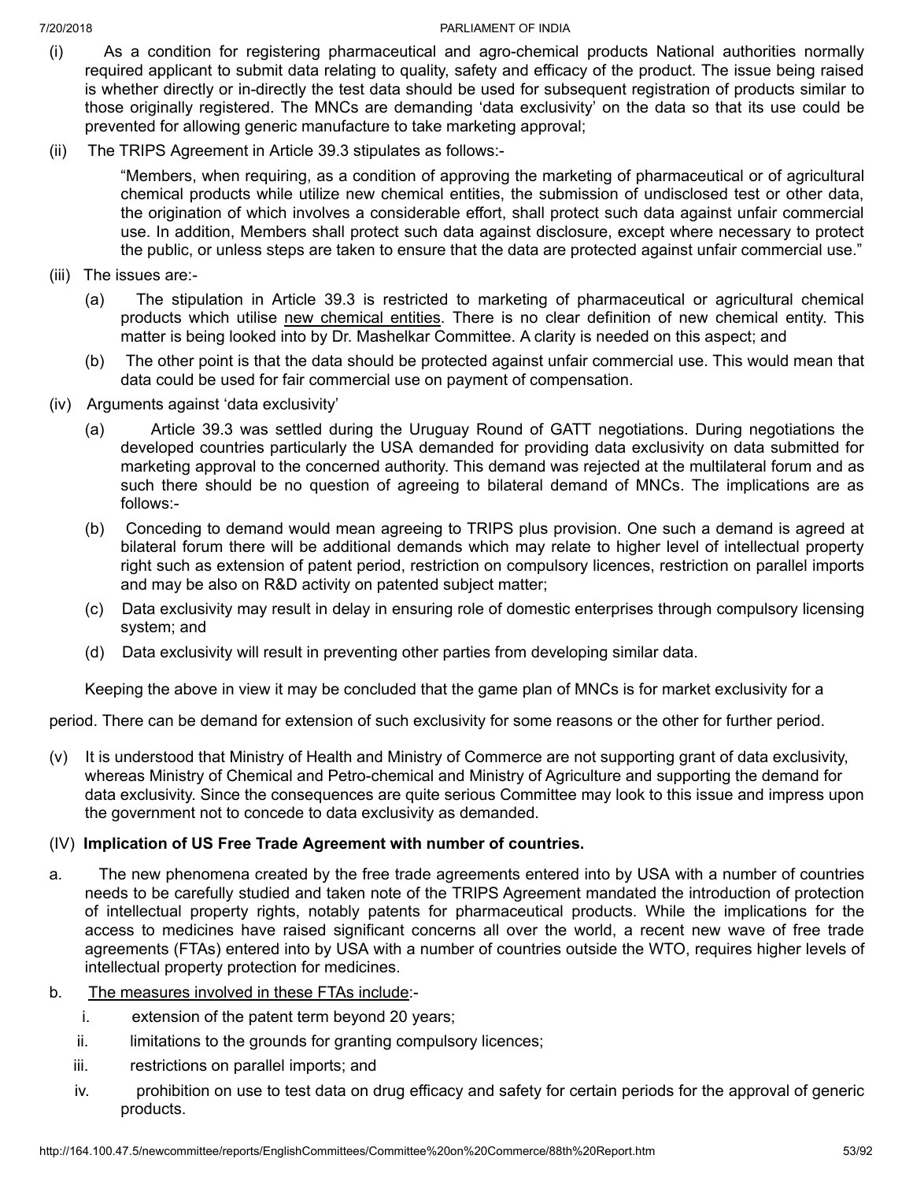- (i) As a condition for registering pharmaceutical and agro-chemical products National authorities normally required applicant to submit data relating to quality, safety and efficacy of the product. The issue being raised is whether directly or in-directly the test data should be used for subsequent registration of products similar to those originally registered. The MNCs are demanding 'data exclusivity' on the data so that its use could be prevented for allowing generic manufacture to take marketing approval;
- (ii) The TRIPS Agreement in Article 39.3 stipulates as follows:-

"Members, when requiring, as a condition of approving the marketing of pharmaceutical or of agricultural chemical products while utilize new chemical entities, the submission of undisclosed test or other data, the origination of which involves a considerable effort, shall protect such data against unfair commercial use. In addition, Members shall protect such data against disclosure, except where necessary to protect the public, or unless steps are taken to ensure that the data are protected against unfair commercial use."

- (iii) The issues are:-
	- (a) The stipulation in Article 39.3 is restricted to marketing of pharmaceutical or agricultural chemical products which utilise new chemical entities. There is no clear definition of new chemical entity. This matter is being looked into by Dr. Mashelkar Committee. A clarity is needed on this aspect; and
	- (b) The other point is that the data should be protected against unfair commercial use. This would mean that data could be used for fair commercial use on payment of compensation.
- (iv) Arguments against 'data exclusivity'
	- (a) Article 39.3 was settled during the Uruguay Round of GATT negotiations. During negotiations the developed countries particularly the USA demanded for providing data exclusivity on data submitted for marketing approval to the concerned authority. This demand was rejected at the multilateral forum and as such there should be no question of agreeing to bilateral demand of MNCs. The implications are as follows:-
	- (b) Conceding to demand would mean agreeing to TRIPS plus provision. One such a demand is agreed at bilateral forum there will be additional demands which may relate to higher level of intellectual property right such as extension of patent period, restriction on compulsory licences, restriction on parallel imports and may be also on R&D activity on patented subject matter;
	- (c) Data exclusivity may result in delay in ensuring role of domestic enterprises through compulsory licensing system; and
	- (d) Data exclusivity will result in preventing other parties from developing similar data.

Keeping the above in view it may be concluded that the game plan of MNCs is for market exclusivity for a

period. There can be demand for extension of such exclusivity for some reasons or the other for further period.

(v) It is understood that Ministry of Health and Ministry of Commerce are not supporting grant of data exclusivity, whereas Ministry of Chemical and Petro-chemical and Ministry of Agriculture and supporting the demand for data exclusivity. Since the consequences are quite serious Committee may look to this issue and impress upon the government not to concede to data exclusivity as demanded.

# (IV) **Implication of US Free Trade Agreement with number of countries.**

- a. The new phenomena created by the free trade agreements entered into by USA with a number of countries needs to be carefully studied and taken note of the TRIPS Agreement mandated the introduction of protection of intellectual property rights, notably patents for pharmaceutical products. While the implications for the access to medicines have raised significant concerns all over the world, a recent new wave of free trade agreements (FTAs) entered into by USA with a number of countries outside the WTO, requires higher levels of intellectual property protection for medicines.
- b. The measures involved in these FTAs include:
	- i. extension of the patent term beyond 20 years;
	- ii. limitations to the grounds for granting compulsory licences;
	- iii. restrictions on parallel imports; and
	- iv. prohibition on use to test data on drug efficacy and safety for certain periods for the approval of generic products.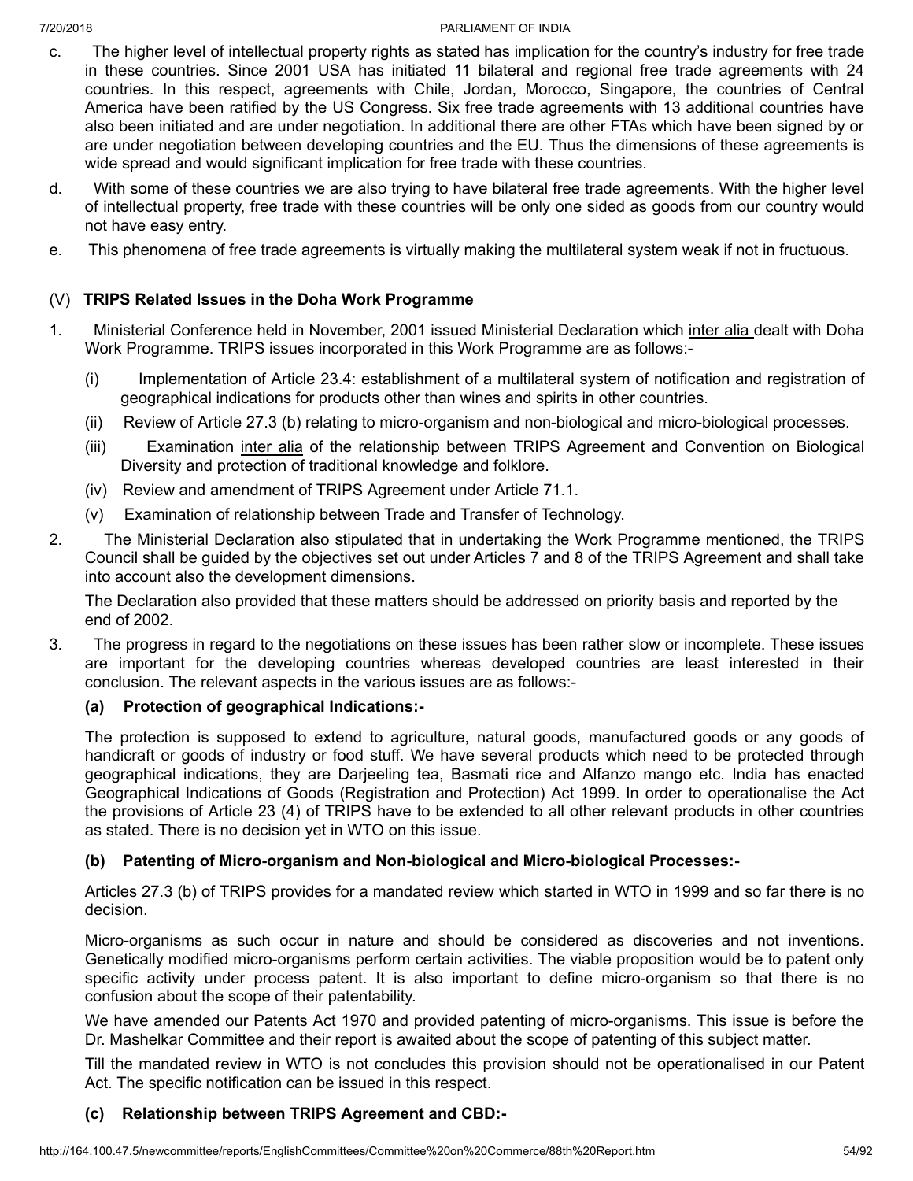- c. The higher level of intellectual property rights as stated has implication for the country's industry for free trade in these countries. Since 2001 USA has initiated 11 bilateral and regional free trade agreements with 24 countries. In this respect, agreements with Chile, Jordan, Morocco, Singapore, the countries of Central America have been ratified by the US Congress. Six free trade agreements with 13 additional countries have also been initiated and are under negotiation. In additional there are other FTAs which have been signed by or are under negotiation between developing countries and the EU. Thus the dimensions of these agreements is wide spread and would significant implication for free trade with these countries.
- d. With some of these countries we are also trying to have bilateral free trade agreements. With the higher level of intellectual property, free trade with these countries will be only one sided as goods from our country would not have easy entry.
- e. This phenomena of free trade agreements is virtually making the multilateral system weak if not in fructuous.

# (V) **TRIPS Related Issues in the Doha Work Programme**

- 1. Ministerial Conference held in November, 2001 issued Ministerial Declaration which inter alia dealt with Doha Work Programme. TRIPS issues incorporated in this Work Programme are as follows:-
	- (i) Implementation of Article 23.4: establishment of a multilateral system of notification and registration of geographical indications for products other than wines and spirits in other countries.
	- (ii) Review of Article 27.3 (b) relating to micro-organism and non-biological and micro-biological processes.
	- (iii) Examination inter alia of the relationship between TRIPS Agreement and Convention on Biological Diversity and protection of traditional knowledge and folklore.
	- (iv) Review and amendment of TRIPS Agreement under Article 71.1.
	- (v) Examination of relationship between Trade and Transfer of Technology.
- 2. The Ministerial Declaration also stipulated that in undertaking the Work Programme mentioned, the TRIPS Council shall be guided by the objectives set out under Articles 7 and 8 of the TRIPS Agreement and shall take into account also the development dimensions.

The Declaration also provided that these matters should be addressed on priority basis and reported by the end of 2002.

3. The progress in regard to the negotiations on these issues has been rather slow or incomplete. These issues are important for the developing countries whereas developed countries are least interested in their conclusion. The relevant aspects in the various issues are as follows:-

# **(a) Protection of geographical Indications:-**

The protection is supposed to extend to agriculture, natural goods, manufactured goods or any goods of handicraft or goods of industry or food stuff. We have several products which need to be protected through geographical indications, they are Darjeeling tea, Basmati rice and Alfanzo mango etc. India has enacted Geographical Indications of Goods (Registration and Protection) Act 1999. In order to operationalise the Act the provisions of Article 23 (4) of TRIPS have to be extended to all other relevant products in other countries as stated. There is no decision yet in WTO on this issue.

# **(b) Patenting of Micro-organism and Non-biological and Micro-biological Processes:-**

Articles 27.3 (b) of TRIPS provides for a mandated review which started in WTO in 1999 and so far there is no decision.

Micro-organisms as such occur in nature and should be considered as discoveries and not inventions. Genetically modified micro-organisms perform certain activities. The viable proposition would be to patent only specific activity under process patent. It is also important to define micro-organism so that there is no confusion about the scope of their patentability.

We have amended our Patents Act 1970 and provided patenting of micro-organisms. This issue is before the Dr. Mashelkar Committee and their report is awaited about the scope of patenting of this subject matter.

Till the mandated review in WTO is not concludes this provision should not be operationalised in our Patent Act. The specific notification can be issued in this respect.

# **(c) Relationship between TRIPS Agreement and CBD:-**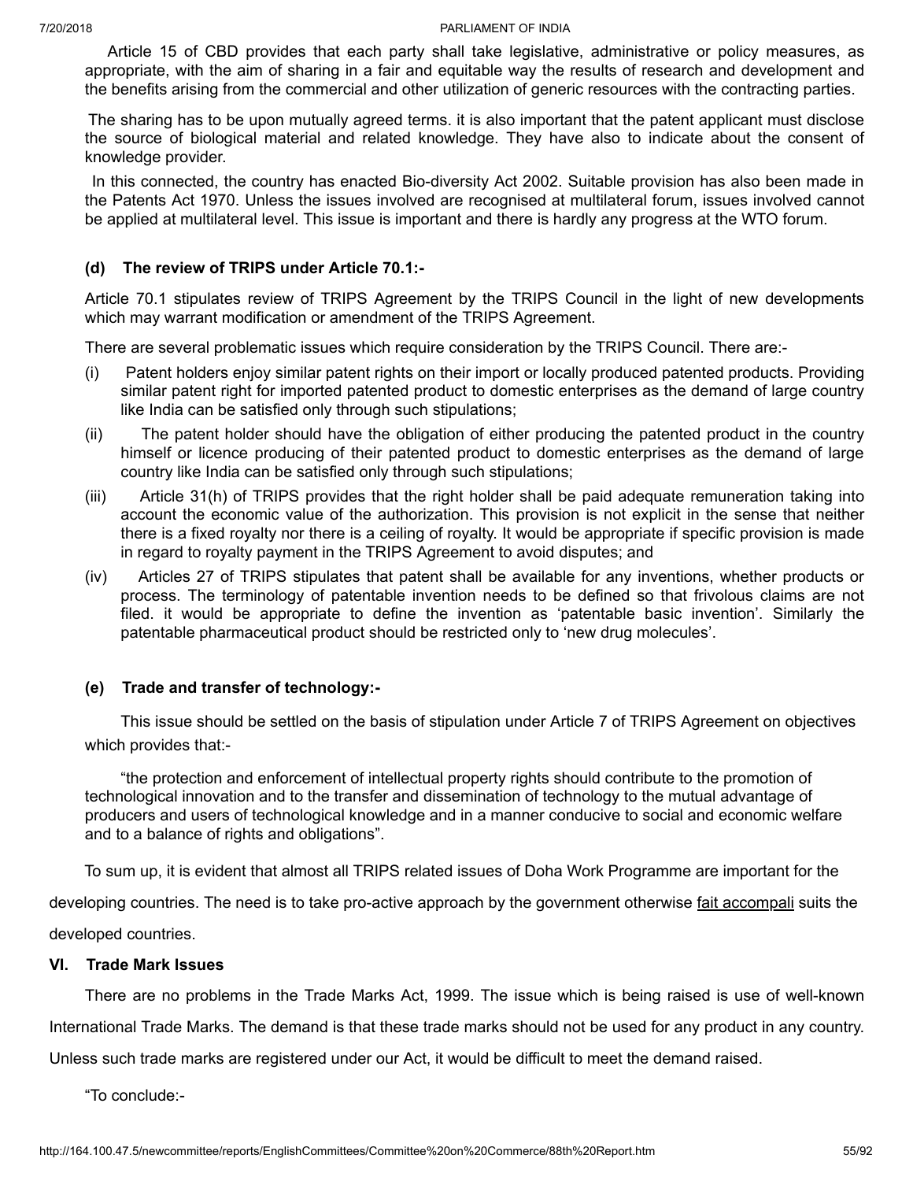Article 15 of CBD provides that each party shall take legislative, administrative or policy measures, as appropriate, with the aim of sharing in a fair and equitable way the results of research and development and the benefits arising from the commercial and other utilization of generic resources with the contracting parties.

The sharing has to be upon mutually agreed terms. it is also important that the patent applicant must disclose the source of biological material and related knowledge. They have also to indicate about the consent of knowledge provider.

In this connected, the country has enacted Bio-diversity Act 2002. Suitable provision has also been made in the Patents Act 1970. Unless the issues involved are recognised at multilateral forum, issues involved cannot be applied at multilateral level. This issue is important and there is hardly any progress at the WTO forum.

# **(d) The review of TRIPS under Article 70.1:-**

Article 70.1 stipulates review of TRIPS Agreement by the TRIPS Council in the light of new developments which may warrant modification or amendment of the TRIPS Agreement.

There are several problematic issues which require consideration by the TRIPS Council. There are:-

- (i) Patent holders enjoy similar patent rights on their import or locally produced patented products. Providing similar patent right for imported patented product to domestic enterprises as the demand of large country like India can be satisfied only through such stipulations;
- (ii) The patent holder should have the obligation of either producing the patented product in the country himself or licence producing of their patented product to domestic enterprises as the demand of large country like India can be satisfied only through such stipulations;
- (iii) Article 31(h) of TRIPS provides that the right holder shall be paid adequate remuneration taking into account the economic value of the authorization. This provision is not explicit in the sense that neither there is a fixed royalty nor there is a ceiling of royalty. It would be appropriate if specific provision is made in regard to royalty payment in the TRIPS Agreement to avoid disputes; and
- (iv) Articles 27 of TRIPS stipulates that patent shall be available for any inventions, whether products or process. The terminology of patentable invention needs to be defined so that frivolous claims are not filed. it would be appropriate to define the invention as 'patentable basic invention'. Similarly the patentable pharmaceutical product should be restricted only to 'new drug molecules'.

# **(e) Trade and transfer of technology:-**

This issue should be settled on the basis of stipulation under Article 7 of TRIPS Agreement on objectives which provides that:-

"the protection and enforcement of intellectual property rights should contribute to the promotion of technological innovation and to the transfer and dissemination of technology to the mutual advantage of producers and users of technological knowledge and in a manner conducive to social and economic welfare and to a balance of rights and obligations".

To sum up, it is evident that almost all TRIPS related issues of Doha Work Programme are important for the

developing countries. The need is to take pro-active approach by the government otherwise fait accompali suits the developed countries.

# **VI. Trade Mark Issues**

There are no problems in the Trade Marks Act, 1999. The issue which is being raised is use of well-known International Trade Marks. The demand is that these trade marks should not be used for any product in any country. Unless such trade marks are registered under our Act, it would be difficult to meet the demand raised.

"To conclude:-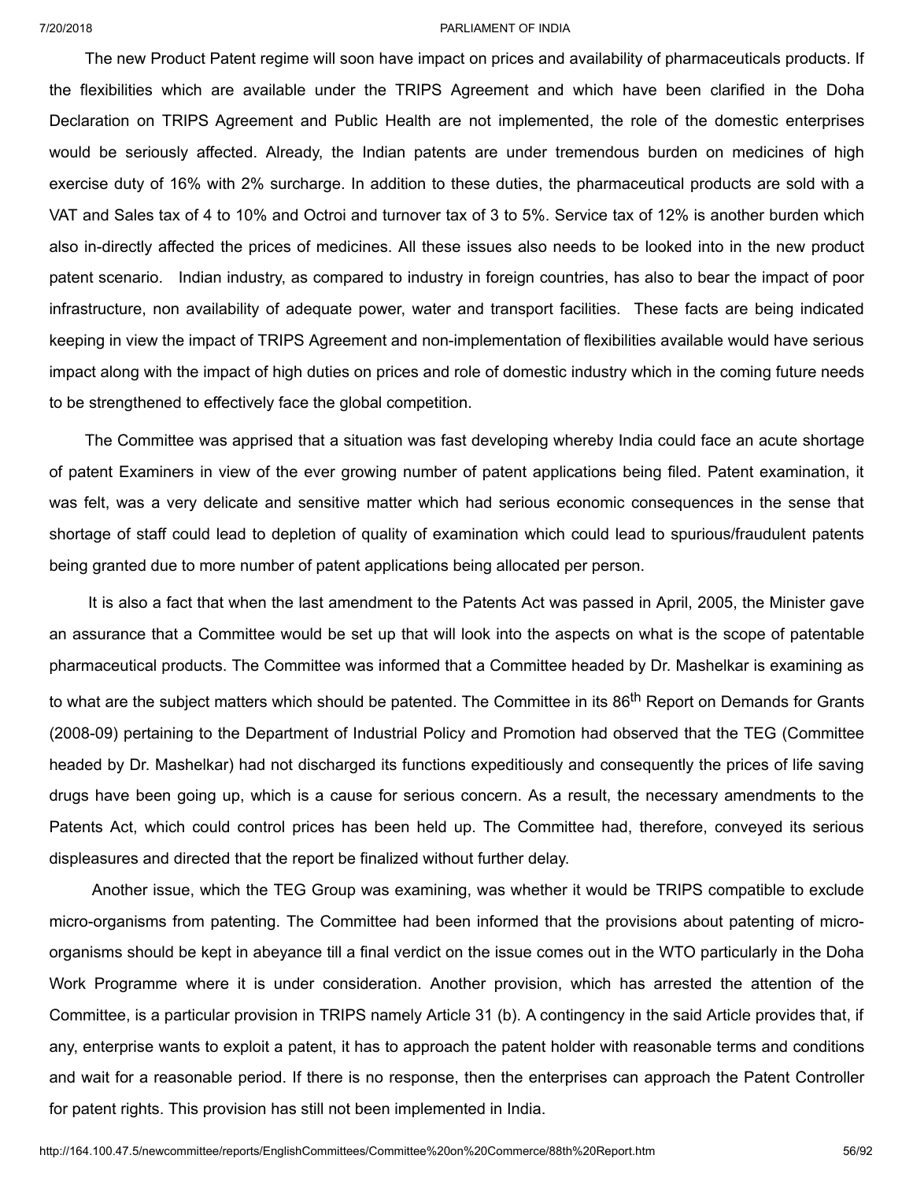The new Product Patent regime will soon have impact on prices and availability of pharmaceuticals products. If the flexibilities which are available under the TRIPS Agreement and which have been clarified in the Doha Declaration on TRIPS Agreement and Public Health are not implemented, the role of the domestic enterprises would be seriously affected. Already, the Indian patents are under tremendous burden on medicines of high exercise duty of 16% with 2% surcharge. In addition to these duties, the pharmaceutical products are sold with a VAT and Sales tax of 4 to 10% and Octroi and turnover tax of 3 to 5%. Service tax of 12% is another burden which also in-directly affected the prices of medicines. All these issues also needs to be looked into in the new product patent scenario. Indian industry, as compared to industry in foreign countries, has also to bear the impact of poor infrastructure, non availability of adequate power, water and transport facilities. These facts are being indicated keeping in view the impact of TRIPS Agreement and non-implementation of flexibilities available would have serious impact along with the impact of high duties on prices and role of domestic industry which in the coming future needs to be strengthened to effectively face the global competition.

The Committee was apprised that a situation was fast developing whereby India could face an acute shortage of patent Examiners in view of the ever growing number of patent applications being filed. Patent examination, it was felt, was a very delicate and sensitive matter which had serious economic consequences in the sense that shortage of staff could lead to depletion of quality of examination which could lead to spurious/fraudulent patents being granted due to more number of patent applications being allocated per person.

It is also a fact that when the last amendment to the Patents Act was passed in April, 2005, the Minister gave an assurance that a Committee would be set up that will look into the aspects on what is the scope of patentable pharmaceutical products. The Committee was informed that a Committee headed by Dr. Mashelkar is examining as to what are the subject matters which should be patented. The Committee in its 86<sup>th</sup> Report on Demands for Grants (2008-09) pertaining to the Department of Industrial Policy and Promotion had observed that the TEG (Committee headed by Dr. Mashelkar) had not discharged its functions expeditiously and consequently the prices of life saving drugs have been going up, which is a cause for serious concern. As a result, the necessary amendments to the Patents Act, which could control prices has been held up. The Committee had, therefore, conveyed its serious displeasures and directed that the report be finalized without further delay.

Another issue, which the TEG Group was examining, was whether it would be TRIPS compatible to exclude micro-organisms from patenting. The Committee had been informed that the provisions about patenting of microorganisms should be kept in abeyance till a final verdict on the issue comes out in the WTO particularly in the Doha Work Programme where it is under consideration. Another provision, which has arrested the attention of the Committee, is a particular provision in TRIPS namely Article 31 (b). A contingency in the said Article provides that, if any, enterprise wants to exploit a patent, it has to approach the patent holder with reasonable terms and conditions and wait for a reasonable period. If there is no response, then the enterprises can approach the Patent Controller for patent rights. This provision has still not been implemented in India.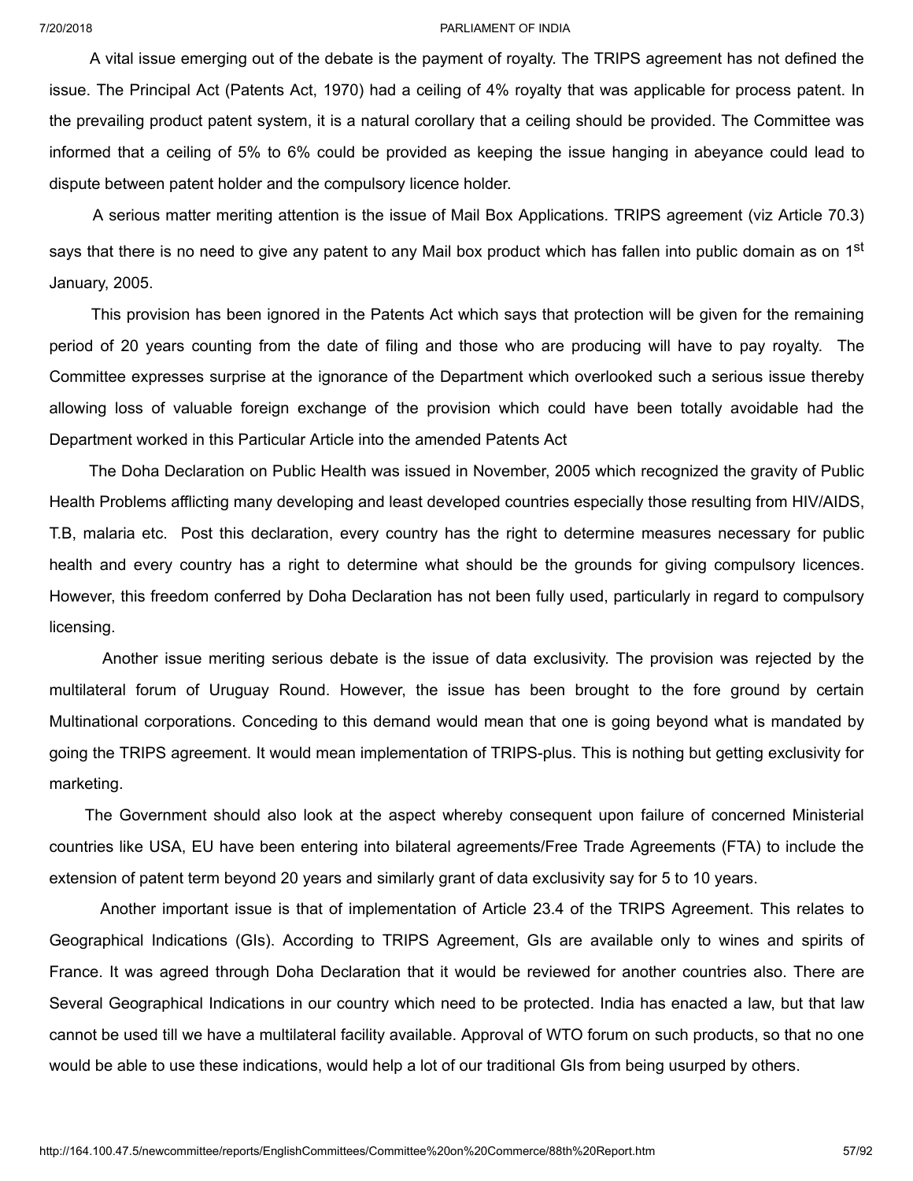A vital issue emerging out of the debate is the payment of royalty. The TRIPS agreement has not defined the issue. The Principal Act (Patents Act, 1970) had a ceiling of 4% royalty that was applicable for process patent. In the prevailing product patent system, it is a natural corollary that a ceiling should be provided. The Committee was informed that a ceiling of 5% to 6% could be provided as keeping the issue hanging in abeyance could lead to dispute between patent holder and the compulsory licence holder.

A serious matter meriting attention is the issue of Mail Box Applications. TRIPS agreement (viz Article 70.3) says that there is no need to give any patent to any Mail box product which has fallen into public domain as on 1<sup>st</sup> January, 2005.

This provision has been ignored in the Patents Act which says that protection will be given for the remaining period of 20 years counting from the date of filing and those who are producing will have to pay royalty. The Committee expresses surprise at the ignorance of the Department which overlooked such a serious issue thereby allowing loss of valuable foreign exchange of the provision which could have been totally avoidable had the Department worked in this Particular Article into the amended Patents Act

The Doha Declaration on Public Health was issued in November, 2005 which recognized the gravity of Public Health Problems afflicting many developing and least developed countries especially those resulting from HIV/AIDS, T.B, malaria etc. Post this declaration, every country has the right to determine measures necessary for public health and every country has a right to determine what should be the grounds for giving compulsory licences. However, this freedom conferred by Doha Declaration has not been fully used, particularly in regard to compulsory licensing.

Another issue meriting serious debate is the issue of data exclusivity. The provision was rejected by the multilateral forum of Uruguay Round. However, the issue has been brought to the fore ground by certain Multinational corporations. Conceding to this demand would mean that one is going beyond what is mandated by going the TRIPS agreement. It would mean implementation of TRIPS-plus. This is nothing but getting exclusivity for marketing.

The Government should also look at the aspect whereby consequent upon failure of concerned Ministerial countries like USA, EU have been entering into bilateral agreements/Free Trade Agreements (FTA) to include the extension of patent term beyond 20 years and similarly grant of data exclusivity say for 5 to 10 years.

Another important issue is that of implementation of Article 23.4 of the TRIPS Agreement. This relates to Geographical Indications (GIs). According to TRIPS Agreement, GIs are available only to wines and spirits of France. It was agreed through Doha Declaration that it would be reviewed for another countries also. There are Several Geographical Indications in our country which need to be protected. India has enacted a law, but that law cannot be used till we have a multilateral facility available. Approval of WTO forum on such products, so that no one would be able to use these indications, would help a lot of our traditional GIs from being usurped by others.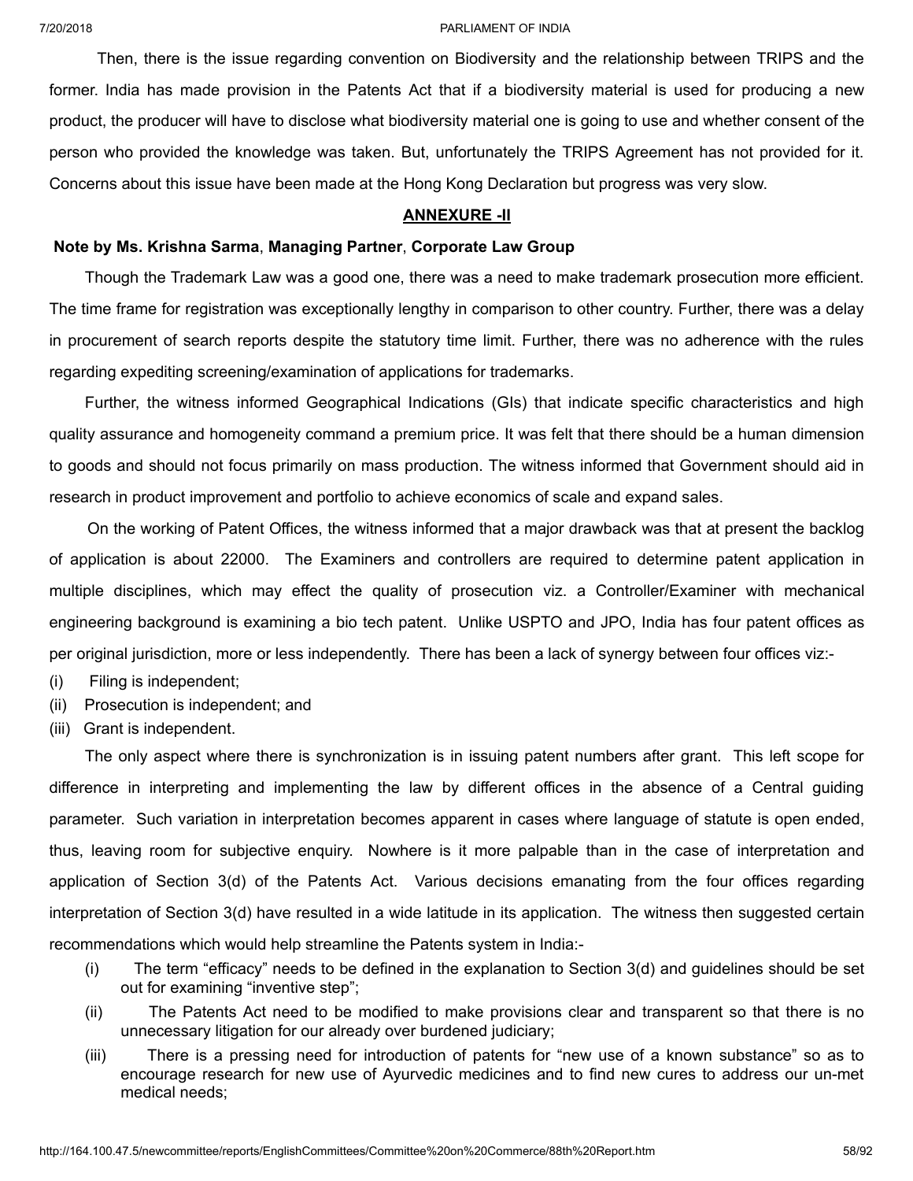Then, there is the issue regarding convention on Biodiversity and the relationship between TRIPS and the former. India has made provision in the Patents Act that if a biodiversity material is used for producing a new product, the producer will have to disclose what biodiversity material one is going to use and whether consent of the person who provided the knowledge was taken. But, unfortunately the TRIPS Agreement has not provided for it. Concerns about this issue have been made at the Hong Kong Declaration but progress was very slow.

## **ANNEXURE -II**

# **Note by Ms. Krishna Sarma**, **Managing Partner**, **Corporate Law Group**

Though the Trademark Law was a good one, there was a need to make trademark prosecution more efficient. The time frame for registration was exceptionally lengthy in comparison to other country. Further, there was a delay in procurement of search reports despite the statutory time limit. Further, there was no adherence with the rules regarding expediting screening/examination of applications for trademarks.

Further, the witness informed Geographical Indications (GIs) that indicate specific characteristics and high quality assurance and homogeneity command a premium price. It was felt that there should be a human dimension to goods and should not focus primarily on mass production. The witness informed that Government should aid in research in product improvement and portfolio to achieve economics of scale and expand sales.

On the working of Patent Offices, the witness informed that a major drawback was that at present the backlog of application is about 22000. The Examiners and controllers are required to determine patent application in multiple disciplines, which may effect the quality of prosecution viz. a Controller/Examiner with mechanical engineering background is examining a bio tech patent. Unlike USPTO and JPO, India has four patent offices as per original jurisdiction, more or less independently. There has been a lack of synergy between four offices viz:-

- (i) Filing is independent;
- (ii) Prosecution is independent; and
- (iii) Grant is independent.

The only aspect where there is synchronization is in issuing patent numbers after grant. This left scope for difference in interpreting and implementing the law by different offices in the absence of a Central guiding parameter. Such variation in interpretation becomes apparent in cases where language of statute is open ended, thus, leaving room for subjective enquiry. Nowhere is it more palpable than in the case of interpretation and application of Section 3(d) of the Patents Act. Various decisions emanating from the four offices regarding interpretation of Section 3(d) have resulted in a wide latitude in its application. The witness then suggested certain recommendations which would help streamline the Patents system in India:-

- (i) The term "efficacy" needs to be defined in the explanation to Section 3(d) and guidelines should be set out for examining "inventive step";
- (ii) The Patents Act need to be modified to make provisions clear and transparent so that there is no unnecessary litigation for our already over burdened judiciary;
- (iii) There is a pressing need for introduction of patents for "new use of a known substance" so as to encourage research for new use of Ayurvedic medicines and to find new cures to address our un-met medical needs;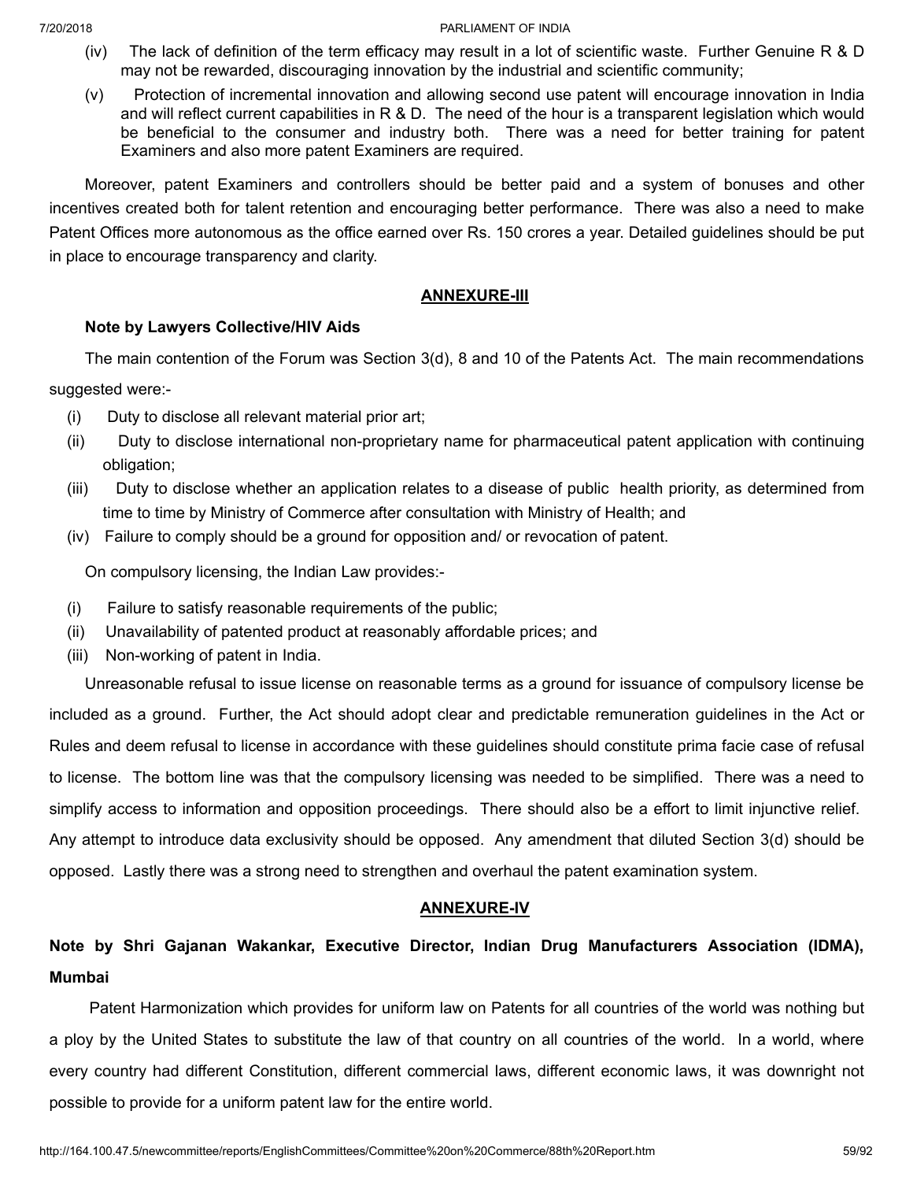- (iv) The lack of definition of the term efficacy may result in a lot of scientific waste. Further Genuine R & D may not be rewarded, discouraging innovation by the industrial and scientific community;
- (v) Protection of incremental innovation and allowing second use patent will encourage innovation in India and will reflect current capabilities in R & D. The need of the hour is a transparent legislation which would be beneficial to the consumer and industry both. There was a need for better training for patent Examiners and also more patent Examiners are required.

Moreover, patent Examiners and controllers should be better paid and a system of bonuses and other incentives created both for talent retention and encouraging better performance. There was also a need to make Patent Offices more autonomous as the office earned over Rs. 150 crores a year. Detailed guidelines should be put in place to encourage transparency and clarity.

# **ANNEXURE-III**

# **Note by Lawyers Collective/HIV Aids**

The main contention of the Forum was Section 3(d), 8 and 10 of the Patents Act. The main recommendations

suggested were:-

- (i) Duty to disclose all relevant material prior art;
- (ii) Duty to disclose international non-proprietary name for pharmaceutical patent application with continuing obligation;
- (iii) Duty to disclose whether an application relates to a disease of public health priority, as determined from time to time by Ministry of Commerce after consultation with Ministry of Health; and
- (iv) Failure to comply should be a ground for opposition and/ or revocation of patent.

On compulsory licensing, the Indian Law provides:-

- (i) Failure to satisfy reasonable requirements of the public;
- (ii) Unavailability of patented product at reasonably affordable prices; and
- (iii) Non-working of patent in India.

Unreasonable refusal to issue license on reasonable terms as a ground for issuance of compulsory license be included as a ground. Further, the Act should adopt clear and predictable remuneration guidelines in the Act or Rules and deem refusal to license in accordance with these guidelines should constitute prima facie case of refusal to license. The bottom line was that the compulsory licensing was needed to be simplified. There was a need to simplify access to information and opposition proceedings. There should also be a effort to limit injunctive relief. Any attempt to introduce data exclusivity should be opposed. Any amendment that diluted Section 3(d) should be opposed. Lastly there was a strong need to strengthen and overhaul the patent examination system.

# **ANNEXURE-IV**

# **Note by Shri Gajanan Wakankar, Executive Director, Indian Drug Manufacturers Association (IDMA), Mumbai**

Patent Harmonization which provides for uniform law on Patents for all countries of the world was nothing but a ploy by the United States to substitute the law of that country on all countries of the world. In a world, where every country had different Constitution, different commercial laws, different economic laws, it was downright not possible to provide for a uniform patent law for the entire world.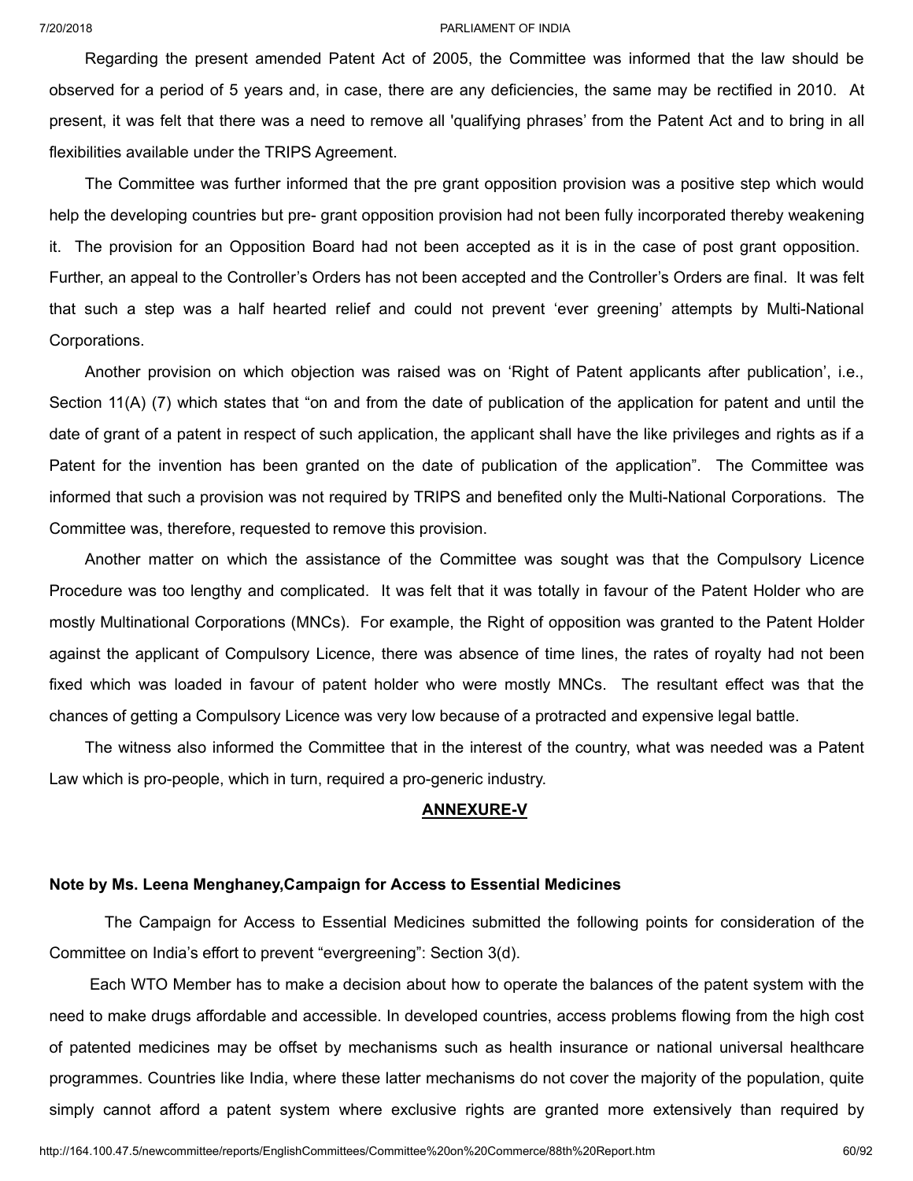Regarding the present amended Patent Act of 2005, the Committee was informed that the law should be observed for a period of 5 years and, in case, there are any deficiencies, the same may be rectified in 2010. At present, it was felt that there was a need to remove all 'qualifying phrases' from the Patent Act and to bring in all flexibilities available under the TRIPS Agreement.

The Committee was further informed that the pre grant opposition provision was a positive step which would help the developing countries but pre- grant opposition provision had not been fully incorporated thereby weakening it. The provision for an Opposition Board had not been accepted as it is in the case of post grant opposition. Further, an appeal to the Controller's Orders has not been accepted and the Controller's Orders are final. It was felt that such a step was a half hearted relief and could not prevent 'ever greening' attempts by Multi-National Corporations.

Another provision on which objection was raised was on 'Right of Patent applicants after publication', i.e., Section 11(A) (7) which states that "on and from the date of publication of the application for patent and until the date of grant of a patent in respect of such application, the applicant shall have the like privileges and rights as if a Patent for the invention has been granted on the date of publication of the application". The Committee was informed that such a provision was not required by TRIPS and benefited only the Multi-National Corporations. The Committee was, therefore, requested to remove this provision.

Another matter on which the assistance of the Committee was sought was that the Compulsory Licence Procedure was too lengthy and complicated. It was felt that it was totally in favour of the Patent Holder who are mostly Multinational Corporations (MNCs). For example, the Right of opposition was granted to the Patent Holder against the applicant of Compulsory Licence, there was absence of time lines, the rates of royalty had not been fixed which was loaded in favour of patent holder who were mostly MNCs. The resultant effect was that the chances of getting a Compulsory Licence was very low because of a protracted and expensive legal battle.

The witness also informed the Committee that in the interest of the country, what was needed was a Patent Law which is pro-people, which in turn, required a pro-generic industry.

## **ANNEXURE-V**

## **Note by Ms. Leena Menghaney,Campaign for Access to Essential Medicines**

The Campaign for Access to Essential Medicines submitted the following points for consideration of the Committee on India's effort to prevent "evergreening": Section 3(d).

Each WTO Member has to make a decision about how to operate the balances of the patent system with the need to make drugs affordable and accessible. In developed countries, access problems flowing from the high cost of patented medicines may be offset by mechanisms such as health insurance or national universal healthcare programmes. Countries like India, where these latter mechanisms do not cover the majority of the population, quite simply cannot afford a patent system where exclusive rights are granted more extensively than required by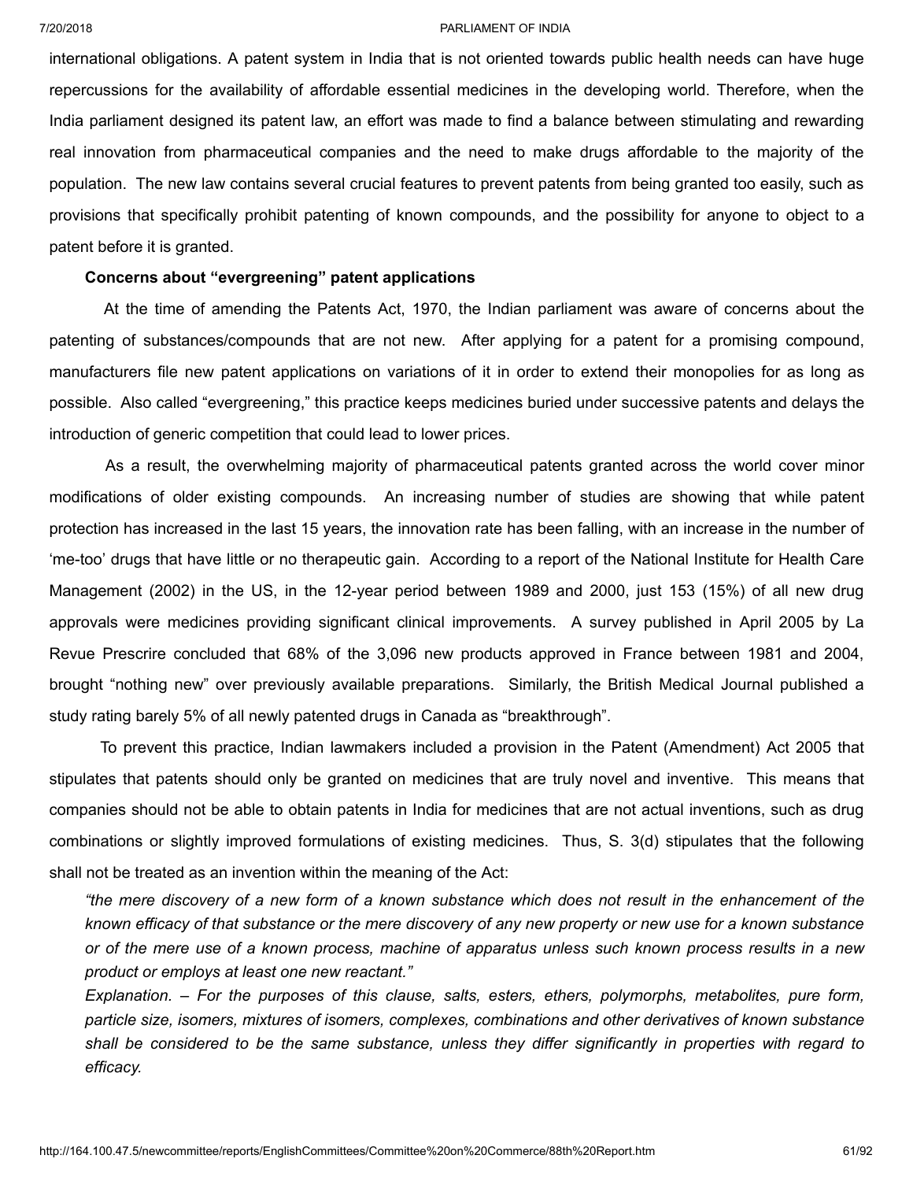international obligations. A patent system in India that is not oriented towards public health needs can have huge repercussions for the availability of affordable essential medicines in the developing world. Therefore, when the India parliament designed its patent law, an effort was made to find a balance between stimulating and rewarding real innovation from pharmaceutical companies and the need to make drugs affordable to the majority of the population. The new law contains several crucial features to prevent patents from being granted too easily, such as provisions that specifically prohibit patenting of known compounds, and the possibility for anyone to object to a patent before it is granted.

# **Concerns about "evergreening" patent applications**

At the time of amending the Patents Act, 1970, the Indian parliament was aware of concerns about the patenting of substances/compounds that are not new. After applying for a patent for a promising compound, manufacturers file new patent applications on variations of it in order to extend their monopolies for as long as possible. Also called "evergreening," this practice keeps medicines buried under successive patents and delays the introduction of generic competition that could lead to lower prices.

As a result, the overwhelming majority of pharmaceutical patents granted across the world cover minor modifications of older existing compounds. An increasing number of studies are showing that while patent protection has increased in the last 15 years, the innovation rate has been falling, with an increase in the number of 'me-too' drugs that have little or no therapeutic gain. According to a report of the National Institute for Health Care Management (2002) in the US, in the 12-year period between 1989 and 2000, just 153 (15%) of all new drug approvals were medicines providing significant clinical improvements. A survey published in April 2005 by La Revue Prescrire concluded that 68% of the 3,096 new products approved in France between 1981 and 2004, brought "nothing new" over previously available preparations. Similarly, the British Medical Journal published a study rating barely 5% of all newly patented drugs in Canada as "breakthrough".

To prevent this practice, Indian lawmakers included a provision in the Patent (Amendment) Act 2005 that stipulates that patents should only be granted on medicines that are truly novel and inventive. This means that companies should not be able to obtain patents in India for medicines that are not actual inventions, such as drug combinations or slightly improved formulations of existing medicines. Thus, S. 3(d) stipulates that the following shall not be treated as an invention within the meaning of the Act:

the mere discovery of a new form of a known substance which does not result in the enhancement of the known efficacy of that substance or the mere discovery of any new property or new use for a known substance or of the mere use of a known process, machine of apparatus unless such known process results in a new *product or employs at least one new reactant."*

*Explanation. – For the purposes of this clause, salts, esters, ethers, polymorphs, metabolites, pure form, particle size, isomers, mixtures of isomers, complexes, combinations and other derivatives of known substance* shall be considered to be the same substance, unless they differ significantly in properties with regard to *efficacy.*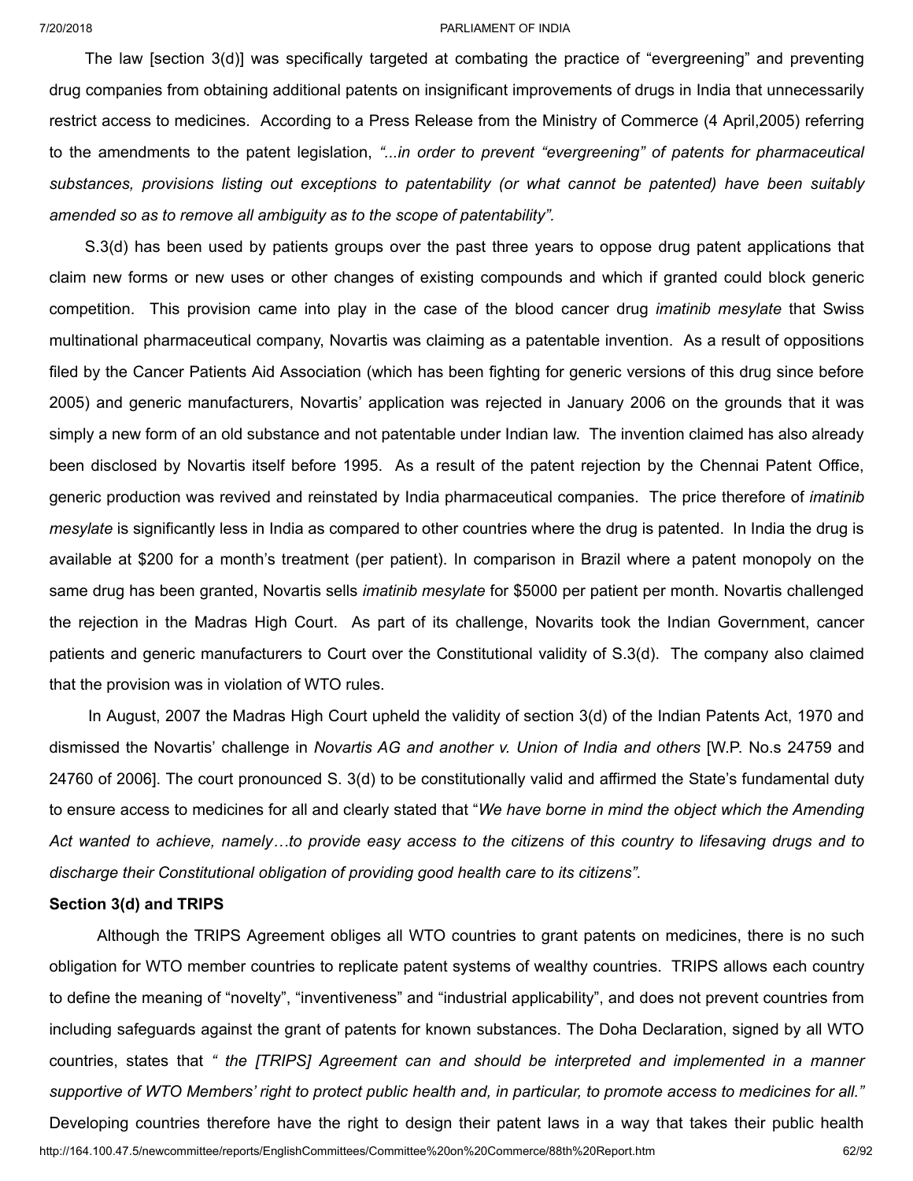The law [section 3(d)] was specifically targeted at combating the practice of "evergreening" and preventing drug companies from obtaining additional patents on insignificant improvements of drugs in India that unnecessarily restrict access to medicines. According to a Press Release from the Ministry of Commerce (4 April,2005) referring to the amendments to the patent legislation, *"...in order to prevent "evergreening" of patents for pharmaceutical substances, provisions listing out exceptions to patentability (or what cannot be patented) have been suitably amended so as to remove all ambiguity as to the scope of patentability".*

S.3(d) has been used by patients groups over the past three years to oppose drug patent applications that claim new forms or new uses or other changes of existing compounds and which if granted could block generic competition. This provision came into play in the case of the blood cancer drug *imatinib mesylate* that Swiss multinational pharmaceutical company, Novartis was claiming as a patentable invention. As a result of oppositions filed by the Cancer Patients Aid Association (which has been fighting for generic versions of this drug since before 2005) and generic manufacturers, Novartis' application was rejected in January 2006 on the grounds that it was simply a new form of an old substance and not patentable under Indian law. The invention claimed has also already been disclosed by Novartis itself before 1995. As a result of the patent rejection by the Chennai Patent Office, generic production was revived and reinstated by India pharmaceutical companies. The price therefore of *imatinib mesylate* is significantly less in India as compared to other countries where the drug is patented. In India the drug is available at \$200 for a month's treatment (per patient). In comparison in Brazil where a patent monopoly on the same drug has been granted, Novartis sells *imatinib mesylate* for \$5000 per patient per month. Novartis challenged the rejection in the Madras High Court. As part of its challenge, Novarits took the Indian Government, cancer patients and generic manufacturers to Court over the Constitutional validity of S.3(d). The company also claimed that the provision was in violation of WTO rules.

In August, 2007 the Madras High Court upheld the validity of section 3(d) of the Indian Patents Act, 1970 and dismissed the Novartis' challenge in *Novartis AG and another v. Union of India and others* [W.P. No.s 24759 and 24760 of 2006]. The court pronounced S. 3(d) to be constitutionally valid and affirmed the State's fundamental duty to ensure access to medicines for all and clearly stated that "*We have borne in mind the object which the Amending* Act wanted to achieve, namely...to provide easy access to the citizens of this country to lifesaving drugs and to *discharge their Constitutional obligation of providing good health care to its citizens".*

## **Section 3(d) and TRIPS**

Although the TRIPS Agreement obliges all WTO countries to grant patents on medicines, there is no such obligation for WTO member countries to replicate patent systems of wealthy countries. TRIPS allows each country to define the meaning of "novelty", "inventiveness" and "industrial applicability", and does not prevent countries from including safeguards against the grant of patents for known substances. The Doha Declaration, signed by all WTO countries, states that *" the [TRIPS] Agreement can and should be interpreted and implemented in a manner* supportive of WTO Members' right to protect public health and, in particular, to promote access to medicines for all."

http://164.100.47.5/newcommittee/reports/EnglishCommittees/Committee%20on%20Commerce/88th%20Report.htm 62/92 Developing countries therefore have the right to design their patent laws in a way that takes their public health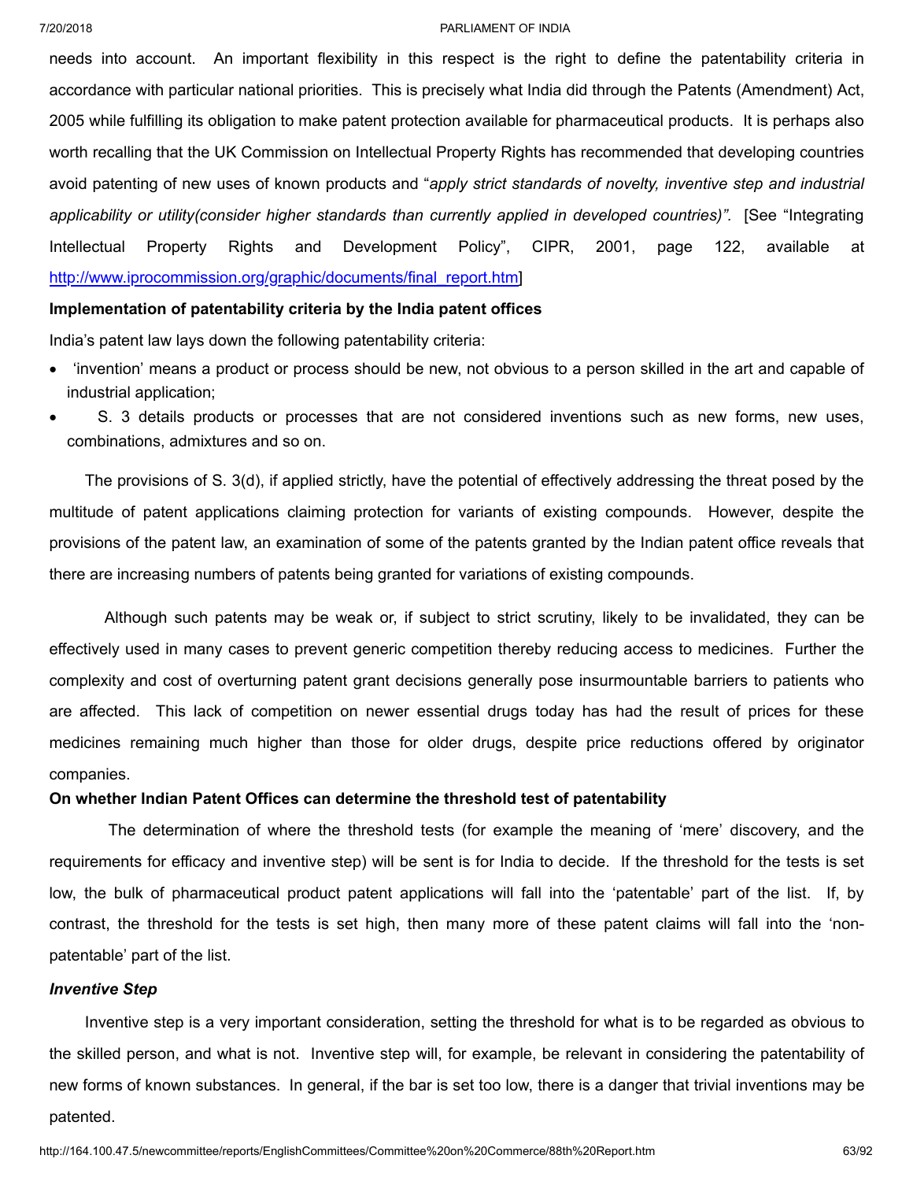needs into account. An important flexibility in this respect is the right to define the patentability criteria in accordance with particular national priorities. This is precisely what India did through the Patents (Amendment) Act, 2005 while fulfilling its obligation to make patent protection available for pharmaceutical products. It is perhaps also worth recalling that the UK Commission on Intellectual Property Rights has recommended that developing countries avoid patenting of new uses of known products and "*apply strict standards of novelty, inventive step and industrial applicability or utility(consider higher standards than currently applied in developed countries)".* [See "Integrating Intellectual Property Rights and Development Policy", CIPR, 2001, page 122, available at [http://www.iprocommission.org/graphic/documents/final\\_report.htm\]](http://www.iprocommission.org/graphic/documents/final_report.htm)

# **Implementation of patentability criteria by the India patent offices**

India's patent law lays down the following patentability criteria:

- · 'invention' means a product or process should be new, not obvious to a person skilled in the art and capable of industrial application;
- S. 3 details products or processes that are not considered inventions such as new forms, new uses, combinations, admixtures and so on.

The provisions of S. 3(d), if applied strictly, have the potential of effectively addressing the threat posed by the multitude of patent applications claiming protection for variants of existing compounds. However, despite the provisions of the patent law, an examination of some of the patents granted by the Indian patent office reveals that there are increasing numbers of patents being granted for variations of existing compounds.

Although such patents may be weak or, if subject to strict scrutiny, likely to be invalidated, they can be effectively used in many cases to prevent generic competition thereby reducing access to medicines. Further the complexity and cost of overturning patent grant decisions generally pose insurmountable barriers to patients who are affected. This lack of competition on newer essential drugs today has had the result of prices for these medicines remaining much higher than those for older drugs, despite price reductions offered by originator companies.

# **On whether Indian Patent Offices can determine the threshold test of patentability**

The determination of where the threshold tests (for example the meaning of 'mere' discovery, and the requirements for efficacy and inventive step) will be sent is for India to decide. If the threshold for the tests is set low, the bulk of pharmaceutical product patent applications will fall into the 'patentable' part of the list. If, by contrast, the threshold for the tests is set high, then many more of these patent claims will fall into the 'nonpatentable' part of the list.

# *Inventive Step*

Inventive step is a very important consideration, setting the threshold for what is to be regarded as obvious to the skilled person, and what is not. Inventive step will, for example, be relevant in considering the patentability of new forms of known substances. In general, if the bar is set too low, there is a danger that trivial inventions may be patented.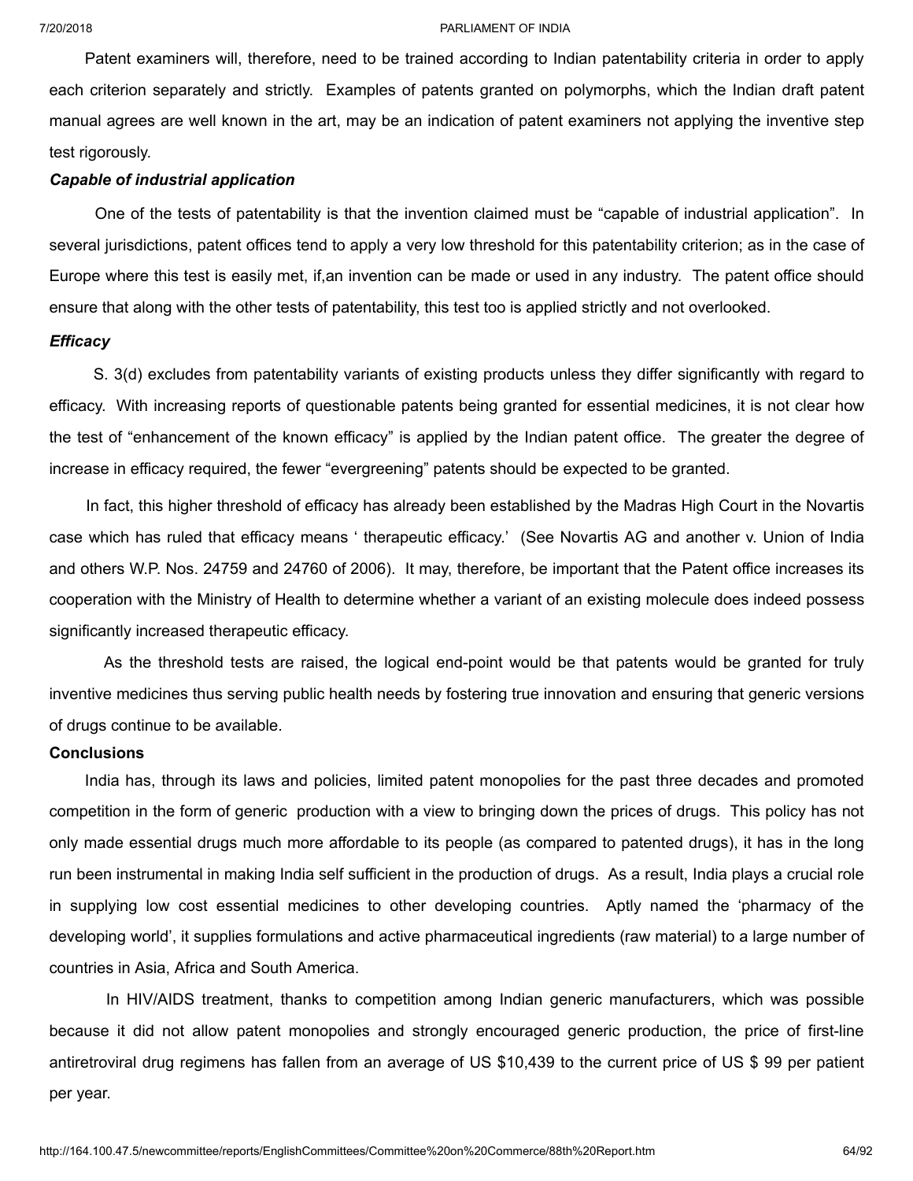Patent examiners will, therefore, need to be trained according to Indian patentability criteria in order to apply each criterion separately and strictly. Examples of patents granted on polymorphs, which the Indian draft patent manual agrees are well known in the art, may be an indication of patent examiners not applying the inventive step test rigorously.

# *Capable of industrial application*

One of the tests of patentability is that the invention claimed must be "capable of industrial application". In several jurisdictions, patent offices tend to apply a very low threshold for this patentability criterion; as in the case of Europe where this test is easily met, if,an invention can be made or used in any industry. The patent office should ensure that along with the other tests of patentability, this test too is applied strictly and not overlooked.

## *Efficacy*

S. 3(d) excludes from patentability variants of existing products unless they differ significantly with regard to efficacy. With increasing reports of questionable patents being granted for essential medicines, it is not clear how the test of "enhancement of the known efficacy" is applied by the Indian patent office. The greater the degree of increase in efficacy required, the fewer "evergreening" patents should be expected to be granted.

In fact, this higher threshold of efficacy has already been established by the Madras High Court in the Novartis case which has ruled that efficacy means ' therapeutic efficacy.' (See Novartis AG and another v. Union of India and others W.P. Nos. 24759 and 24760 of 2006). It may, therefore, be important that the Patent office increases its cooperation with the Ministry of Health to determine whether a variant of an existing molecule does indeed possess significantly increased therapeutic efficacy.

As the threshold tests are raised, the logical end-point would be that patents would be granted for truly inventive medicines thus serving public health needs by fostering true innovation and ensuring that generic versions of drugs continue to be available.

## **Conclusions**

India has, through its laws and policies, limited patent monopolies for the past three decades and promoted competition in the form of generic production with a view to bringing down the prices of drugs. This policy has not only made essential drugs much more affordable to its people (as compared to patented drugs), it has in the long run been instrumental in making India self sufficient in the production of drugs. As a result, India plays a crucial role in supplying low cost essential medicines to other developing countries. Aptly named the 'pharmacy of the developing world', it supplies formulations and active pharmaceutical ingredients (raw material) to a large number of countries in Asia, Africa and South America.

In HIV/AIDS treatment, thanks to competition among Indian generic manufacturers, which was possible because it did not allow patent monopolies and strongly encouraged generic production, the price of first-line antiretroviral drug regimens has fallen from an average of US \$10,439 to the current price of US \$ 99 per patient per year.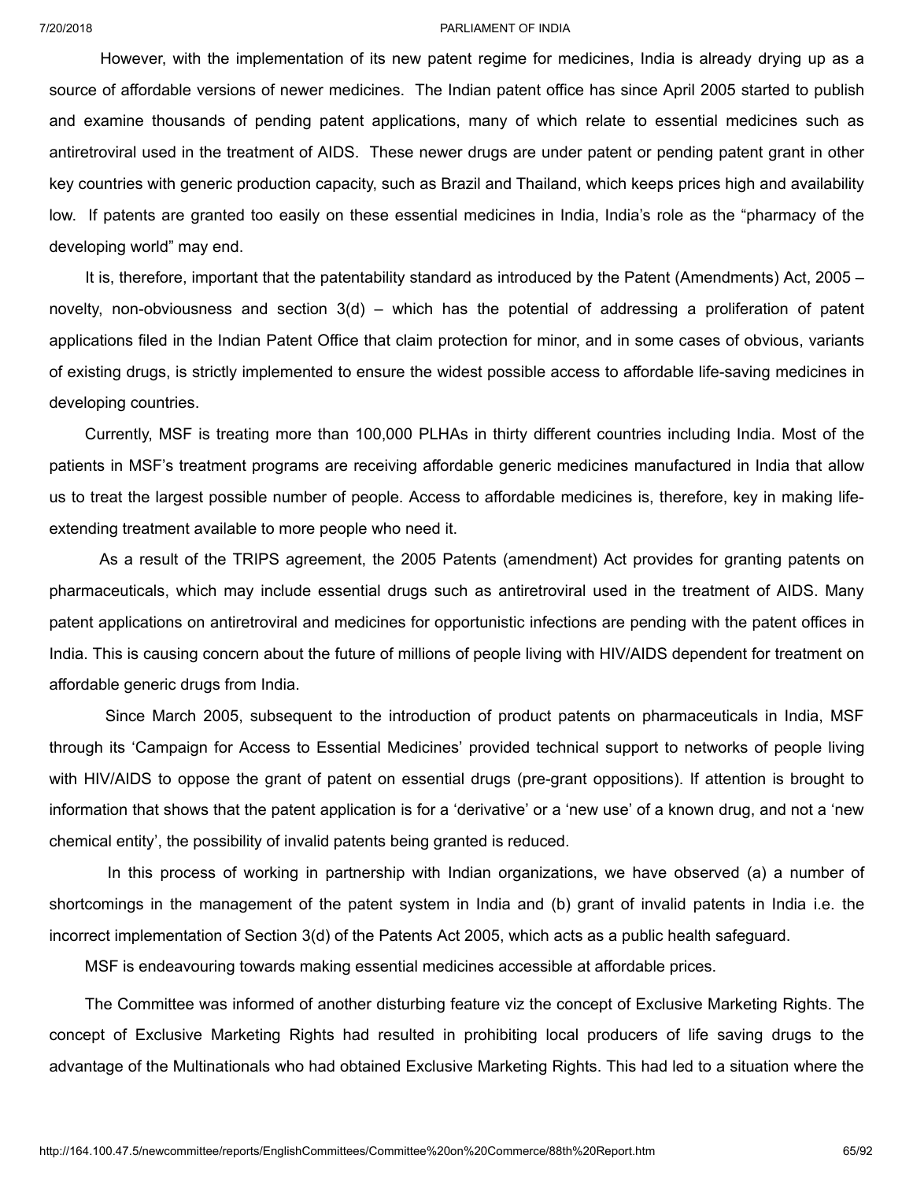However, with the implementation of its new patent regime for medicines, India is already drying up as a source of affordable versions of newer medicines. The Indian patent office has since April 2005 started to publish and examine thousands of pending patent applications, many of which relate to essential medicines such as antiretroviral used in the treatment of AIDS. These newer drugs are under patent or pending patent grant in other key countries with generic production capacity, such as Brazil and Thailand, which keeps prices high and availability low. If patents are granted too easily on these essential medicines in India, India's role as the "pharmacy of the developing world" may end.

It is, therefore, important that the patentability standard as introduced by the Patent (Amendments) Act, 2005 novelty, non-obviousness and section 3(d) – which has the potential of addressing a proliferation of patent applications filed in the Indian Patent Office that claim protection for minor, and in some cases of obvious, variants of existing drugs, is strictly implemented to ensure the widest possible access to affordable life-saving medicines in developing countries.

Currently, MSF is treating more than 100,000 PLHAs in thirty different countries including India. Most of the patients in MSF's treatment programs are receiving affordable generic medicines manufactured in India that allow us to treat the largest possible number of people. Access to affordable medicines is, therefore, key in making lifeextending treatment available to more people who need it.

As a result of the TRIPS agreement, the 2005 Patents (amendment) Act provides for granting patents on pharmaceuticals, which may include essential drugs such as antiretroviral used in the treatment of AIDS. Many patent applications on antiretroviral and medicines for opportunistic infections are pending with the patent offices in India. This is causing concern about the future of millions of people living with HIV/AIDS dependent for treatment on affordable generic drugs from India.

Since March 2005, subsequent to the introduction of product patents on pharmaceuticals in India, MSF through its 'Campaign for Access to Essential Medicines' provided technical support to networks of people living with HIV/AIDS to oppose the grant of patent on essential drugs (pre-grant oppositions). If attention is brought to information that shows that the patent application is for a 'derivative' or a 'new use' of a known drug, and not a 'new chemical entity', the possibility of invalid patents being granted is reduced.

In this process of working in partnership with Indian organizations, we have observed (a) a number of shortcomings in the management of the patent system in India and (b) grant of invalid patents in India i.e. the incorrect implementation of Section 3(d) of the Patents Act 2005, which acts as a public health safeguard.

MSF is endeavouring towards making essential medicines accessible at affordable prices.

The Committee was informed of another disturbing feature viz the concept of Exclusive Marketing Rights. The concept of Exclusive Marketing Rights had resulted in prohibiting local producers of life saving drugs to the advantage of the Multinationals who had obtained Exclusive Marketing Rights. This had led to a situation where the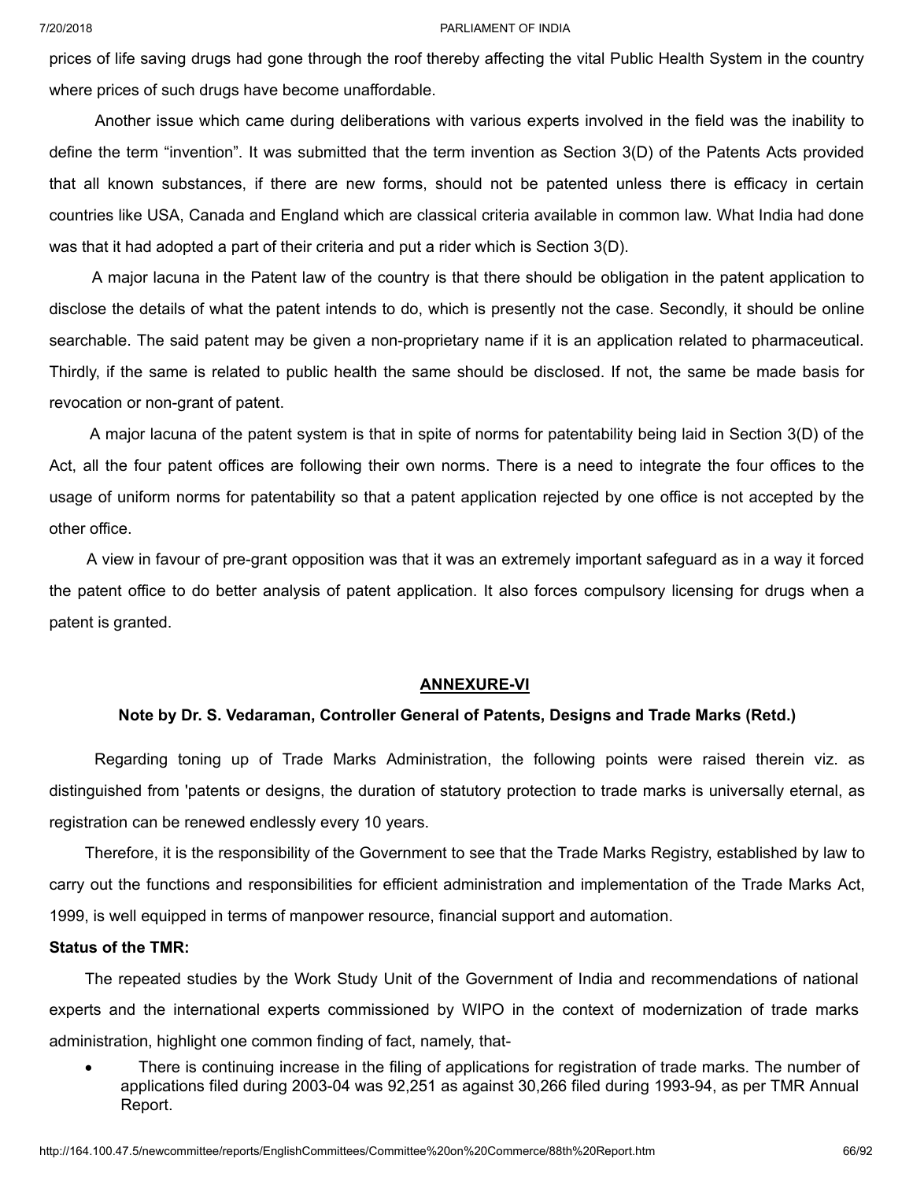prices of life saving drugs had gone through the roof thereby affecting the vital Public Health System in the country where prices of such drugs have become unaffordable.

Another issue which came during deliberations with various experts involved in the field was the inability to define the term "invention". It was submitted that the term invention as Section 3(D) of the Patents Acts provided that all known substances, if there are new forms, should not be patented unless there is efficacy in certain countries like USA, Canada and England which are classical criteria available in common law. What India had done was that it had adopted a part of their criteria and put a rider which is Section 3(D).

A major lacuna in the Patent law of the country is that there should be obligation in the patent application to disclose the details of what the patent intends to do, which is presently not the case. Secondly, it should be online searchable. The said patent may be given a non-proprietary name if it is an application related to pharmaceutical. Thirdly, if the same is related to public health the same should be disclosed. If not, the same be made basis for revocation or non-grant of patent.

A major lacuna of the patent system is that in spite of norms for patentability being laid in Section 3(D) of the Act, all the four patent offices are following their own norms. There is a need to integrate the four offices to the usage of uniform norms for patentability so that a patent application rejected by one office is not accepted by the other office.

A view in favour of pre-grant opposition was that it was an extremely important safeguard as in a way it forced the patent office to do better analysis of patent application. It also forces compulsory licensing for drugs when a patent is granted.

## **ANNEXURE-VI**

## **Note by Dr. S. Vedaraman, Controller General of Patents, Designs and Trade Marks (Retd.)**

Regarding toning up of Trade Marks Administration, the following points were raised therein viz. as distinguished from 'patents or designs, the duration of statutory protection to trade marks is universally eternal, as registration can be renewed endlessly every 10 years.

Therefore, it is the responsibility of the Government to see that the Trade Marks Registry, established by law to carry out the functions and responsibilities for efficient administration and implementation of the Trade Marks Act, 1999, is well equipped in terms of manpower resource, financial support and automation.

### **Status of the TMR:**

The repeated studies by the Work Study Unit of the Government of India and recommendations of national experts and the international experts commissioned by WIPO in the context of modernization of trade marks administration, highlight one common finding of fact, namely, that-

There is continuing increase in the filing of applications for registration of trade marks. The number of applications filed during 2003-04 was 92,251 as against 30,266 filed during 1993-94, as per TMR Annual Report.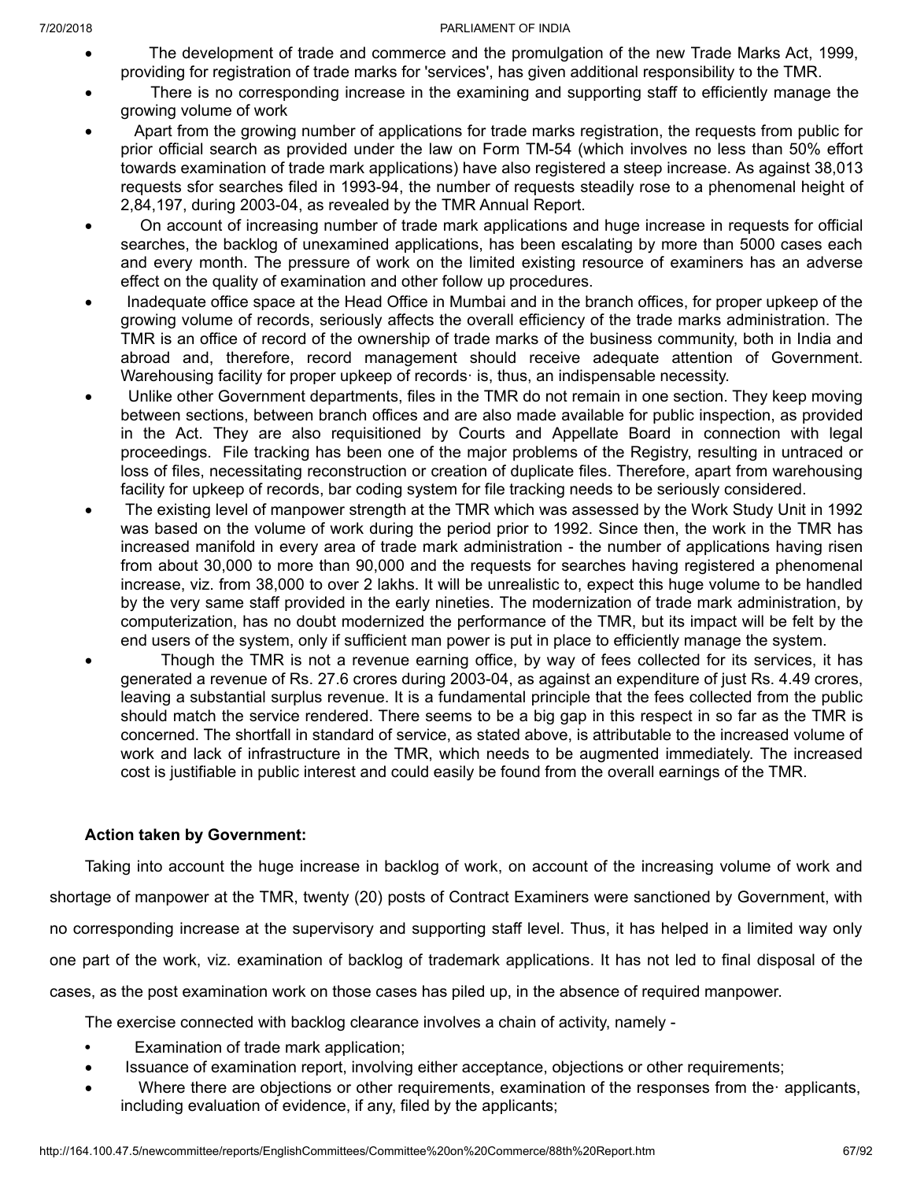- The development of trade and commerce and the promulgation of the new Trade Marks Act, 1999, providing for registration of trade marks for 'services', has given additional responsibility to the TMR.
- · There is no corresponding increase in the examining and supporting staff to efficiently manage the growing volume of work
- Apart from the growing number of applications for trade marks registration, the requests from public for prior official search as provided under the law on Form TM-54 (which involves no less than 50% effort towards examination of trade mark applications) have also registered a steep increase. As against 38,013 requests sfor searches filed in 1993-94, the number of requests steadily rose to a phenomenal height of 2,84,197, during 2003-04, as revealed by the TMR Annual Report.
- · On account of increasing number of trade mark applications and huge increase in requests for official searches, the backlog of unexamined applications, has been escalating by more than 5000 cases each and every month. The pressure of work on the limited existing resource of examiners has an adverse effect on the quality of examination and other follow up procedures.
- · Inadequate office space at the Head Office in Mumbai and in the branch offices, for proper upkeep of the growing volume of records, seriously affects the overall efficiency of the trade marks administration. The TMR is an office of record of the ownership of trade marks of the business community, both in India and abroad and, therefore, record management should receive adequate attention of Government. Warehousing facility for proper upkeep of records· is, thus, an indispensable necessity.
- Unlike other Government departments, files in the TMR do not remain in one section. They keep moving between sections, between branch offices and are also made available for public inspection, as provided in the Act. They are also requisitioned by Courts and Appellate Board in connection with legal proceedings. File tracking has been one of the major problems of the Registry, resulting in untraced or loss of files, necessitating reconstruction or creation of duplicate files. Therefore, apart from warehousing facility for upkeep of records, bar coding system for file tracking needs to be seriously considered.
- The existing level of manpower strength at the TMR which was assessed by the Work Study Unit in 1992 was based on the volume of work during the period prior to 1992. Since then, the work in the TMR has increased manifold in every area of trade mark administration - the number of applications having risen from about 30,000 to more than 90,000 and the requests for searches having registered a phenomenal increase, viz. from 38,000 to over 2 lakhs. It will be unrealistic to, expect this huge volume to be handled by the very same staff provided in the early nineties. The modernization of trade mark administration, by computerization, has no doubt modernized the performance of the TMR, but its impact will be felt by the end users of the system, only if sufficient man power is put in place to efficiently manage the system.
- Though the TMR is not a revenue earning office, by way of fees collected for its services, it has generated a revenue of Rs. 27.6 crores during 2003-04, as against an expenditure of just Rs. 4.49 crores, leaving a substantial surplus revenue. It is a fundamental principle that the fees collected from the public should match the service rendered. There seems to be a big gap in this respect in so far as the TMR is concerned. The shortfall in standard of service, as stated above, is attributable to the increased volume of work and lack of infrastructure in the TMR, which needs to be augmented immediately. The increased cost is justifiable in public interest and could easily be found from the overall earnings of the TMR.

# **Action taken by Government:**

Taking into account the huge increase in backlog of work, on account of the increasing volume of work and shortage of manpower at the TMR, twenty (20) posts of Contract Examiners were sanctioned by Government, with no corresponding increase at the supervisory and supporting staff level. Thus, it has helped in a limited way only one part of the work, viz. examination of backlog of trademark applications. It has not led to final disposal of the cases, as the post examination work on those cases has piled up, in the absence of required manpower.

The exercise connected with backlog clearance involves a chain of activity, namely -

- **•** Examination of trade mark application;
- · Issuance of examination report, involving either acceptance, objections or other requirements;
- Where there are objections or other requirements, examination of the responses from the applicants, including evaluation of evidence, if any, filed by the applicants;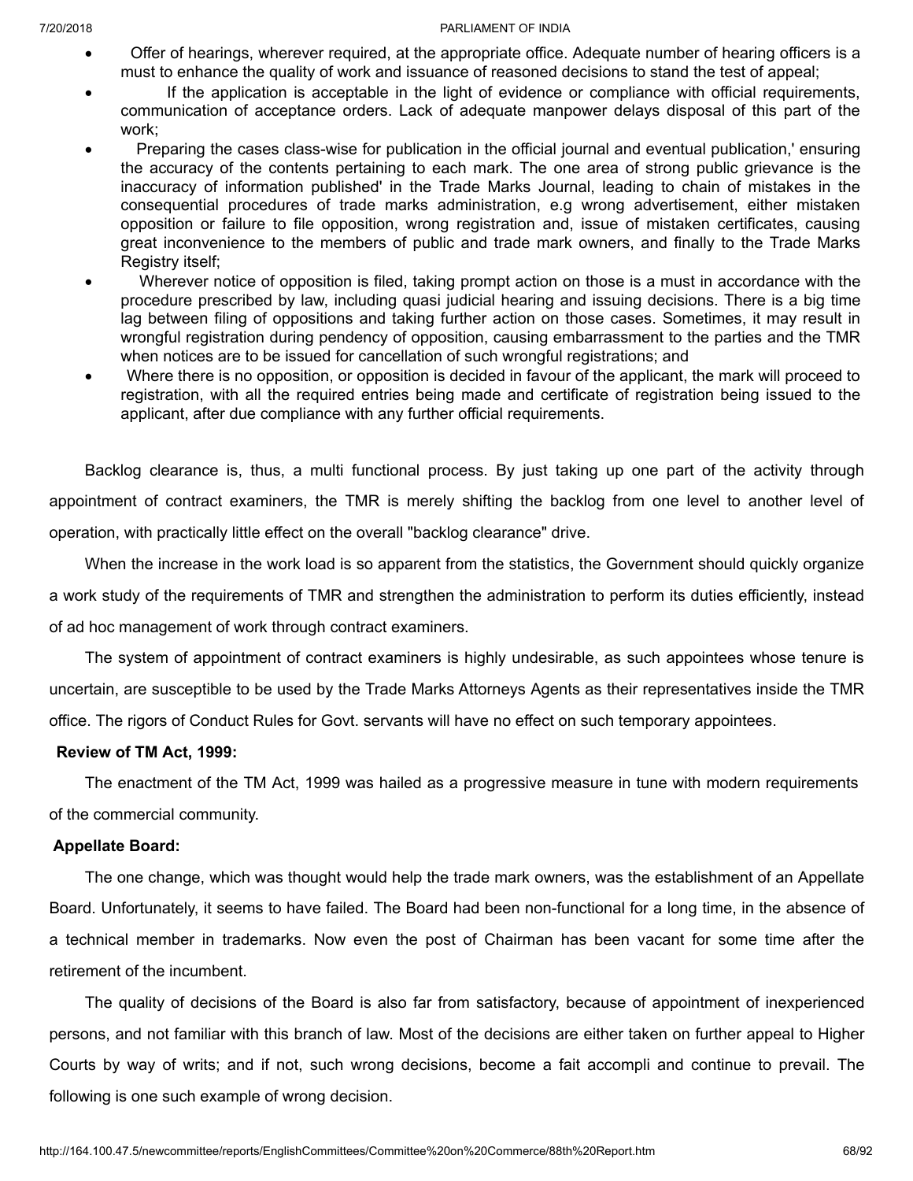- · Offer of hearings, wherever required, at the appropriate office. Adequate number of hearing officers is a must to enhance the quality of work and issuance of reasoned decisions to stand the test of appeal;
- · If the application is acceptable in the light of evidence or compliance with official requirements, communication of acceptance orders. Lack of adequate manpower delays disposal of this part of the work;
- · Preparing the cases class-wise for publication in the official journal and eventual publication,' ensuring the accuracy of the contents pertaining to each mark. The one area of strong public grievance is the inaccuracy of information published' in the Trade Marks Journal, leading to chain of mistakes in the consequential procedures of trade marks administration, e.g wrong advertisement, either mistaken opposition or failure to file opposition, wrong registration and, issue of mistaken certificates, causing great inconvenience to the members of public and trade mark owners, and finally to the Trade Marks Registry itself;
- · Wherever notice of opposition is filed, taking prompt action on those is a must in accordance with the procedure prescribed by law, including quasi judicial hearing and issuing decisions. There is a big time lag between filing of oppositions and taking further action on those cases. Sometimes, it may result in wrongful registration during pendency of opposition, causing embarrassment to the parties and the TMR when notices are to be issued for cancellation of such wrongful registrations; and
- · Where there is no opposition, or opposition is decided in favour of the applicant, the mark will proceed to registration, with all the required entries being made and certificate of registration being issued to the applicant, after due compliance with any further official requirements.

Backlog clearance is, thus, a multi functional process. By just taking up one part of the activity through appointment of contract examiners, the TMR is merely shifting the backlog from one level to another level of operation, with practically little effect on the overall "backlog clearance" drive.

When the increase in the work load is so apparent from the statistics, the Government should quickly organize a work study of the requirements of TMR and strengthen the administration to perform its duties efficiently, instead of ad hoc management of work through contract examiners.

The system of appointment of contract examiners is highly undesirable, as such appointees whose tenure is uncertain, are susceptible to be used by the Trade Marks Attorneys Agents as their representatives inside the TMR office. The rigors of Conduct Rules for Govt. servants will have no effect on such temporary appointees.

# **Review of TM Act, 1999:**

The enactment of the TM Act, 1999 was hailed as a progressive measure in tune with modern requirements of the commercial community.

# **Appellate Board:**

The one change, which was thought would help the trade mark owners, was the establishment of an Appellate Board. Unfortunately, it seems to have failed. The Board had been non-functional for a long time, in the absence of a technical member in trademarks. Now even the post of Chairman has been vacant for some time after the retirement of the incumbent.

The quality of decisions of the Board is also far from satisfactory, because of appointment of inexperienced persons, and not familiar with this branch of law. Most of the decisions are either taken on further appeal to Higher Courts by way of writs; and if not, such wrong decisions, become a fait accompli and continue to prevail. The following is one such example of wrong decision.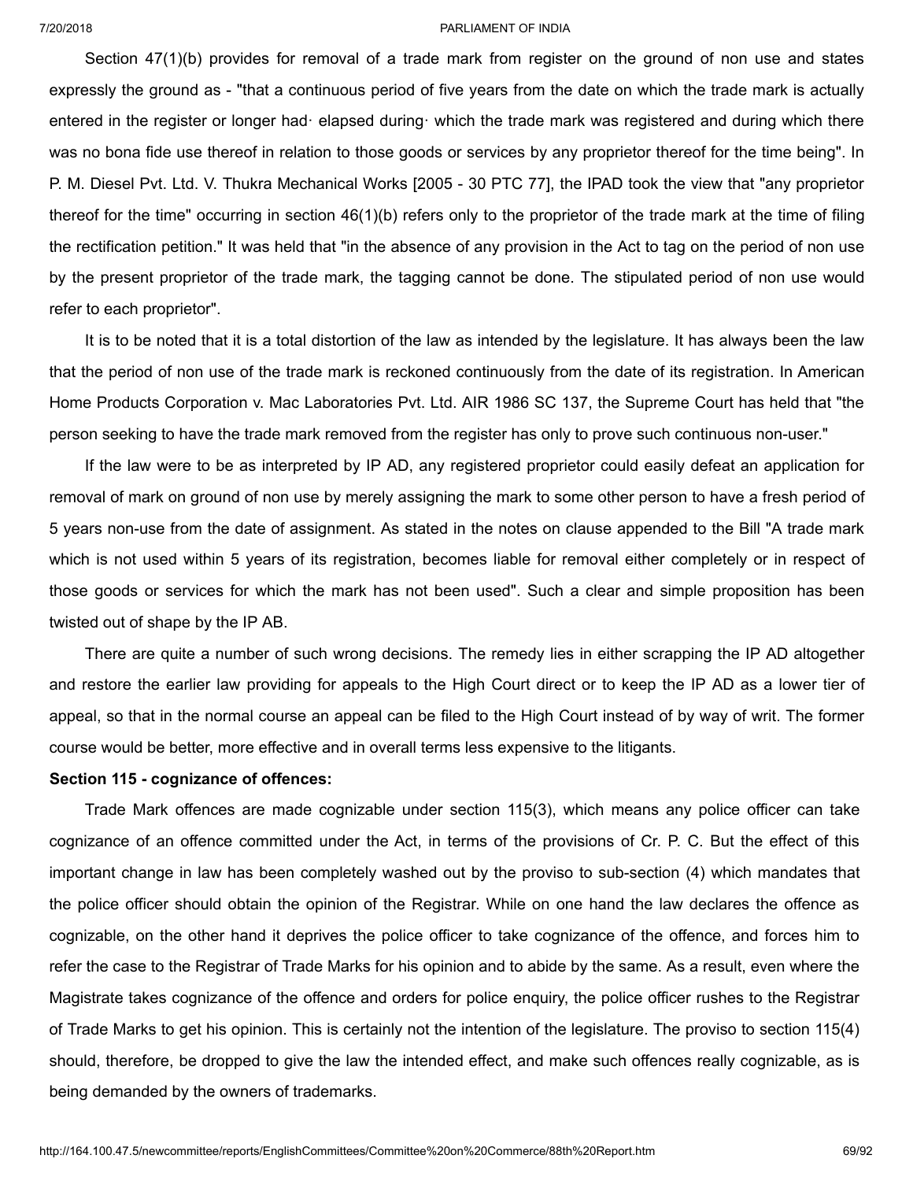Section 47(1)(b) provides for removal of a trade mark from register on the ground of non use and states expressly the ground as - "that a continuous period of five years from the date on which the trade mark is actually entered in the register or longer had· elapsed during· which the trade mark was registered and during which there was no bona fide use thereof in relation to those goods or services by any proprietor thereof for the time being". In P. M. Diesel Pvt. Ltd. V. Thukra Mechanical Works [2005 - 30 PTC 77], the IPAD took the view that "any proprietor thereof for the time" occurring in section  $46(1)(b)$  refers only to the proprietor of the trade mark at the time of filing the rectification petition." It was held that "in the absence of any provision in the Act to tag on the period of non use by the present proprietor of the trade mark, the tagging cannot be done. The stipulated period of non use would refer to each proprietor".

It is to be noted that it is a total distortion of the law as intended by the legislature. It has always been the law that the period of non use of the trade mark is reckoned continuously from the date of its registration. In American Home Products Corporation v. Mac Laboratories Pvt. Ltd. AIR 1986 SC 137, the Supreme Court has held that "the person seeking to have the trade mark removed from the register has only to prove such continuous non-user."

If the law were to be as interpreted by IP AD, any registered proprietor could easily defeat an application for removal of mark on ground of non use by merely assigning the mark to some other person to have a fresh period of 5 years non-use from the date of assignment. As stated in the notes on clause appended to the Bill "A trade mark which is not used within 5 years of its registration, becomes liable for removal either completely or in respect of those goods or services for which the mark has not been used". Such a clear and simple proposition has been twisted out of shape by the IP AB.

There are quite a number of such wrong decisions. The remedy lies in either scrapping the IP AD altogether and restore the earlier law providing for appeals to the High Court direct or to keep the IP AD as a lower tier of appeal, so that in the normal course an appeal can be filed to the High Court instead of by way of writ. The former course would be better, more effective and in overall terms less expensive to the litigants.

### **Section 115 - cognizance of offences:**

Trade Mark offences are made cognizable under section 115(3), which means any police officer can take cognizance of an offence committed under the Act, in terms of the provisions of Cr. P. C. But the effect of this important change in law has been completely washed out by the proviso to sub-section (4) which mandates that the police officer should obtain the opinion of the Registrar. While on one hand the law declares the offence as cognizable, on the other hand it deprives the police officer to take cognizance of the offence, and forces him to refer the case to the Registrar of Trade Marks for his opinion and to abide by the same. As a result, even where the Magistrate takes cognizance of the offence and orders for police enquiry, the police officer rushes to the Registrar of Trade Marks to get his opinion. This is certainly not the intention of the legislature. The proviso to section 115(4) should, therefore, be dropped to give the law the intended effect, and make such offences really cognizable, as is being demanded by the owners of trademarks.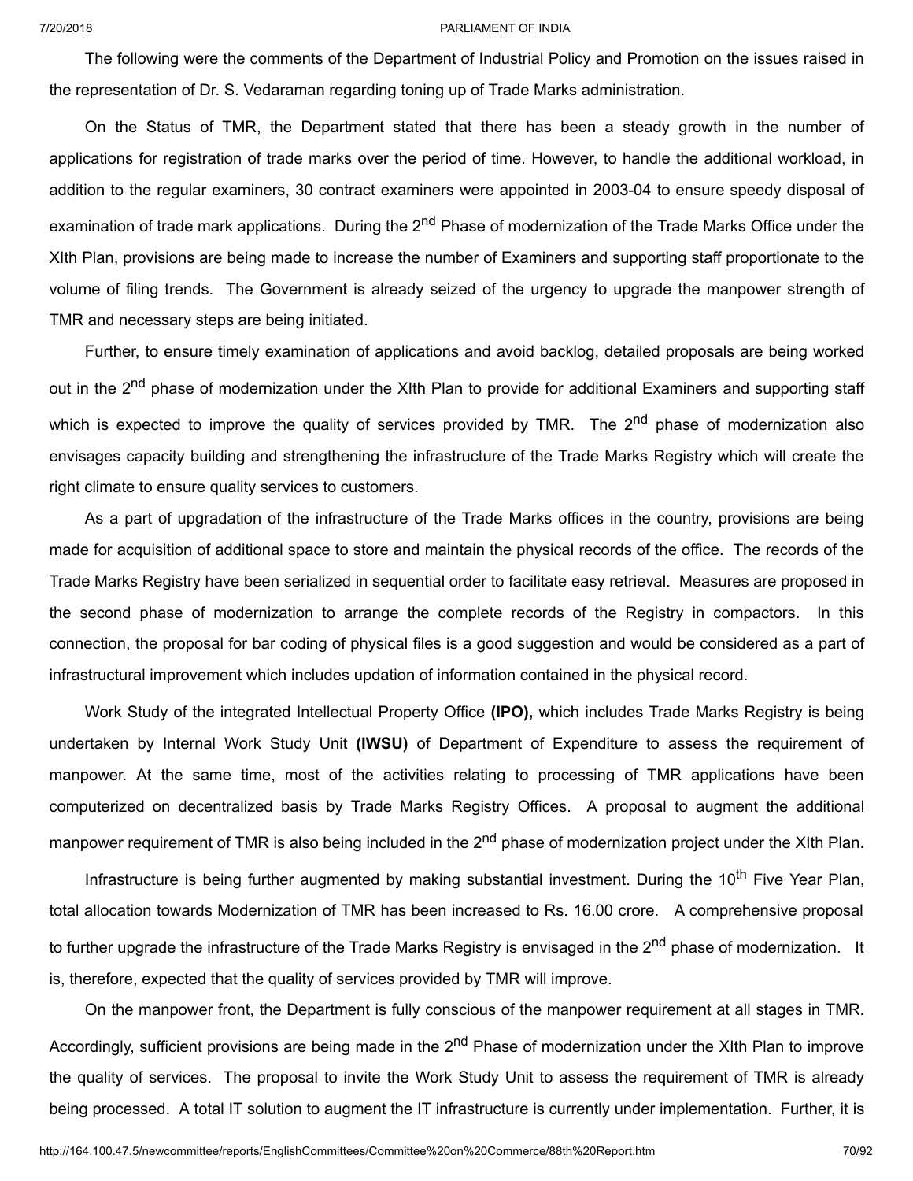The following were the comments of the Department of Industrial Policy and Promotion on the issues raised in the representation of Dr. S. Vedaraman regarding toning up of Trade Marks administration.

On the Status of TMR, the Department stated that there has been a steady growth in the number of applications for registration of trade marks over the period of time. However, to handle the additional workload, in addition to the regular examiners, 30 contract examiners were appointed in 2003-04 to ensure speedy disposal of examination of trade mark applications. During the 2<sup>nd</sup> Phase of modernization of the Trade Marks Office under the XIth Plan, provisions are being made to increase the number of Examiners and supporting staff proportionate to the volume of filing trends. The Government is already seized of the urgency to upgrade the manpower strength of TMR and necessary steps are being initiated.

Further, to ensure timely examination of applications and avoid backlog, detailed proposals are being worked out in the 2<sup>nd</sup> phase of modernization under the XIth Plan to provide for additional Examiners and supporting staff which is expected to improve the quality of services provided by TMR. The 2<sup>nd</sup> phase of modernization also envisages capacity building and strengthening the infrastructure of the Trade Marks Registry which will create the right climate to ensure quality services to customers.

As a part of upgradation of the infrastructure of the Trade Marks offices in the country, provisions are being made for acquisition of additional space to store and maintain the physical records of the office. The records of the Trade Marks Registry have been serialized in sequential order to facilitate easy retrieval. Measures are proposed in the second phase of modernization to arrange the complete records of the Registry in compactors. In this connection, the proposal for bar coding of physical files is a good suggestion and would be considered as a part of infrastructural improvement which includes updation of information contained in the physical record.

Work Study of the integrated Intellectual Property Office **(IPO),** which includes Trade Marks Registry is being undertaken by Internal Work Study Unit **(IWSU)** of Department of Expenditure to assess the requirement of manpower. At the same time, most of the activities relating to processing of TMR applications have been computerized on decentralized basis by Trade Marks Registry Offices. A proposal to augment the additional manpower requirement of TMR is also being included in the 2<sup>nd</sup> phase of modernization project under the XIth Plan.

Infrastructure is being further augmented by making substantial investment. During the 10<sup>th</sup> Five Year Plan, total allocation towards Modernization of TMR has been increased to Rs. 16.00 crore. A comprehensive proposal to further upgrade the infrastructure of the Trade Marks Registry is envisaged in the 2<sup>nd</sup> phase of modernization. It is, therefore, expected that the quality of services provided by TMR will improve.

On the manpower front, the Department is fully conscious of the manpower requirement at all stages in TMR. Accordingly, sufficient provisions are being made in the 2<sup>nd</sup> Phase of modernization under the XIth Plan to improve the quality of services. The proposal to invite the Work Study Unit to assess the requirement of TMR is already being processed. A total IT solution to augment the IT infrastructure is currently under implementation. Further, it is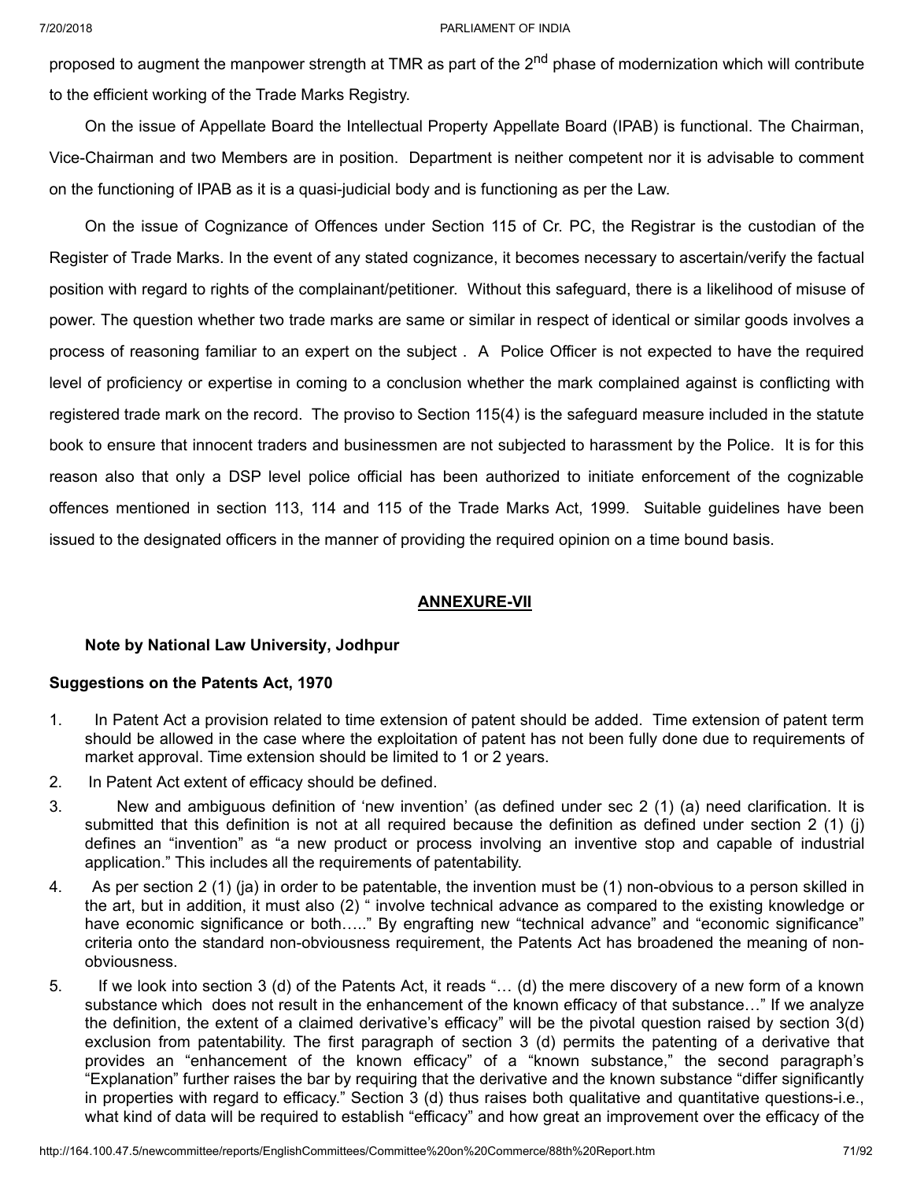proposed to augment the manpower strength at TMR as part of the 2<sup>nd</sup> phase of modernization which will contribute to the efficient working of the Trade Marks Registry.

On the issue of Appellate Board the Intellectual Property Appellate Board (IPAB) is functional. The Chairman, Vice-Chairman and two Members are in position. Department is neither competent nor it is advisable to comment on the functioning of IPAB as it is a quasi-judicial body and is functioning as per the Law.

On the issue of Cognizance of Offences under Section 115 of Cr. PC, the Registrar is the custodian of the Register of Trade Marks. In the event of any stated cognizance, it becomes necessary to ascertain/verify the factual position with regard to rights of the complainant/petitioner. Without this safeguard, there is a likelihood of misuse of power. The question whether two trade marks are same or similar in respect of identical or similar goods involves a process of reasoning familiar to an expert on the subject . A Police Officer is not expected to have the required level of proficiency or expertise in coming to a conclusion whether the mark complained against is conflicting with registered trade mark on the record. The proviso to Section 115(4) is the safeguard measure included in the statute book to ensure that innocent traders and businessmen are not subjected to harassment by the Police. It is for this reason also that only a DSP level police official has been authorized to initiate enforcement of the cognizable offences mentioned in section 113, 114 and 115 of the Trade Marks Act, 1999. Suitable guidelines have been issued to the designated officers in the manner of providing the required opinion on a time bound basis.

# **ANNEXURE-VII**

# **Note by National Law University, Jodhpur**

# **Suggestions on the Patents Act, 1970**

- 1. In Patent Act a provision related to time extension of patent should be added. Time extension of patent term should be allowed in the case where the exploitation of patent has not been fully done due to requirements of market approval. Time extension should be limited to 1 or 2 years.
- 2. In Patent Act extent of efficacy should be defined.
- 3. New and ambiguous definition of 'new invention' (as defined under sec 2 (1) (a) need clarification. It is submitted that this definition is not at all required because the definition as defined under section 2 (1) (j) defines an "invention" as "a new product or process involving an inventive stop and capable of industrial application." This includes all the requirements of patentability.
- 4. As per section 2 (1) (ja) in order to be patentable, the invention must be (1) non-obvious to a person skilled in the art, but in addition, it must also (2) " involve technical advance as compared to the existing knowledge or have economic significance or both….." By engrafting new "technical advance" and "economic significance" criteria onto the standard non-obviousness requirement, the Patents Act has broadened the meaning of nonobviousness.
- 5. If we look into section 3 (d) of the Patents Act, it reads "… (d) the mere discovery of a new form of a known substance which does not result in the enhancement of the known efficacy of that substance…" If we analyze the definition, the extent of a claimed derivative's efficacy" will be the pivotal question raised by section 3(d) exclusion from patentability. The first paragraph of section 3 (d) permits the patenting of a derivative that provides an "enhancement of the known efficacy" of a "known substance," the second paragraph's "Explanation" further raises the bar by requiring that the derivative and the known substance "differ significantly in properties with regard to efficacy." Section 3 (d) thus raises both qualitative and quantitative questions-i.e., what kind of data will be required to establish "efficacy" and how great an improvement over the efficacy of the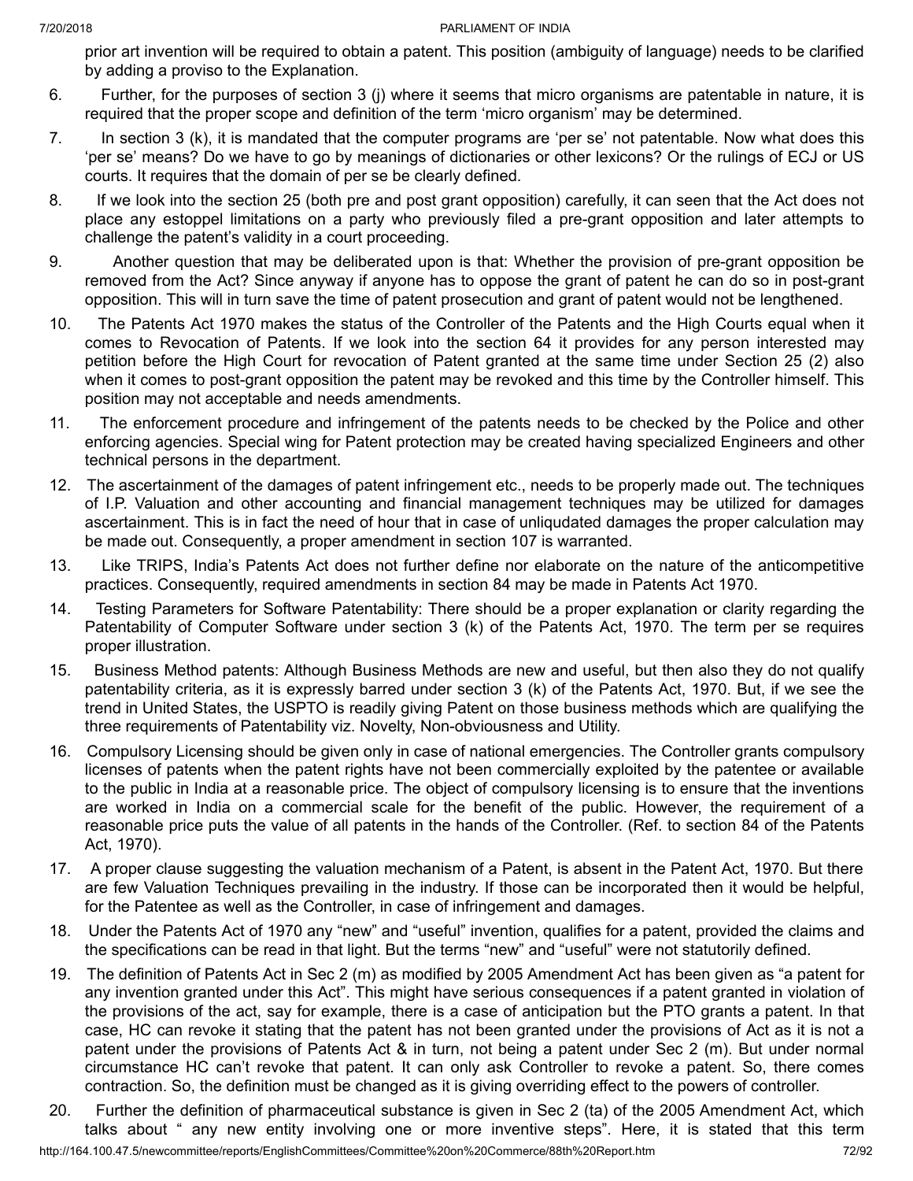prior art invention will be required to obtain a patent. This position (ambiguity of language) needs to be clarified by adding a proviso to the Explanation.

- 6. Further, for the purposes of section 3 (j) where it seems that micro organisms are patentable in nature, it is required that the proper scope and definition of the term 'micro organism' may be determined.
- 7. In section 3 (k), it is mandated that the computer programs are 'per se' not patentable. Now what does this 'per se' means? Do we have to go by meanings of dictionaries or other lexicons? Or the rulings of ECJ or US courts. It requires that the domain of per se be clearly defined.
- 8. If we look into the section 25 (both pre and post grant opposition) carefully, it can seen that the Act does not place any estoppel limitations on a party who previously filed a pre-grant opposition and later attempts to challenge the patent's validity in a court proceeding.
- 9. Another question that may be deliberated upon is that: Whether the provision of pre-grant opposition be removed from the Act? Since anyway if anyone has to oppose the grant of patent he can do so in post-grant opposition. This will in turn save the time of patent prosecution and grant of patent would not be lengthened.
- 10. The Patents Act 1970 makes the status of the Controller of the Patents and the High Courts equal when it comes to Revocation of Patents. If we look into the section 64 it provides for any person interested may petition before the High Court for revocation of Patent granted at the same time under Section 25 (2) also when it comes to post-grant opposition the patent may be revoked and this time by the Controller himself. This position may not acceptable and needs amendments.
- 11. The enforcement procedure and infringement of the patents needs to be checked by the Police and other enforcing agencies. Special wing for Patent protection may be created having specialized Engineers and other technical persons in the department.
- 12. The ascertainment of the damages of patent infringement etc., needs to be properly made out. The techniques of I.P. Valuation and other accounting and financial management techniques may be utilized for damages ascertainment. This is in fact the need of hour that in case of unliqudated damages the proper calculation may be made out. Consequently, a proper amendment in section 107 is warranted.
- 13. Like TRIPS, India's Patents Act does not further define nor elaborate on the nature of the anticompetitive practices. Consequently, required amendments in section 84 may be made in Patents Act 1970.
- 14. Testing Parameters for Software Patentability: There should be a proper explanation or clarity regarding the Patentability of Computer Software under section 3 (k) of the Patents Act, 1970. The term per se requires proper illustration.
- 15. Business Method patents: Although Business Methods are new and useful, but then also they do not qualify patentability criteria, as it is expressly barred under section 3 (k) of the Patents Act, 1970. But, if we see the trend in United States, the USPTO is readily giving Patent on those business methods which are qualifying the three requirements of Patentability viz. Novelty, Non-obviousness and Utility.
- 16. Compulsory Licensing should be given only in case of national emergencies. The Controller grants compulsory licenses of patents when the patent rights have not been commercially exploited by the patentee or available to the public in India at a reasonable price. The object of compulsory licensing is to ensure that the inventions are worked in India on a commercial scale for the benefit of the public. However, the requirement of a reasonable price puts the value of all patents in the hands of the Controller. (Ref. to section 84 of the Patents Act, 1970).
- 17. A proper clause suggesting the valuation mechanism of a Patent, is absent in the Patent Act, 1970. But there are few Valuation Techniques prevailing in the industry. If those can be incorporated then it would be helpful, for the Patentee as well as the Controller, in case of infringement and damages.
- 18. Under the Patents Act of 1970 any "new" and "useful" invention, qualifies for a patent, provided the claims and the specifications can be read in that light. But the terms "new" and "useful" were not statutorily defined.
- 19. The definition of Patents Act in Sec 2 (m) as modified by 2005 Amendment Act has been given as "a patent for any invention granted under this Act". This might have serious consequences if a patent granted in violation of the provisions of the act, say for example, there is a case of anticipation but the PTO grants a patent. In that case, HC can revoke it stating that the patent has not been granted under the provisions of Act as it is not a patent under the provisions of Patents Act & in turn, not being a patent under Sec 2 (m). But under normal circumstance HC can't revoke that patent. It can only ask Controller to revoke a patent. So, there comes contraction. So, the definition must be changed as it is giving overriding effect to the powers of controller.
- http://164.100.47.5/newcommittee/reports/EnglishCommittees/Committee%20on%20Commerce/88th%20Report.htm 72/92 20. Further the definition of pharmaceutical substance is given in Sec 2 (ta) of the 2005 Amendment Act, which talks about " any new entity involving one or more inventive steps". Here, it is stated that this term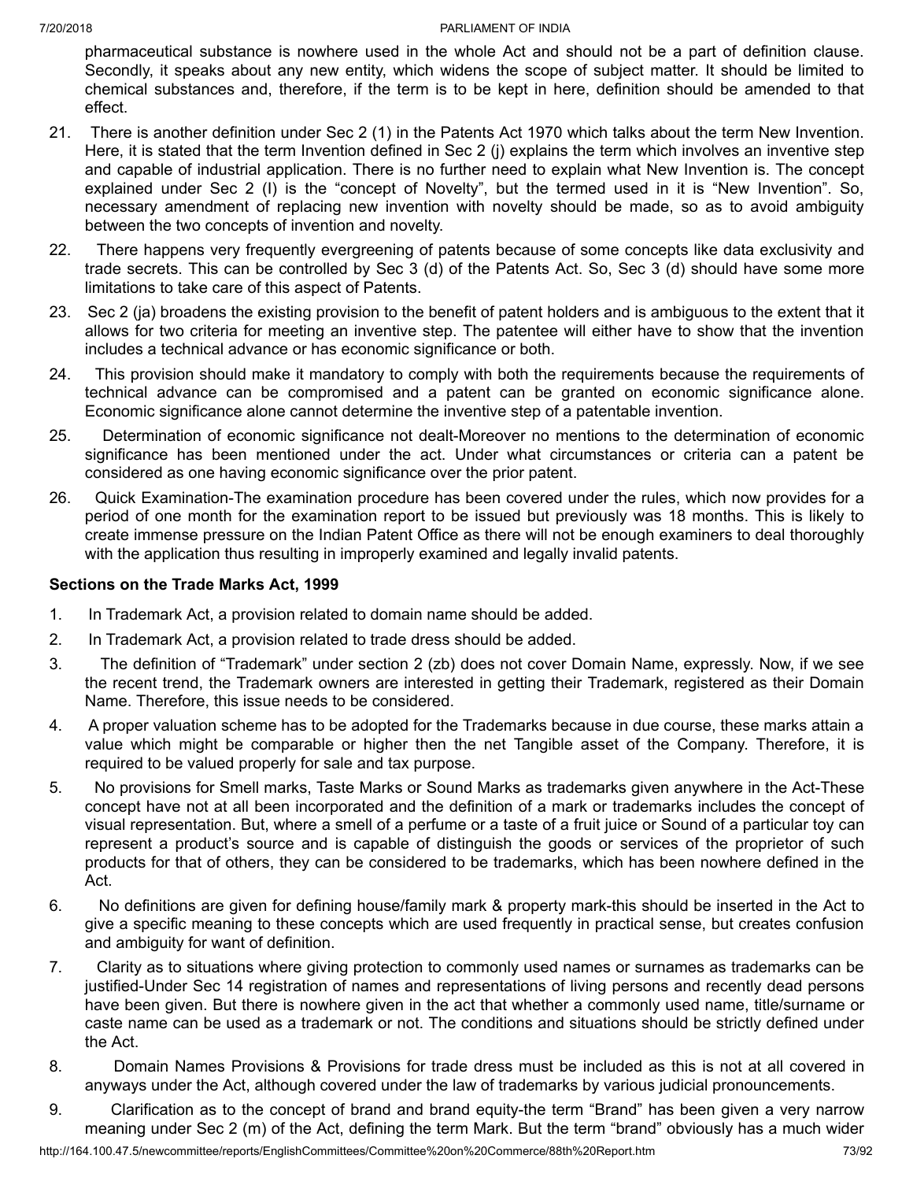pharmaceutical substance is nowhere used in the whole Act and should not be a part of definition clause. Secondly, it speaks about any new entity, which widens the scope of subject matter. It should be limited to chemical substances and, therefore, if the term is to be kept in here, definition should be amended to that effect.

- 21. There is another definition under Sec 2 (1) in the Patents Act 1970 which talks about the term New Invention. Here, it is stated that the term Invention defined in Sec 2 (j) explains the term which involves an inventive step and capable of industrial application. There is no further need to explain what New Invention is. The concept explained under Sec 2 (I) is the "concept of Novelty", but the termed used in it is "New Invention". So, necessary amendment of replacing new invention with novelty should be made, so as to avoid ambiguity between the two concepts of invention and novelty.
- 22. There happens very frequently evergreening of patents because of some concepts like data exclusivity and trade secrets. This can be controlled by Sec 3 (d) of the Patents Act. So, Sec 3 (d) should have some more limitations to take care of this aspect of Patents.
- 23. Sec 2 (ja) broadens the existing provision to the benefit of patent holders and is ambiguous to the extent that it allows for two criteria for meeting an inventive step. The patentee will either have to show that the invention includes a technical advance or has economic significance or both.
- 24. This provision should make it mandatory to comply with both the requirements because the requirements of technical advance can be compromised and a patent can be granted on economic significance alone. Economic significance alone cannot determine the inventive step of a patentable invention.
- 25. Determination of economic significance not dealt-Moreover no mentions to the determination of economic significance has been mentioned under the act. Under what circumstances or criteria can a patent be considered as one having economic significance over the prior patent.
- 26. Quick Examination-The examination procedure has been covered under the rules, which now provides for a period of one month for the examination report to be issued but previously was 18 months. This is likely to create immense pressure on the Indian Patent Office as there will not be enough examiners to deal thoroughly with the application thus resulting in improperly examined and legally invalid patents.

## **Sections on the Trade Marks Act, 1999**

- 1. In Trademark Act, a provision related to domain name should be added.
- 2. In Trademark Act, a provision related to trade dress should be added.
- 3. The definition of "Trademark" under section 2 (zb) does not cover Domain Name, expressly. Now, if we see the recent trend, the Trademark owners are interested in getting their Trademark, registered as their Domain Name. Therefore, this issue needs to be considered.
- 4. A proper valuation scheme has to be adopted for the Trademarks because in due course, these marks attain a value which might be comparable or higher then the net Tangible asset of the Company. Therefore, it is required to be valued properly for sale and tax purpose.
- 5. No provisions for Smell marks, Taste Marks or Sound Marks as trademarks given anywhere in the Act-These concept have not at all been incorporated and the definition of a mark or trademarks includes the concept of visual representation. But, where a smell of a perfume or a taste of a fruit juice or Sound of a particular toy can represent a product's source and is capable of distinguish the goods or services of the proprietor of such products for that of others, they can be considered to be trademarks, which has been nowhere defined in the Act.
- 6. No definitions are given for defining house/family mark & property mark-this should be inserted in the Act to give a specific meaning to these concepts which are used frequently in practical sense, but creates confusion and ambiguity for want of definition.
- 7. Clarity as to situations where giving protection to commonly used names or surnames as trademarks can be justified-Under Sec 14 registration of names and representations of living persons and recently dead persons have been given. But there is nowhere given in the act that whether a commonly used name, title/surname or caste name can be used as a trademark or not. The conditions and situations should be strictly defined under the Act.
- 8. Domain Names Provisions & Provisions for trade dress must be included as this is not at all covered in anyways under the Act, although covered under the law of trademarks by various judicial pronouncements.
- 9. Clarification as to the concept of brand and brand equity-the term "Brand" has been given a very narrow meaning under Sec 2 (m) of the Act, defining the term Mark. But the term "brand" obviously has a much wider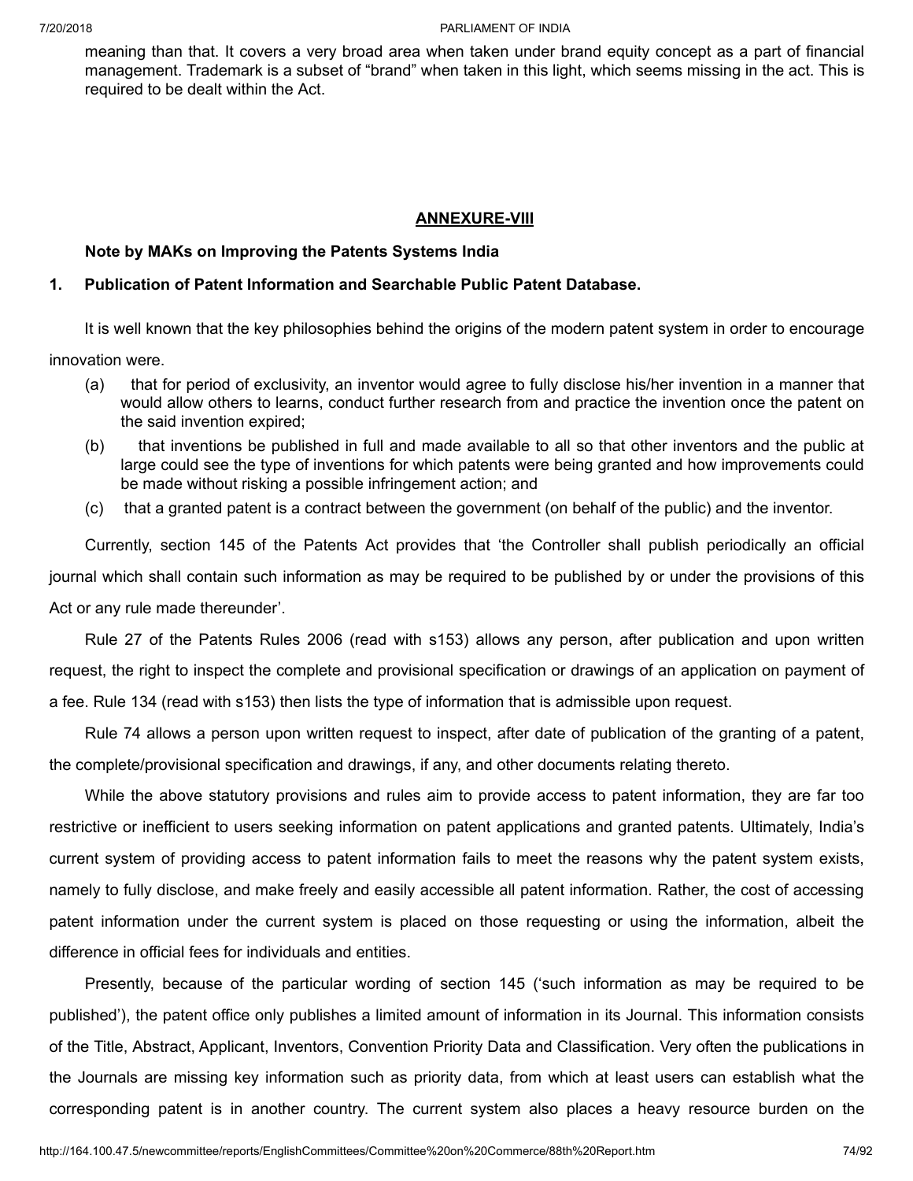meaning than that. It covers a very broad area when taken under brand equity concept as a part of financial management. Trademark is a subset of "brand" when taken in this light, which seems missing in the act. This is required to be dealt within the Act.

#### **ANNEXURE-VIII**

#### **Note by MAKs on Improving the Patents Systems India**

#### **1. Publication of Patent Information and Searchable Public Patent Database.**

It is well known that the key philosophies behind the origins of the modern patent system in order to encourage

innovation were.

- (a) that for period of exclusivity, an inventor would agree to fully disclose his/her invention in a manner that would allow others to learns, conduct further research from and practice the invention once the patent on the said invention expired;
- (b) that inventions be published in full and made available to all so that other inventors and the public at large could see the type of inventions for which patents were being granted and how improvements could be made without risking a possible infringement action; and
- (c) that a granted patent is a contract between the government (on behalf of the public) and the inventor.

Currently, section 145 of the Patents Act provides that 'the Controller shall publish periodically an official journal which shall contain such information as may be required to be published by or under the provisions of this Act or any rule made thereunder'.

Rule 27 of the Patents Rules 2006 (read with s153) allows any person, after publication and upon written request, the right to inspect the complete and provisional specification or drawings of an application on payment of a fee. Rule 134 (read with s153) then lists the type of information that is admissible upon request.

Rule 74 allows a person upon written request to inspect, after date of publication of the granting of a patent, the complete/provisional specification and drawings, if any, and other documents relating thereto.

While the above statutory provisions and rules aim to provide access to patent information, they are far too restrictive or inefficient to users seeking information on patent applications and granted patents. Ultimately, India's current system of providing access to patent information fails to meet the reasons why the patent system exists, namely to fully disclose, and make freely and easily accessible all patent information. Rather, the cost of accessing patent information under the current system is placed on those requesting or using the information, albeit the difference in official fees for individuals and entities.

Presently, because of the particular wording of section 145 ('such information as may be required to be published'), the patent office only publishes a limited amount of information in its Journal. This information consists of the Title, Abstract, Applicant, Inventors, Convention Priority Data and Classification. Very often the publications in the Journals are missing key information such as priority data, from which at least users can establish what the corresponding patent is in another country. The current system also places a heavy resource burden on the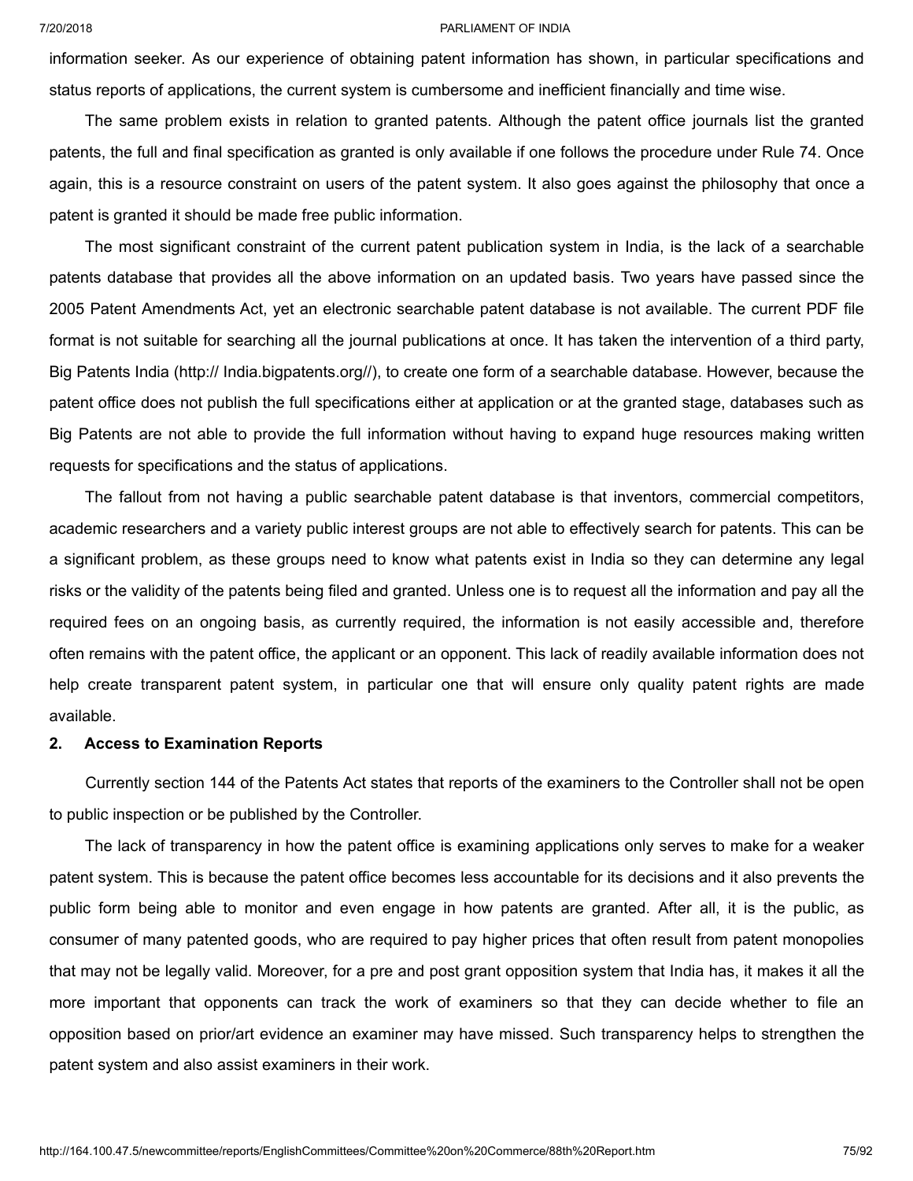information seeker. As our experience of obtaining patent information has shown, in particular specifications and status reports of applications, the current system is cumbersome and inefficient financially and time wise.

The same problem exists in relation to granted patents. Although the patent office journals list the granted patents, the full and final specification as granted is only available if one follows the procedure under Rule 74. Once again, this is a resource constraint on users of the patent system. It also goes against the philosophy that once a patent is granted it should be made free public information.

The most significant constraint of the current patent publication system in India, is the lack of a searchable patents database that provides all the above information on an updated basis. Two years have passed since the 2005 Patent Amendments Act, yet an electronic searchable patent database is not available. The current PDF file format is not suitable for searching all the journal publications at once. It has taken the intervention of a third party, Big Patents India (http:// India.bigpatents.org//), to create one form of a searchable database. However, because the patent office does not publish the full specifications either at application or at the granted stage, databases such as Big Patents are not able to provide the full information without having to expand huge resources making written requests for specifications and the status of applications.

The fallout from not having a public searchable patent database is that inventors, commercial competitors, academic researchers and a variety public interest groups are not able to effectively search for patents. This can be a significant problem, as these groups need to know what patents exist in India so they can determine any legal risks or the validity of the patents being filed and granted. Unless one is to request all the information and pay all the required fees on an ongoing basis, as currently required, the information is not easily accessible and, therefore often remains with the patent office, the applicant or an opponent. This lack of readily available information does not help create transparent patent system, in particular one that will ensure only quality patent rights are made available.

#### **2. Access to Examination Reports**

Currently section 144 of the Patents Act states that reports of the examiners to the Controller shall not be open to public inspection or be published by the Controller.

The lack of transparency in how the patent office is examining applications only serves to make for a weaker patent system. This is because the patent office becomes less accountable for its decisions and it also prevents the public form being able to monitor and even engage in how patents are granted. After all, it is the public, as consumer of many patented goods, who are required to pay higher prices that often result from patent monopolies that may not be legally valid. Moreover, for a pre and post grant opposition system that India has, it makes it all the more important that opponents can track the work of examiners so that they can decide whether to file an opposition based on prior/art evidence an examiner may have missed. Such transparency helps to strengthen the patent system and also assist examiners in their work.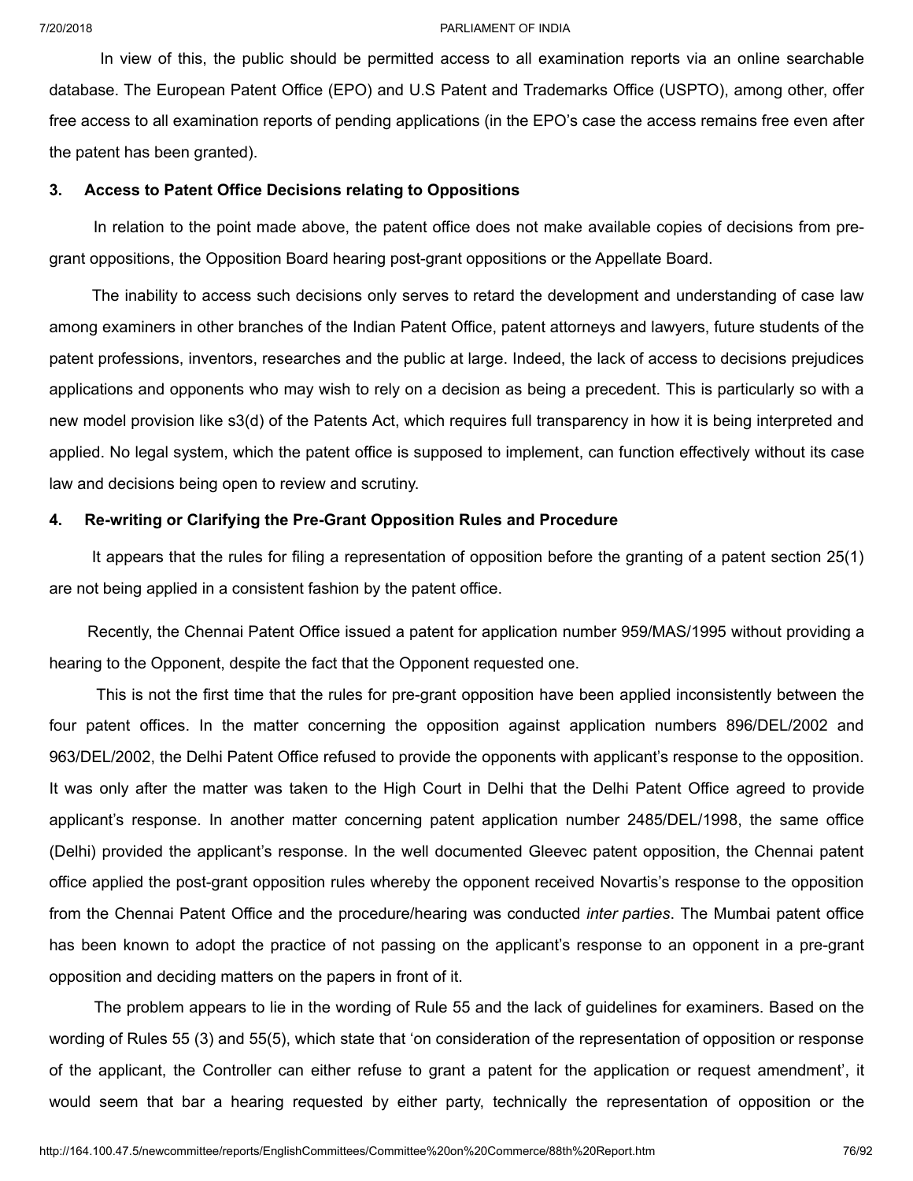In view of this, the public should be permitted access to all examination reports via an online searchable database. The European Patent Office (EPO) and U.S Patent and Trademarks Office (USPTO), among other, offer free access to all examination reports of pending applications (in the EPO's case the access remains free even after the patent has been granted).

#### **3. Access to Patent Office Decisions relating to Oppositions**

In relation to the point made above, the patent office does not make available copies of decisions from pregrant oppositions, the Opposition Board hearing post-grant oppositions or the Appellate Board.

The inability to access such decisions only serves to retard the development and understanding of case law among examiners in other branches of the Indian Patent Office, patent attorneys and lawyers, future students of the patent professions, inventors, researches and the public at large. Indeed, the lack of access to decisions prejudices applications and opponents who may wish to rely on a decision as being a precedent. This is particularly so with a new model provision like s3(d) of the Patents Act, which requires full transparency in how it is being interpreted and applied. No legal system, which the patent office is supposed to implement, can function effectively without its case law and decisions being open to review and scrutiny.

#### **4. Re-writing or Clarifying the Pre-Grant Opposition Rules and Procedure**

It appears that the rules for filing a representation of opposition before the granting of a patent section 25(1) are not being applied in a consistent fashion by the patent office.

Recently, the Chennai Patent Office issued a patent for application number 959/MAS/1995 without providing a hearing to the Opponent, despite the fact that the Opponent requested one.

This is not the first time that the rules for pre-grant opposition have been applied inconsistently between the four patent offices. In the matter concerning the opposition against application numbers 896/DEL/2002 and 963/DEL/2002, the Delhi Patent Office refused to provide the opponents with applicant's response to the opposition. It was only after the matter was taken to the High Court in Delhi that the Delhi Patent Office agreed to provide applicant's response. In another matter concerning patent application number 2485/DEL/1998, the same office (Delhi) provided the applicant's response. In the well documented Gleevec patent opposition, the Chennai patent office applied the post-grant opposition rules whereby the opponent received Novartis's response to the opposition from the Chennai Patent Office and the procedure/hearing was conducted *inter parties*. The Mumbai patent office has been known to adopt the practice of not passing on the applicant's response to an opponent in a pre-grant opposition and deciding matters on the papers in front of it.

The problem appears to lie in the wording of Rule 55 and the lack of guidelines for examiners. Based on the wording of Rules 55 (3) and 55(5), which state that 'on consideration of the representation of opposition or response of the applicant, the Controller can either refuse to grant a patent for the application or request amendment', it would seem that bar a hearing requested by either party, technically the representation of opposition or the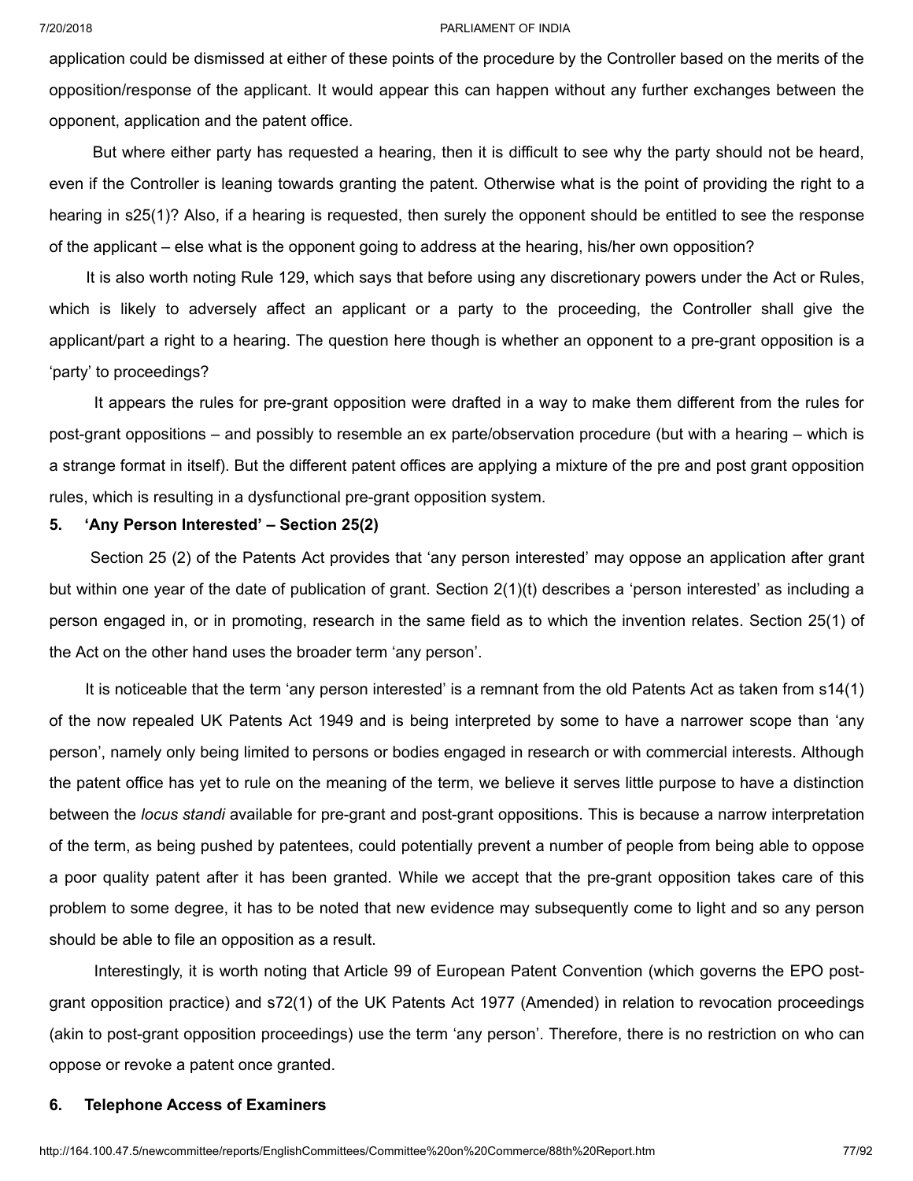application could be dismissed at either of these points of the procedure by the Controller based on the merits of the opposition/response of the applicant. It would appear this can happen without any further exchanges between the opponent, application and the patent office.

But where either party has requested a hearing, then it is difficult to see why the party should not be heard, even if the Controller is leaning towards granting the patent. Otherwise what is the point of providing the right to a hearing in s25(1)? Also, if a hearing is requested, then surely the opponent should be entitled to see the response of the applicant – else what is the opponent going to address at the hearing, his/her own opposition?

It is also worth noting Rule 129, which says that before using any discretionary powers under the Act or Rules, which is likely to adversely affect an applicant or a party to the proceeding, the Controller shall give the applicant/part a right to a hearing. The question here though is whether an opponent to a pre-grant opposition is a 'party' to proceedings?

It appears the rules for pre-grant opposition were drafted in a way to make them different from the rules for post-grant oppositions – and possibly to resemble an ex parte/observation procedure (but with a hearing – which is a strange format in itself). But the different patent offices are applying a mixture of the pre and post grant opposition rules, which is resulting in a dysfunctional pre-grant opposition system.

#### **5. 'Any Person Interested' – Section 25(2)**

Section 25 (2) of the Patents Act provides that 'any person interested' may oppose an application after grant but within one year of the date of publication of grant. Section 2(1)(t) describes a 'person interested' as including a person engaged in, or in promoting, research in the same field as to which the invention relates. Section 25(1) of the Act on the other hand uses the broader term 'any person'.

It is noticeable that the term 'any person interested' is a remnant from the old Patents Act as taken from s14(1) of the now repealed UK Patents Act 1949 and is being interpreted by some to have a narrower scope than 'any person', namely only being limited to persons or bodies engaged in research or with commercial interests. Although the patent office has yet to rule on the meaning of the term, we believe it serves little purpose to have a distinction between the *locus standi* available for pre-grant and post-grant oppositions. This is because a narrow interpretation of the term, as being pushed by patentees, could potentially prevent a number of people from being able to oppose a poor quality patent after it has been granted. While we accept that the pre-grant opposition takes care of this problem to some degree, it has to be noted that new evidence may subsequently come to light and so any person should be able to file an opposition as a result.

Interestingly, it is worth noting that Article 99 of European Patent Convention (which governs the EPO postgrant opposition practice) and s72(1) of the UK Patents Act 1977 (Amended) in relation to revocation proceedings (akin to post-grant opposition proceedings) use the term 'any person'. Therefore, there is no restriction on who can oppose or revoke a patent once granted.

#### **6. Telephone Access of Examiners**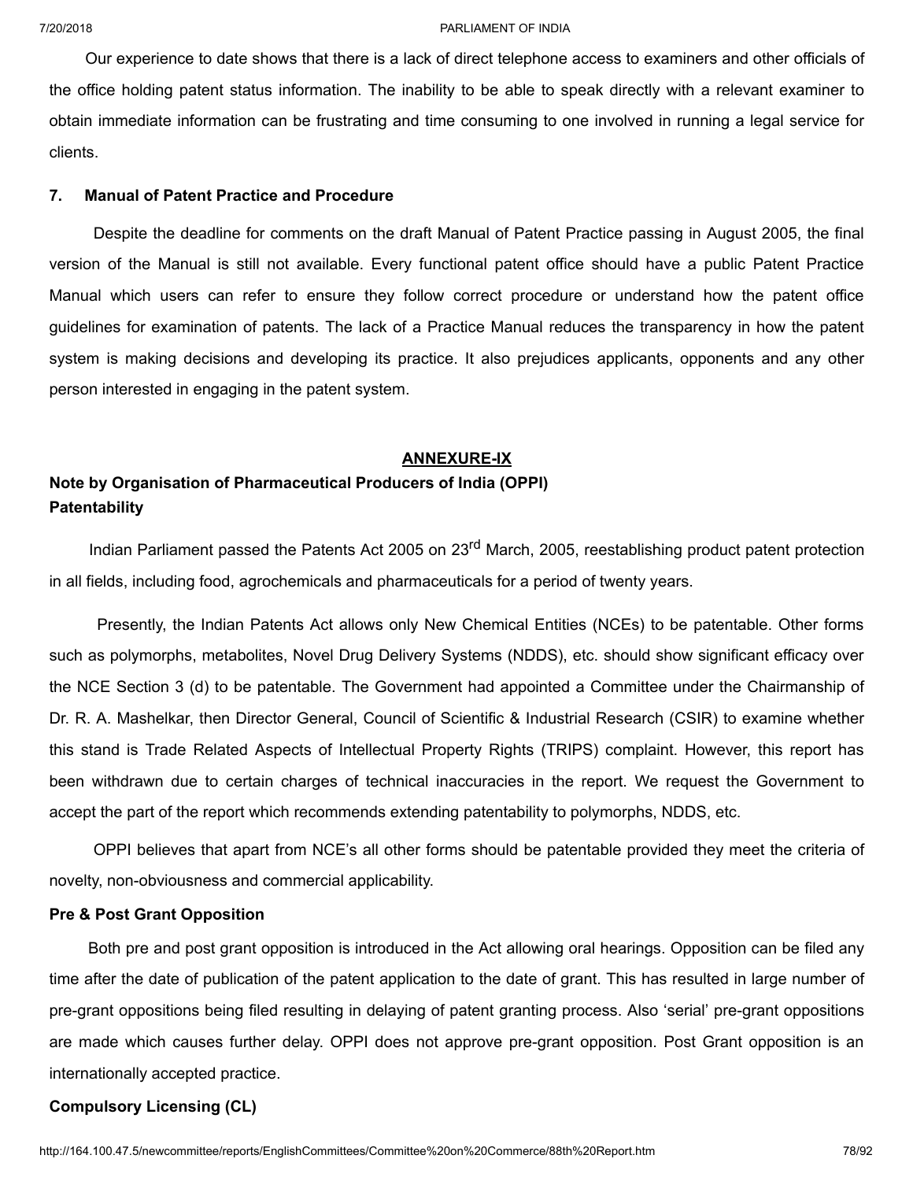Our experience to date shows that there is a lack of direct telephone access to examiners and other officials of the office holding patent status information. The inability to be able to speak directly with a relevant examiner to obtain immediate information can be frustrating and time consuming to one involved in running a legal service for clients.

#### **7. Manual of Patent Practice and Procedure**

Despite the deadline for comments on the draft Manual of Patent Practice passing in August 2005, the final version of the Manual is still not available. Every functional patent office should have a public Patent Practice Manual which users can refer to ensure they follow correct procedure or understand how the patent office guidelines for examination of patents. The lack of a Practice Manual reduces the transparency in how the patent system is making decisions and developing its practice. It also prejudices applicants, opponents and any other person interested in engaging in the patent system.

#### **ANNEXURE-IX**

# **Note by Organisation of Pharmaceutical Producers of India (OPPI) Patentability**

Indian Parliament passed the Patents Act 2005 on 23<sup>rd</sup> March, 2005, reestablishing product patent protection in all fields, including food, agrochemicals and pharmaceuticals for a period of twenty years.

Presently, the Indian Patents Act allows only New Chemical Entities (NCEs) to be patentable. Other forms such as polymorphs, metabolites, Novel Drug Delivery Systems (NDDS), etc. should show significant efficacy over the NCE Section 3 (d) to be patentable. The Government had appointed a Committee under the Chairmanship of Dr. R. A. Mashelkar, then Director General, Council of Scientific & Industrial Research (CSIR) to examine whether this stand is Trade Related Aspects of Intellectual Property Rights (TRIPS) complaint. However, this report has been withdrawn due to certain charges of technical inaccuracies in the report. We request the Government to accept the part of the report which recommends extending patentability to polymorphs, NDDS, etc.

OPPI believes that apart from NCE's all other forms should be patentable provided they meet the criteria of novelty, non-obviousness and commercial applicability.

#### **Pre & Post Grant Opposition**

Both pre and post grant opposition is introduced in the Act allowing oral hearings. Opposition can be filed any time after the date of publication of the patent application to the date of grant. This has resulted in large number of pre-grant oppositions being filed resulting in delaying of patent granting process. Also 'serial' pre-grant oppositions are made which causes further delay. OPPI does not approve pre-grant opposition. Post Grant opposition is an internationally accepted practice.

## **Compulsory Licensing (CL)**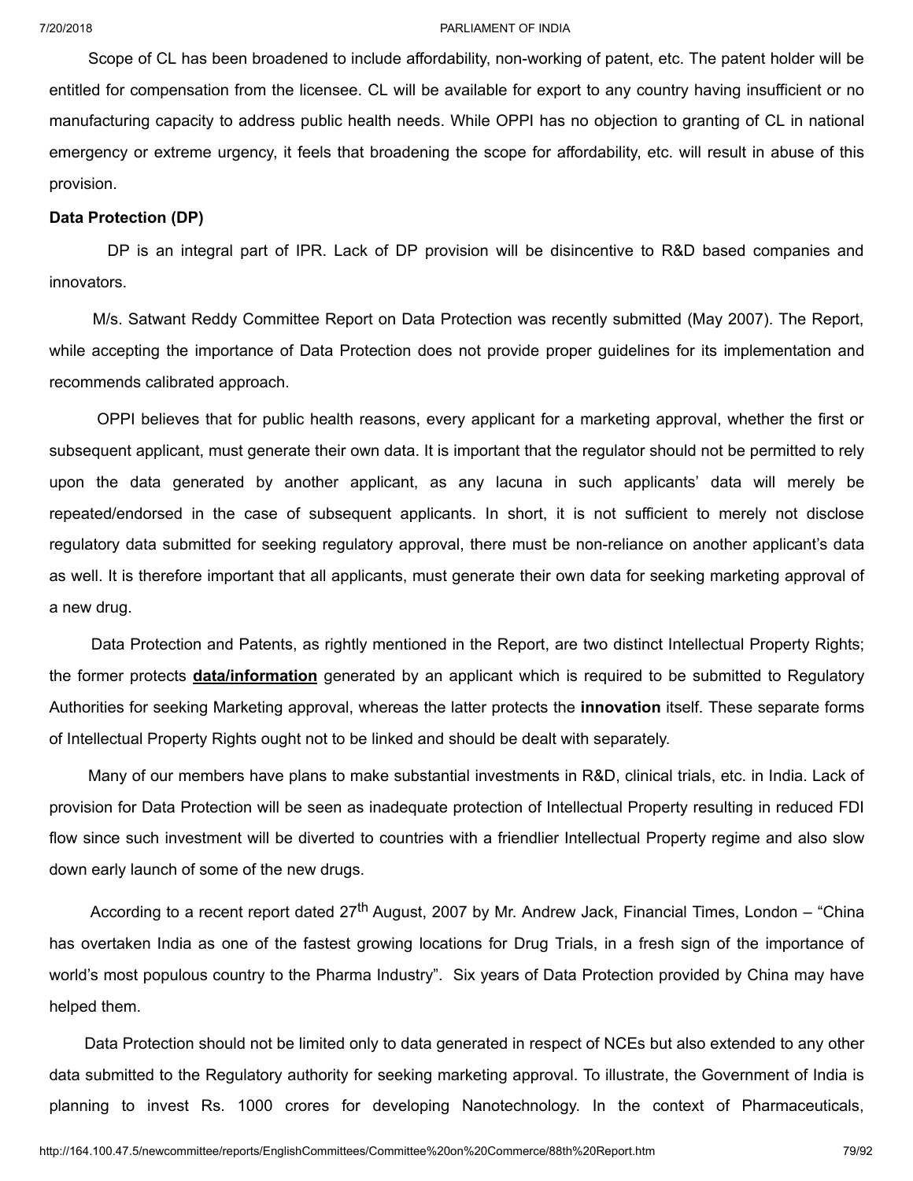Scope of CL has been broadened to include affordability, non-working of patent, etc. The patent holder will be entitled for compensation from the licensee. CL will be available for export to any country having insufficient or no manufacturing capacity to address public health needs. While OPPI has no objection to granting of CL in national emergency or extreme urgency, it feels that broadening the scope for affordability, etc. will result in abuse of this provision.

#### **Data Protection (DP)**

DP is an integral part of IPR. Lack of DP provision will be disincentive to R&D based companies and innovators.

M/s. Satwant Reddy Committee Report on Data Protection was recently submitted (May 2007). The Report, while accepting the importance of Data Protection does not provide proper guidelines for its implementation and recommends calibrated approach.

OPPI believes that for public health reasons, every applicant for a marketing approval, whether the first or subsequent applicant, must generate their own data. It is important that the regulator should not be permitted to rely upon the data generated by another applicant, as any lacuna in such applicants' data will merely be repeated/endorsed in the case of subsequent applicants. In short, it is not sufficient to merely not disclose regulatory data submitted for seeking regulatory approval, there must be non-reliance on another applicant's data as well. It is therefore important that all applicants, must generate their own data for seeking marketing approval of a new drug.

Data Protection and Patents, as rightly mentioned in the Report, are two distinct Intellectual Property Rights; the former protects **data/information** generated by an applicant which is required to be submitted to Regulatory Authorities for seeking Marketing approval, whereas the latter protects the **innovation** itself. These separate forms of Intellectual Property Rights ought not to be linked and should be dealt with separately.

Many of our members have plans to make substantial investments in R&D, clinical trials, etc. in India. Lack of provision for Data Protection will be seen as inadequate protection of Intellectual Property resulting in reduced FDI flow since such investment will be diverted to countries with a friendlier Intellectual Property regime and also slow down early launch of some of the new drugs.

According to a recent report dated 27<sup>th</sup> August, 2007 by Mr. Andrew Jack, Financial Times, London – "China has overtaken India as one of the fastest growing locations for Drug Trials, in a fresh sign of the importance of world's most populous country to the Pharma Industry". Six years of Data Protection provided by China may have helped them.

Data Protection should not be limited only to data generated in respect of NCEs but also extended to any other data submitted to the Regulatory authority for seeking marketing approval. To illustrate, the Government of India is planning to invest Rs. 1000 crores for developing Nanotechnology. In the context of Pharmaceuticals,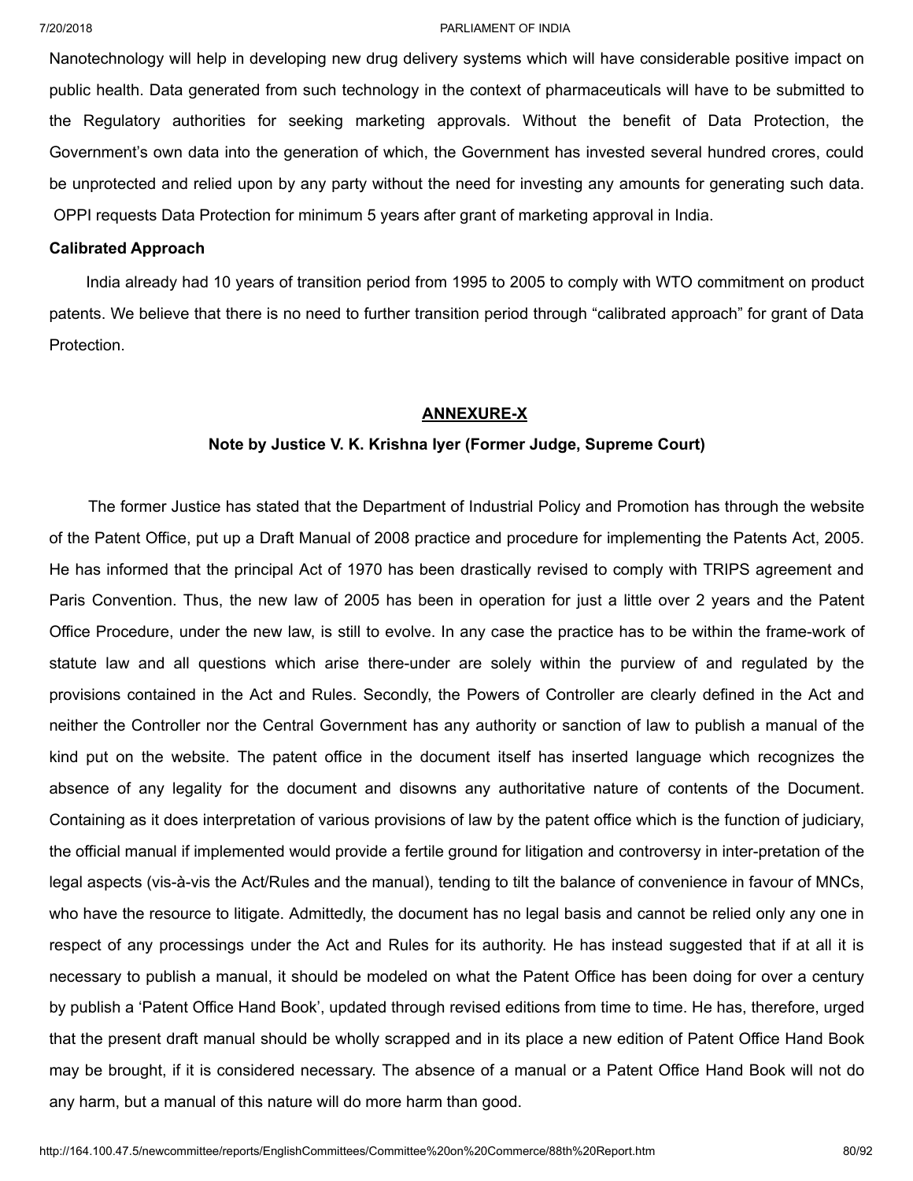Nanotechnology will help in developing new drug delivery systems which will have considerable positive impact on public health. Data generated from such technology in the context of pharmaceuticals will have to be submitted to the Regulatory authorities for seeking marketing approvals. Without the benefit of Data Protection, the Government's own data into the generation of which, the Government has invested several hundred crores, could be unprotected and relied upon by any party without the need for investing any amounts for generating such data. OPPI requests Data Protection for minimum 5 years after grant of marketing approval in India.

#### **Calibrated Approach**

India already had 10 years of transition period from 1995 to 2005 to comply with WTO commitment on product patents. We believe that there is no need to further transition period through "calibrated approach" for grant of Data Protection.

#### **ANNEXURE-X**

#### **Note by Justice V. K. Krishna Iyer (Former Judge, Supreme Court)**

The former Justice has stated that the Department of Industrial Policy and Promotion has through the website of the Patent Office, put up a Draft Manual of 2008 practice and procedure for implementing the Patents Act, 2005. He has informed that the principal Act of 1970 has been drastically revised to comply with TRIPS agreement and Paris Convention. Thus, the new law of 2005 has been in operation for just a little over 2 years and the Patent Office Procedure, under the new law, is still to evolve. In any case the practice has to be within the frame-work of statute law and all questions which arise there-under are solely within the purview of and regulated by the provisions contained in the Act and Rules. Secondly, the Powers of Controller are clearly defined in the Act and neither the Controller nor the Central Government has any authority or sanction of law to publish a manual of the kind put on the website. The patent office in the document itself has inserted language which recognizes the absence of any legality for the document and disowns any authoritative nature of contents of the Document. Containing as it does interpretation of various provisions of law by the patent office which is the function of judiciary, the official manual if implemented would provide a fertile ground for litigation and controversy in inter-pretation of the legal aspects (vis-à-vis the Act/Rules and the manual), tending to tilt the balance of convenience in favour of MNCs, who have the resource to litigate. Admittedly, the document has no legal basis and cannot be relied only any one in respect of any processings under the Act and Rules for its authority. He has instead suggested that if at all it is necessary to publish a manual, it should be modeled on what the Patent Office has been doing for over a century by publish a 'Patent Office Hand Book', updated through revised editions from time to time. He has, therefore, urged that the present draft manual should be wholly scrapped and in its place a new edition of Patent Office Hand Book may be brought, if it is considered necessary. The absence of a manual or a Patent Office Hand Book will not do any harm, but a manual of this nature will do more harm than good.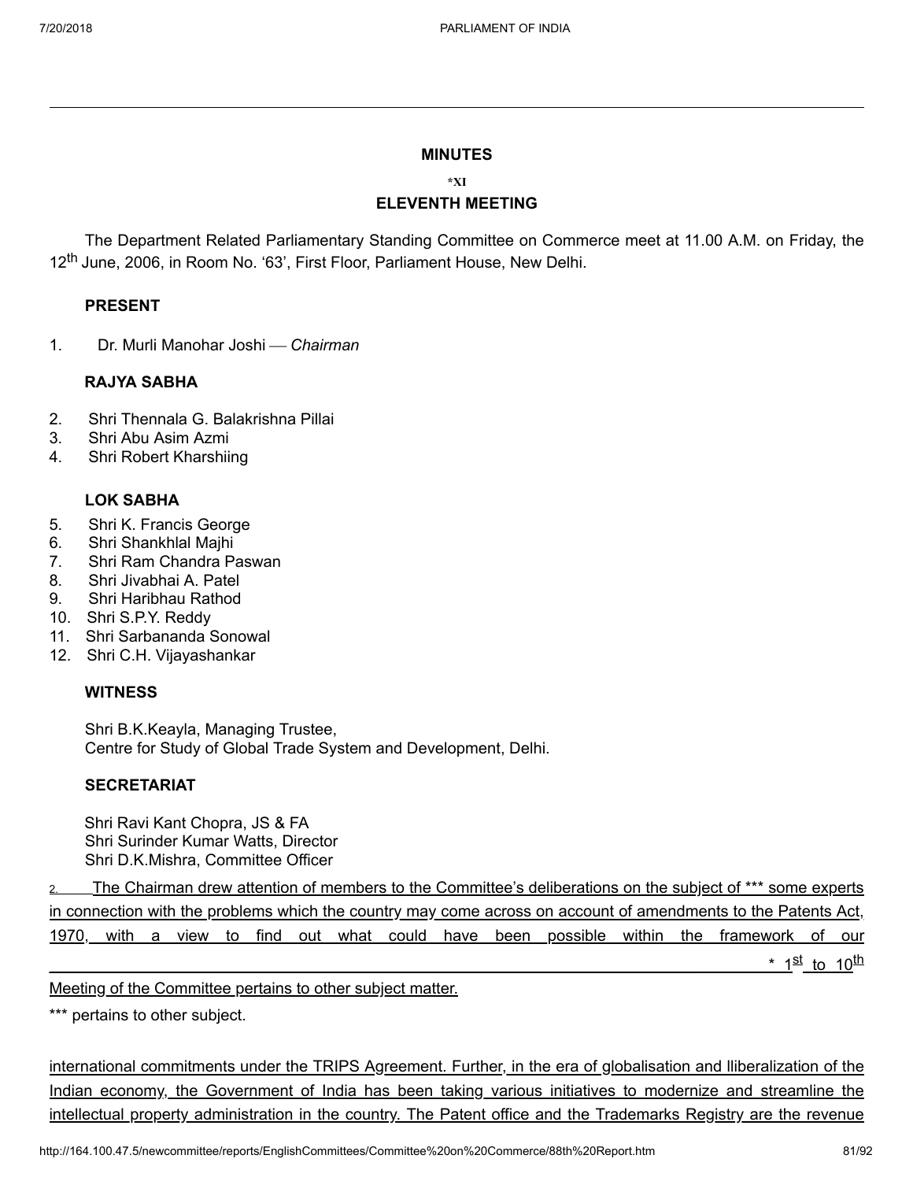#### **MINUTES**

## **\*XI ELEVENTH MEETING**

The Department Related Parliamentary Standing Committee on Commerce meet at 11.00 A.M. on Friday, the 12<sup>th</sup> June, 2006, in Room No. '63', First Floor, Parliament House, New Delhi.

#### **PRESENT**

1. Dr. Murli Manohar Joshi ¾ *Chairman*

#### **RAJYA SABHA**

- 2. Shri Thennala G. Balakrishna Pillai
- 3. Shri Abu Asim Azmi
- 4. Shri Robert Kharshiing

## **LOK SABHA**

- 5. Shri K. Francis George
- 6. Shri Shankhlal Majhi
- 7. Shri Ram Chandra Paswan
- 8. Shri Jivabhai A. Patel
- 9. Shri Haribhau Rathod
- 10. Shri S.P.Y. Reddy
- 11. Shri Sarbananda Sonowal
- 12. Shri C.H. Vijayashankar

#### **WITNESS**

Shri B.K.Keayla, Managing Trustee, Centre for Study of Global Trade System and Development, Delhi.

#### **SECRETARIAT**

Shri Ravi Kant Chopra, JS & FA Shri Surinder Kumar Watts, Director Shri D.K.Mishra, Committee Officer

2. The Chairman drew attention of members to the Committee's deliberations on the subject of \*\*\* some experts in connection with the problems which the country may come across on account of amendments to the Patents Act, 1970, with a view to find out what could have been possible within the framework of our where the contract of  $\sim$  12  $^2$ <u>st to 10<sup>th</sup></u>

Meeting of the Committee pertains to other subject matter.

\*\*\* pertains to other subject.

international commitments under the TRIPS Agreement. Further, in the era of globalisation and lliberalization of the Indian economy, the Government of India has been taking various initiatives to modernize and streamline the intellectual property administration in the country. The Patent office and the Trademarks Registry are the revenue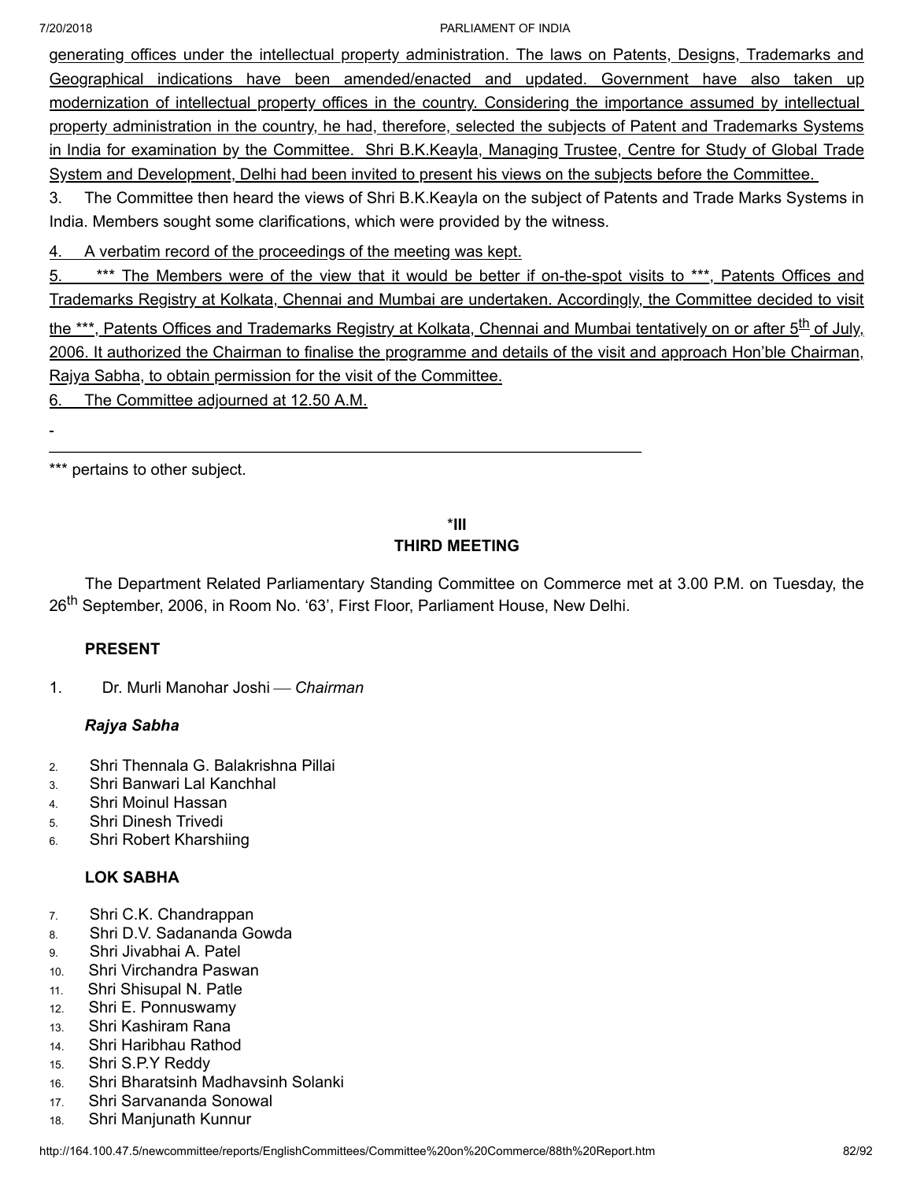L,

#### 7/20/2018 PARLIAMENT OF INDIA

generating offices under the intellectual property administration. The laws on Patents, Designs, Trademarks and Geographical indications have been amended/enacted and updated. Government have also taken up modernization of intellectual property offices in the country. Considering the importance assumed by intellectual property administration in the country, he had, therefore, selected the subjects of Patent and Trademarks Systems in India for examination by the Committee. Shri B.K.Keayla, Managing Trustee, Centre for Study of Global Trade System and Development, Delhi had been invited to present his views on the subjects before the Committee.

3. The Committee then heard the views of Shri B.K.Keayla on the subject of Patents and Trade Marks Systems in India. Members sought some clarifications, which were provided by the witness.

4. A verbatim record of the proceedings of the meeting was kept.

5. \*\*\* The Members were of the view that it would be better if on-the-spot visits to \*\*\*, Patents Offices and Trademarks Registry at Kolkata, Chennai and Mumbai are undertaken. Accordingly, the Committee decided to visit the \*\*\*, Patents Offices and Trademarks Registry at Kolkata, Chennai and Mumbai tentatively on or after 5<sup>th</sup> of July, 2006. It authorized the Chairman to finalise the programme and details of the visit and approach Hon'ble Chairman, Rajya Sabha, to obtain permission for the visit of the Committee.

6. The Committee adjourned at 12.50 A.M.

\*\*\* pertains to other subject.

# \***III THIRD MEETING**

The Department Related Parliamentary Standing Committee on Commerce met at 3.00 P.M. on Tuesday, the 26<sup>th</sup> September, 2006, in Room No. '63', First Floor, Parliament House, New Delhi.

# **PRESENT**

1. Dr. Murli Manohar Joshi ¾ *Chairman*

# *Rajya Sabha*

- 2. Shri Thennala G. Balakrishna Pillai
- 3. Shri Banwari Lal Kanchhal
- 4. Shri Moinul Hassan
- 5. Shri Dinesh Trivedi
- 6. Shri Robert Kharshiing

# **LOK SABHA**

- 7. Shri C.K. Chandrappan
- 8. Shri D.V. Sadananda Gowda
- 9. Shri Jivabhai A. Patel
- 10. Shri Virchandra Paswan
- 11. Shri Shisupal N. Patle
- 12. Shri E. Ponnuswamy
- 13. Shri Kashiram Rana
- 14. Shri Haribhau Rathod
- 15. Shri S.P.Y Reddy
- 16. Shri Bharatsinh Madhavsinh Solanki
- 17. Shri Sarvananda Sonowal
- 18. Shri Manjunath Kunnur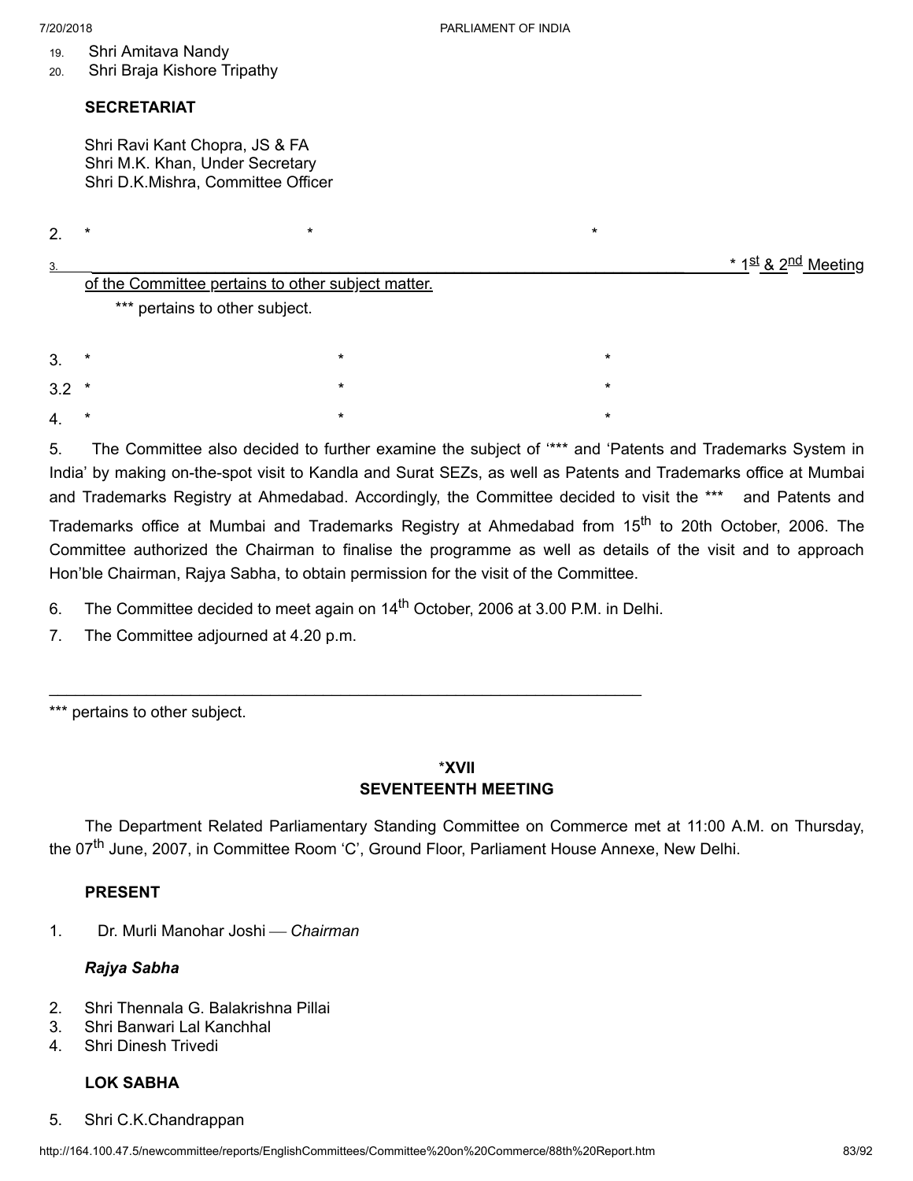- 19. Shri Amitava Nandy
- 20. Shri Braja Kishore Tripathy

# **SECRETARIAT**

Shri Ravi Kant Chopra, JS & FA Shri M.K. Khan, Under Secretary Shri D.K.Mishra, Committee Officer

2. \* \* \*

<u>st & 2<sup>nd</sup> Meeting</u>

|    |                                                    |         | * 1 <u>S</u> |  |
|----|----------------------------------------------------|---------|--------------|--|
|    | of the Committee pertains to other subject matter. |         |              |  |
|    | *** pertains to other subject.                     |         |              |  |
| 3. | *                                                  | $\star$ | $\star$      |  |

3.2 \* \* \* 4. \* \* \*

5. The Committee also decided to further examine the subject of '\*\*\* and 'Patents and Trademarks System in India' by making on-the-spot visit to Kandla and Surat SEZs, as well as Patents and Trademarks office at Mumbai and Trademarks Registry at Ahmedabad. Accordingly, the Committee decided to visit the \*\*\* and Patents and Trademarks office at Mumbai and Trademarks Registry at Ahmedabad from 15<sup>th</sup> to 20th October, 2006. The Committee authorized the Chairman to finalise the programme as well as details of the visit and to approach Hon'ble Chairman, Rajya Sabha, to obtain permission for the visit of the Committee.

6. The Committee decided to meet again on 14<sup>th</sup> October, 2006 at 3.00 P.M. in Delhi.

 $\mathcal{L}_\mathcal{L} = \mathcal{L}_\mathcal{L} = \mathcal{L}_\mathcal{L} = \mathcal{L}_\mathcal{L} = \mathcal{L}_\mathcal{L} = \mathcal{L}_\mathcal{L} = \mathcal{L}_\mathcal{L} = \mathcal{L}_\mathcal{L} = \mathcal{L}_\mathcal{L} = \mathcal{L}_\mathcal{L} = \mathcal{L}_\mathcal{L} = \mathcal{L}_\mathcal{L} = \mathcal{L}_\mathcal{L} = \mathcal{L}_\mathcal{L} = \mathcal{L}_\mathcal{L} = \mathcal{L}_\mathcal{L} = \mathcal{L}_\mathcal{L}$ 

7. The Committee adjourned at 4.20 p.m.

\*\*\* pertains to other subject.

# \***XVII SEVENTEENTH MEETING**

The Department Related Parliamentary Standing Committee on Commerce met at 11:00 A.M. on Thursday, the 07<sup>th</sup> June, 2007, in Committee Room 'C', Ground Floor, Parliament House Annexe, New Delhi.

# **PRESENT**

1. Dr. Murli Manohar Joshi ¾ *Chairman*

# *Rajya Sabha*

- 2. Shri Thennala G. Balakrishna Pillai
- 3. Shri Banwari Lal Kanchhal
- 4. Shri Dinesh Trivedi

# **LOK SABHA**

5. Shri C.K.Chandrappan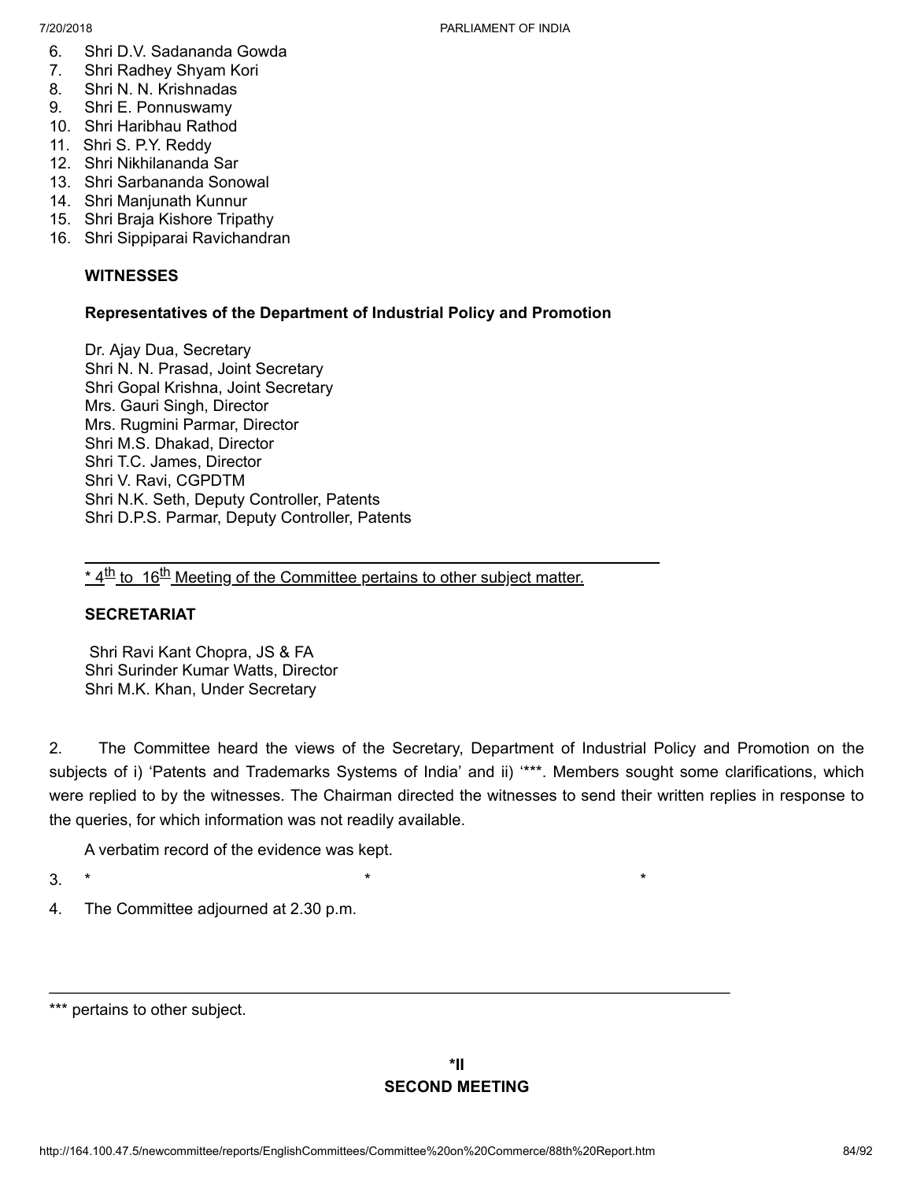- 6. Shri D.V. Sadananda Gowda
- 7. Shri Radhey Shyam Kori
- 8. Shri N. N. Krishnadas
- 9. Shri E. Ponnuswamy
- 10. Shri Haribhau Rathod
- 11. Shri S. P.Y. Reddy
- 12. Shri Nikhilananda Sar
- 13. Shri Sarbananda Sonowal
- 14. Shri Manjunath Kunnur
- 15. Shri Braja Kishore Tripathy
- 16. Shri Sippiparai Ravichandran

# **WITNESSES**

# **Representatives of the Department of Industrial Policy and Promotion**

Dr. Ajay Dua, Secretary Shri N. N. Prasad, Joint Secretary Shri Gopal Krishna, Joint Secretary Mrs. Gauri Singh, Director Mrs. Rugmini Parmar, Director Shri M.S. Dhakad, Director Shri T.C. James, Director Shri V. Ravi, CGPDTM Shri N.K. Seth, Deputy Controller, Patents Shri D.P.S. Parmar, Deputy Controller, Patents

\* 4<sup>th</sup> to 16<sup>th</sup> Meeting of the Committee pertains to other subject matter.

 $\mathcal{L}_\mathcal{L} = \mathcal{L}_\mathcal{L} = \mathcal{L}_\mathcal{L} = \mathcal{L}_\mathcal{L} = \mathcal{L}_\mathcal{L} = \mathcal{L}_\mathcal{L} = \mathcal{L}_\mathcal{L} = \mathcal{L}_\mathcal{L} = \mathcal{L}_\mathcal{L} = \mathcal{L}_\mathcal{L} = \mathcal{L}_\mathcal{L} = \mathcal{L}_\mathcal{L} = \mathcal{L}_\mathcal{L} = \mathcal{L}_\mathcal{L} = \mathcal{L}_\mathcal{L} = \mathcal{L}_\mathcal{L} = \mathcal{L}_\mathcal{L}$ 

# **SECRETARIAT**

Shri Ravi Kant Chopra, JS & FA Shri Surinder Kumar Watts, Director Shri M.K. Khan, Under Secretary

2. The Committee heard the views of the Secretary, Department of Industrial Policy and Promotion on the subjects of i) 'Patents and Trademarks Systems of India' and ii) '\*\*\*. Members sought some clarifications, which were replied to by the witnesses. The Chairman directed the witnesses to send their written replies in response to the queries, for which information was not readily available.

A verbatim record of the evidence was kept.

3. \*  $\qquad \qquad \star$   $\qquad \qquad \star$ 

4. The Committee adjourned at 2.30 p.m.

 $\mathcal{L}_\text{max}$  and  $\mathcal{L}_\text{max}$  and  $\mathcal{L}_\text{max}$  and  $\mathcal{L}_\text{max}$  and  $\mathcal{L}_\text{max}$  and  $\mathcal{L}_\text{max}$ 

<sup>\*\*\*</sup> pertains to other subject.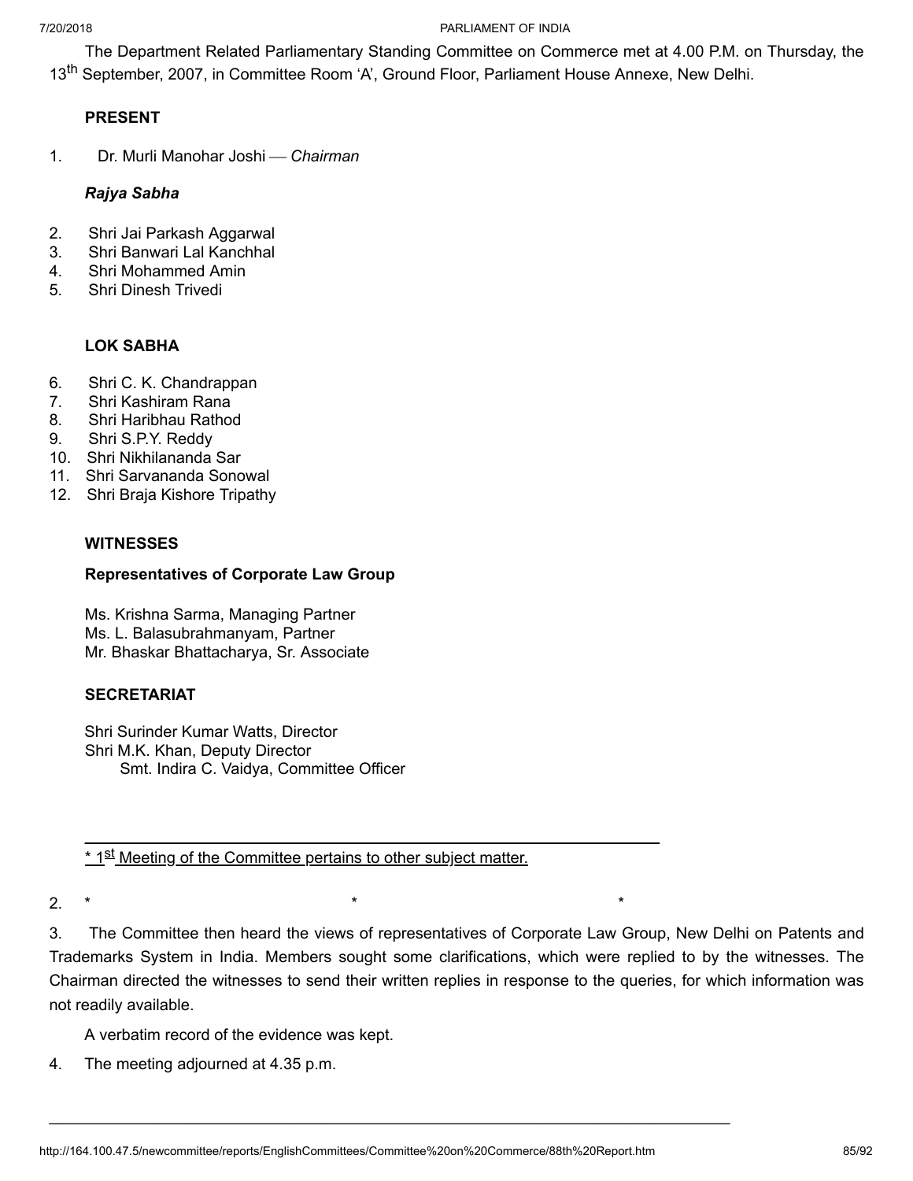The Department Related Parliamentary Standing Committee on Commerce met at 4.00 P.M. on Thursday, the 13<sup>th</sup> September, 2007, in Committee Room 'A', Ground Floor, Parliament House Annexe, New Delhi.

# **PRESENT**

1. Dr. Murli Manohar Joshi ¾ *Chairman*

## *Rajya Sabha*

- 2. Shri Jai Parkash Aggarwal
- 3. Shri Banwari Lal Kanchhal
- 4. Shri Mohammed Amin
- 5. Shri Dinesh Trivedi

# **LOK SABHA**

- 6. Shri C. K. Chandrappan
- 7. Shri Kashiram Rana
- 8. Shri Haribhau Rathod
- 9. Shri S.P.Y. Reddy
- 10. Shri Nikhilananda Sar
- 11. Shri Sarvananda Sonowal
- 12. Shri Braja Kishore Tripathy

## **WITNESSES**

# **Representatives of Corporate Law Group**

Ms. Krishna Sarma, Managing Partner Ms. L. Balasubrahmanyam, Partner Mr. Bhaskar Bhattacharya, Sr. Associate

# **SECRETARIAT**

Shri Surinder Kumar Watts, Director Shri M.K. Khan, Deputy Director Smt. Indira C. Vaidya, Committee Officer

<u>\* 1<sup>st</sup> Meeting of the Committee pertains to other subject matter.</u>

 $\mathcal{L}_\mathcal{L} = \mathcal{L}_\mathcal{L} = \mathcal{L}_\mathcal{L} = \mathcal{L}_\mathcal{L} = \mathcal{L}_\mathcal{L} = \mathcal{L}_\mathcal{L} = \mathcal{L}_\mathcal{L} = \mathcal{L}_\mathcal{L} = \mathcal{L}_\mathcal{L} = \mathcal{L}_\mathcal{L} = \mathcal{L}_\mathcal{L} = \mathcal{L}_\mathcal{L} = \mathcal{L}_\mathcal{L} = \mathcal{L}_\mathcal{L} = \mathcal{L}_\mathcal{L} = \mathcal{L}_\mathcal{L} = \mathcal{L}_\mathcal{L}$ 

2. \* \* \*

3. The Committee then heard the views of representatives of Corporate Law Group, New Delhi on Patents and Trademarks System in India. Members sought some clarifications, which were replied to by the witnesses. The Chairman directed the witnesses to send their written replies in response to the queries, for which information was not readily available.

A verbatim record of the evidence was kept.

4. The meeting adjourned at 4.35 p.m.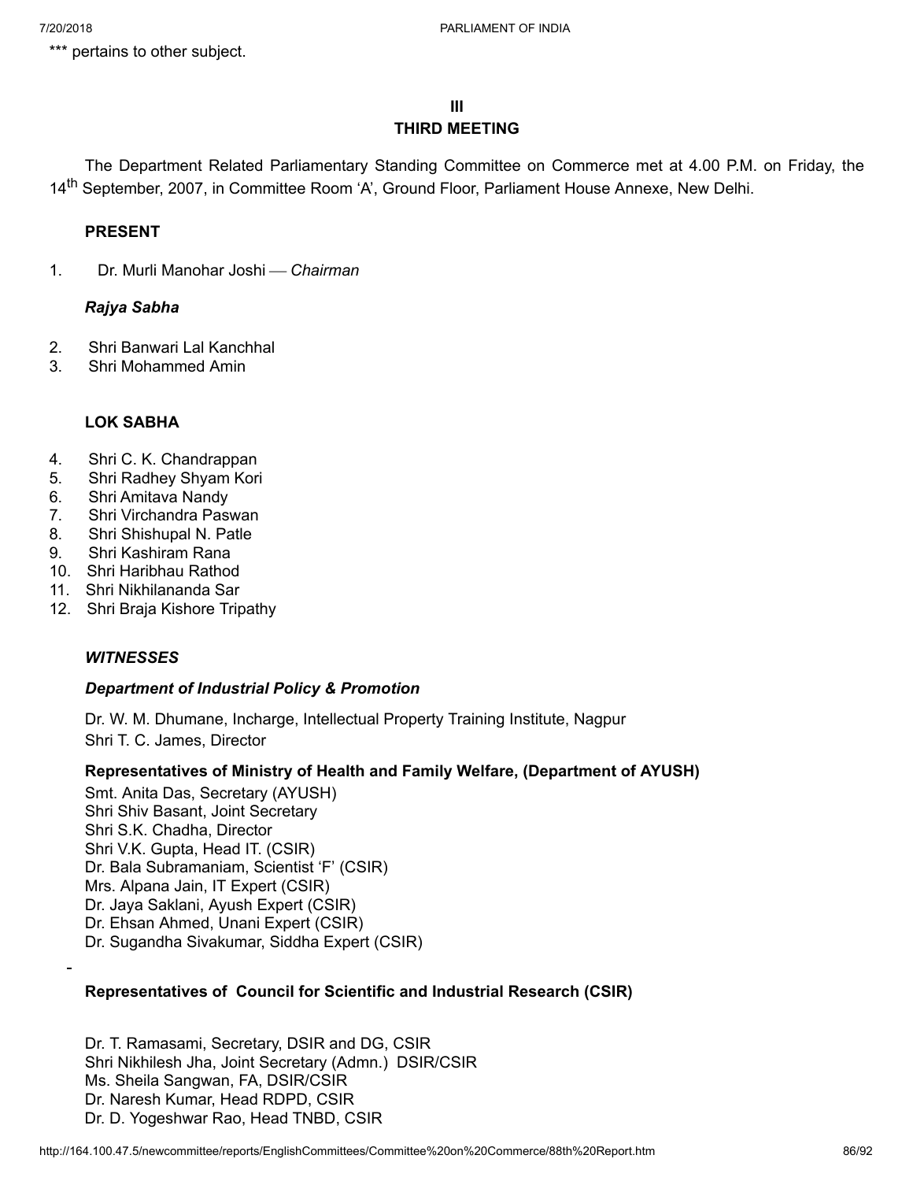\*\*\* pertains to other subject.

## **III THIRD MEETING**

The Department Related Parliamentary Standing Committee on Commerce met at 4.00 P.M. on Friday, the 14<sup>th</sup> September, 2007, in Committee Room 'A', Ground Floor, Parliament House Annexe, New Delhi.

# **PRESENT**

1. Dr. Murli Manohar Joshi ¾ *Chairman*

# *Rajya Sabha*

- 2. Shri Banwari Lal Kanchhal
- 3. Shri Mohammed Amin

# **LOK SABHA**

- 4. Shri C. K. Chandrappan
- 5. Shri Radhey Shyam Kori
- 6. Shri Amitava Nandy
- 7. Shri Virchandra Paswan
- 8. Shri Shishupal N. Patle
- 9. Shri Kashiram Rana
- 10. Shri Haribhau Rathod
- 11. Shri Nikhilananda Sar
- 12. Shri Braja Kishore Tripathy

## *WITNESSES*

# *Department of Industrial Policy & Promotion*

Dr. W. M. Dhumane, Incharge, Intellectual Property Training Institute, Nagpur Shri T. C. James, Director

# **Representatives of Ministry of Health and Family Welfare, (Department of AYUSH)**

Smt. Anita Das, Secretary (AYUSH) Shri Shiv Basant, Joint Secretary Shri S.K. Chadha, Director Shri V.K. Gupta, Head IT. (CSIR) Dr. Bala Subramaniam, Scientist 'F' (CSIR) Mrs. Alpana Jain, IT Expert (CSIR) Dr. Jaya Saklani, Ayush Expert (CSIR) Dr. Ehsan Ahmed, Unani Expert (CSIR) Dr. Sugandha Sivakumar, Siddha Expert (CSIR)

# **Representatives of Council for Scientific and Industrial Research (CSIR)**

Dr. T. Ramasami, Secretary, DSIR and DG, CSIR Shri Nikhilesh Jha, Joint Secretary (Admn.) DSIR/CSIR Ms. Sheila Sangwan, FA, DSIR/CSIR Dr. Naresh Kumar, Head RDPD, CSIR Dr. D. Yogeshwar Rao, Head TNBD, CSIR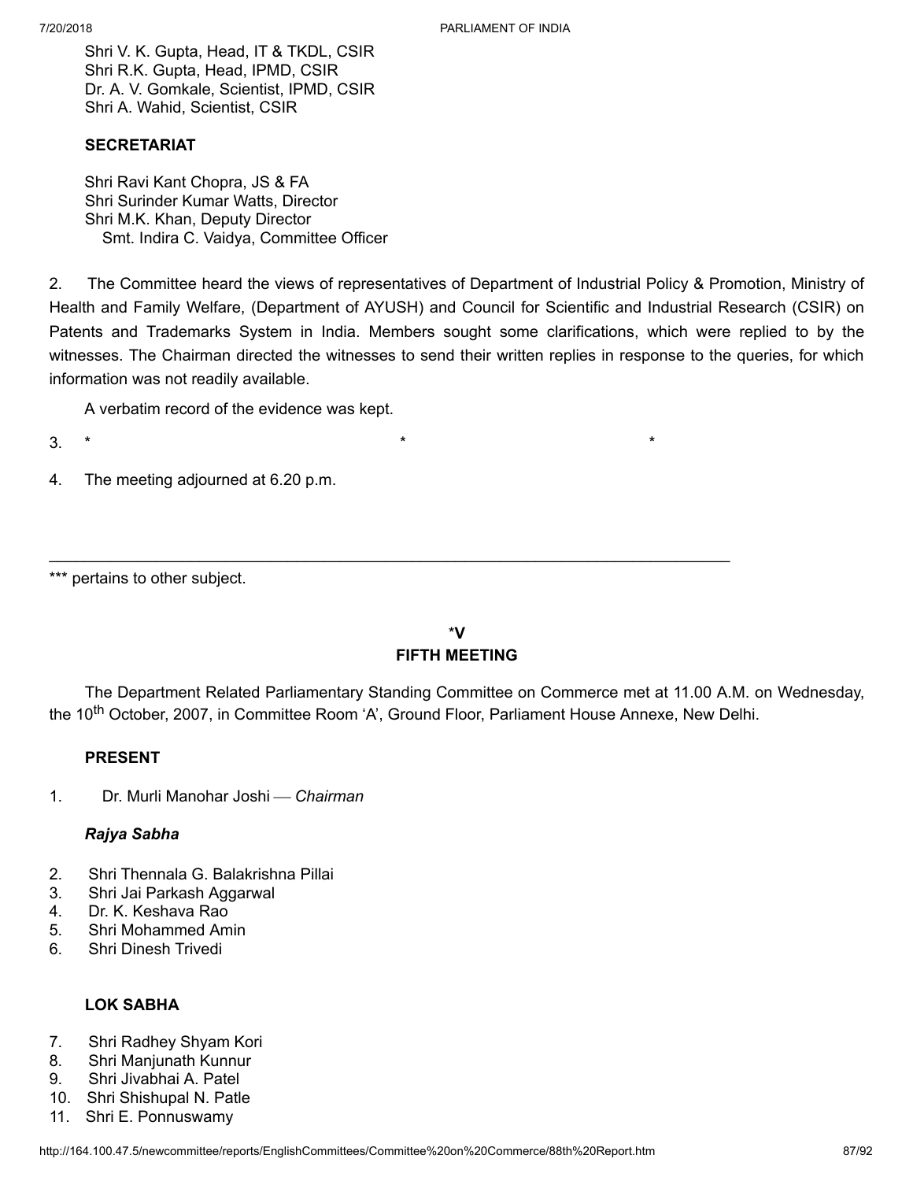Shri V. K. Gupta, Head, IT & TKDL, CSIR Shri R.K. Gupta, Head, IPMD, CSIR Dr. A. V. Gomkale, Scientist, IPMD, CSIR Shri A. Wahid, Scientist, CSIR

## **SECRETARIAT**

Shri Ravi Kant Chopra, JS & FA Shri Surinder Kumar Watts, Director Shri M.K. Khan, Deputy Director Smt. Indira C. Vaidya, Committee Officer

2. The Committee heard the views of representatives of Department of Industrial Policy & Promotion, Ministry of Health and Family Welfare, (Department of AYUSH) and Council for Scientific and Industrial Research (CSIR) on Patents and Trademarks System in India. Members sought some clarifications, which were replied to by the witnesses. The Chairman directed the witnesses to send their written replies in response to the queries, for which information was not readily available.

A verbatim record of the evidence was kept.

- 3. \* \* \*
- 4. The meeting adjourned at 6.20 p.m.

# \***V FIFTH MEETING**

 $\mathcal{L}_\text{max}$  and  $\mathcal{L}_\text{max}$  and  $\mathcal{L}_\text{max}$  and  $\mathcal{L}_\text{max}$  and  $\mathcal{L}_\text{max}$  and  $\mathcal{L}_\text{max}$ 

The Department Related Parliamentary Standing Committee on Commerce met at 11.00 A.M. on Wednesday, the 10<sup>th</sup> October, 2007, in Committee Room 'A', Ground Floor, Parliament House Annexe, New Delhi.

# **PRESENT**

1. Dr. Murli Manohar Joshi ¾ *Chairman*

## *Rajya Sabha*

- 2. Shri Thennala G. Balakrishna Pillai
- 3. Shri Jai Parkash Aggarwal
- 4. Dr. K. Keshava Rao
- 5. Shri Mohammed Amin
- 6. Shri Dinesh Trivedi

# **LOK SABHA**

- 7. Shri Radhey Shyam Kori
- 8. Shri Manjunath Kunnur
- 9. Shri Jivabhai A. Patel
- 10. Shri Shishupal N. Patle
- 11. Shri E. Ponnuswamy

<sup>\*\*\*</sup> pertains to other subject.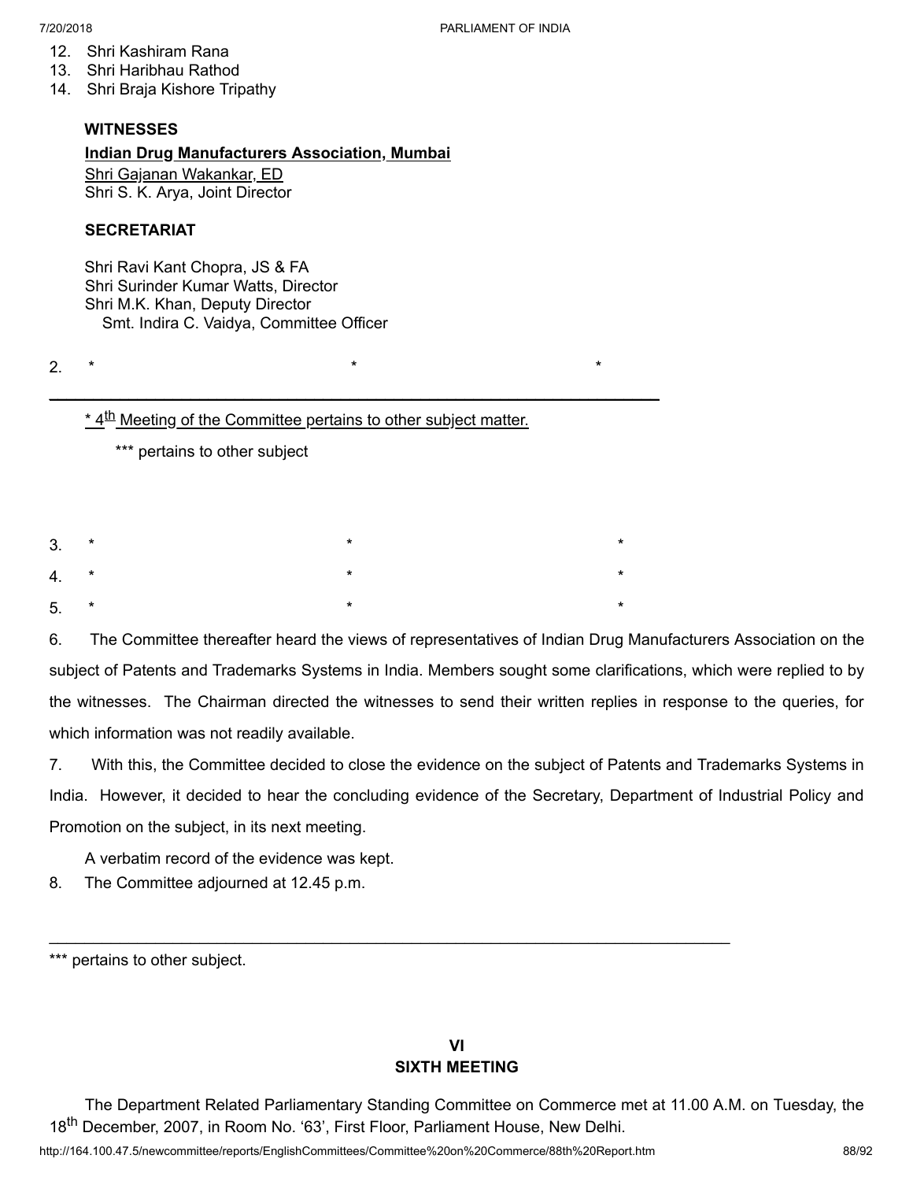- 12. Shri Kashiram Rana
- 13. Shri Haribhau Rathod
- 14. Shri Braja Kishore Tripathy

#### **WITNESSES**

#### **Indian Drug Manufacturers Association, Mumbai**

Shri Gajanan Wakankar, ED Shri S. K. Arya, Joint Director

## **SECRETARIAT**

Shri Ravi Kant Chopra, JS & FA Shri Surinder Kumar Watts, Director Shri M.K. Khan, Deputy Director Smt. Indira C. Vaidya, Committee Officer

2.  $*$  \* \*

\* 4<sup>th</sup> Meeting of the Committee pertains to other subject matter.

 $\mathcal{L}_\mathcal{L} = \mathcal{L}_\mathcal{L} = \mathcal{L}_\mathcal{L} = \mathcal{L}_\mathcal{L} = \mathcal{L}_\mathcal{L} = \mathcal{L}_\mathcal{L} = \mathcal{L}_\mathcal{L} = \mathcal{L}_\mathcal{L} = \mathcal{L}_\mathcal{L} = \mathcal{L}_\mathcal{L} = \mathcal{L}_\mathcal{L} = \mathcal{L}_\mathcal{L} = \mathcal{L}_\mathcal{L} = \mathcal{L}_\mathcal{L} = \mathcal{L}_\mathcal{L} = \mathcal{L}_\mathcal{L} = \mathcal{L}_\mathcal{L}$ 

\*\*\* pertains to other subject

|        | $3.$ * | $\star$                      | $\star$ |
|--------|--------|------------------------------|---------|
|        | $4.$ * | $\star$                      | $\star$ |
| $5. *$ |        | $\star$ . The set of $\star$ | $\star$ |

6. The Committee thereafter heard the views of representatives of Indian Drug Manufacturers Association on the subject of Patents and Trademarks Systems in India. Members sought some clarifications, which were replied to by the witnesses. The Chairman directed the witnesses to send their written replies in response to the queries, for which information was not readily available.

7. With this, the Committee decided to close the evidence on the subject of Patents and Trademarks Systems in India. However, it decided to hear the concluding evidence of the Secretary, Department of Industrial Policy and Promotion on the subject, in its next meeting.

A verbatim record of the evidence was kept.

8. The Committee adjourned at 12.45 p.m.

# **VI SIXTH MEETING**

 $\mathcal{L}_\text{max}$  and  $\mathcal{L}_\text{max}$  and  $\mathcal{L}_\text{max}$  and  $\mathcal{L}_\text{max}$  and  $\mathcal{L}_\text{max}$  and  $\mathcal{L}_\text{max}$ 

The Department Related Parliamentary Standing Committee on Commerce met at 11.00 A.M. on Tuesday, the 18<sup>th</sup> December, 2007, in Room No. '63', First Floor, Parliament House, New Delhi.

http://164.100.47.5/newcommittee/reports/EnglishCommittees/Committee%20on%20Commerce/88th%20Report.htm 88/92

<sup>\*\*\*</sup> pertains to other subject.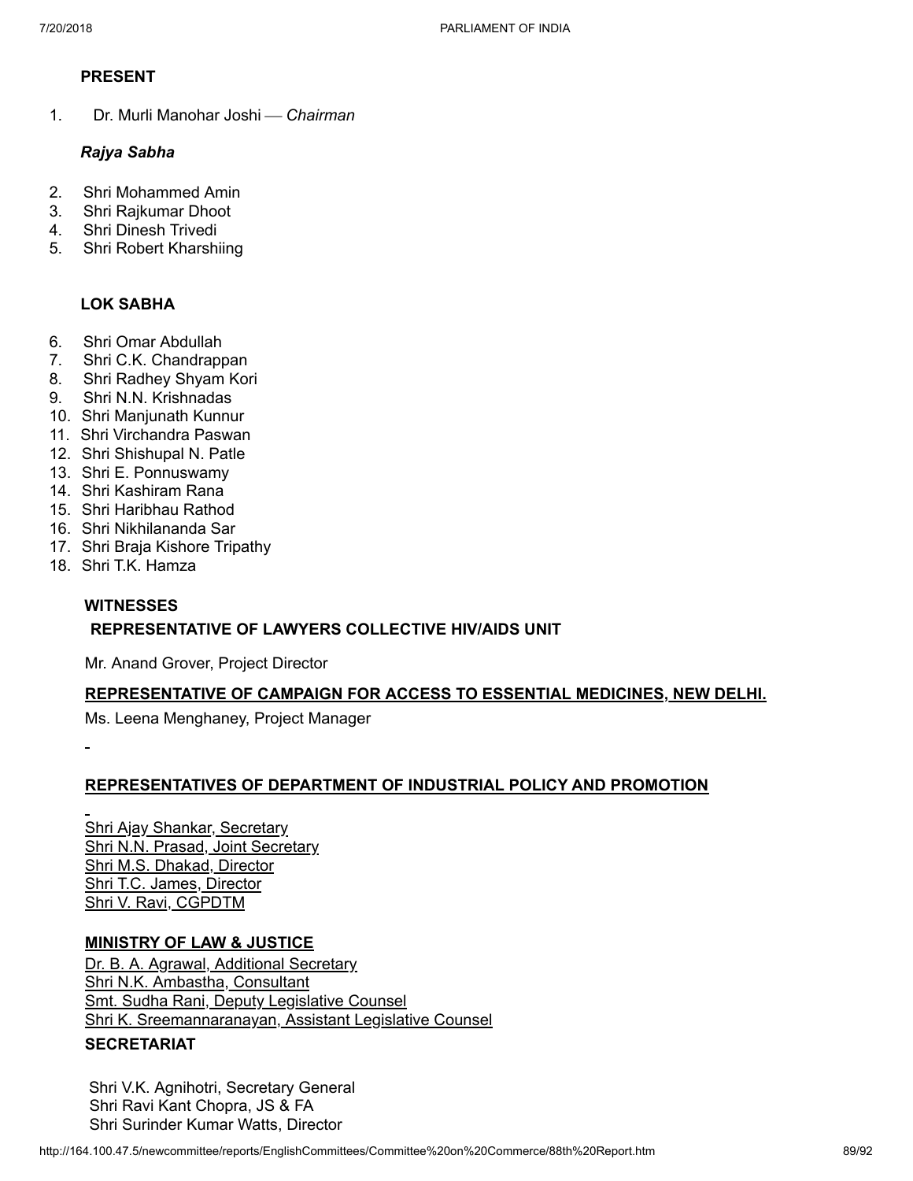# **PRESENT**

1. Dr. Murli Manohar Joshi ¾ *Chairman*

# *Rajya Sabha*

- 2. Shri Mohammed Amin
- 3. Shri Rajkumar Dhoot
- 4. Shri Dinesh Trivedi
- 5. Shri Robert Kharshiing

# **LOK SABHA**

- 6. Shri Omar Abdullah
- 7. Shri C.K. Chandrappan
- 8. Shri Radhey Shyam Kori
- 9. Shri N.N. Krishnadas
- 10. Shri Manjunath Kunnur
- 11. Shri Virchandra Paswan
- 12. Shri Shishupal N. Patle
- 13. Shri E. Ponnuswamy
- 14. Shri Kashiram Rana
- 15. Shri Haribhau Rathod
- 16. Shri Nikhilananda Sar
- 17. Shri Braja Kishore Tripathy
- 18. Shri T.K. Hamza

# **WITNESSES**

# **REPRESENTATIVE OF LAWYERS COLLECTIVE HIV/AIDS UNIT**

Mr. Anand Grover, Project Director

# **REPRESENTATIVE OF CAMPAIGN FOR ACCESS TO ESSENTIAL MEDICINES, NEW DELHI.**

Ms. Leena Menghaney, Project Manager

## **REPRESENTATIVES OF DEPARTMENT OF INDUSTRIAL POLICY AND PROMOTION**

Shri Ajay Shankar, Secretary Shri N.N. Prasad, Joint Secretary Shri M.S. Dhakad, Director Shri T.C. James, Director Shri V. Ravi, CGPDTM

# **MINISTRY OF LAW & JUSTICE**

Dr. B. A. Agrawal, Additional Secretary Shri N.K. Ambastha, Consultant **Smt. Sudha Rani, Deputy Legislative Counsel** Shri K. Sreemannaranayan, Assistant Legislative Counsel

## **SECRETARIAT**

Shri V.K. Agnihotri, Secretary General Shri Ravi Kant Chopra, JS & FA Shri Surinder Kumar Watts, Director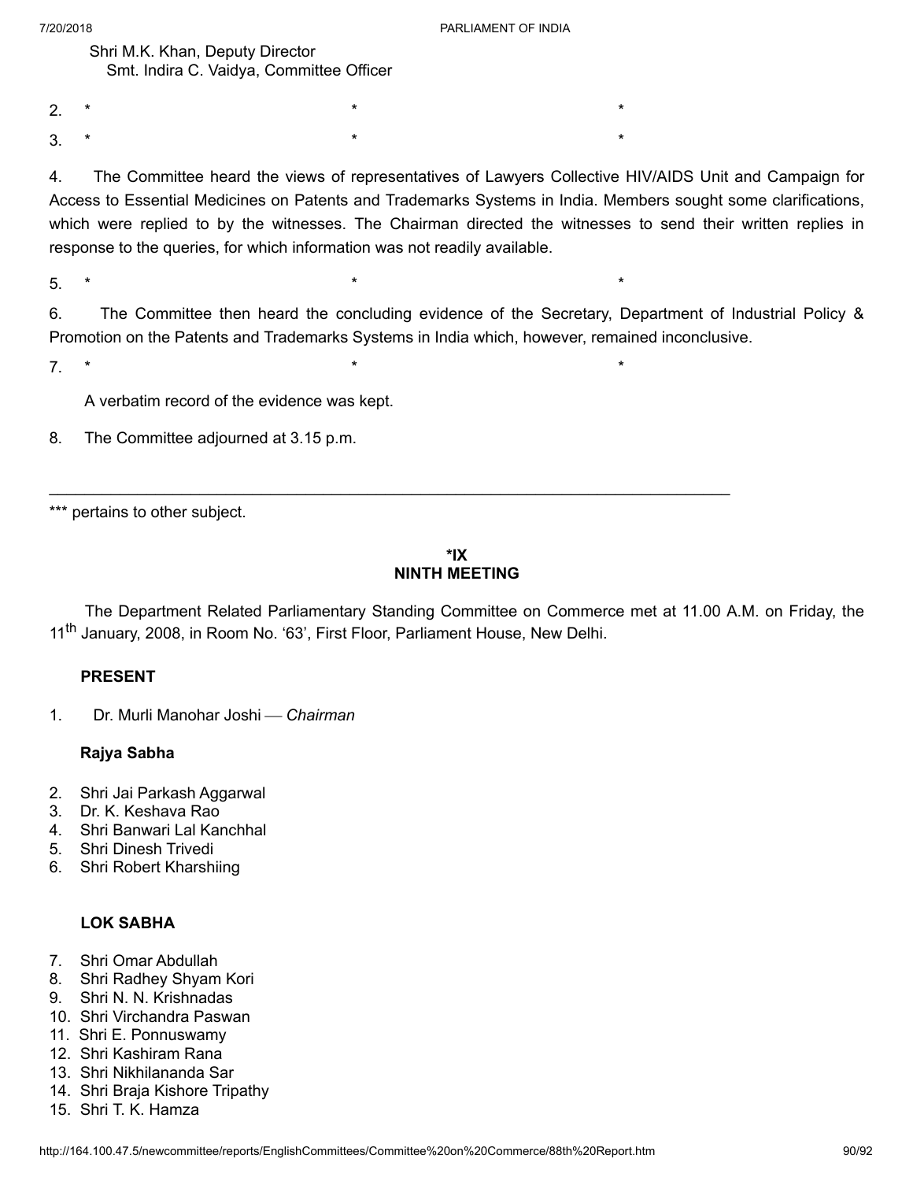Shri M.K. Khan, Deputy Director Smt. Indira C. Vaidya, Committee Officer

2.  $*$  \* \* \*

3. \* \* \*

4. The Committee heard the views of representatives of Lawyers Collective HIV/AIDS Unit and Campaign for Access to Essential Medicines on Patents and Trademarks Systems in India. Members sought some clarifications, which were replied to by the witnesses. The Chairman directed the witnesses to send their written replies in response to the queries, for which information was not readily available.

5. \* \* \*

6. The Committee then heard the concluding evidence of the Secretary, Department of Industrial Policy & Promotion on the Patents and Trademarks Systems in India which, however, remained inconclusive.

7. \* \* \*

A verbatim record of the evidence was kept.

8. The Committee adjourned at 3.15 p.m.

\*\*\* pertains to other subject.

# **\*IX NINTH MEETING**

The Department Related Parliamentary Standing Committee on Commerce met at 11.00 A.M. on Friday, the 11<sup>th</sup> January, 2008, in Room No. '63', First Floor, Parliament House, New Delhi.

## **PRESENT**

1. Dr. Murli Manohar Joshi ¾ *Chairman*

#### **Rajya Sabha**

- 2. Shri Jai Parkash Aggarwal
- 3. Dr. K. Keshava Rao
- 4. Shri Banwari Lal Kanchhal
- 5. Shri Dinesh Trivedi
- 6. Shri Robert Kharshiing

## **LOK SABHA**

- 7. Shri Omar Abdullah
- 8. Shri Radhey Shyam Kori
- 9. Shri N. N. Krishnadas
- 10. Shri Virchandra Paswan
- 11. Shri E. Ponnuswamy
- 12. Shri Kashiram Rana
- 13. Shri Nikhilananda Sar
- 14. Shri Braja Kishore Tripathy
- 15. Shri T. K. Hamza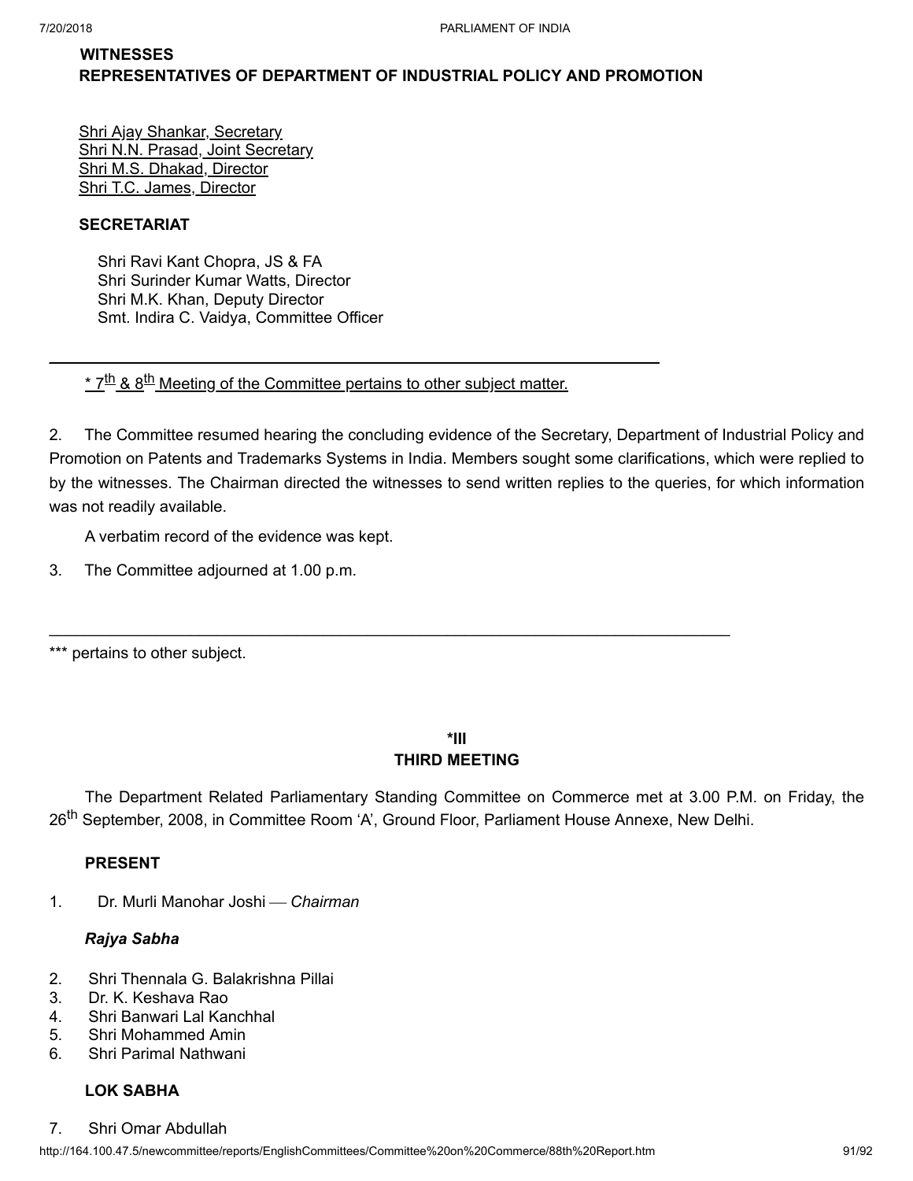# **WITNESSES REPRESENTATIVES OF DEPARTMENT OF INDUSTRIAL POLICY AND PROMOTION**

Shri Ajay Shankar, Secretary Shri N.N. Prasad, Joint Secretary Shri M.S. Dhakad, Director Shri T.C. James, Director

# **SECRETARIAT**

Shri Ravi Kant Chopra, JS & FA Shri Surinder Kumar Watts, Director Shri M.K. Khan, Deputy Director Smt. Indira C. Vaidya, Committee Officer

<u>\* 7<sup>th</sup> & 8<sup>th</sup> Meeting of the Committee pertains to other subject matter.</u>

\_\_\_\_\_\_\_\_\_\_\_\_\_\_\_\_\_\_\_\_\_\_\_\_\_\_\_\_\_\_\_\_\_\_\_\_\_\_\_\_\_\_\_\_\_\_\_\_\_\_\_\_\_\_\_\_\_\_\_\_\_\_\_\_\_\_\_\_\_

2. The Committee resumed hearing the concluding evidence of the Secretary, Department of Industrial Policy and Promotion on Patents and Trademarks Systems in India. Members sought some clarifications, which were replied to by the witnesses. The Chairman directed the witnesses to send written replies to the queries, for which information was not readily available.

A verbatim record of the evidence was kept.

- 3. The Committee adjourned at 1.00 p.m.
- \*\*\* pertains to other subject.

# **\*III THIRD MEETING**

The Department Related Parliamentary Standing Committee on Commerce met at 3.00 P.M. on Friday, the 26<sup>th</sup> September, 2008, in Committee Room 'A', Ground Floor, Parliament House Annexe, New Delhi.

# **PRESENT**

1. Dr. Murli Manohar Joshi ¾ *Chairman*

# *Rajya Sabha*

- 2. Shri Thennala G. Balakrishna Pillai
- 3. Dr. K. Keshava Rao
- 4. Shri Banwari Lal Kanchhal
- 5. Shri Mohammed Amin
- 6. Shri Parimal Nathwani

# **LOK SABHA**

7. Shri Omar Abdullah